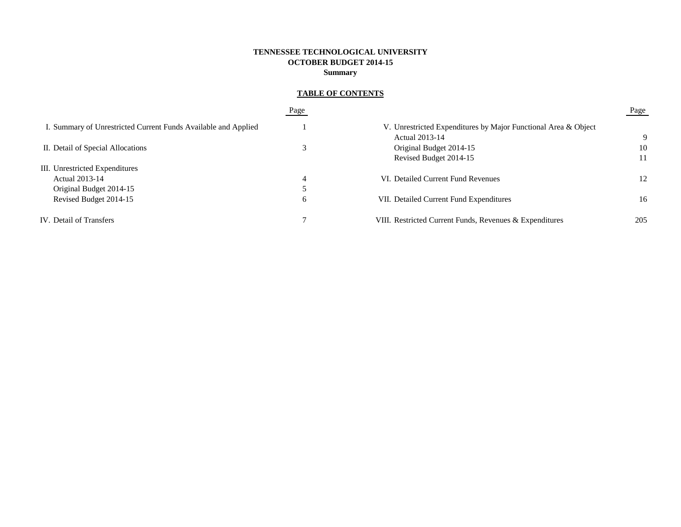# **TENNESSEE TECHNOLOGICAL UNIVERSITY OCTOBER BUDGET 2014-15 Summary**

# **TABLE OF CONTENTS**

|                                                                | Page |                                                                | Page |
|----------------------------------------------------------------|------|----------------------------------------------------------------|------|
| I. Summary of Unrestricted Current Funds Available and Applied |      | V. Unrestricted Expenditures by Major Functional Area & Object |      |
|                                                                |      | Actual 2013-14                                                 | 9    |
| II. Detail of Special Allocations                              |      | Original Budget 2014-15                                        | 10   |
|                                                                |      | Revised Budget 2014-15                                         | 11   |
| III. Unrestricted Expenditures                                 |      |                                                                |      |
| Actual 2013-14                                                 | 4    | VI. Detailed Current Fund Revenues                             | 12   |
| Original Budget 2014-15                                        |      |                                                                |      |
| Revised Budget 2014-15                                         | 6    | VII. Detailed Current Fund Expenditures                        | 16   |
| IV. Detail of Transfers                                        |      | VIII. Restricted Current Funds, Revenues & Expenditures        | 205  |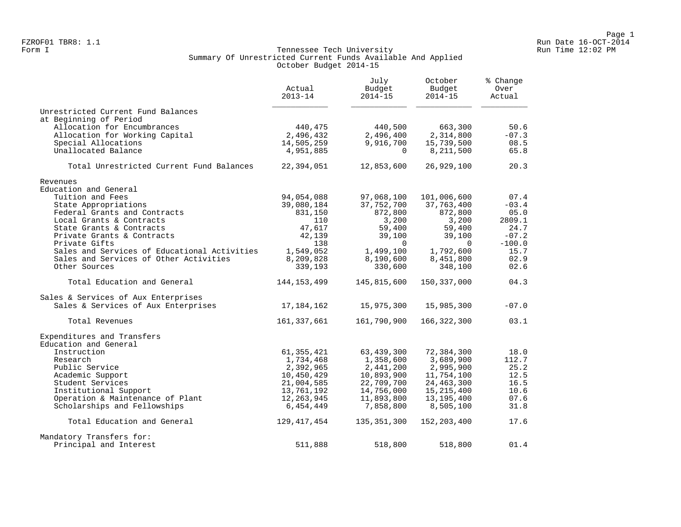#### Form I Georgian Controller Controller Controller Run Time 12:02 PM (Run Time 12:02 PM Run Time 12:02 PM Run Time 12:02 PM Run Time 12:02 PM Run Time 12:02 PM (Run Time 12:02 PM  $\sim$  Run Time 12:02 PM  $\sim$  Run Time 12:02 PM Summary Of Unrestricted Current Funds Available And Applied October Budget 2014-15

|                                              | Actual<br>$2013 - 14$ | July<br>Budget<br>$2014 - 15$ | October<br>Budget<br>$2014 - 15$ | % Change<br>Over<br>Actual |
|----------------------------------------------|-----------------------|-------------------------------|----------------------------------|----------------------------|
| Unrestricted Current Fund Balances           |                       |                               |                                  |                            |
| at Beginning of Period                       |                       |                               |                                  |                            |
| Allocation for Encumbrances                  | 440,475               | 440,500                       | 663,300                          | 50.6                       |
| Allocation for Working Capital               | 2,496,432             | 2,496,400                     | 2,314,800                        | $-07.3$                    |
| Special Allocations                          | 14,505,259            | 9,916,700                     | 15,739,500                       | 08.5                       |
| Unallocated Balance                          | 4,951,885             | $\Omega$                      | 8,211,500                        | 65.8                       |
| Total Unrestricted Current Fund Balances     | 22,394,051            | 12,853,600                    | 26,929,100                       | 20.3                       |
| Revenues                                     |                       |                               |                                  |                            |
| Education and General                        |                       |                               |                                  |                            |
| Tuition and Fees                             | 94,054,088            | 97,068,100                    | 101,006,600                      | 07.4                       |
| State Appropriations                         | 39,080,184            | 37,752,700                    | 37,763,400                       | $-03.4$                    |
| Federal Grants and Contracts                 | 831,150               | 872,800                       | 872,800                          | 05.0                       |
| Local Grants & Contracts                     | 110                   | 3,200                         | 3,200                            | 2809.1                     |
| State Grants & Contracts                     | 47,617                | 59,400                        | 59,400                           | 24.7                       |
| Private Grants & Contracts                   | 42,139                | 39,100                        | 39,100                           | $-07.2$                    |
| Private Gifts                                | 138                   | $\Omega$                      | $\Omega$                         | $-100.0$                   |
| Sales and Services of Educational Activities | 1,549,052             | 1,499,100                     | 1,792,600                        | 15.7                       |
| Sales and Services of Other Activities       | 8,209,828             | 8,190,600                     | 8,451,800                        | 02.9                       |
| Other Sources                                | 339,193               | 330,600                       | 348,100                          | 02.6                       |
| Total Education and General                  | 144, 153, 499         | 145,815,600                   | 150,337,000                      | 04.3                       |
| Sales & Services of Aux Enterprises          |                       |                               |                                  |                            |
| Sales & Services of Aux Enterprises          | 17,184,162            | 15,975,300                    | 15,985,300                       | $-07.0$                    |
| Total Revenues                               | 161,337,661           | 161,790,900                   | 166,322,300                      | 03.1                       |
| Expenditures and Transfers                   |                       |                               |                                  |                            |
| Education and General                        |                       |                               |                                  |                            |
| Instruction                                  | 61, 355, 421          | 63, 439, 300                  | 72,384,300                       | 18.0                       |
| Research                                     | 1,734,468             | 1,358,600                     | 3,689,900                        | 112.7                      |
| Public Service                               | 2,392,965             | 2,441,200                     | 2,995,900                        | 25.2                       |
| Academic Support                             | 10,450,429            | 10,893,900                    | 11,754,100                       | 12.5                       |
| Student Services                             | 21,004,585            | 22,709,700                    | 24, 463, 300                     | 16.5                       |
| Institutional Support                        | 13,761,192            | 14,756,000                    | 15,215,400                       | 10.6                       |
| Operation & Maintenance of Plant             | 12,263,945            | 11,893,800                    | 13,195,400                       | 07.6                       |
| Scholarships and Fellowships                 | 6,454,449             | 7,858,800                     | 8,505,100                        | 31.8                       |
| Total Education and General                  | 129, 417, 454         | 135, 351, 300                 | 152, 203, 400                    | 17.6                       |
| Mandatory Transfers for:                     |                       |                               |                                  |                            |
| Principal and Interest                       | 511,888               | 518,800                       | 518,800                          | 01.4                       |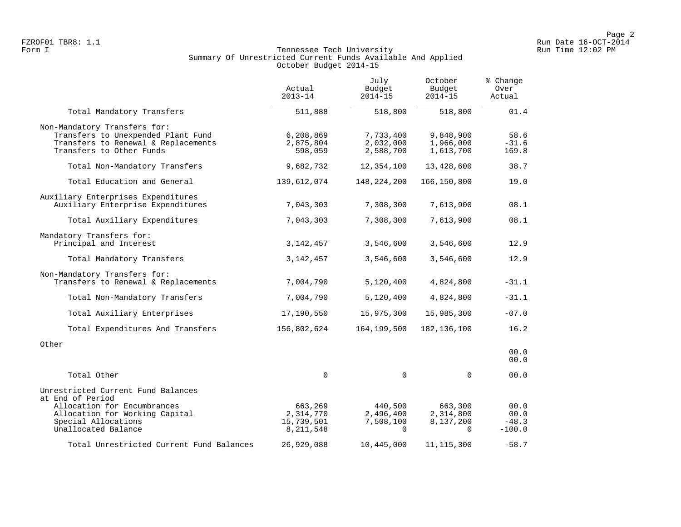## Form I Georgian Controller Controller Controller Run Time 12:02 PM (Run Time 12:02 PM Run Time 12:02 PM Run Time 12:02 PM Run Time 12:02 PM Run Time 12:02 PM (Run Time 12:02 PM  $\sim$  Run Time 12:02 PM  $\sim$  Run Time 12:02 PM Summary Of Unrestricted Current Funds Available And Applied October Budget 2014-15

|                                                                                                                                       | Actual<br>$2013 - 14$             | July<br>Budget<br>$2014 - 15$       | October<br>Budget<br>$2014 - 15$    | % Change<br>Over<br>Actual |
|---------------------------------------------------------------------------------------------------------------------------------------|-----------------------------------|-------------------------------------|-------------------------------------|----------------------------|
| Total Mandatory Transfers                                                                                                             | 511,888                           | 518,800                             | 518,800                             | 01.4                       |
| Non-Mandatory Transfers for:<br>Transfers to Unexpended Plant Fund<br>Transfers to Renewal & Replacements<br>Transfers to Other Funds | 6,208,869<br>2,875,804<br>598,059 | 7,733,400<br>2,032,000<br>2,588,700 | 9,848,900<br>1,966,000<br>1,613,700 | 58.6<br>$-31.6$<br>169.8   |
| Total Non-Mandatory Transfers                                                                                                         | 9,682,732                         | 12,354,100                          | 13,428,600                          | 38.7                       |
| Total Education and General                                                                                                           | 139,612,074                       | 148,224,200                         | 166,150,800                         | 19.0                       |
| Auxiliary Enterprises Expenditures<br>Auxiliary Enterprise Expenditures                                                               | 7,043,303                         | 7,308,300                           | 7,613,900                           | 08.1                       |
| Total Auxiliary Expenditures                                                                                                          | 7,043,303                         | 7,308,300                           | 7,613,900                           | 08.1                       |
| Mandatory Transfers for:<br>Principal and Interest                                                                                    | 3, 142, 457                       | 3,546,600                           | 3,546,600                           | 12.9                       |
| Total Mandatory Transfers                                                                                                             | 3, 142, 457                       | 3,546,600                           | 3,546,600                           | 12.9                       |
| Non-Mandatory Transfers for:<br>Transfers to Renewal & Replacements                                                                   | 7,004,790                         | 5,120,400                           | 4,824,800                           | $-31.1$                    |
| Total Non-Mandatory Transfers                                                                                                         | 7,004,790                         | 5,120,400                           | 4,824,800                           | $-31.1$                    |
| Total Auxiliary Enterprises                                                                                                           | 17,190,550                        | 15,975,300                          | 15,985,300                          | $-07.0$                    |
| Total Expenditures And Transfers                                                                                                      | 156,802,624                       | 164,199,500                         | 182, 136, 100                       | 16.2                       |
| Other                                                                                                                                 |                                   |                                     |                                     | 00.0<br>00.0               |
| Total Other                                                                                                                           | $\mathsf 0$                       | 0                                   | $\mathbf{0}$                        | 00.0                       |
| Unrestricted Current Fund Balances<br>at End of Period                                                                                |                                   |                                     |                                     |                            |
| Allocation for Encumbrances                                                                                                           | 663,269                           | 440,500                             | 663,300                             | 00.0                       |
| Allocation for Working Capital                                                                                                        | 2,314,770                         | 2,496,400                           | 2,314,800                           | 00.0                       |
| Special Allocations<br>Unallocated Balance                                                                                            | 15,739,501<br>8,211,548           | 7,508,100<br>$\Omega$               | 8,137,200<br>$\Omega$               | $-48.3$<br>$-100.0$        |
| Total Unrestricted Current Fund Balances                                                                                              | 26,929,088                        | 10,445,000                          | 11, 115, 300                        | $-58.7$                    |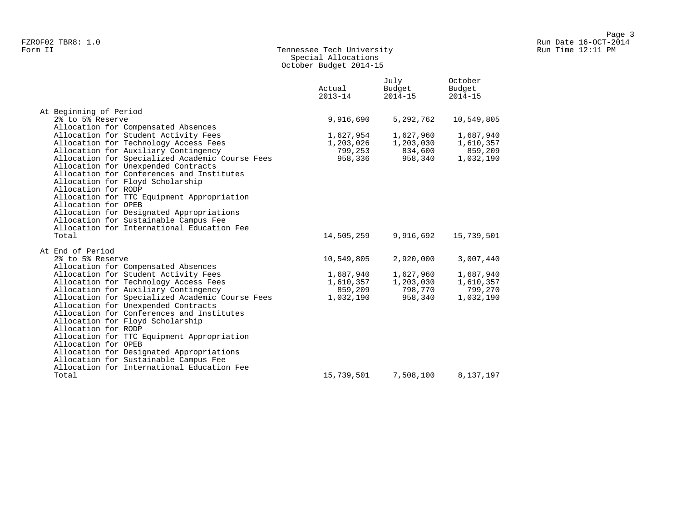## Form II Tennessee Tech University Run Time 12:11 PM Special Allocations October Budget 2014-15

|                                                                                                                                                                                                                                                                                                                                                                                                        | Actual<br>$2013 - 14$ | July<br>Budget<br>$2014 - 15$ | October<br>Budget<br>$2014 - 15$ |
|--------------------------------------------------------------------------------------------------------------------------------------------------------------------------------------------------------------------------------------------------------------------------------------------------------------------------------------------------------------------------------------------------------|-----------------------|-------------------------------|----------------------------------|
| At Beginning of Period<br>2% to 5% Reserve                                                                                                                                                                                                                                                                                                                                                             | 9,916,690             | 5,292,762                     | 10,549,805                       |
| Allocation for Compensated Absences                                                                                                                                                                                                                                                                                                                                                                    |                       |                               |                                  |
| Allocation for Student Activity Fees                                                                                                                                                                                                                                                                                                                                                                   | 1,627,954             | 1,627,960                     | 1,687,940                        |
| Allocation for Technology Access Fees                                                                                                                                                                                                                                                                                                                                                                  | 1,203,026             | 1,203,030                     | 1,610,357                        |
| Allocation for Auxiliary Contingency                                                                                                                                                                                                                                                                                                                                                                   | 799,253               | 834,600                       | 859,209                          |
| Allocation for Specialized Academic Course Fees<br>Allocation for Unexpended Contracts<br>Allocation for Conferences and Institutes<br>Allocation for Floyd Scholarship<br>Allocation for RODP<br>Allocation for TTC Equipment Appropriation<br>Allocation for OPEB<br>Allocation for Designated Appropriations<br>Allocation for Sustainable Campus Fee<br>Allocation for International Education Fee | 958,336               | 958,340                       | 1,032,190                        |
| Total                                                                                                                                                                                                                                                                                                                                                                                                  | 14,505,259            | 9,916,692                     | 15,739,501                       |
| At End of Period                                                                                                                                                                                                                                                                                                                                                                                       |                       |                               |                                  |
| 2% to 5% Reserve                                                                                                                                                                                                                                                                                                                                                                                       | 10,549,805            | 2,920,000                     | 3,007,440                        |
| Allocation for Compensated Absences                                                                                                                                                                                                                                                                                                                                                                    |                       |                               |                                  |
| Allocation for Student Activity Fees                                                                                                                                                                                                                                                                                                                                                                   | 1,687,940             | 1,627,960                     | 1,687,940                        |
| Allocation for Technology Access Fees                                                                                                                                                                                                                                                                                                                                                                  | 1,610,357             | 1,203,030                     | 1,610,357                        |
| Allocation for Auxiliary Contingency                                                                                                                                                                                                                                                                                                                                                                   | 859,209               | 798,770                       | 799,270                          |
| Allocation for Specialized Academic Course Fees<br>Allocation for Unexpended Contracts<br>Allocation for Conferences and Institutes<br>Allocation for Floyd Scholarship<br>Allocation for RODP<br>Allocation for TTC Equipment Appropriation<br>Allocation for OPEB<br>Allocation for Designated Appropriations<br>Allocation for Sustainable Campus Fee<br>Allocation for International Education Fee | 1,032,190             | 958,340                       | 1,032,190                        |
| Total                                                                                                                                                                                                                                                                                                                                                                                                  | 15,739,501            | 7,508,100                     | 8,137,197                        |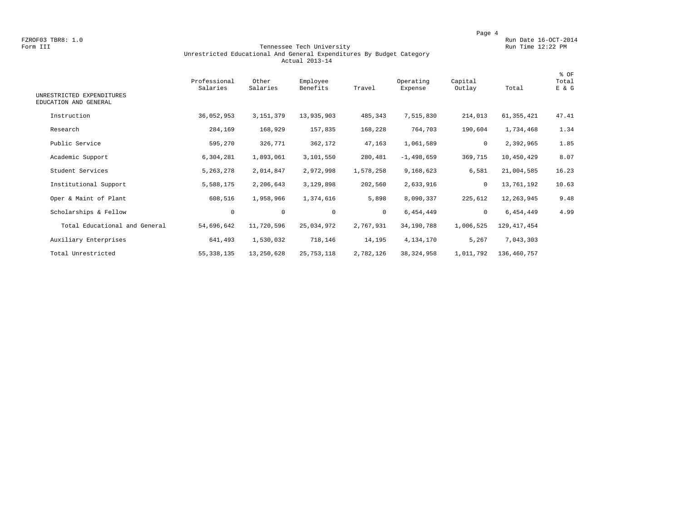FZROF03 TBR8: 1.0<br>Form III Run Date 16-OCT-2014 Run Date 16-OCT-2014 Run Date 16-OCT-2014

#### Form III Tennessee Tech University Run Time 12:22 PM Unrestricted Educational And General Expenditures By Budget Category Actual 2013-14

| UNRESTRICTED EXPENDITURES<br>EDUCATION AND GENERAL | Professional<br>Salaries | Other<br>Salaries | Employee<br>Benefits | Travel    | Operating<br>Expense | Capital<br>Outlay | Total         | % OF<br>Total<br>E & G |
|----------------------------------------------------|--------------------------|-------------------|----------------------|-----------|----------------------|-------------------|---------------|------------------------|
| Instruction                                        | 36,052,953               | 3, 151, 379       | 13,935,903           | 485,343   | 7,515,830            | 214,013           | 61,355,421    | 47.41                  |
| Research                                           | 284,169                  | 168,929           | 157,835              | 168,228   | 764,703              | 190,604           | 1,734,468     | 1.34                   |
| Public Service                                     | 595,270                  | 326,771           | 362,172              | 47,163    | 1,061,589            | $\circ$           | 2,392,965     | 1.85                   |
| Academic Support                                   | 6,304,281                | 1,893,061         | 3,101,550            | 280,481   | $-1,498,659$         | 369,715           | 10,450,429    | 8.07                   |
| Student Services                                   | 5, 263, 278              | 2,014,847         | 2,972,998            | 1,578,258 | 9,168,623            | 6,581             | 21,004,585    | 16.23                  |
| Institutional Support                              | 5,588,175                | 2,206,643         | 3,129,898            | 202,560   | 2,633,916            | $\circ$           | 13,761,192    | 10.63                  |
| Oper & Maint of Plant                              | 608,516                  | 1,958,966         | 1,374,616            | 5,898     | 8,090,337            | 225,612           | 12,263,945    | 9.48                   |
| Scholarships & Fellow                              | $\mathbf 0$              | $\circ$           | $\mathbf 0$          | $\circ$   | 6,454,449            | $\circ$           | 6,454,449     | 4.99                   |
| Total Educational and General                      | 54,696,642               | 11,720,596        | 25,034,972           | 2,767,931 | 34,190,788           | 1,006,525         | 129, 417, 454 |                        |
| Auxiliary Enterprises                              | 641,493                  | 1,530,032         | 718,146              | 14,195    | 4,134,170            | 5,267             | 7,043,303     |                        |
| Total Unrestricted                                 | 55, 338, 135             | 13,250,628        | 25, 753, 118         | 2,782,126 | 38, 324, 958         | 1,011,792         | 136,460,757   |                        |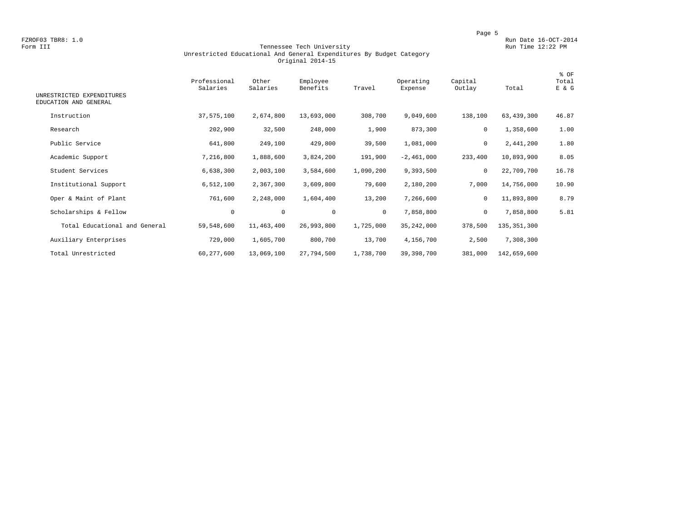FZROF03 TBR8: 1.0<br>Form III Run Date 16-OCT-2014 Run Date 16-OCT-2014 Run Date 16-OCT-2014

#### Form III Tennessee Tech University Run Time 12:22 PM Unrestricted Educational And General Expenditures By Budget Category Original 2014-15

| UNRESTRICTED EXPENDITURES<br>EDUCATION AND GENERAL | Professional<br>Salaries | Other<br>Salaries | Employee<br>Benefits | Travel       | Operating<br>Expense | Capital<br>Outlay | Total         | % OF<br>Total<br>E & G |
|----------------------------------------------------|--------------------------|-------------------|----------------------|--------------|----------------------|-------------------|---------------|------------------------|
| Instruction                                        | 37,575,100               | 2,674,800         | 13,693,000           | 308,700      | 9,049,600            | 138,100           | 63,439,300    | 46.87                  |
| Research                                           | 202,900                  | 32,500            | 248,000              | 1,900        | 873,300              | 0                 | 1,358,600     | 1.00                   |
| Public Service                                     | 641,800                  | 249,100           | 429,800              | 39,500       | 1,081,000            | 0                 | 2,441,200     | 1.80                   |
| Academic Support                                   | 7,216,800                | 1,888,600         | 3,824,200            | 191,900      | $-2,461,000$         | 233,400           | 10,893,900    | 8.05                   |
| Student Services                                   | 6,638,300                | 2,003,100         | 3,584,600            | 1,090,200    | 9,393,500            | $\mathbf 0$       | 22,709,700    | 16.78                  |
| Institutional Support                              | 6,512,100                | 2,367,300         | 3,609,800            | 79,600       | 2,180,200            | 7,000             | 14,756,000    | 10.90                  |
| Oper & Maint of Plant                              | 761,600                  | 2,248,000         | 1,604,400            | 13,200       | 7,266,600            | $\mathbf 0$       | 11,893,800    | 8.79                   |
| Scholarships & Fellow                              | $\mathsf{O}\xspace$      | $\mathbf 0$       | $\mathbf 0$          | $\mathbf{0}$ | 7,858,800            | $\mathbf 0$       | 7,858,800     | 5.81                   |
| Total Educational and General                      | 59,548,600               | 11,463,400        | 26,993,800           | 1,725,000    | 35, 242, 000         | 378,500           | 135, 351, 300 |                        |
| Auxiliary Enterprises                              | 729,000                  | 1,605,700         | 800,700              | 13,700       | 4,156,700            | 2,500             | 7,308,300     |                        |
| Total Unrestricted                                 | 60, 277, 600             | 13,069,100        | 27,794,500           | 1,738,700    | 39, 398, 700         | 381,000           | 142,659,600   |                        |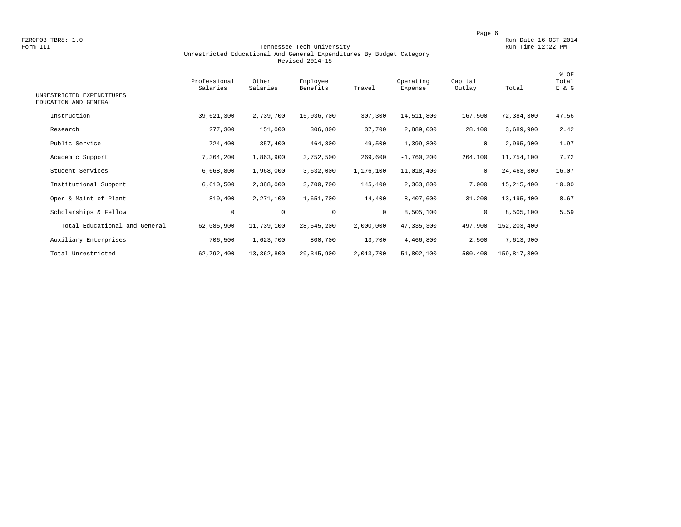FZROF03 TBR8: 1.0<br>Form III Run Date 16-OCT-2014 Run Date 16-OCT-2014 Run Date 16-OCT-2014 Run Date 12:22 PM

#### Form III Tennessee Tech University Run Time 12:22 PM Unrestricted Educational And General Expenditures By Budget Category Revised 2014-15

| UNRESTRICTED EXPENDITURES<br>EDUCATION AND GENERAL | Professional<br>Salaries | Other<br>Salaries | Employee<br>Benefits | Travel    | Operating<br>Expense | Capital<br>Outlay | Total       | % OF<br>Total<br>E & G |
|----------------------------------------------------|--------------------------|-------------------|----------------------|-----------|----------------------|-------------------|-------------|------------------------|
| Instruction                                        | 39,621,300               | 2,739,700         | 15,036,700           | 307,300   | 14,511,800           | 167,500           | 72,384,300  | 47.56                  |
| Research                                           | 277,300                  | 151,000           | 306,800              | 37,700    | 2,889,000            | 28,100            | 3,689,900   | 2.42                   |
| Public Service                                     | 724,400                  | 357,400           | 464,800              | 49,500    | 1,399,800            | 0                 | 2,995,900   | 1.97                   |
| Academic Support                                   | 7,364,200                | 1,863,900         | 3,752,500            | 269,600   | $-1,760,200$         | 264,100           | 11,754,100  | 7.72                   |
| Student Services                                   | 6,668,800                | 1,968,000         | 3,632,000            | 1,176,100 | 11,018,400           | 0                 | 24,463,300  | 16.07                  |
| Institutional Support                              | 6,610,500                | 2,388,000         | 3,700,700            | 145,400   | 2,363,800            | 7,000             | 15,215,400  | 10.00                  |
| Oper & Maint of Plant                              | 819,400                  | 2,271,100         | 1,651,700            | 14,400    | 8,407,600            | 31,200            | 13,195,400  | 8.67                   |
| Scholarships & Fellow                              | $\mathbf 0$              | $\mathbf 0$       | $\mathbf 0$          | $\circ$   | 8,505,100            | $\mathbf 0$       | 8,505,100   | 5.59                   |
| Total Educational and General                      | 62,085,900               | 11,739,100        | 28,545,200           | 2,000,000 | 47,335,300           | 497,900           | 152,203,400 |                        |
| Auxiliary Enterprises                              | 706,500                  | 1,623,700         | 800,700              | 13,700    | 4,466,800            | 2,500             | 7,613,900   |                        |
| Total Unrestricted                                 | 62,792,400               | 13,362,800        | 29,345,900           | 2,013,700 | 51,802,100           | 500,400           | 159,817,300 |                        |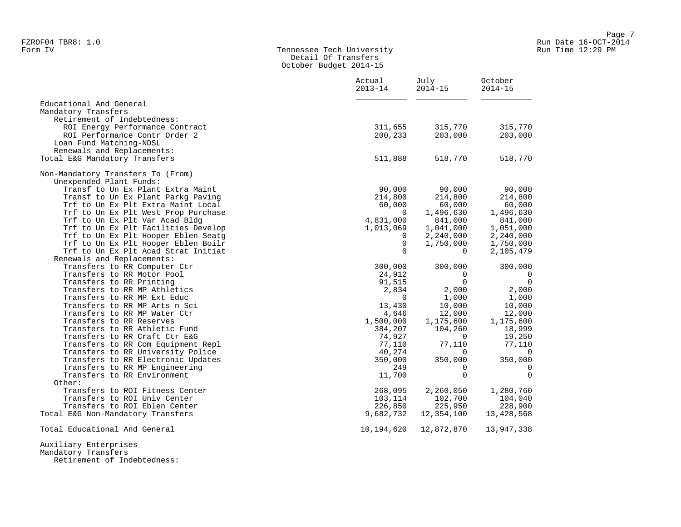# Form IV Tennessee Tech University Run Time 12:29 PM Detail Of Transfers October Budget 2014-15

|                                     | Actual<br>$2013 - 14$ | July<br>$2014 - 15$ | October<br>$2014 - 15$ |
|-------------------------------------|-----------------------|---------------------|------------------------|
| Educational And General             |                       |                     |                        |
| Mandatory Transfers                 |                       |                     |                        |
| Retirement of Indebtedness:         |                       |                     |                        |
| ROI Energy Performance Contract     | 311,655               | 315,770             | 315,770                |
| ROI Performance Contr Order 2       | 200,233               | 203,000             | 203,000                |
| Loan Fund Matching-NDSL             |                       |                     |                        |
| Renewals and Replacements:          |                       |                     |                        |
| Total E&G Mandatory Transfers       | 511,888               | 518,770             | 518,770                |
| Non-Mandatory Transfers To (From)   |                       |                     |                        |
| Unexpended Plant Funds:             |                       |                     |                        |
| Transf to Un Ex Plant Extra Maint   | 90,000                | 90,000              | 90,000                 |
| Transf to Un Ex Plant Parkg Paving  | 214,800               | 214,800             | 214,800                |
| Trf to Un Ex Plt Extra Maint Local  | 60,000                | 60,000              | 60,000                 |
| Trf to Un Ex Plt West Prop Purchase | $\Omega$              | 1,496,630           | 1,496,630              |
| Trf to Un Ex Plt Var Acad Bldg      | 4,831,000             | 841,000             | 841,000                |
| Trf to Un Ex Plt Facilities Develop | 1,013,069             | 1,041,000           | 1,051,000              |
| Trf to Un Ex Plt Hooper Eblen Seatg | $\Omega$              | 2,240,000           | 2,240,000              |
| Trf to Un Ex Plt Hooper Eblen Boilr | $\mathbf 0$           | 1,750,000           | 1,750,000              |
| Trf to Un Ex Plt Acad Strat Initiat | $\Omega$              | $\Omega$            | 2,105,479              |
| Renewals and Replacements:          |                       |                     |                        |
| Transfers to RR Computer Ctr        | 300,000               | 300,000             | 300,000                |
| Transfers to RR Motor Pool          | 24,912                | 0                   | $\overline{0}$         |
| Transfers to RR Printing            | 91,515                | $\mathbf 0$         | $\overline{0}$         |
| Transfers to RR MP Athletics        | 2,834                 | 2,000               | 2,000                  |
| Transfers to RR MP Ext Educ         | $\Omega$              | 1,000               | 1,000                  |
| Transfers to RR MP Arts n Sci       | 13,430                | 10,000              | 10,000                 |
| Transfers to RR MP Water Ctr        | 4,646                 | 12,000              | 12,000                 |
| Transfers to RR Reserves            | 1,500,000             | 1,175,600           | 1,175,600              |
| Transfers to RR Athletic Fund       | 384,207               | 104,260             | 18,999                 |
| Transfers to RR Craft Ctr E&G       | 74,927                | $\Omega$            | 19,250                 |
| Transfers to RR Com Equipment Repl  | 77,110                | 77,110              | 77,110                 |
| Transfers to RR University Police   | 40,274                | $\Omega$            | $\mathbf 0$            |
| Transfers to RR Electronic Updates  | 350,000               | 350,000             | 350,000                |
| Transfers to RR MP Engineering      | 249                   | 0                   | $\mathbf 0$            |
| Transfers to RR Environment         | 11,700                | $\Omega$            | $\Omega$               |
| Other:                              |                       |                     |                        |
| Transfers to ROI Fitness Center     | 268,095               | 2,260,050           | 1,280,760              |
| Transfers to ROI Univ Center        | 103,114               | 102,700             | 104,040                |
| Transfers to ROI Eblen Center       | 226,850               | 225,950             | 228,900                |
| Total E&G Non-Mandatory Transfers   | 9,682,732             | 12,354,100          | 13,428,568             |
| Total Educational And General       | 10,194,620            | 12,872,870          | 13,947,338             |

Retirement of Indebtedness: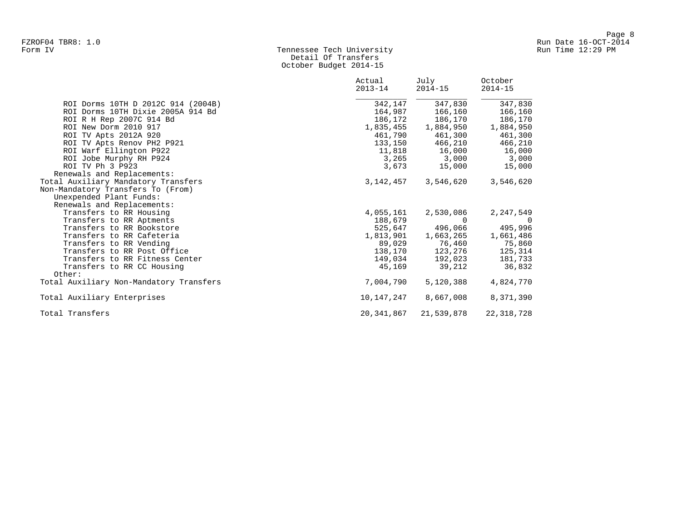# Form IV Tennessee Tech University Run Time 12:29 PM Detail Of Transfers October Budget 2014-15

|                                         | Actual<br>$2013 - 14$ | July<br>$2014 - 15$ | October<br>$2014 - 15$ |
|-----------------------------------------|-----------------------|---------------------|------------------------|
| ROI Dorms 10TH D 2012C 914 (2004B)      | 342,147               | 347,830             | 347,830                |
| ROI Dorms 10TH Dixie 2005A 914 Bd       | 164,987               | 166,160             | 166,160                |
| ROI R H Rep 2007C 914 Bd                | 186,172               | 186,170             | 186,170                |
| ROI New Dorm 2010 917                   | 1,835,455             | 1,884,950           | 1,884,950              |
| ROI TV Apts 2012A 920                   | 461,790               | 461,300             | 461,300                |
| ROI TV Apts Renov PH2 P921              | 133,150               | 466,210             | 466,210                |
| ROI Warf Ellington P922                 |                       | 11,818 16,000       | 16,000                 |
| ROI Jobe Murphy RH P924                 |                       | 3,265 3,000         | 3,000                  |
| ROI TV Ph 3 P923                        | 3,673                 | 15,000              | 15,000                 |
| Renewals and Replacements:              |                       |                     |                        |
| Total Auxiliary Mandatory Transfers     | 3,142,457             | 3,546,620           | 3,546,620              |
| Non-Mandatory Transfers To (From)       |                       |                     |                        |
| Unexpended Plant Funds:                 |                       |                     |                        |
| Renewals and Replacements:              |                       |                     |                        |
| Transfers to RR Housing                 | 4,055,161             | 2,530,086           | 2,247,549              |
| Transfers to RR Aptments                | 188,679               | $\cap$              | - 0                    |
| Transfers to RR Bookstore               | 525,647               | 496,066             | 495,996                |
| Transfers to RR Cafeteria               | 1,813,901             | 1,663,265           | 1,661,486              |
| Transfers to RR Vending                 | 89,029                | 76,460              | 75,860                 |
| Transfers to RR Post Office             | 138,170               | 123,276             | 125,314                |
| Transfers to RR Fitness Center          | 149,034               | 192,023             | 181,733                |
| Transfers to RR CC Housing              | 45,169                | 39,212              | 36,832                 |
| Other:                                  |                       |                     |                        |
| Total Auxiliary Non-Mandatory Transfers | 7,004,790             | 5,120,388           | 4,824,770              |
| Total Auxiliary Enterprises             | 10,147,247            | 8,667,008           | 8,371,390              |
| Total Transfers                         | 20,341,867            | 21,539,878          | 22, 318, 728           |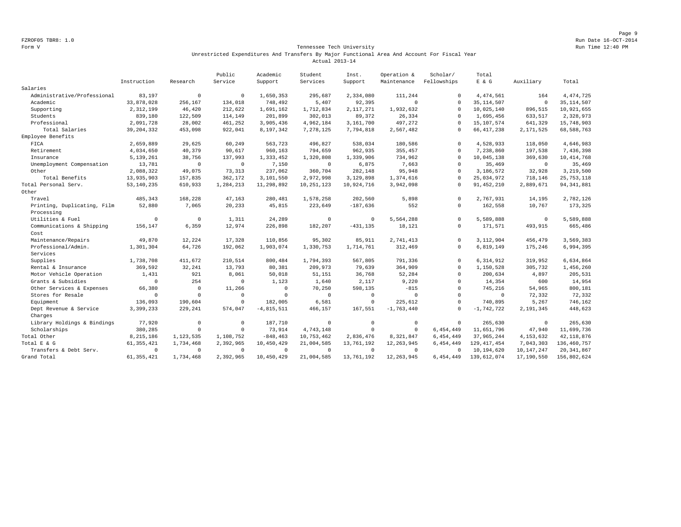Page 9 FZROF05 TBR8: 1.0 Run Date 16-OCT-2014

#### Form V Tennessee Tech University Run Time 12:40 PM Unrestricted Expenditures And Transfers By Major Functional Area And Account For Fiscal Year Actual 2013-14

|                                           |              |                | Public      | Academic     | Student      | Inst.       | Operation &  | Scholar/     | Total          |              |               |
|-------------------------------------------|--------------|----------------|-------------|--------------|--------------|-------------|--------------|--------------|----------------|--------------|---------------|
|                                           | Instruction  | Research       | Service     | Support      | Services     | Support     | Maintenance  | Fellowships  | $E$ & $G$      | Auxiliary    | Total         |
| Salaries                                  |              |                |             |              |              |             |              |              |                |              |               |
| Administrative/Professional               | 83,197       | $\mathbf 0$    | $\Omega$    | 1,650,353    | 295,687      | 2,334,080   | 111,244      | $\Omega$     | 4, 474, 561    | 164          | 4, 474, 725   |
| Academic                                  | 33,878,028   | 256,167        | 134,018     | 748,492      | 5,407        | 92,395      | $\mathbb O$  | $\Omega$     | 35, 114, 507   | $\mathbf 0$  | 35, 114, 507  |
| Supporting                                | 2,312,199    | 46,420         | 212,622     | 1,691,162    | 1,712,834    | 2,117,271   | 1,932,632    | $\Omega$     | 10,025,140     | 896,515      | 10,921,655    |
| Students                                  | 839,180      | 122,509        | 114,149     | 201,899      | 302,013      | 89,372      | 26,334       | $\Omega$     | 1,695,456      | 633,517      | 2,328,973     |
| Professional                              | 2,091,728    | 28,002         | 461,252     | 3,905,436    | 4,962,184    | 3,161,700   | 497,272      | $\Omega$     | 15, 107, 574   | 641,329      | 15,748,903    |
| Total Salaries                            | 39, 204, 332 | 453,098        | 922,041     | 8,197,342    | 7,278,125    | 7,794,818   | 2,567,482    | $\Omega$     | 66, 417, 238   | 2,171,525    | 68,588,763    |
| Employee Benefits                         |              |                |             |              |              |             |              |              |                |              |               |
| FICA                                      | 2,659,889    | 29,625         | 60,249      | 563,723      | 496,827      | 538,034     | 180,586      | $\Omega$     | 4,528,933      | 118,050      | 4,646,983     |
| Retirement                                | 4,034,650    | 40,379         | 90,617      | 960,163      | 794,659      | 962,935     | 355,457      | $\Omega$     | 7,238,860      | 197,538      | 7,436,398     |
| Insurance                                 | 5, 139, 261  | 38,756         | 137,993     | 1,333,452    | 1,320,808    | 1,339,906   | 734,962      | $\Omega$     | 10,045,138     | 369,630      | 10, 414, 768  |
| Unemployment Compensation                 | 13,781       | $\mathbf 0$    | $\mathbf 0$ | 7,150        | $\mathbf 0$  | 6,875       | 7,663        | $\Omega$     | 35,469         | $\circ$      | 35,469        |
| Other                                     | 2,088,322    | 49,075         | 73,313      | 237,062      | 360,704      | 282,148     | 95,948       | $\Omega$     | 3,186,572      | 32,928       | 3,219,500     |
| Total Benefits                            | 13,935,903   | 157,835        | 362,172     | 3,101,550    | 2,972,998    | 3,129,898   | 1,374,616    | $\Omega$     | 25,034,972     | 718,146      | 25, 753, 118  |
| Total Personal Serv.                      | 53, 140, 235 | 610,933        | 1,284,213   | 11,298,892   | 10, 251, 123 | 10,924,716  | 3,942,098    | $\Omega$     | 91, 452, 210   | 2,889,671    | 94, 341, 881  |
| Other                                     |              |                |             |              |              |             |              |              |                |              |               |
| Travel                                    | 485,343      | 168,228        | 47,163      | 280,481      | 1,578,258    | 202,560     | 5,898        | $\Omega$     | 2,767,931      | 14,195       | 2,782,126     |
| Printing, Duplicating, Film<br>Processing | 52,880       | 7,065          | 20,233      | 45,815       | 223,649      | $-187,636$  | 552          | $\Omega$     | 162,558        | 10,767       | 173,325       |
| Utilities & Fuel                          | $\mathbf 0$  | $\mathbf 0$    | 1,311       | 24,289       | $^{\circ}$   | $\circ$     | 5,564,288    | $\Omega$     | 5,589,888      | $^{\circ}$   | 5,589,888     |
| Communications & Shipping                 | 156,147      | 6,359          | 12,974      | 226,898      | 182,207      | $-431, 135$ | 18,121       | $\mathbf 0$  | 171,571        | 493,915      | 665,486       |
| Cost                                      |              |                |             |              |              |             |              |              |                |              |               |
| Maintenance/Repairs                       | 49,870       | 12,224         | 17,328      | 110,856      | 95,302       | 85,911      | 2,741,413    | $\Omega$     | 3,112,904      | 456,479      | 3,569,383     |
| Professional/Admin.                       | 1,301,304    | 64,726         | 192,062     | 1,903,074    | 1,330,753    | 1,714,761   | 312,469      | $\Omega$     | 6,819,149      | 175,246      | 6,994,395     |
| Services                                  |              |                |             |              |              |             |              |              |                |              |               |
| Supplies                                  | 1,738,708    | 411,672        | 210,514     | 800,484      | 1,794,393    | 567,805     | 791,336      | $\mathbf{0}$ | 6,314,912      | 319,952      | 6,634,864     |
| Rental & Insurance                        | 369,592      | 32,241         | 13,793      | 80,381       | 209,973      | 79,639      | 364,909      | $\Omega$     | 1,150,528      | 305,732      | 1,456,260     |
| Motor Vehicle Operation                   | 1,431        | 921            | 8,061       | 50,018       | 51,151       | 36,768      | 52,284       | $\Omega$     | 200,634        | 4,897        | 205,531       |
| Grants & Subsidies                        | $\mathbf 0$  | 254            | $\Omega$    | 1,123        | 1,640        | 2,117       | 9,220        | $\Omega$     | 14,354         | 600          | 14,954        |
| Other Services & Expenses                 | 66,380       | $\Omega$       | 11,266      | $^{\circ}$   | 70,250       | 598,135     | $-815$       | $\Omega$     | 745,216        | 54,965       | 800,181       |
| Stores for Resale                         | $\mathbf 0$  | $\Omega$       | $\Omega$    | 0            | $\mathbf 0$  | $^{\circ}$  | $\circ$      | $\Omega$     | $\overline{0}$ | 72,332       | 72,332        |
| Equipment                                 | 136,093      | 190,604        | $\mathbf 0$ | 182,005      | 6,581        | $\circ$     | 225,612      | $\Omega$     | 740,895        | 5,267        | 746,162       |
| Dept Revenue & Service                    | 3,399,233    | 229,241        | 574,047     | $-4,815,511$ | 466,157      | 167,551     | $-1,763,440$ | $\Omega$     | $-1, 742, 722$ | 2,191,345    | 448,623       |
| Charges                                   |              |                |             |              |              |             |              |              |                |              |               |
| Library Holdings & Bindings               | 77,920       | $\mathbf 0$    | $\mathbf 0$ | 187,710      | $\mathbf{0}$ | $\circ$     | $\mathbb O$  | $\mathbf{0}$ | 265,630        | $^{\circ}$   | 265,630       |
| Scholarships                              | 380,285      | $\circ$        | $\mathbf 0$ | 73,914       | 4,743,148    | $\mathbf 0$ | $\mathbf 0$  | 6,454,449    | 11,651,796     | 47,940       | 11,699,736    |
| Total Other                               | 8,215,186    | 1,123,535      | 1,108,752   | $-848, 463$  | 10,753,462   | 2,836,476   | 8,321,847    | 6,454,449    | 37,965,244     | 4, 153, 632  | 42, 118, 876  |
| Total E & G                               | 61, 355, 421 | 1,734,468      | 2,392,965   | 10,450,429   | 21,004,585   | 13,761,192  | 12, 263, 945 | 6,454,449    | 129, 417, 454  | 7,043,303    | 136, 460, 757 |
| Transfers & Debt Serv.                    | $\mathbf 0$  | $\overline{0}$ | $\Omega$    | $^{\circ}$   | $\Omega$     | $\Omega$    | $^{\circ}$   | $\Omega$     | 10,194,620     | 10, 147, 247 | 20, 341, 867  |
| Grand Total                               | 61, 355, 421 | 1,734,468      | 2,392,965   | 10,450,429   | 21,004,585   | 13,761,192  | 12, 263, 945 | 6,454,449    | 139,612,074    | 17,190,550   | 156,802,624   |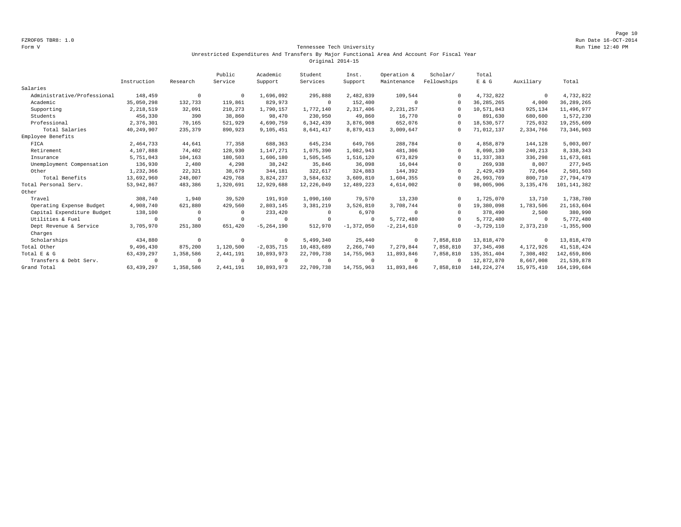#### Form V Tennessee Tech University Run Time 12:40 PM Unrestricted Expenditures And Transfers By Major Functional Area And Account For Fiscal Year Original 2014-15

|                             |              |            | Public    | Academic       | Student        | Inst.          | Operation &    | Scholar/    | Total         |              |                |
|-----------------------------|--------------|------------|-----------|----------------|----------------|----------------|----------------|-------------|---------------|--------------|----------------|
|                             | Instruction  | Research   | Service   | Support        | Services       | Support        | Maintenance    | Fellowships | E & G         | Auxiliary    | Total          |
| Salaries                    |              |            |           |                |                |                |                |             |               |              |                |
| Administrative/Professional | 148,459      | $^{\circ}$ | $\Omega$  | 1,696,092      | 295,888        | 2,482,839      | 109,544        |             | 4,732,822     | $\mathbf 0$  | 4,732,822      |
| Academic                    | 35,050,298   | 132,733    | 119,861   | 829,973        | $\circ$        | 152,400        | $^{\circ}$     | $\Omega$    | 36, 285, 265  | 4,000        | 36, 289, 265   |
| Supporting                  | 2,218,519    | 32,091     | 210,273   | 1,790,157      | 1,772,140      | 2,317,406      | 2,231,257      | $\Omega$    | 10,571,843    | 925,134      | 11,496,977     |
| Students                    | 456,330      | 390        | 38,860    | 98,470         | 230,950        | 49,860         | 16,770         |             | 891,630       | 680,600      | 1,572,230      |
| Professional                | 2,376,301    | 70,165     | 521,929   | 4,690,759      | 6,342,439      | 3,876,908      | 652,076        | $\cap$      | 18,530,577    | 725,032      | 19,255,609     |
| Total Salaries              | 40,249,907   | 235,379    | 890,923   | 9,105,451      | 8,641,417      | 8,879,413      | 3,009,647      | $\mathbf 0$ | 71,012,137    | 2,334,766    | 73, 346, 903   |
| Employee Benefits           |              |            |           |                |                |                |                |             |               |              |                |
| FICA                        | 2,464,733    | 44,641     | 77,358    | 688,363        | 645,234        | 649,766        | 288,784        | $\Omega$    | 4,858,879     | 144,128      | 5,003,007      |
| Retirement                  | 4,107,888    | 74,402     | 128,930   | 1,147,271      | 1,075,390      | 1,082,943      | 481,306        | $\Omega$    | 8,098,130     | 240,213      | 8,338,343      |
| Insurance                   | 5,751,043    | 104,163    | 180,503   | 1,606,180      | 1,505,545      | 1,516,120      | 673,829        | $\Omega$    | 11,337,383    | 336,298      | 11,673,681     |
| Unemployment Compensation   | 136,930      | 2,480      | 4,298     | 38,242         | 35,846         | 36,098         | 16,044         |             | 269,938       | 8,007        | 277,945        |
| Other                       | 1,232,366    | 22,321     | 38,679    | 344,181        | 322,617        | 324,883        | 144,392        | $\Omega$    | 2,429,439     | 72,064       | 2,501,503      |
| Total Benefits              | 13,692,960   | 248,007    | 429,768   | 3,824,237      | 3,584,632      | 3,609,810      | 1,604,355      |             | 26,993,769    | 800,710      | 27,794,479     |
| Total Personal Serv.        | 53,942,867   | 483,386    | 1,320,691 | 12,929,688     | 12,226,049     | 12,489,223     | 4,614,002      | $\Omega$    | 98,005,906    | 3, 135, 476  | 101, 141, 382  |
| Other                       |              |            |           |                |                |                |                |             |               |              |                |
| Travel                      | 308,740      | 1,940      | 39,520    | 191,910        | 1,090,160      | 79,570         | 13,230         | $\cap$      | 1,725,070     | 13,710       | 1,738,780      |
| Operating Expense Budget    | 4,908,740    | 621,880    | 429,560   | 2,803,145      | 3,381,219      | 3,526,810      | 3,708,744      | $\Omega$    | 19,380,098    | 1,783,506    | 21, 163, 604   |
| Capital Expenditure Budget  | 138,100      | $\Omega$   | $\Omega$  | 233,420        | $^{\circ}$     | 6,970          | $\Omega$       |             | 378,490       | 2,500        | 380,990        |
| Utilities & Fuel            | $\Omega$     | $\Omega$   |           | $\mathbf 0$    | $\overline{0}$ | $\Omega$       | 5,772,480      | $\cap$      | 5,772,480     | $\Omega$     | 5,772,480      |
| Dept Revenue & Service      | 3,705,970    | 251,380    | 651,420   | $-5, 264, 190$ | 512,970        | $-1, 372, 050$ | $-2, 214, 610$ | $\Omega$    | $-3,729,110$  | 2,373,210    | $-1, 355, 900$ |
| Charges                     |              |            |           |                |                |                |                |             |               |              |                |
| Scholarships                | 434,880      | $\circ$    | $\Omega$  | $^{\circ}$     | 5,499,340      | 25,440         | $\circ$        | 7,858,810   | 13,818,470    | $\mathbf{0}$ | 13,818,470     |
| Total Other                 | 9,496,430    | 875,200    | 1,120,500 | $-2,035,715$   | 10,483,689     | 2,266,740      | 7,279,844      | 7,858,810   | 37, 345, 498  | 4,172,926    | 41,518,424     |
| Total E & G                 | 63, 439, 297 | 1,358,586  | 2,441,191 | 10,893,973     | 22,709,738     | 14,755,963     | 11,893,846     | 7,858,810   | 135, 351, 404 | 7,308,402    | 142,659,806    |
| Transfers & Debt Serv.      | $^{\circ}$   | $^{\circ}$ | $\Omega$  | $\mathbf 0$    | $\overline{0}$ | $\Omega$       | $^{\circ}$     | $\Omega$    | 12,872,870    | 8,667,008    | 21,539,878     |
| Grand Total                 | 63, 439, 297 | 1,358,586  | 2,441,191 | 10,893,973     | 22,709,738     | 14,755,963     | 11,893,846     | 7,858,810   | 148, 224, 274 | 15,975,410   | 164, 199, 684  |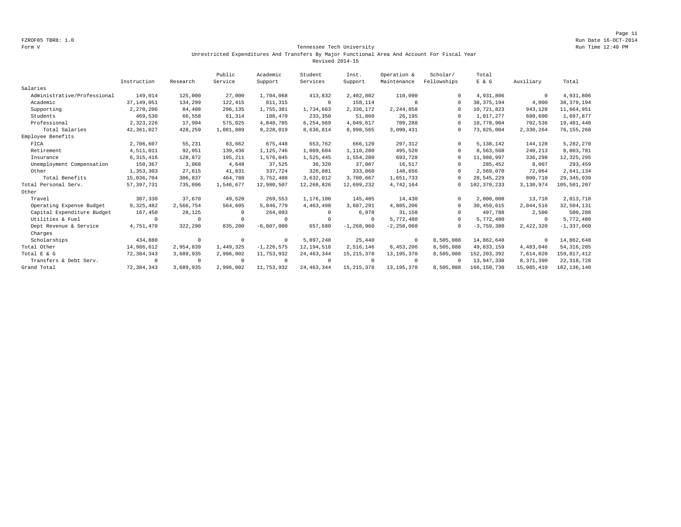#### Form V Tennessee Tech University Run Time 12:40 PM Unrestricted Expenditures And Transfers By Major Functional Area And Account For Fiscal Year Revised 2014-15

|                             |              |            | Public    | Academic       | Student      | Inst.          | Operation &    | Scholar/    | Total         |             |                |
|-----------------------------|--------------|------------|-----------|----------------|--------------|----------------|----------------|-------------|---------------|-------------|----------------|
|                             | Instruction  | Research   | Service   | Support        | Services     | Support        | Maintenance    | Fellowships | E & G         | Auxiliary   | Total          |
| Salaries                    |              |            |           |                |              |                |                |             |               |             |                |
| Administrative/Professional | 149,014      | 125,000    | 27,000    | 1,704,068      | 413,832      | 2,402,802      | 110,090        | $\Omega$    | 4,931,806     | $\mathbf 0$ | 4,931,806      |
| Academic                    | 37, 149, 051 | 134,299    | 122,415   | 811, 315       | $^{\circ}$   | 158,114        | $\Omega$       | $\Omega$    | 38, 375, 194  | 4,000       | 38, 379, 194   |
| Supporting                  | 2,270,206    | 84,408     | 296,135   | 1,755,381      | 1,734,663    | 2,336,172      | 2,244,858      | $\Omega$    | 10,721,823    | 943,128     | 11,664,951     |
| Students                    | 469,530      | 66,558     | 61,314    | 108,470        | 233,350      | 51,860         | 26,195         | $\Omega$    | 1,017,277     | 680,600     | 1,697,877      |
| Professional                | 2,323,226    | 17,994     | 575,025   | 4,848,785      | 6,254,969    | 4,049,617      | 709,288        | $\Omega$    | 18,778,904    | 702,536     | 19,481,440     |
| Total Salaries              | 42,361,027   | 428,259    | 1,081,889 | 9,228,019      | 8,636,814    | 8,998,565      | 3,090,431      | 0           | 73,825,004    | 2,330,264   | 76, 155, 268   |
| Employee Benefits           |              |            |           |                |              |                |                |             |               |             |                |
| FICA                        | 2,706,607    | 55,231     | 83,662    | 675,448        | 653,762      | 666,120        | 297,312        | $\Omega$    | 5, 138, 142   | 144,128     | 5,282,270      |
| Retirement                  | 4,511,011    | 92,051     | 139,436   | 1,125,746      | 1,089,604    | 1,110,200      | 495,520        | $\Omega$    | 8,563,568     | 240,213     | 8,803,781      |
| Insurance                   | 6, 315, 416  | 128,872    | 195,211   | 1,576,045      | 1,525,445    | 1,554,280      | 693,728        | $\Omega$    | 11,988,997    | 336,298     | 12, 325, 295   |
| Unemployment Compensation   | 150,367      | 3,068      | 4,648     | 37,525         | 36,320       | 37,007         | 16,517         | $\Omega$    | 285,452       | 8,007       | 293,459        |
| Other                       | 1,353,303    | 27,615     | 41,831    | 337,724        | 326,881      | 333,060        | 148,656        | $\Omega$    | 2,569,070     | 72,064      | 2,641,134      |
| Total Benefits              | 15,036,704   | 306,837    | 464,788   | 3,752,488      | 3,632,012    | 3,700,667      | 1,651,733      | $\Omega$    | 28,545,229    | 800,710     | 29, 345, 939   |
| Total Personal Serv.        | 57, 397, 731 | 735,096    | 1,546,677 | 12,980,507     | 12,268,826   | 12,699,232     | 4,742,164      | 0           | 102,370,233   | 3,130,974   | 105,501,207    |
| Other                       |              |            |           |                |              |                |                |             |               |             |                |
| Travel                      | 307,330      | 37,670     | 49,520    | 269,553        | 1,176,100    | 145,405        | 14,430         | $\Omega$    | 2,000,008     | 13,710      | 2,013,718      |
| Operating Expense Budget    | 9,325,482    | 2,566,754  | 564,605   | 5,046,779      | 4,463,498    | 3,607,291      | 4,885,206      | $\Omega$    | 30,459,615    | 2,044,516   | 32,504,131     |
| Capital Expenditure Budget  | 167,450      | 28,125     |           | 264,093        | 0            | 6,970          | 31,150         | $\Omega$    | 497,788       | 2,500       | 500,288        |
| Utilities & Fuel            | $\Omega$     | $\circ$    | $\Omega$  | $^{\circ}$     | $^{\circ}$   | $^{\circ}$     | 5,772,480      | $\Omega$    | 5,772,480     | $^{\circ}$  | 5,772,480      |
| Dept Revenue & Service      | 4,751,470    | 322,290    | 835,200   | $-6,807,000$   | 657,680      | $-1, 268, 960$ | $-2, 250, 060$ | $\Omega$    | $-3,759,380$  | 2,422,320   | $-1, 337, 060$ |
| Charges                     |              |            |           |                |              |                |                |             |               |             |                |
| Scholarships                | 434,880      | $\circ$    | $\Omega$  | $^{\circ}$     | 5,897,240    | 25,440         | $\mathbf 0$    | 8,505,088   | 14,862,648    | $^{\circ}$  | 14,862,648     |
| Total Other                 | 14,986,612   | 2,954,839  | 1,449,325 | $-1, 226, 575$ | 12, 194, 518 | 2,516,146      | 8,453,206      | 8,505,088   | 49,833,159    | 4,483,046   | 54, 316, 205   |
| Total E & G                 | 72,384,343   | 3,689,935  | 2,996,002 | 11,753,932     | 24, 463, 344 | 15, 215, 378   | 13, 195, 370   | 8,505,088   | 152, 203, 392 | 7,614,020   | 159,817,412    |
| Transfers & Debt Serv.      | $\Omega$     | $^{\circ}$ |           | $^{\circ}$     | $\Omega$     | $\Omega$       | $\Omega$       | $\Omega$    | 13,947,338    | 8,371,390   | 22, 318, 728   |
| Grand Total                 | 72,384,343   | 3,689,935  | 2,996,002 | 11,753,932     | 24, 463, 344 | 15, 215, 378   | 13, 195, 370   | 8,505,088   | 166, 150, 730 | 15,985,410  | 182, 136, 140  |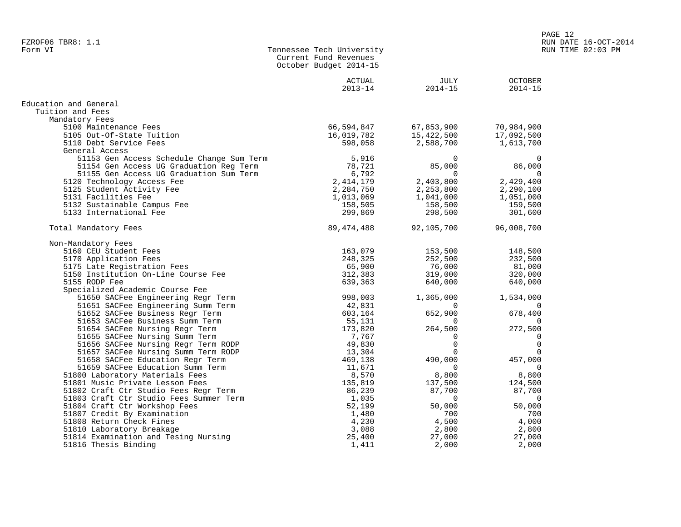|                                           | Current Fund Revenues<br>October Budget 2014-15 |                     |                               |
|-------------------------------------------|-------------------------------------------------|---------------------|-------------------------------|
|                                           | ACTUAL<br>$2013 - 14$                           | JULY<br>$2014 - 15$ | <b>OCTOBER</b><br>$2014 - 15$ |
| Education and General                     |                                                 |                     |                               |
| Tuition and Fees                          |                                                 |                     |                               |
| Mandatory Fees                            |                                                 |                     |                               |
| 5100 Maintenance Fees                     | 66,594,847                                      | 67,853,900          | 70,984,900                    |
| 5105 Out-Of-State Tuition                 | 16,019,782                                      | 15,422,500          | 17,092,500                    |
| 5110 Debt Service Fees                    | 598,058                                         | 2,588,700           | 1,613,700                     |
| General Access                            |                                                 |                     |                               |
| 51153 Gen Access Schedule Change Sum Term | 5,916                                           | $\Omega$            | $\Omega$                      |
| 51154 Gen Access UG Graduation Reg Term   | 78,721                                          | 85,000              | 86,000                        |
| 51155 Gen Access UG Graduation Sum Term   | 6,792                                           | $\Omega$            | $\Omega$                      |
| 5120 Technology Access Fee                | 2, 414, 179                                     | 2,403,800           | 2,429,400                     |
| 5125 Student Activity Fee                 | 2,284,750                                       | 2,253,800           | 2,290,100                     |
| 5131 Facilities Fee                       | 1,013,069                                       | 1,041,000           | 1,051,000                     |
| 5132 Sustainable Campus Fee               | 158,505                                         | 158,500             | 159,500                       |
| 5133 International Fee                    | 299,869                                         | 298,500             | 301,600                       |
|                                           |                                                 |                     |                               |
| Total Mandatory Fees                      | 89, 474, 488                                    | 92,105,700          | 96,008,700                    |
| Non-Mandatory Fees                        |                                                 |                     |                               |
| 5160 CEU Student Fees                     | 163,079                                         | 153,500             | 148,500                       |
| 5170 Application Fees                     | 248,325                                         | 252,500             | 232,500                       |
| 5175 Late Registration Fees               | 65,900                                          | 76,000              | 81,000                        |
| 5150 Institution On-Line Course Fee       | 312,383                                         | 319,000             | 320,000                       |
| 5155 RODP Fee                             | 639,363                                         | 640,000             | 640,000                       |
| Specialized Academic Course Fee           |                                                 |                     |                               |
| 51650 SACFee Engineering Regr Term        | 998,003                                         | 1,365,000           | 1,534,000                     |
| 51651 SACFee Engineering Summ Term        | 42,831                                          | 0                   | $\Omega$                      |
| 51652 SACFee Business Regr Term           | 603,164                                         | 652,900             | 678,400                       |
| 51653 SACFee Business Summ Term           | 55,131                                          | 0                   |                               |
| 51654 SACFee Nursing Regr Term            | 173,820                                         | 264,500             | 272,500                       |
| 51655 SACFee Nursing Summ Term            | 7,767                                           | $\Omega$            | $\Omega$                      |
| 51656 SACFee Nursing Regr Term RODP       | 49,830                                          | $\mathbf 0$         | 0                             |
| 51657 SACFee Nursing Summ Term RODP       | 13,304                                          | $\Omega$            | $\Omega$                      |
| 51658 SACFee Education Regr Term          | 469,138                                         | 490,000             | 457,000                       |
| 51659 SACFee Education Summ Term          | 11,671                                          | $\Omega$            | $\Omega$                      |
| 51800 Laboratory Materials Fees           | 8,570                                           | 8,800               | 8,800                         |
| 51801 Music Private Lesson Fees           | 135,819                                         | 137,500             | 124,500                       |
| 51802 Craft Ctr Studio Fees Regr Term     | 86,239                                          | 87,700              | 87,700                        |
| 51803 Craft Ctr Studio Fees Summer Term   | 1,035                                           | $\Omega$            | $\Omega$                      |
| 51804 Craft Ctr Workshop Fees             | 52,199                                          | 50,000              | 50,000                        |
| 51807 Credit By Examination               | 1,480                                           | 700                 | 700                           |
| 51808 Return Check Fines                  | 4,230                                           | 4,500               | 4,000                         |
| 51810 Laboratory Breakage                 | 3,088                                           | 2,800               | 2,800                         |
| 51814 Examination and Tesing Nursing      | 25,400                                          | 27,000              | 27,000                        |
| 51816 Thesis Binding                      | 1,411                                           | 2,000               | 2,000                         |

Tennessee Tech University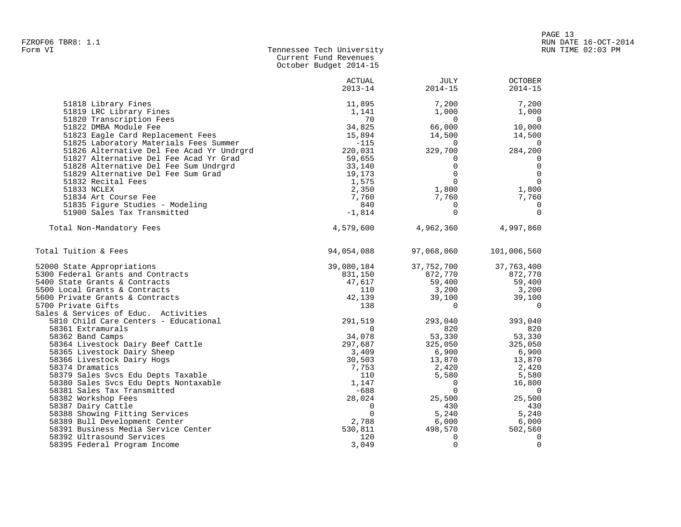|                                                                      | October Budget 2014-15 |                     |                               |
|----------------------------------------------------------------------|------------------------|---------------------|-------------------------------|
|                                                                      | ACTUAL<br>$2013 - 14$  | JULY<br>$2014 - 15$ | <b>OCTOBER</b><br>$2014 - 15$ |
| 51818 Library Fines                                                  | 11,895                 | 7,200               | 7,200                         |
| 51819 LRC Library Fines                                              | 1,141                  | 1,000               | 1,000                         |
| 51820 Transcription Fees                                             | 70                     | $\Omega$            | $\Omega$                      |
| 51822 DMBA Module Fee<br>51823 Eagle Card Replacement Fees           | 34,825<br>15,894       | 66,000<br>14,500    | 10,000<br>14,500              |
| 51825 Laboratory Materials Fees Summer                               | $-115$                 | $\Omega$            | $\Omega$                      |
| 51826 Alternative Del Fee Acad Yr Undrgrd                            | 220,031                | 329,700             | 284,200                       |
| 51827 Alternative Del Fee Acad Yr Grad                               | 59,655                 | 0                   | 0                             |
| 51828 Alternative Del Fee Sum Undrgrd                                | 33,140                 | $\Omega$            | $\mathbf 0$                   |
| 51829 Alternative Del Fee Sum Grad                                   | 19,173                 | $\Omega$            | $\mathbf 0$                   |
| 51832 Recital Fees                                                   | 1,575                  | $\Omega$            | $\Omega$                      |
| 51833 NCLEX                                                          | 2,350                  | 1,800               | 1,800                         |
| 51834 Art Course Fee                                                 | 7,760                  | 7,760               | 7,760                         |
| 51835 Figure Studies - Modeling                                      | 840                    | $\Omega$            | 0                             |
| 51900 Sales Tax Transmitted                                          | $-1,814$               | $\Omega$            | $\Omega$                      |
| Total Non-Mandatory Fees                                             | 4,579,600              | 4,962,360           | 4,997,860                     |
| Total Tuition & Fees                                                 | 94,054,088             | 97,068,060          | 101,006,560                   |
| 52000 State Appropriations                                           | 39,080,184             | 37,752,700          | 37,763,400                    |
| 5300 Federal Grants and Contracts                                    | 831,150                | 872,770             | 872,770                       |
| 5400 State Grants & Contracts                                        | 47,617                 | 59,400              | 59,400                        |
| 5500 Local Grants & Contracts                                        | 110                    | 3,200               | 3,200                         |
| 5600 Private Grants & Contracts                                      | 42,139                 | 39,100              | 39,100                        |
| 5700 Private Gifts                                                   | 138                    | $\Omega$            | $\Omega$                      |
| Sales & Services of Educ. Activities                                 |                        |                     |                               |
| 5810 Child Care Centers - Educational                                | 291,519                | 293,040             | 393,040                       |
| 58361 Extramurals                                                    | $\Omega$               | 820                 | 820                           |
| 58362 Band Camps                                                     | 34,078                 | 53,330              | 53,330                        |
| 58364 Livestock Dairy Beef Cattle                                    | 297,687                | 325,050             | 325,050                       |
| 58365 Livestock Dairy Sheep                                          | 3,409                  | 6,900               | 6,900                         |
| 58366 Livestock Dairy Hogs                                           | 30,503                 | 13,870              | 13,870                        |
| 58374 Dramatics                                                      | 7,753                  | 2,420               | 2,420                         |
| 58379 Sales Svcs Edu Depts Taxable                                   | 110                    | 5,580               | 5,580                         |
| 58380 Sales Svcs Edu Depts Nontaxable                                | 1,147                  | 0                   | 16,800                        |
| 58381 Sales Tax Transmitted                                          | $-688$                 | $\mathbf 0$         | 0                             |
| 58382 Workshop Fees                                                  | 28,024                 | 25,500              | 25,500                        |
| 58387 Dairy Cattle                                                   | 0                      | 430                 | 430                           |
| 58388 Showing Fitting Services                                       | $\Omega$               | 5,240               | 5,240                         |
| 58389 Bull Development Center<br>58391 Business Media Service Center | 2,788<br>530,811       | 6,000<br>498,570    | 6,000<br>502,560              |
| 58392 Ultrasound Services                                            | 120                    | $\Omega$            | $\Omega$                      |
|                                                                      |                        |                     |                               |

58395 Federal Program Income 3,049 0 0

Current Fund Revenues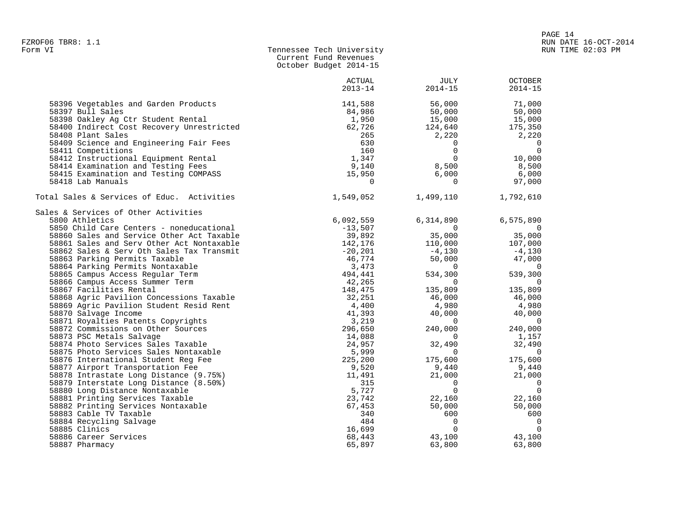| Form VI | Tennessee Tech University |
|---------|---------------------------|
|         | Current Fund Revenues     |
|         | October Budget 2014-15    |

|                                            | <b>ACTUAL</b><br>$2013 - 14$ | <b>JULY</b><br>$2014 - 15$ | <b>OCTOBER</b><br>$2014 - 15$ |
|--------------------------------------------|------------------------------|----------------------------|-------------------------------|
| 58396 Vegetables and Garden Products       | 141,588                      | 56,000                     | 71,000                        |
| 58397 Bull Sales                           | 84,986                       | 50,000                     | 50,000                        |
| 58398 Oakley Ag Ctr Student Rental         | 1,950                        | 15,000                     | 15,000                        |
| 58400 Indirect Cost Recovery Unrestricted  | 62,726                       | 124,640                    | 175,350                       |
| 58408 Plant Sales                          | 265                          | 2,220                      | 2,220                         |
| 58409 Science and Engineering Fair Fees    | 630                          | $\overline{0}$             | $\overline{0}$                |
| 58411 Competitions                         | 160                          | $\Omega$                   | $\overline{0}$                |
| 58412 Instructional Equipment Rental       | 1,347                        | $\overline{0}$             | 10,000                        |
| 58414 Examination and Testing Fees         | 9,140                        | 8,500                      | 8,500                         |
| 58415 Examination and Testing COMPASS      | 15,950                       | 6,000                      | 6,000                         |
| 58418 Lab Manuals                          | $\overline{0}$               | $\overline{0}$             | 97,000                        |
| Total Sales & Services of Educ. Activities | 1,549,052                    | 1,499,110                  | 1,792,610                     |
| Sales & Services of Other Activities       |                              |                            |                               |
| 5800 Athletics                             | 6,092,559                    | 6,314,890                  | 6,575,890                     |
| 5850 Child Care Centers - noneducational   | $-13,507$                    | 0<br>35,000                | 0                             |
| 58860 Sales and Service Other Act Taxable  | 39,892                       |                            | 35,000                        |
| 58861 Sales and Serv Other Act Nontaxable  | 142,176                      | 110,000                    | 107,000                       |
| 58862 Sales & Serv Oth Sales Tax Transmit  | $-20,201$                    | $-4,130$                   | $-4,130$                      |
| 58863 Parking Permits Taxable              | 46,774                       | 50,000                     | 47,000                        |
| 58864 Parking Permits Nontaxable           | 3,473                        | $\sim$ 0                   | $\overline{0}$                |
| 58865 Campus Access Regular Term           | 494,441                      | 534,300                    | 539,300                       |
| 58866 Campus Access Summer Term            | 42,265                       | $\Omega$                   | 0                             |
| 58867 Facilities Rental                    | 148,475                      | 135,809                    | 135,809                       |
| 58868 Agric Pavilion Concessions Taxable   | 32,251                       | 46,000                     | 46,000                        |
| 58869 Agric Pavilion Student Resid Rent    | 4,400                        | 4,980                      | 4,980                         |
| 58870 Salvage Income                       | 41,393                       | 40,000                     | 40,000                        |
| 58871 Royalties Patents Copyrights         | 3,219                        | $\overline{0}$             | $\overline{0}$                |
| 58872 Commissions on Other Sources         | 296,650                      | 240,000                    | 240,000                       |
| 58873 PSC Metals Salvage                   | 14,088                       | $\overline{0}$             | 1,157                         |
| 58874 Photo Services Sales Taxable         | 24,957                       | 32,490                     | 32,490                        |
| 58875 Photo Services Sales Nontaxable      | 5,999                        | $\Omega$                   | $\Omega$                      |
| 58876 International Student Reg Fee        | 225,200                      | 175,600                    | 175,600                       |
| 58877 Airport Transportation Fee           | 9,520                        | 9,440                      | 9,440                         |
| 58878 Intrastate Long Distance (9.75%)     | 11,491                       | 21,000                     | 21,000                        |
| 58879 Interstate Long Distance (8.50%)     | 315                          | $\overline{\phantom{0}}$   | $\overline{0}$                |
| 58880 Long Distance Nontaxable             | 5,727                        | $\Omega$                   | $\overline{0}$                |
| 58881 Printing Services Taxable            | 23,742                       | 22,160                     | 22,160                        |
| 58882 Printing Services Nontaxable         | 67,453                       | 50,000                     | 50,000                        |
| 58883 Cable TV Taxable                     | 340                          | 600                        | 600                           |
| 58884 Recycling Salvage                    | 484                          | $\overline{0}$             | $\overline{0}$                |
| 58885 Clinics                              | 16,699                       | $\Omega$                   | $\overline{0}$                |
| 58886 Career Services                      | 68,443                       | 43,100                     | 43,100                        |
| 58887 Pharmacy                             | 65,897                       | 63,800                     | 63,800                        |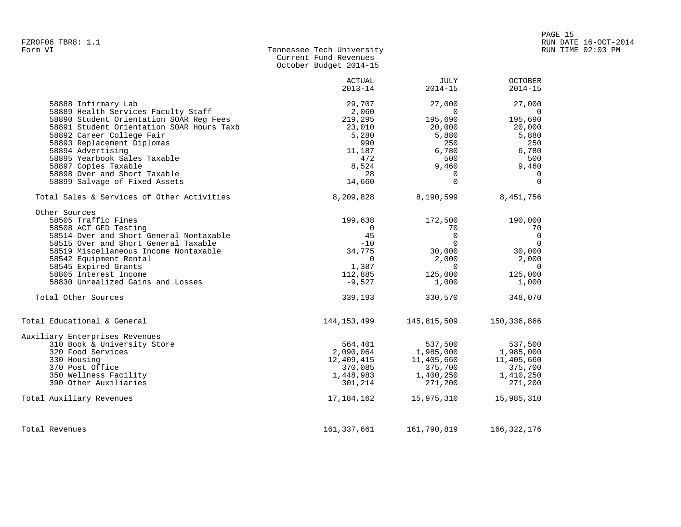| Form VI | Tennessee Tech University |
|---------|---------------------------|
|         | Current Fund Revenues     |
|         | October Budget 2014-15    |

|                                            | <b>ACTUAL</b> | JULY           | <b>OCTOBER</b> |
|--------------------------------------------|---------------|----------------|----------------|
|                                            | $2013 - 14$   | $2014 - 15$    | $2014 - 15$    |
| 58888 Infirmary Lab                        | 29,707        | 27,000         | 27,000         |
| 58889 Health Services Faculty Staff        | 2,060         | $\Omega$       | $\Omega$       |
| 58890 Student Orientation SOAR Reg Fees    | 219,295       | 195,690        | 195,690        |
| 58891 Student Orientation SOAR Hours Taxb  | 23,010        | 20,000         | 20,000         |
| 58892 Career College Fair                  | 5,280         | 5,880          | 5,880          |
| 58893 Replacement Diplomas                 | 990           | 250            | 250            |
| 58894 Advertising                          | 11,187        | 6,780          | 6,780          |
| 58895 Yearbook Sales Taxable               | 472           | 500            | 500            |
| 58897 Copies Taxable                       | 8,524         | 9,460          | 9,460          |
| 58898 Over and Short Taxable               | 28            | 0              | $\Omega$       |
| 58899 Salvage of Fixed Assets              | 14,660        | $\Omega$       | $\Omega$       |
| Total Sales & Services of Other Activities | 8,209,828     | 8,190,599      | 8,451,756      |
| Other Sources                              |               |                |                |
| 58505 Traffic Fines                        | 199,638       | 172,500        | 190,000        |
| 58508 ACT GED Testing                      | $\Omega$      | 70             | 70             |
| 58514 Over and Short General Nontaxable    | 45            | $\Omega$       | $\overline{0}$ |
| 58515 Over and Short General Taxable       | $-10$         | $\Omega$       | $\Omega$       |
| 58519 Miscellaneous Income Nontaxable      | 34,775        | 30,000         | 30,000         |
| 58542 Equipment Rental                     | 0             | 2,000          | 2,000          |
| 58545 Expired Grants                       | 1,387         | $\overline{0}$ | $\overline{0}$ |
| 58805 Interest Income                      | 112,885       | 125,000        | 125,000        |
| 58830 Unrealized Gains and Losses          | $-9,527$      | 1,000          | 1,000          |
| Total Other Sources                        | 339,193       | 330,570        | 348,070        |
| Total Educational & General                | 144,153,499   | 145,815,509    | 150,336,866    |
| Auxiliary Enterprises Revenues             |               |                |                |
| 310 Book & University Store                | 564,401       | 537,500        | 537,500        |
| 320 Food Services                          | 2,090,064     | 1,985,000      | 1,985,000      |
| 330 Housing                                | 12,409,415    | 11,405,660     | 11,405,660     |
| 370 Post Office                            | 370,085       | 375,700        | 375,700        |
| 350 Wellness Facility                      | 1,448,983     | 1,400,250      | 1,410,250      |
| 390 Other Auxiliaries                      | 301,214       | 271,200        | 271,200        |
| Total Auxiliary Revenues                   | 17,184,162    | 15,975,310     | 15,985,310     |
| Total Revenues                             | 161, 337, 661 | 161,790,819    | 166, 322, 176  |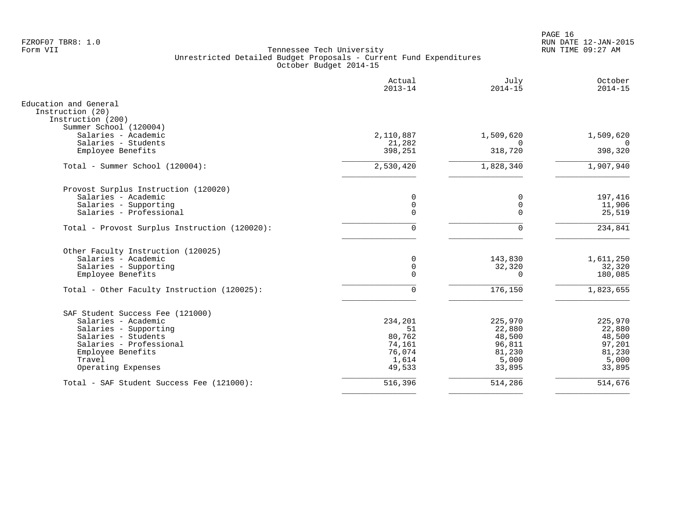PAGE 16 FZROF07 TBR8: 1.0 RUN DATE 12-JAN-2015

|                                               | Actual<br>$2013 - 14$ | July<br>$2014 - 15$ | October<br>$2014 - 15$ |
|-----------------------------------------------|-----------------------|---------------------|------------------------|
| Education and General                         |                       |                     |                        |
| Instruction (20)<br>Instruction (200)         |                       |                     |                        |
| Summer School (120004)                        |                       |                     |                        |
| Salaries - Academic                           | 2,110,887             | 1,509,620           | 1,509,620              |
| Salaries - Students                           | 21,282                | $\Omega$            | $\Omega$               |
| Employee Benefits                             | 398,251               | 318,720             | 398,320                |
| Total - Summer School (120004):               | 2,530,420             | 1,828,340           | 1,907,940              |
| Provost Surplus Instruction (120020)          |                       |                     |                        |
| Salaries - Academic                           | 0                     | 0                   | 197,416                |
| Salaries - Supporting                         | $\mathbf 0$           | $\mathbf 0$         | 11,906                 |
| Salaries - Professional                       | $\mathbf 0$           | $\Omega$            | 25,519                 |
| Total - Provost Surplus Instruction (120020): | $\mathbf 0$           | $\mathbf 0$         | 234,841                |
| Other Faculty Instruction (120025)            |                       |                     |                        |
| Salaries - Academic                           | 0                     | 143,830             | 1,611,250              |
| Salaries - Supporting                         | $\mathsf 0$           | 32,320              | 32,320                 |
| Employee Benefits                             | $\mathbf 0$           | $\Omega$            | 180,085                |
| Total - Other Faculty Instruction (120025):   | $\Omega$              | 176,150             | 1,823,655              |
| SAF Student Success Fee (121000)              |                       |                     |                        |
| Salaries - Academic                           | 234,201               | 225,970             | 225,970                |
| Salaries - Supporting                         | 51                    | 22,880              | 22,880                 |
| Salaries - Students                           | 80,762                | 48,500              | 48,500                 |
| Salaries - Professional                       | 74,161                | 96,811              | 97,201                 |
| Employee Benefits                             | 76,074                | 81,230              | 81,230                 |
| Travel                                        | 1,614                 | 5,000               | 5,000                  |
| Operating Expenses                            | 49,533                | 33,895              | 33,895                 |
| Total - SAF Student Success Fee (121000):     | 516,396               | 514,286             | 514,676                |
|                                               |                       |                     |                        |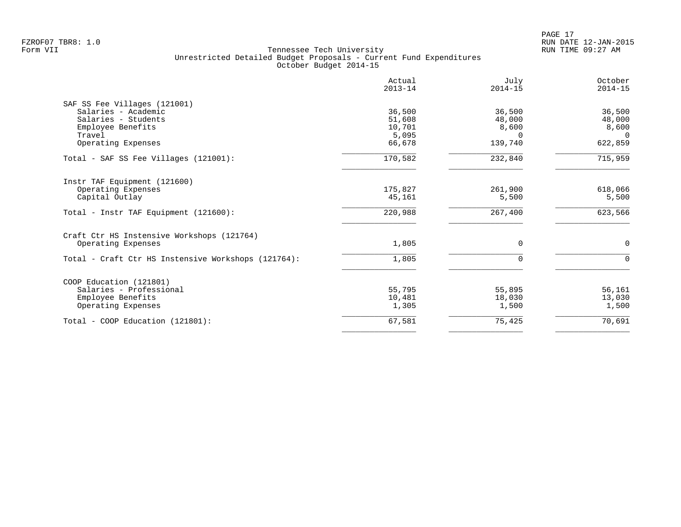|                                                     | Actual<br>$2013 - 14$ | July<br>$2014 - 15$ | October<br>$2014 - 15$ |
|-----------------------------------------------------|-----------------------|---------------------|------------------------|
| SAF SS Fee Villages (121001)                        |                       |                     |                        |
| Salaries - Academic                                 | 36,500                | 36,500              | 36,500                 |
| Salaries - Students                                 | 51,608                | 48,000              | 48,000                 |
| Employee Benefits                                   | 10,701                | 8,600               | 8,600                  |
| Travel                                              | 5,095                 | $\Omega$            | $\Omega$               |
| Operating Expenses                                  | 66,678                | 139,740             | 622,859                |
| Total - SAF SS Fee Villages (121001):               | 170,582               | 232,840             | 715,959                |
| Instr TAF Equipment (121600)                        |                       |                     |                        |
| Operating Expenses                                  | 175,827               | 261,900             | 618,066                |
| Capital Outlay                                      | 45,161                | 5,500               | 5,500                  |
| Total - Instr TAF Equipment (121600):               | 220,988               | 267,400             | 623,566                |
| Craft Ctr HS Instensive Workshops (121764)          |                       |                     |                        |
| Operating Expenses                                  | 1,805                 | $\Omega$            | $\mathbf 0$            |
| Total - Craft Ctr HS Instensive Workshops (121764): | 1,805                 | $\mathbf 0$         | $\mathbf 0$            |
| COOP Education (121801)                             |                       |                     |                        |
| Salaries - Professional                             | 55,795                | 55,895              | 56,161                 |
| Employee Benefits                                   | 10,481                | 18,030              | 13,030                 |
| Operating Expenses                                  | 1,305                 | 1,500               | 1,500                  |
| Total - COOP Education (121801):                    | 67,581                | 75,425              | 70,691                 |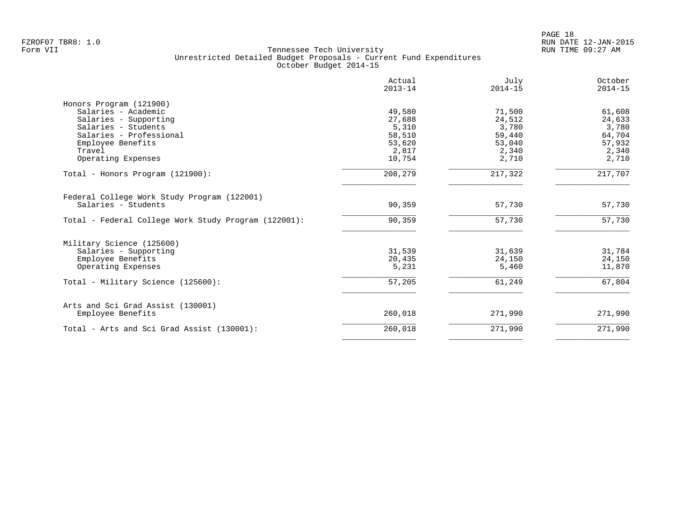|                                                        | Actual<br>$2013 - 14$ | July<br>$2014 - 15$ | October<br>$2014 - 15$ |
|--------------------------------------------------------|-----------------------|---------------------|------------------------|
| Honors Program (121900)                                |                       |                     |                        |
| Salaries - Academic                                    | 49,580                | 71,500              | 61,608                 |
| Salaries - Supporting                                  | 27,688                | 24,512              | 24,633                 |
| Salaries - Students                                    | 5,310                 | 3,780               | 3,780                  |
| Salaries - Professional                                | 58,510                | 59,440              | 64,704                 |
| Employee Benefits                                      | 53,620                | 53,040              | 57,932                 |
| Travel                                                 | 2,817                 | 2,340               | 2,340                  |
| Operating Expenses                                     | 10,754                | 2,710               | 2,710                  |
| Total - Honors Program (121900):                       | 208,279               | 217,322             | 217,707                |
| Federal College Work Study Program (122001)            |                       |                     |                        |
| Salaries - Students                                    | 90,359                | 57,730              | 57,730                 |
|                                                        |                       |                     |                        |
| Total - Federal College Work Study Program (122001):   | 90,359                | 57,730              | 57,730                 |
| Military Science (125600)                              |                       |                     |                        |
| Salaries - Supporting                                  | 31,539                | 31,639              | 31,784                 |
| Employee Benefits                                      | 20,435                | 24,150              | 24,150                 |
| Operating Expenses                                     | 5,231                 | 5,460               | 11,870                 |
| Total - Military Science (125600):                     | 57,205                | 61,249              | 67,804                 |
|                                                        |                       |                     |                        |
| Arts and Sci Grad Assist (130001)<br>Employee Benefits | 260,018               | 271,990             | 271,990                |
|                                                        |                       |                     |                        |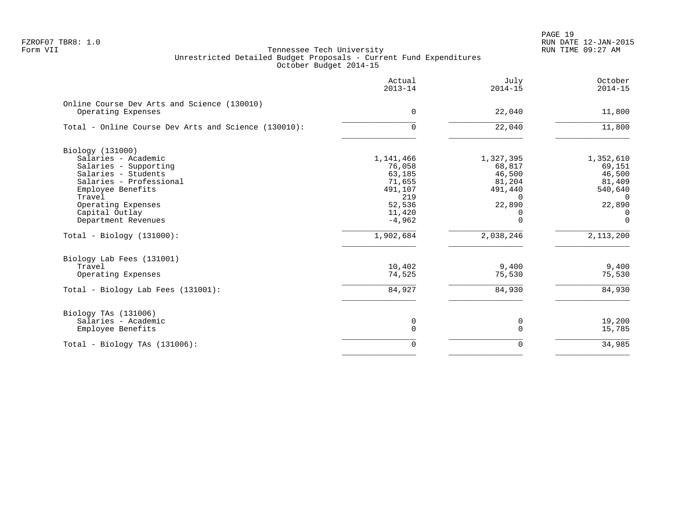PAGE 19 FZROF07 TBR8: 1.0 RUN DATE 12-JAN-2015

|                                                                   | Actual<br>$2013 - 14$ | July<br>$2014 - 15$ | October<br>$2014 - 15$ |
|-------------------------------------------------------------------|-----------------------|---------------------|------------------------|
| Online Course Dev Arts and Science (130010)<br>Operating Expenses | $\Omega$              | 22,040              | 11,800                 |
|                                                                   |                       |                     |                        |
| Total - Online Course Dev Arts and Science (130010):              | $\Omega$              | 22,040              | 11,800                 |
| Biology (131000)                                                  |                       |                     |                        |
| Salaries - Academic                                               | 1,141,466             | 1,327,395           | 1,352,610              |
| Salaries - Supporting                                             | 76,058                | 68,817              | 69,151                 |
| Salaries - Students                                               | 63,185                | 46,500              | 46,500                 |
| Salaries - Professional                                           | 71,655                | 81,204              | 81,409                 |
| Employee Benefits                                                 | 491,107               | 491,440             | 540,640                |
| Travel                                                            | 219                   | $\Omega$            | $\Omega$               |
| Operating Expenses                                                | 52,536                | 22,890              | 22,890                 |
| Capital Outlay                                                    | 11,420                | 0                   | $\Omega$               |
| Department Revenues                                               | $-4,962$              | $\Omega$            | $\Omega$               |
| $Total - Biology (131000):$                                       | 1,902,684             | 2,038,246           | 2,113,200              |
| Biology Lab Fees (131001)                                         |                       |                     |                        |
| Travel                                                            | 10,402                | 9,400               | 9,400                  |
| Operating Expenses                                                | 74,525                | 75,530              | 75,530                 |
| Total - Biology Lab Fees (131001):                                | 84,927                | 84,930              | 84,930                 |
| Biology TAs (131006)                                              |                       |                     |                        |
| Salaries - Academic                                               | 0                     | 0                   | 19,200                 |
| Employee Benefits                                                 | 0                     | 0                   | 15,785                 |
| Total - Biology TAs $(131006)$ :                                  | $\Omega$              | 0                   | 34,985                 |
|                                                                   |                       |                     |                        |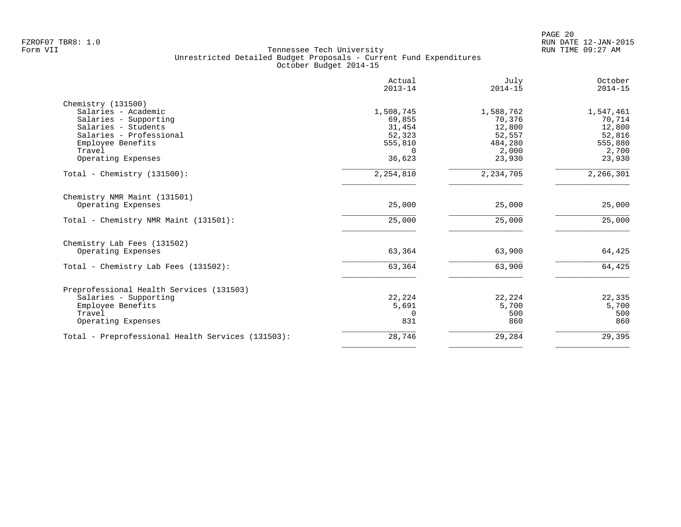|                                                   | Actual<br>$2013 - 14$ | July<br>$2014 - 15$ | October<br>$2014 - 15$ |
|---------------------------------------------------|-----------------------|---------------------|------------------------|
| Chemistry (131500)<br>Salaries - Academic         | 1,508,745             | 1,588,762           | 1,547,461              |
| Salaries - Supporting                             | 69,855                | 70,376              | 70,714                 |
| Salaries - Students                               | 31,454                | 12,800              | 12,800                 |
| Salaries - Professional                           | 52,323                | 52,557              | 52,816                 |
| Employee Benefits                                 | 555,810               | 484,280             | 555,880                |
| Travel                                            | $\Omega$              | 2,000               | 2,700                  |
| Operating Expenses                                | 36,623                | 23,930              | 23,930                 |
| Total - Chemistry $(131500)$ :                    | 2,254,810             | 2, 234, 705         | 2,266,301              |
| Chemistry NMR Maint (131501)                      |                       |                     |                        |
| Operating Expenses                                | 25,000                | 25,000              | 25,000                 |
| Total - Chemistry NMR Maint (131501):             | 25,000                | 25,000              | 25,000                 |
| Chemistry Lab Fees (131502)                       |                       |                     |                        |
| Operating Expenses                                | 63,364                | 63,900              | 64,425                 |
| Total - Chemistry Lab Fees (131502):              | 63,364                | 63,900              | 64,425                 |
| Preprofessional Health Services (131503)          |                       |                     |                        |
| Salaries - Supporting                             | 22,224                | 22,224              | 22,335                 |
| Employee Benefits                                 | 5,691                 | 5,700               | 5,700                  |
| Travel                                            | $\Omega$              | 500                 | 500                    |
| Operating Expenses                                | 831                   | 860                 | 860                    |
| Total - Preprofessional Health Services (131503): | 28,746                | 29,284              | 29,395                 |
|                                                   |                       |                     |                        |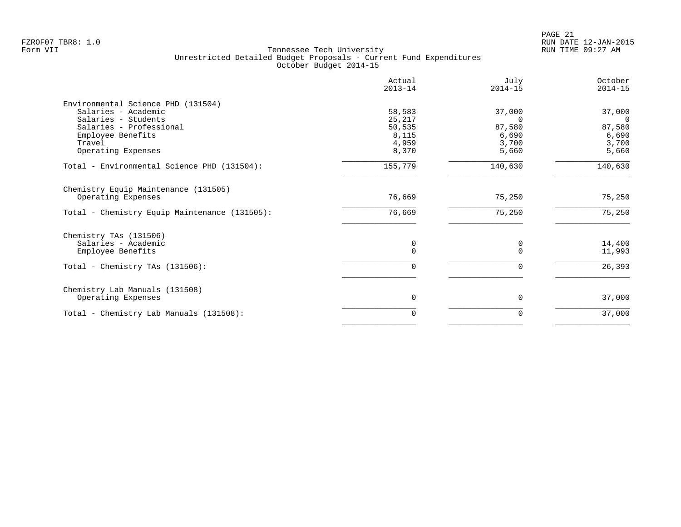|                                               | Actual<br>$2013 - 14$ | July<br>$2014 - 15$ | October<br>$2014 - 15$ |
|-----------------------------------------------|-----------------------|---------------------|------------------------|
| Environmental Science PHD (131504)            |                       |                     |                        |
| Salaries - Academic                           | 58,583                | 37,000              | 37,000                 |
| Salaries - Students                           | 25,217                | $\Omega$            | $\Omega$               |
| Salaries - Professional                       | 50,535                | 87,580              | 87,580                 |
| Employee Benefits                             | 8,115                 | 6,690               | 6,690                  |
| Travel                                        | 4,959                 | 3,700               | 3,700                  |
| Operating Expenses                            | 8,370                 | 5,660               | 5,660                  |
| Total - Environmental Science PHD (131504):   | 155,779               | 140,630             | 140,630                |
| Chemistry Equip Maintenance (131505)          |                       |                     |                        |
| Operating Expenses                            | 76,669                | 75,250              | 75,250                 |
| Total - Chemistry Equip Maintenance (131505): | 76,669                | 75,250              | 75,250                 |
| Chemistry TAs (131506)                        |                       |                     |                        |
| Salaries - Academic                           | 0                     | 0                   | 14,400                 |
| Employee Benefits                             | 0                     | $\Omega$            | 11,993                 |
| Total - Chemistry TAs $(131506)$ :            | 0                     | 0                   | 26,393                 |
| Chemistry Lab Manuals (131508)                |                       |                     |                        |
| Operating Expenses                            | 0                     | $\mathbf 0$         | 37,000                 |
| Total - Chemistry Lab Manuals (131508):       | $\Omega$              | 0                   | 37,000                 |
|                                               |                       |                     |                        |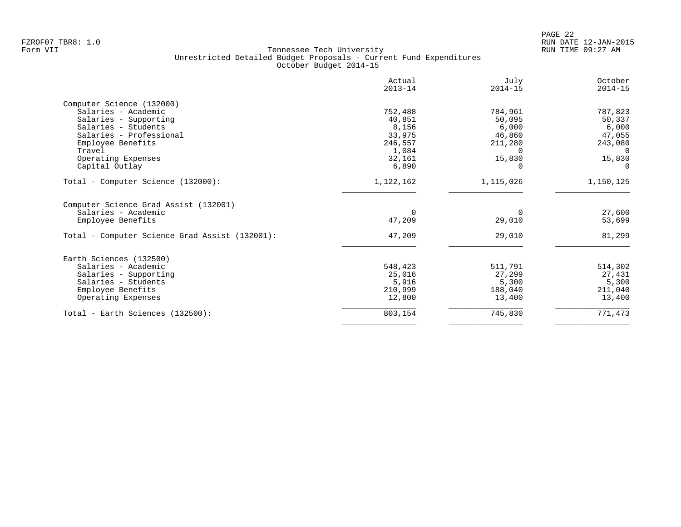| Actual<br>$2013 - 14$ | July<br>$2014 - 15$ | October<br>$2014 - 15$ |
|-----------------------|---------------------|------------------------|
|                       |                     |                        |
| 752,488               | 784,961             | 787,823                |
| 40,851                | 50,095              | 50,337                 |
| 8,156                 | 6,000               | 6,000                  |
| 33,975                | 46,860              | 47,055                 |
| 246,557               | 211,280             | 243,080                |
| 1,084                 | $\Omega$            | $\Omega$               |
| 32,161                | 15,830              | 15,830                 |
| 6,890                 | $\Omega$            | $\Omega$               |
| 1,122,162             | 1,115,026           | 1,150,125              |
|                       |                     |                        |
|                       |                     | 27,600                 |
|                       |                     | 53,699                 |
| 47,209                | 29,010              | 81,299                 |
|                       |                     |                        |
| 548,423               | 511,791             | 514,302                |
| 25,016                | 27,299              | 27,431                 |
| 5,916                 | 5,300               | 5,300                  |
| 210,999               | 188,040             | 211,040                |
| 12,800                | 13,400              | 13,400                 |
|                       |                     |                        |
|                       | 47,209              | $\Omega$<br>29,010     |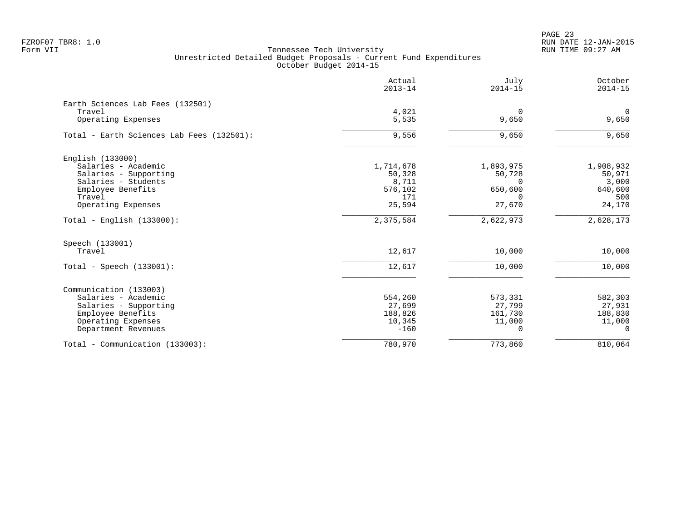|                                           | Actual<br>$2013 - 14$ | July<br>$2014 - 15$ | October<br>$2014 - 15$ |
|-------------------------------------------|-----------------------|---------------------|------------------------|
| Earth Sciences Lab Fees (132501)          |                       |                     |                        |
| Travel<br>Operating Expenses              | 4,021<br>5,535        | $\Omega$<br>9,650   | $\mathbf 0$<br>9,650   |
| Total - Earth Sciences Lab Fees (132501): | 9,556                 | 9,650               | 9,650                  |
| English (133000)                          |                       |                     |                        |
| Salaries - Academic                       | 1,714,678             | 1,893,975           | 1,908,932              |
| Salaries - Supporting                     | 50,328                | 50,728              | 50,971                 |
| Salaries - Students                       | 8,711                 | $\Omega$            | 3,000                  |
| Employee Benefits                         | 576,102               | 650,600             | 640,600                |
| Travel                                    | 171                   | $\Omega$            | 500                    |
| Operating Expenses                        | 25,594                | 27,670              | 24,170                 |
| $Total - English (133000):$               | 2,375,584             | 2,622,973           | 2,628,173              |
| Speech (133001)                           |                       |                     |                        |
| Travel                                    | 12,617                | 10,000              | 10,000                 |
| Total - Speech $(133001)$ :               | 12,617                | 10,000              | 10,000                 |
| Communication (133003)                    |                       |                     |                        |
| Salaries - Academic                       | 554,260               | 573,331             | 582,303                |
| Salaries - Supporting                     | 27,699                | 27,799              | 27,931                 |
| Employee Benefits                         | 188,826               | 161,730             | 188,830                |
| Operating Expenses                        | 10,345                | 11,000              | 11,000                 |
| Department Revenues                       | $-160$                | $\Omega$            | $\Omega$               |
| Total - Communication (133003):           | 780,970               | 773,860             | 810,064                |
|                                           |                       |                     |                        |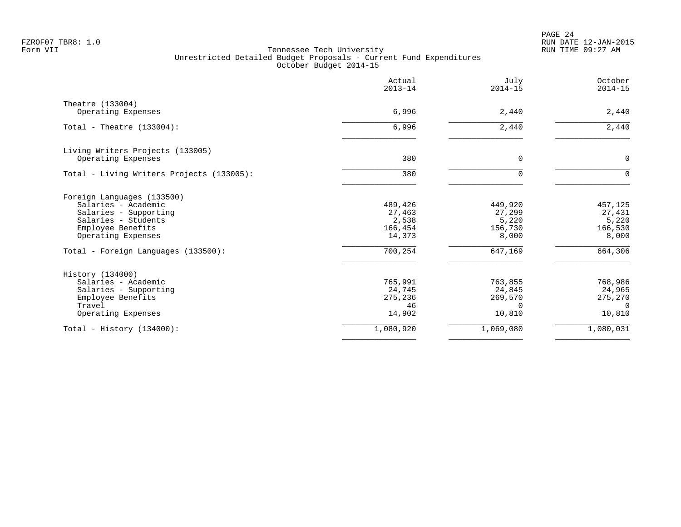PAGE 24 FZROF07 TBR8: 1.0 RUN DATE 12-JAN-2015

|                                           | Actual<br>$2013 - 14$ | July<br>$2014 - 15$    | October<br>$2014 - 15$ |
|-------------------------------------------|-----------------------|------------------------|------------------------|
| Theatre (133004)                          |                       |                        |                        |
| Operating Expenses                        | 6,996                 | 2,440                  | 2,440                  |
| Total - Theatre $(133004)$ :              | 6,996                 | 2,440                  | 2,440                  |
| Living Writers Projects (133005)          |                       |                        |                        |
| Operating Expenses                        | 380                   | 0                      | $\mathbf 0$            |
| Total - Living Writers Projects (133005): | 380                   | $\Omega$               | $\Omega$               |
| Foreign Languages (133500)                |                       |                        |                        |
| Salaries - Academic                       | 489,426               | 449,920                | 457,125                |
| Salaries - Supporting                     | 27,463                | 27,299                 | 27,431                 |
| Salaries - Students                       | 2,538                 | 5,220                  | 5,220                  |
| Employee Benefits<br>Operating Expenses   | 166,454<br>14,373     | 156,730<br>8,000       | 166,530<br>8,000       |
| Total - Foreign Languages (133500):       | 700,254               | 647,169                | 664,306                |
| History (134000)                          |                       |                        |                        |
| Salaries - Academic                       | 765,991               | 763,855                | 768,986                |
| Salaries - Supporting                     | 24,745                | 24,845                 | 24,965                 |
| Employee Benefits                         | 275,236               | 269,570                | 275,270                |
| Travel                                    | 46<br>14,902          | <sup>n</sup><br>10,810 | $\cap$<br>10,810       |
| Operating Expenses                        |                       |                        |                        |
| Total - History $(134000)$ :              | 1,080,920             | 1,069,080              | 1,080,031              |
|                                           |                       |                        |                        |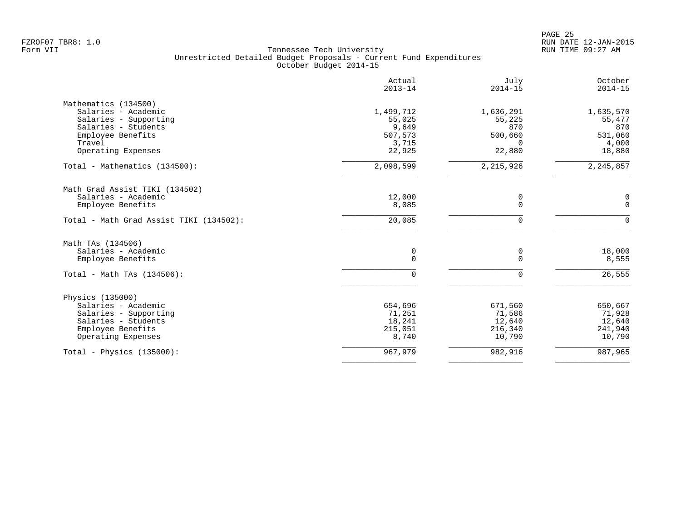|                                         | Actual<br>$2013 - 14$ | July<br>$2014 - 15$ | October<br>$2014 - 15$ |
|-----------------------------------------|-----------------------|---------------------|------------------------|
| Mathematics (134500)                    |                       |                     |                        |
| Salaries - Academic                     | 1,499,712             | 1,636,291           | 1,635,570              |
| Salaries - Supporting                   | 55,025                | 55,225              | 55,477                 |
| Salaries - Students                     | 9,649                 | 870                 | 870                    |
| Employee Benefits                       | 507,573               | 500,660             | 531,060                |
| Travel                                  | 3,715                 | 0                   | 4,000                  |
| Operating Expenses                      | 22,925                | 22,880              | 18,880                 |
| Total - Mathematics (134500):           | 2,098,599             | 2, 215, 926         | 2, 245, 857            |
| Math Grad Assist TIKI (134502)          |                       |                     |                        |
| Salaries - Academic                     | 12,000                | 0                   | 0                      |
| Employee Benefits                       | 8,085                 | $\overline{0}$      | $\mathbf 0$            |
| Total - Math Grad Assist TIKI (134502): | 20,085                | $\mathbf 0$         | $\mathbf 0$            |
| Math TAs (134506)                       |                       |                     |                        |
| Salaries - Academic                     | 0                     | 0                   | 18,000                 |
| Employee Benefits                       | 0                     | $\mathbf 0$         | 8,555                  |
| Total - Math TAs $(134506)$ :           | $\Omega$              | $\mathbf 0$         | 26,555                 |
| Physics (135000)                        |                       |                     |                        |
| Salaries - Academic                     | 654,696               | 671,560             | 650,667                |
| Salaries - Supporting                   | 71,251                | 71,586              | 71,928                 |
| Salaries - Students                     | 18,241                | 12,640              | 12,640                 |
| Employee Benefits                       | 215,051               | 216,340             | 241,940                |
| Operating Expenses                      | 8,740                 | 10,790              | 10,790                 |
| Total - Physics $(135000)$ :            | 967,979               | 982,916             | 987,965                |
|                                         |                       |                     |                        |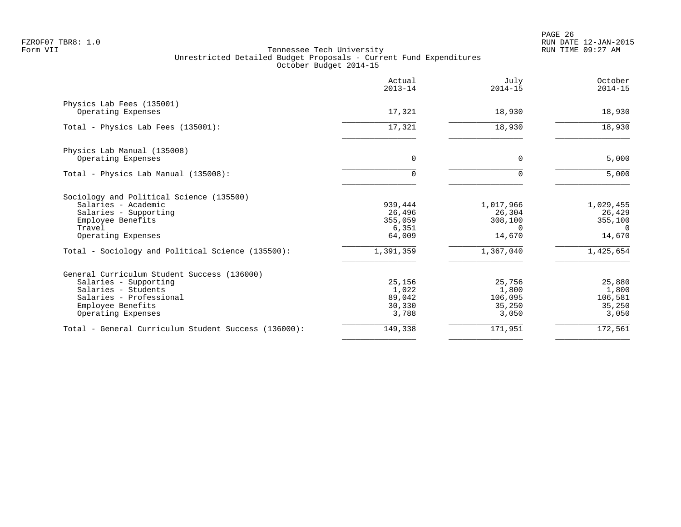PAGE 26 FZROF07 TBR8: 1.0 RUN DATE 12-JAN-2015

|                                                      | Actual<br>$2013 - 14$ | July<br>$2014 - 15$ | October<br>$2014 - 15$ |
|------------------------------------------------------|-----------------------|---------------------|------------------------|
| Physics Lab Fees (135001)                            |                       |                     |                        |
| Operating Expenses                                   | 17,321                | 18,930              | 18,930                 |
| Total - Physics Lab Fees (135001):                   | 17,321                | 18,930              | 18,930                 |
| Physics Lab Manual (135008)                          |                       |                     |                        |
| Operating Expenses                                   | $\mathbf 0$           | $\mathbf 0$         | 5,000                  |
| Total - Physics Lab Manual (135008):                 | $\Omega$              | $\Omega$            | 5,000                  |
| Sociology and Political Science (135500)             |                       |                     |                        |
| Salaries - Academic                                  | 939,444               | 1,017,966           | 1,029,455              |
| Salaries - Supporting                                | 26,496                | 26,304              | 26,429                 |
| Employee Benefits<br>Travel                          | 355,059               | 308,100<br>$\Omega$ | 355,100<br>$\Omega$    |
| Operating Expenses                                   | 6,351<br>64,009       | 14,670              | 14,670                 |
| Total - Sociology and Political Science (135500):    | 1,391,359             | 1,367,040           | 1,425,654              |
| General Curriculum Student Success (136000)          |                       |                     |                        |
| Salaries - Supporting                                | 25,156                | 25,756              | 25,880                 |
| Salaries - Students                                  | 1,022                 | 1,800               | 1,800                  |
| Salaries - Professional                              | 89,042                | 106,095             | 106,581                |
| Employee Benefits                                    | 30,330                | 35,250              | 35,250                 |
| Operating Expenses                                   | 3,788                 | 3,050               | 3,050                  |
| Total - General Curriculum Student Success (136000): | 149,338               | 171,951             | 172,561                |
|                                                      |                       |                     |                        |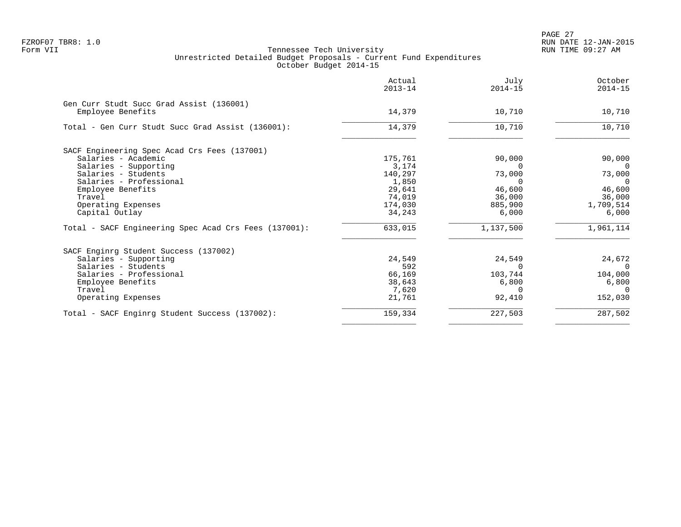PAGE 27 FZROF07 TBR8: 1.0 RUN DATE 12-JAN-2015

|                                                               | Actual<br>$2013 - 14$ | July<br>$2014 - 15$ | October<br>$2014 - 15$ |
|---------------------------------------------------------------|-----------------------|---------------------|------------------------|
| Gen Curr Studt Succ Grad Assist (136001)<br>Employee Benefits | 14,379                | 10,710              | 10,710                 |
| Total - Gen Curr Studt Succ Grad Assist (136001):             | 14,379                | 10,710              | 10,710                 |
| SACF Engineering Spec Acad Crs Fees (137001)                  |                       |                     |                        |
| Salaries - Academic                                           | 175,761               | 90,000              | 90,000                 |
| Salaries - Supporting                                         | 3,174                 |                     | $\Omega$               |
| Salaries - Students                                           | 140,297               | 73,000              | 73,000                 |
| Salaries - Professional                                       | 1,850                 | $\Omega$            | $\Omega$               |
| Employee Benefits                                             | 29,641                | 46,600              | 46,600                 |
| Travel                                                        | 74,019                | 36,000              | 36,000                 |
| Operating Expenses                                            | 174,030               | 885,900             | 1,709,514              |
| Capital Outlay                                                | 34,243                | 6,000               | 6,000                  |
| Total - SACF Engineering Spec Acad Crs Fees (137001):         | 633,015               | 1,137,500           | 1,961,114              |
| SACF Enginrg Student Success (137002)                         |                       |                     |                        |
| Salaries - Supporting                                         | 24,549                | 24,549              | 24,672                 |
| Salaries - Students                                           | 592                   | $\Omega$            | $\Omega$               |
| Salaries - Professional                                       | 66,169                | 103,744             | 104,000                |
| Employee Benefits                                             | 38,643                | 6,800               | 6,800                  |
| Travel                                                        | 7,620                 | ∩                   | $\Omega$               |
| Operating Expenses                                            | 21,761                | 92,410              | 152,030                |
| Total - SACF Enginrg Student Success (137002):                | 159,334               | 227,503             | 287,502                |
|                                                               |                       |                     |                        |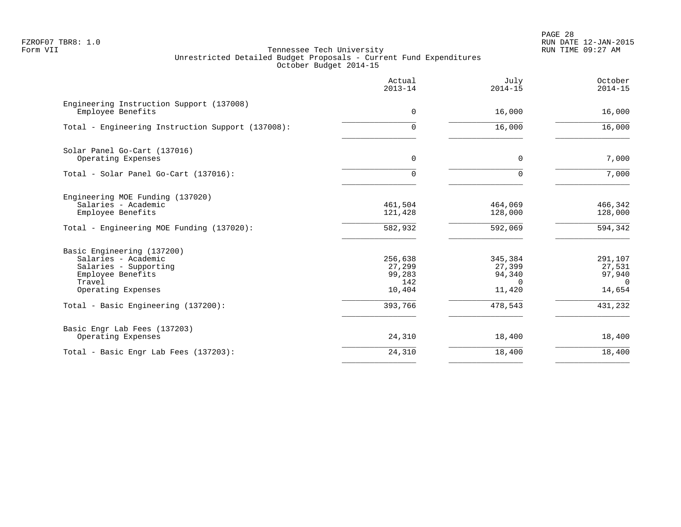PAGE 28 FZROF07 TBR8: 1.0 RUN DATE 12-JAN-2015

|                                                                                                                                 | Actual<br>$2013 - 14$                        | July<br>$2014 - 15$                               | October<br>$2014 - 15$                            |
|---------------------------------------------------------------------------------------------------------------------------------|----------------------------------------------|---------------------------------------------------|---------------------------------------------------|
| Engineering Instruction Support (137008)<br>Employee Benefits                                                                   | $\mathbf 0$                                  | 16,000                                            | 16,000                                            |
| Total - Engineering Instruction Support (137008):                                                                               | 0                                            | 16,000                                            | 16,000                                            |
| Solar Panel Go-Cart (137016)<br>Operating Expenses                                                                              | 0                                            | $\mathbf 0$                                       | 7,000                                             |
| Total - Solar Panel Go-Cart (137016):                                                                                           | 0                                            | $\Omega$                                          | 7,000                                             |
| Engineering MOE Funding (137020)<br>Salaries - Academic<br>Employee Benefits                                                    | 461,504<br>121,428                           | 464,069<br>128,000                                | 466,342<br>128,000                                |
| Total - Engineering MOE Funding (137020):                                                                                       | 582,932                                      | 592,069                                           | 594,342                                           |
| Basic Engineering (137200)<br>Salaries - Academic<br>Salaries - Supporting<br>Employee Benefits<br>Travel<br>Operating Expenses | 256,638<br>27,299<br>99,283<br>142<br>10,404 | 345,384<br>27,399<br>94,340<br>$\Omega$<br>11,420 | 291,107<br>27,531<br>97,940<br>$\Omega$<br>14,654 |
| Total - Basic Engineering (137200):                                                                                             | 393,766                                      | 478,543                                           | 431,232                                           |
| Basic Engr Lab Fees (137203)<br>Operating Expenses                                                                              | 24,310                                       | 18,400                                            | 18,400                                            |
| Total - Basic Engr Lab Fees (137203):                                                                                           | 24,310                                       | 18,400                                            | 18,400                                            |
|                                                                                                                                 |                                              |                                                   |                                                   |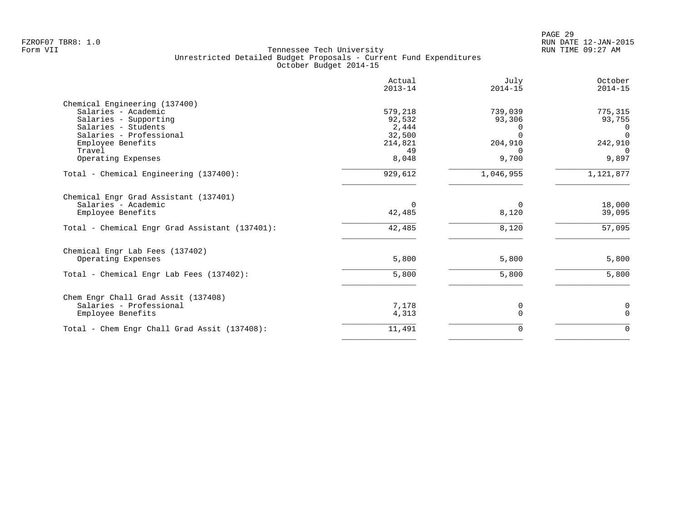|                                                      | Actual<br>$2013 - 14$ | July<br>$2014 - 15$ | October<br>$2014 - 15$   |
|------------------------------------------------------|-----------------------|---------------------|--------------------------|
| Chemical Engineering (137400)<br>Salaries - Academic | 579,218               | 739,039             | 775,315                  |
| Salaries - Supporting<br>Salaries - Students         | 92,532<br>2,444       | 93,306              | 93,755<br>$\overline{0}$ |
| Salaries - Professional                              | 32,500                | $\Omega$            | $\Omega$                 |
| Employee Benefits                                    | 214,821               | 204,910             | 242,910                  |
| Travel                                               | 49                    |                     | $\Omega$                 |
| Operating Expenses                                   | 8,048                 | 9,700               | 9,897                    |
| Total - Chemical Engineering (137400):               | 929,612               | 1,046,955           | 1,121,877                |
| Chemical Engr Grad Assistant (137401)                |                       |                     |                          |
| Salaries - Academic                                  | $\Omega$              | $\Omega$            | 18,000                   |
| Employee Benefits                                    | 42,485                | 8,120               | 39,095                   |
| Total - Chemical Engr Grad Assistant (137401):       | 42,485                | 8,120               | 57,095                   |
| Chemical Engr Lab Fees (137402)                      |                       |                     |                          |
| Operating Expenses                                   | 5,800                 | 5,800               | 5,800                    |
| Total - Chemical Engr Lab Fees (137402):             | 5,800                 | 5,800               | 5,800                    |
| Chem Engr Chall Grad Assit (137408)                  |                       |                     |                          |
| Salaries - Professional                              | 7,178                 | 0                   | 0                        |
| Employee Benefits                                    | 4,313                 | $\Omega$            | $\Omega$                 |
| Total - Chem Engr Chall Grad Assit (137408):         | 11,491                | 0                   | $\mathbf 0$              |
|                                                      |                       |                     |                          |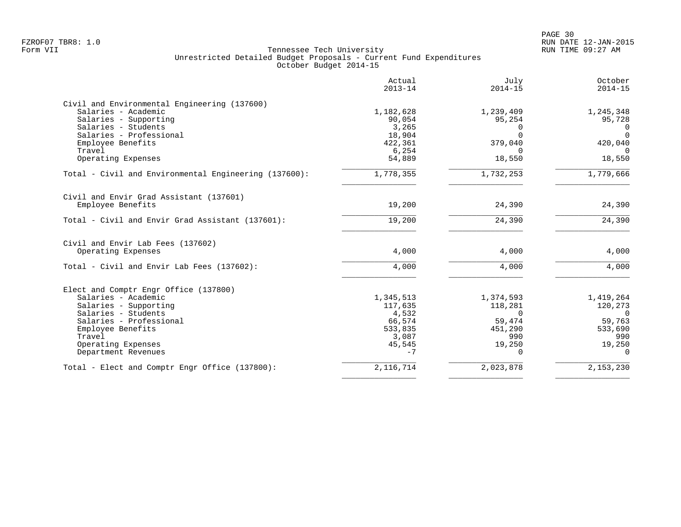|                                                       | Actual<br>$2013 - 14$ | July<br>$2014 - 15$ | October<br>$2014 - 15$ |
|-------------------------------------------------------|-----------------------|---------------------|------------------------|
| Civil and Environmental Engineering (137600)          |                       |                     |                        |
| Salaries - Academic                                   | 1,182,628             | 1,239,409           | 1,245,348              |
| Salaries - Supporting<br>Salaries - Students          | 90,054<br>3,265       | 95,254              | 95,728<br>$\Omega$     |
| Salaries - Professional                               | 18,904                | $\cap$              | $\Omega$               |
| Employee Benefits                                     | 422,361               | 379,040             | 420,040                |
| Travel                                                | 6,254                 | $\Omega$            | $\Omega$               |
| Operating Expenses                                    | 54,889                | 18,550              | 18,550                 |
| Total - Civil and Environmental Engineering (137600): | 1,778,355             | 1,732,253           | 1,779,666              |
| Civil and Envir Grad Assistant (137601)               |                       |                     |                        |
| Employee Benefits                                     | 19,200                | 24,390              | 24,390                 |
| Total - Civil and Envir Grad Assistant (137601):      | 19,200                | 24,390              | 24,390                 |
| Civil and Envir Lab Fees (137602)                     |                       |                     |                        |
| Operating Expenses                                    | 4,000                 | 4,000               | 4,000                  |
| Total - Civil and Envir Lab Fees (137602):            | 4,000                 | 4,000               | 4,000                  |
| Elect and Comptr Engr Office (137800)                 |                       |                     |                        |
| Salaries - Academic                                   | 1,345,513             | 1,374,593           | 1,419,264              |
| Salaries - Supporting                                 | 117,635               | 118,281             | 120,273                |
| Salaries - Students                                   | 4,532                 | $\Omega$            | $\Omega$               |
| Salaries - Professional                               | 66,574                | 59,474              | 59,763                 |
| Employee Benefits                                     | 533,835               | 451,290             | 533,690                |
| Travel                                                | 3,087                 | 990                 | 990                    |
| Operating Expenses                                    | 45,545                | 19,250              | 19,250                 |
| Department Revenues                                   | $-7$                  | $\Omega$            | $\Omega$               |
| Total - Elect and Comptr Engr Office (137800):        | 2, 116, 714           | 2,023,878           | 2,153,230              |
|                                                       |                       |                     |                        |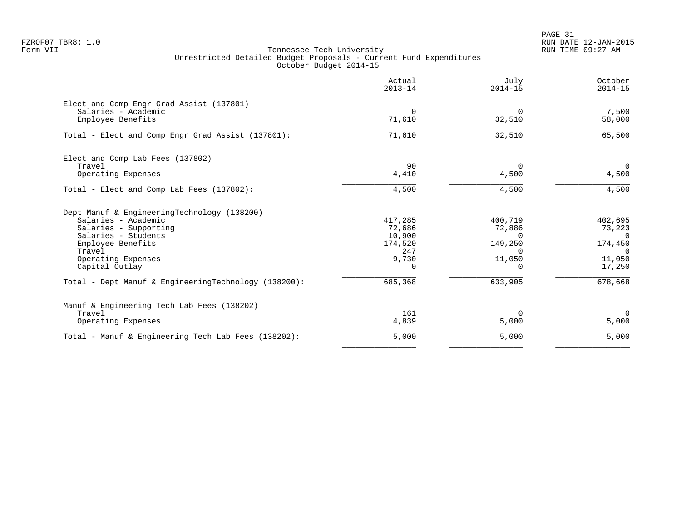PAGE 31 FZROF07 TBR8: 1.0 RUN DATE 12-JAN-2015

|                                                                                      | Actual<br>$2013 - 14$       | July<br>$2014 - 15$           | October<br>$2014 - 15$        |
|--------------------------------------------------------------------------------------|-----------------------------|-------------------------------|-------------------------------|
| Elect and Comp Engr Grad Assist (137801)<br>Salaries - Academic<br>Employee Benefits | $\Omega$<br>71,610          | $\Omega$<br>32,510            | 7,500<br>58,000               |
| Total - Elect and Comp Engr Grad Assist (137801):                                    | 71,610                      | 32,510                        | 65,500                        |
| Elect and Comp Lab Fees (137802)<br>Travel                                           | 90                          | $\Omega$                      | $\overline{0}$                |
| Operating Expenses                                                                   | 4,410                       | 4,500                         | 4,500                         |
| Total - Elect and Comp Lab Fees (137802):                                            | 4,500                       | 4,500                         | 4,500                         |
| Dept Manuf & EngineeringTechnology (138200)                                          |                             |                               |                               |
| Salaries - Academic<br>Salaries - Supporting<br>Salaries - Students                  | 417,285<br>72,686<br>10,900 | 400,719<br>72,886<br>$\Omega$ | 402,695<br>73,223<br>$\Omega$ |
| Employee Benefits<br>Travel                                                          | 174,520<br>247              | 149,250<br>$\Omega$           | 174,450<br>$\Omega$           |
| Operating Expenses<br>Capital Outlay                                                 | 9,730<br>$\Omega$           | 11,050<br>$\Omega$            | 11,050<br>17,250              |
| Total - Dept Manuf & EngineeringTechnology (138200):                                 | 685,368                     | 633,905                       | 678,668                       |
| Manuf & Engineering Tech Lab Fees (138202)                                           |                             |                               |                               |
| Travel<br>Operating Expenses                                                         | 161<br>4,839                | $\Omega$<br>5,000             | $\Omega$<br>5,000             |
| Total - Manuf & Engineering Tech Lab Fees (138202):                                  | 5,000                       | 5,000                         | 5,000                         |
|                                                                                      |                             |                               |                               |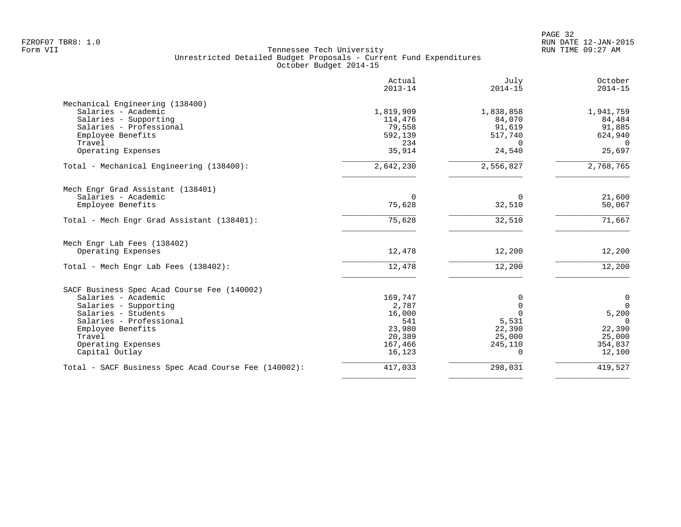|                                                      | Actual<br>$2013 - 14$ | July<br>$2014 - 15$ | October<br>$2014 - 15$ |
|------------------------------------------------------|-----------------------|---------------------|------------------------|
| Mechanical Engineering (138400)                      |                       |                     |                        |
| Salaries - Academic                                  | 1,819,909             | 1,838,858           | 1,941,759              |
| Salaries - Supporting                                | 114,476               | 84,070              | 84,484                 |
| Salaries - Professional                              | 79,558                | 91,619              | 91,885                 |
| Employee Benefits                                    | 592,139               | 517,740             | 624,940                |
| Travel                                               | 234                   | $\Omega$            | $\Omega$               |
| Operating Expenses                                   | 35,914                | 24,540              | 25,697                 |
| Total - Mechanical Engineering (138400):             | 2,642,230             | 2,556,827           | 2,768,765              |
| Mech Engr Grad Assistant (138401)                    |                       |                     |                        |
| Salaries - Academic                                  | $\Omega$              | $\Omega$            | 21,600                 |
| Employee Benefits                                    | 75,628                | 32,510              | 50,067                 |
| Total - Mech Engr Grad Assistant (138401):           | 75,628                | 32,510              | 71,667                 |
| Mech Engr Lab Fees (138402)                          |                       |                     |                        |
| Operating Expenses                                   | 12,478                | 12,200              | 12,200                 |
| Total - Mech Engr Lab Fees (138402):                 | 12,478                | 12,200              | 12,200                 |
| SACF Business Spec Acad Course Fee (140002)          |                       |                     |                        |
| Salaries - Academic                                  | 169,747               | $\Omega$            | $\mathbf 0$            |
| Salaries - Supporting                                | 2,787                 | $\Omega$            | $\overline{0}$         |
| Salaries - Students                                  | 16,000                |                     | 5,200                  |
| Salaries - Professional                              | 541                   | 5,531               | $\Omega$               |
| Employee Benefits                                    | 23,980                | 22,390              | 22,390                 |
| Travel                                               | 20,389                | 25,000              | 25,000                 |
| Operating Expenses                                   | 167,466               | 245,110             | 354,837                |
| Capital Outlay                                       | 16,123                | $\Omega$            | 12,100                 |
| Total - SACF Business Spec Acad Course Fee (140002): | 417,033               | 298,031             | 419,527                |
|                                                      |                       |                     |                        |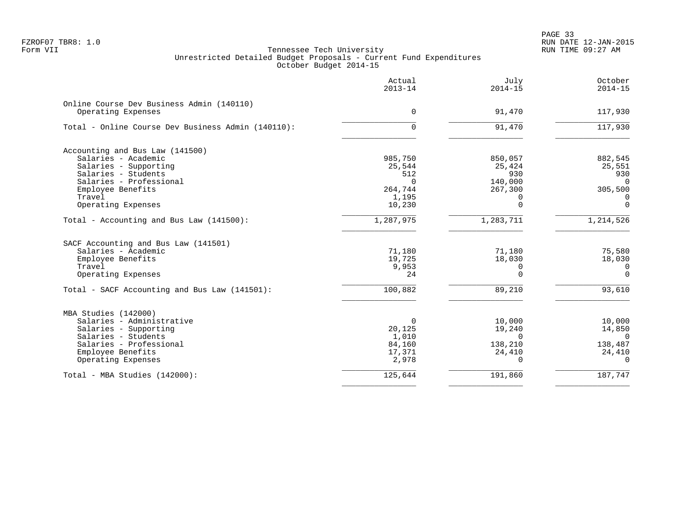PAGE 33 FZROF07 TBR8: 1.0 RUN DATE 12-JAN-2015

|                                                    | Actual<br>$2013 - 14$ | July<br>$2014 - 15$ | October<br>$2014 - 15$ |
|----------------------------------------------------|-----------------------|---------------------|------------------------|
| Online Course Dev Business Admin (140110)          |                       |                     |                        |
| Operating Expenses                                 | 0                     | 91,470              | 117,930                |
| Total - Online Course Dev Business Admin (140110): | 0                     | 91,470              | 117,930                |
| Accounting and Bus Law (141500)                    |                       |                     |                        |
| Salaries - Academic                                | 985,750               | 850,057             | 882,545                |
| Salaries - Supporting                              | 25,544                | 25,424              | 25,551                 |
| Salaries - Students                                | 512                   | 930                 | 930                    |
| Salaries - Professional                            | $\Omega$              | 140,000             | $\Omega$               |
| Employee Benefits                                  | 264,744               | 267,300             | 305,500                |
| Travel                                             | 1,195                 | $\Omega$            | $\Omega$               |
| Operating Expenses                                 | 10,230                | $\Omega$            | $\Omega$               |
| Total - Accounting and Bus Law (141500):           | 1,287,975             | 1,283,711           | 1,214,526              |
| SACF Accounting and Bus Law (141501)               |                       |                     |                        |
| Salaries - Academic                                | 71,180                | 71,180              | 75,580                 |
| Employee Benefits                                  | 19,725                | 18,030              | 18,030                 |
| Travel                                             | 9,953                 | 0                   | 0                      |
| Operating Expenses                                 | 24                    | $\Omega$            | $\Omega$               |
| Total - SACF Accounting and Bus Law (141501):      | 100,882               | 89,210              | 93,610                 |
| MBA Studies (142000)                               |                       |                     |                        |
| Salaries - Administrative                          | 0                     | 10,000              | 10,000                 |
| Salaries - Supporting                              | 20,125                | 19,240              | 14,850                 |
| Salaries - Students                                | 1,010                 | $\Omega$            | $\Omega$               |
| Salaries - Professional                            | 84,160                | 138,210             | 138,487                |
| Employee Benefits                                  | 17,371                | 24,410              | 24,410                 |
| Operating Expenses                                 | 2,978                 | $\Omega$            | $\Omega$               |
| Total - MBA Studies (142000):                      | 125,644               | 191,860             | 187,747                |
|                                                    |                       |                     |                        |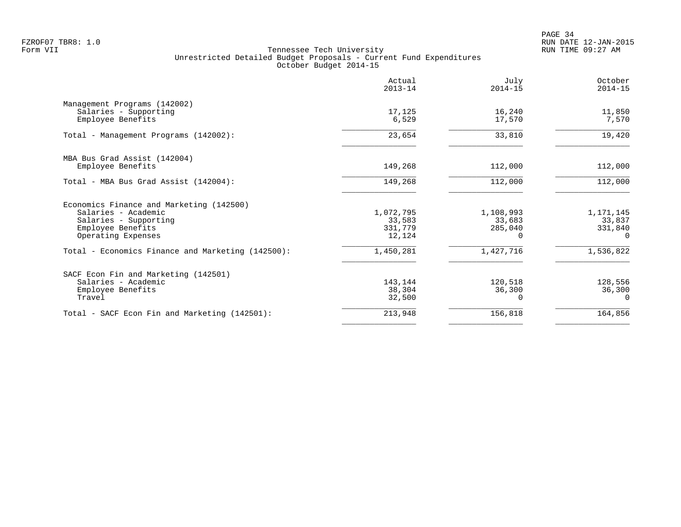PAGE 34 FZROF07 TBR8: 1.0 RUN DATE 12-JAN-2015

|                                                   | Actual<br>$2013 - 14$ | July<br>$2014 - 15$ | October<br>$2014 - 15$ |
|---------------------------------------------------|-----------------------|---------------------|------------------------|
| Management Programs (142002)                      |                       |                     |                        |
| Salaries - Supporting                             | 17,125                | 16,240              | 11,850                 |
| Employee Benefits                                 | 6,529                 | 17,570              | 7,570                  |
| Total - Management Programs (142002):             | 23,654                | 33,810              | 19,420                 |
| MBA Bus Grad Assist (142004)                      |                       |                     |                        |
| Employee Benefits                                 | 149,268               | 112,000             | 112,000                |
| Total - MBA Bus Grad Assist (142004):             | 149,268               | 112,000             | 112,000                |
| Economics Finance and Marketing (142500)          |                       |                     |                        |
| Salaries - Academic                               | 1,072,795             | 1,108,993           | 1,171,145              |
| Salaries - Supporting                             | 33,583                | 33,683              | 33,837                 |
| Employee Benefits                                 | 331,779               | 285,040             | 331,840                |
| Operating Expenses                                | 12,124                | $\Omega$            | $\Omega$               |
| Total - Economics Finance and Marketing (142500): | 1,450,281             | 1,427,716           | 1,536,822              |
| SACF Econ Fin and Marketing (142501)              |                       |                     |                        |
| Salaries - Academic                               | 143,144               | 120,518             | 128,556                |
| Employee Benefits                                 | 38,304                | 36,300              | 36,300                 |
| Travel                                            | 32,500                |                     | $\Omega$               |
| Total - SACF Econ Fin and Marketing (142501):     | 213,948               | 156,818             | 164,856                |
|                                                   |                       |                     |                        |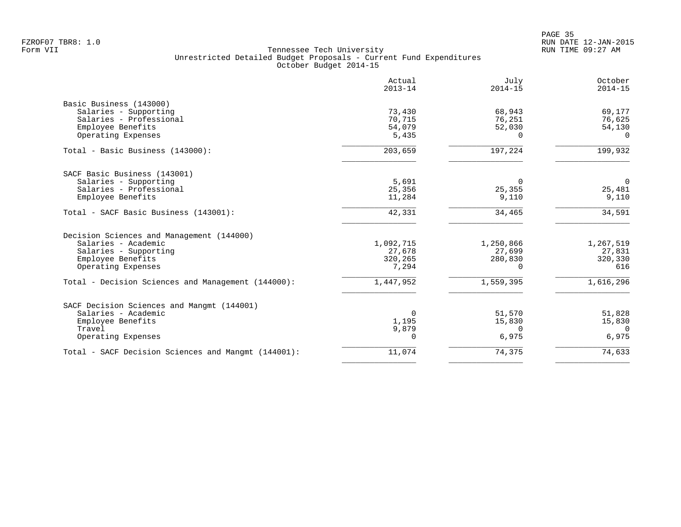|                                                                 | Actual<br>$2013 - 14$ | July<br>$2014 - 15$ | October<br>$2014 - 15$ |
|-----------------------------------------------------------------|-----------------------|---------------------|------------------------|
| Basic Business (143000)                                         |                       |                     |                        |
| Salaries - Supporting                                           | 73,430                | 68,943              | 69,177                 |
| Salaries - Professional                                         | 70,715                | 76,251              | 76,625                 |
| Employee Benefits                                               | 54,079                | 52,030              | 54,130                 |
| Operating Expenses                                              | 5,435                 | $\Omega$            | $\Omega$               |
| Total - Basic Business (143000):                                | 203,659               | 197,224             | 199,932                |
| SACF Basic Business (143001)                                    |                       |                     |                        |
| Salaries - Supporting                                           | 5,691                 | $\Omega$            | $\overline{0}$         |
| Salaries - Professional                                         | 25,356                | 25,355              | 25,481                 |
| Employee Benefits                                               | 11,284                | 9,110               | 9,110                  |
| Total - SACF Basic Business (143001):                           | 42,331                | 34,465              | 34,591                 |
| Decision Sciences and Management (144000)                       |                       |                     |                        |
| Salaries - Academic                                             | 1,092,715             | 1,250,866           | 1,267,519              |
| Salaries - Supporting                                           | 27,678                | 27,699              | 27,831                 |
| Employee Benefits                                               | 320,265               | 280,830             | 320,330                |
| Operating Expenses                                              | 7,294                 | $\Omega$            | 616                    |
| Total - Decision Sciences and Management (144000):              | 1,447,952             | 1,559,395           | 1,616,296              |
|                                                                 |                       |                     |                        |
| Salaries - Academic                                             | $\Omega$              |                     | 51,828                 |
|                                                                 | 1,195                 | 15,830              | 15,830                 |
| Travel                                                          |                       | $\Omega$            | $\Omega$               |
| Operating Expenses                                              | 0                     | 6,975               | 6,975                  |
| Total - SACF Decision Sciences and Mangmt (144001):             | 11,074                | 74,375              | 74,633                 |
| SACF Decision Sciences and Mangmt (144001)<br>Employee Benefits | 9,879                 | 51,570              |                        |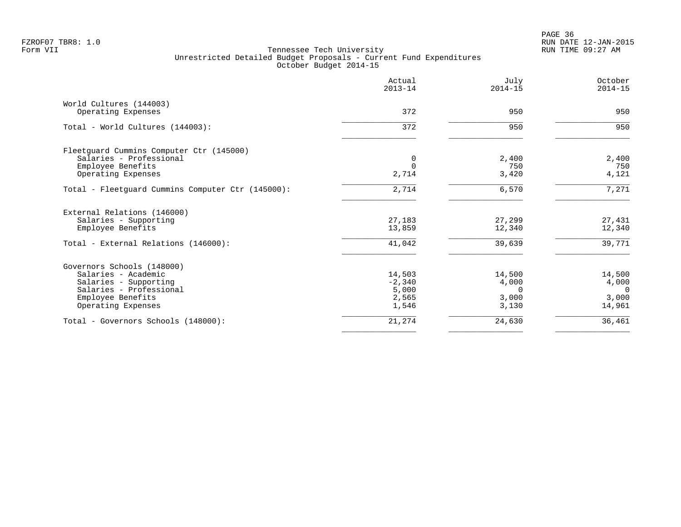|                                                   | Actual<br>$2013 - 14$ | July<br>$2014 - 15$ | October<br>$2014 - 15$ |
|---------------------------------------------------|-----------------------|---------------------|------------------------|
| World Cultures (144003)                           |                       |                     |                        |
| Operating Expenses                                | 372                   | 950                 | 950                    |
| Total - World Cultures (144003):                  | 372                   | 950                 | 950                    |
| Fleetquard Cummins Computer Ctr (145000)          |                       |                     |                        |
| Salaries - Professional                           |                       | 2,400               | 2,400                  |
| Employee Benefits                                 |                       | 750                 | 750                    |
| Operating Expenses                                | 2,714                 | 3,420               | 4,121                  |
| Total - Fleetguard Cummins Computer Ctr (145000): | 2,714                 | 6,570               | 7,271                  |
| External Relations (146000)                       |                       |                     |                        |
| Salaries - Supporting                             | 27,183                | 27,299              | 27,431                 |
| Employee Benefits                                 | 13,859                | 12,340              | 12,340                 |
| Total - External Relations (146000):              | 41,042                | 39,639              | 39,771                 |
| Governors Schools (148000)                        |                       |                     |                        |
| Salaries - Academic                               | 14,503                | 14,500              | 14,500                 |
| Salaries - Supporting                             | $-2,340$              | 4,000               | 4,000                  |
| Salaries - Professional                           | 5,000                 | $\Omega$            | $\Omega$               |
| Employee Benefits                                 | 2,565                 | 3,000               | 3,000                  |
| Operating Expenses                                | 1,546                 | 3,130               | 14,961                 |
| Total - Governors Schools (148000):               | 21,274                | 24,630              | 36,461                 |
|                                                   |                       |                     |                        |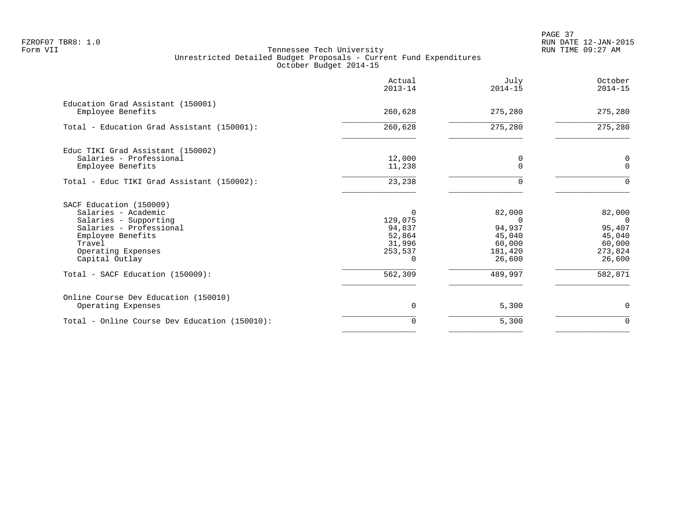PAGE 37 FZROF07 TBR8: 1.0 RUN DATE 12-JAN-2015

|                                                        | Actual<br>$2013 - 14$ | July<br>$2014 - 15$ | October<br>$2014 - 15$ |
|--------------------------------------------------------|-----------------------|---------------------|------------------------|
| Education Grad Assistant (150001)<br>Employee Benefits | 260,628               | 275,280             | 275,280                |
| Total - Education Grad Assistant (150001):             | 260,628               | 275,280             | 275,280                |
| Educ TIKI Grad Assistant (150002)                      |                       |                     |                        |
| Salaries - Professional<br>Employee Benefits           | 12,000<br>11,238      | 0                   | 0<br>$\Omega$          |
| Total - Educ TIKI Grad Assistant (150002):             | 23,238                |                     |                        |
| SACF Education (150009)                                |                       |                     |                        |
| Salaries - Academic                                    | 0                     | 82,000              | 82,000                 |
| Salaries - Supporting                                  | 129,075               | $\Omega$            | $\Omega$               |
| Salaries - Professional                                | 94,837                | 94,937              | 95,407                 |
| Employee Benefits                                      | 52,864                | 45,040              | 45,040                 |
| Travel                                                 | 31,996                | 60,000              | 60,000                 |
| Operating Expenses<br>Capital Outlay                   | 253,537               | 181,420<br>26,600   | 273,824<br>26,600      |
| Total - SACF Education (150009):                       | 562,309               | 489,997             | 582,871                |
| Online Course Dev Education (150010)                   |                       |                     |                        |
| Operating Expenses                                     | 0                     | 5,300               | $\mathbf 0$            |
| Total - Online Course Dev Education (150010):          | $\mathbf 0$           | 5,300               | $\mathbf 0$            |
|                                                        |                       |                     |                        |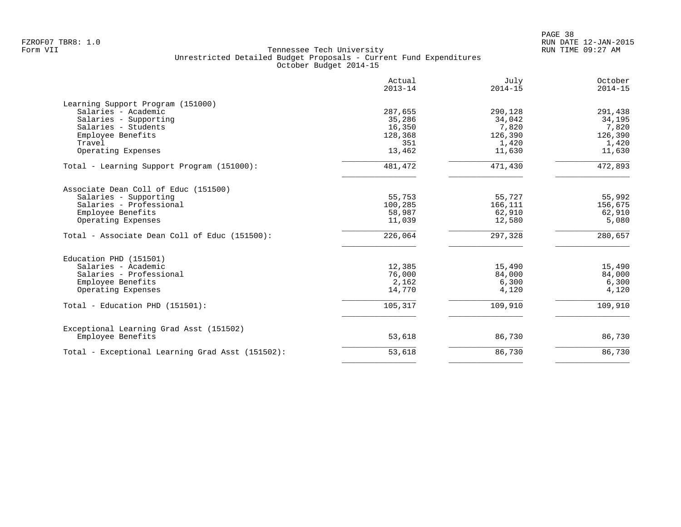|                                                  | Actual<br>$2013 - 14$ | July<br>$2014 - 15$ | October<br>$2014 - 15$ |
|--------------------------------------------------|-----------------------|---------------------|------------------------|
| Learning Support Program (151000)                |                       |                     |                        |
| Salaries - Academic                              | 287,655               | 290,128             | 291,438                |
| Salaries - Supporting                            | 35,286                | 34,042              | 34,195                 |
| Salaries - Students                              | 16,350                | 7,820               | 7,820                  |
| Employee Benefits                                | 128,368               | 126,390             | 126,390                |
| Travel                                           | 351                   | 1,420               | 1,420                  |
| Operating Expenses                               | 13,462                | 11,630              | 11,630                 |
| Total - Learning Support Program (151000):       | 481,472               | 471,430             | 472,893                |
| Associate Dean Coll of Educ (151500)             |                       |                     |                        |
| Salaries - Supporting                            | 55,753                | 55,727              | 55,992                 |
| Salaries - Professional                          | 100,285               | 166,111             | 156,675                |
| Employee Benefits                                | 58,987                | 62,910              | 62,910                 |
| Operating Expenses                               | 11,039                | 12,580              | 5,080                  |
| Total - Associate Dean Coll of Educ (151500):    | 226,064               | 297,328             | 280,657                |
| Education PHD (151501)                           |                       |                     |                        |
| Salaries - Academic                              | 12,385                | 15,490              | 15,490                 |
| Salaries - Professional                          | 76,000                | 84,000              | 84,000                 |
| Employee Benefits                                | 2,162                 | 6,300               | 6,300                  |
| Operating Expenses                               | 14,770                | 4,120               | 4,120                  |
| Total - Education PHD (151501):                  | 105,317               | 109,910             | 109,910                |
| Exceptional Learning Grad Asst (151502)          |                       |                     |                        |
| Employee Benefits                                | 53,618                | 86,730              | 86,730                 |
| Total - Exceptional Learning Grad Asst (151502): | 53,618                | 86,730              | 86,730                 |
|                                                  |                       |                     |                        |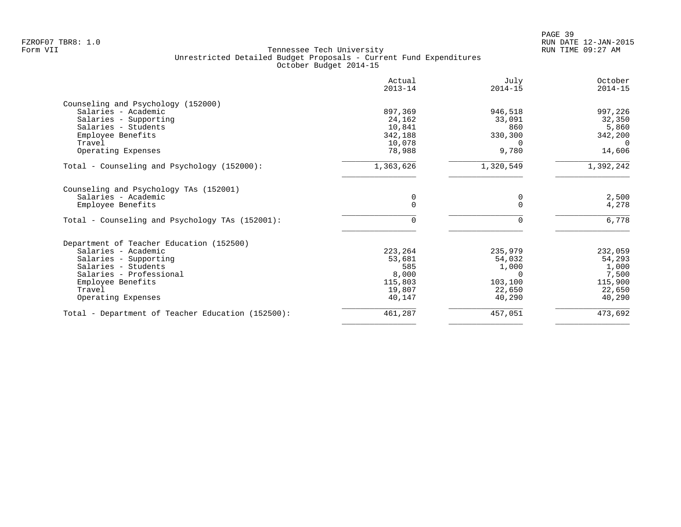| Actual<br>$2013 - 14$ | July<br>$2014 - 15$                              | October<br>$2014 - 15$                           |
|-----------------------|--------------------------------------------------|--------------------------------------------------|
|                       |                                                  |                                                  |
|                       |                                                  | 997,226                                          |
| 24,162                | 33,091                                           | 32,350                                           |
| 10,841                | 860                                              | 5,860                                            |
| 342,188               | 330,300                                          | 342,200                                          |
| 10,078                | 0                                                | $\Omega$                                         |
| 78,988                | 9,780                                            | 14,606                                           |
| 1,363,626             | 1,320,549                                        | 1,392,242                                        |
|                       |                                                  |                                                  |
| 0                     | 0                                                | 2,500                                            |
| $\Omega$              |                                                  | 4,278                                            |
| 0                     |                                                  | 6,778                                            |
|                       |                                                  |                                                  |
|                       |                                                  | 232,059                                          |
|                       |                                                  | 54,293                                           |
| 585                   |                                                  | 1,000                                            |
|                       | $\Omega$                                         | 7,500                                            |
|                       | 103,100                                          | 115,900                                          |
| 19,807                | 22,650                                           | 22,650                                           |
| 40,147                | 40,290                                           | 40,290                                           |
| 461,287               |                                                  | 473,692                                          |
|                       | 897,369<br>223,264<br>53,681<br>8,000<br>115,803 | 946,518<br>235,979<br>54,032<br>1,000<br>457,051 |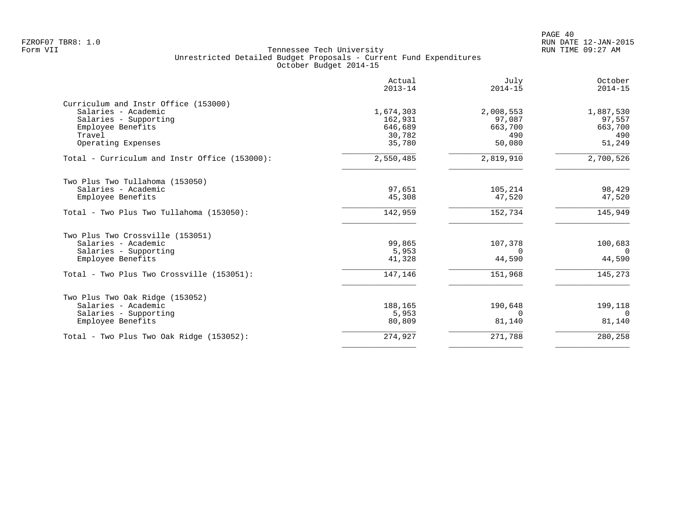|                                                                                                                                           | Actual<br>$2013 - 14$                               | July<br>$2014 - 15$                             | October<br>$2014 - 15$                          |
|-------------------------------------------------------------------------------------------------------------------------------------------|-----------------------------------------------------|-------------------------------------------------|-------------------------------------------------|
| Curriculum and Instr Office (153000)<br>Salaries - Academic<br>Salaries - Supporting<br>Employee Benefits<br>Travel<br>Operating Expenses | 1,674,303<br>162,931<br>646,689<br>30,782<br>35,780 | 2,008,553<br>97,087<br>663,700<br>490<br>50,080 | 1,887,530<br>97,557<br>663,700<br>490<br>51,249 |
| Total - Curriculum and Instr Office (153000):                                                                                             | 2,550,485                                           | 2,819,910                                       | 2,700,526                                       |
| Two Plus Two Tullahoma (153050)<br>Salaries - Academic<br>Employee Benefits                                                               | 97,651<br>45,308                                    | 105,214<br>47,520                               | 98,429<br>47,520                                |
| Total - Two Plus Two Tullahoma (153050):                                                                                                  | 142,959                                             | 152,734                                         | 145,949                                         |
| Two Plus Two Crossville (153051)<br>Salaries - Academic<br>Salaries - Supporting<br>Employee Benefits                                     | 99,865<br>5,953<br>41,328                           | 107,378<br>$\Omega$<br>44,590                   | 100,683<br>$\Omega$<br>44,590                   |
| Total - Two Plus Two Crossville (153051):                                                                                                 | 147,146                                             | 151,968                                         | 145,273                                         |
| Two Plus Two Oak Ridge (153052)<br>Salaries - Academic<br>Salaries - Supporting<br>Employee Benefits                                      | 188,165<br>5,953<br>80,809                          | 190,648<br>$\Omega$<br>81,140                   | 199,118<br>$\Omega$<br>81,140                   |
| Total - Two Plus Two Oak Ridge (153052):                                                                                                  | 274,927                                             | 271,788                                         | 280,258                                         |
|                                                                                                                                           |                                                     |                                                 |                                                 |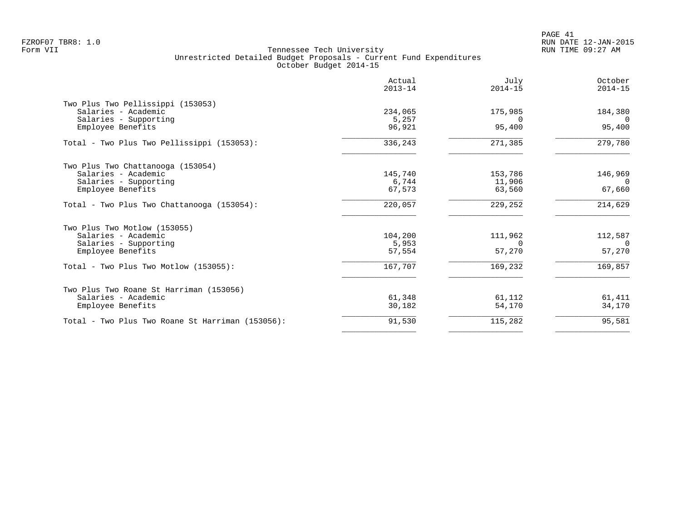|                                                  | Actual<br>$2013 - 14$ | July<br>$2014 - 15$ | October<br>$2014 - 15$ |
|--------------------------------------------------|-----------------------|---------------------|------------------------|
| Two Plus Two Pellissippi (153053)                |                       |                     |                        |
| Salaries - Academic                              | 234,065               | 175,985             | 184,380                |
| Salaries - Supporting                            | 5,257                 |                     |                        |
| Employee Benefits                                | 96,921                | 95,400              | 95,400                 |
| Total - Two Plus Two Pellissippi (153053):       | 336,243               | 271,385             | 279,780                |
| Two Plus Two Chattanooga (153054)                |                       |                     |                        |
| Salaries - Academic                              | 145,740               | 153,786             | 146,969                |
| Salaries - Supporting                            | 6,744                 | 11,906              | $\Omega$               |
| Employee Benefits                                | 67,573                | 63,560              | 67,660                 |
| Total - Two Plus Two Chattanooga (153054):       | 220,057               | 229,252             | 214,629                |
| Two Plus Two Motlow (153055)                     |                       |                     |                        |
| Salaries - Academic                              | 104,200               | 111,962             | 112,587                |
| Salaries - Supporting                            | 5,953                 | $\Omega$            | - റ                    |
| Employee Benefits                                | 57,554                | 57,270              | 57,270                 |
| Total - Two Plus Two Motlow (153055):            | 167,707               | 169,232             | 169,857                |
| Two Plus Two Roane St Harriman (153056)          |                       |                     |                        |
| Salaries - Academic                              | 61,348                | 61,112              | 61,411                 |
| Employee Benefits                                | 30,182                | 54,170              | 34,170                 |
| Total - Two Plus Two Roane St Harriman (153056): | 91,530                | 115,282             | 95,581                 |
|                                                  |                       |                     |                        |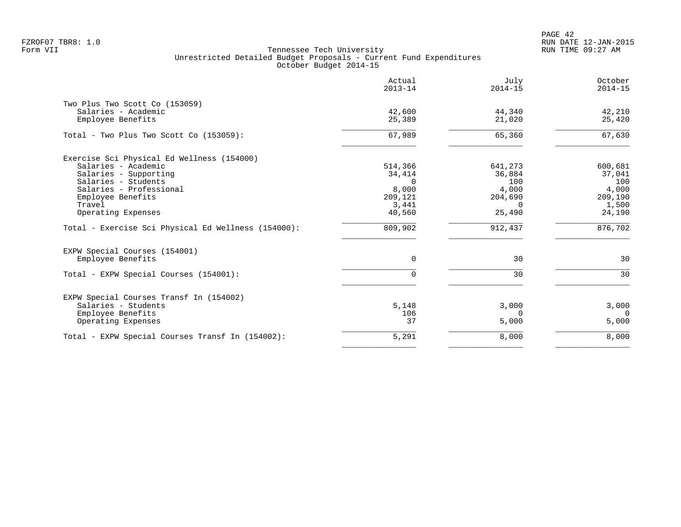PAGE 42 FZROF07 TBR8: 1.0 RUN DATE 12-JAN-2015

| October<br>$2014 - 15$                                                     |
|----------------------------------------------------------------------------|
| 42,210<br>25,420                                                           |
| 67,630                                                                     |
| 600,681<br>37,041<br>100<br>4,000<br>209,190<br>1,500<br>24,190<br>876,702 |
| 30                                                                         |
| 30                                                                         |
| 3,000<br>$\Omega$<br>5,000                                                 |
| 8,000                                                                      |
|                                                                            |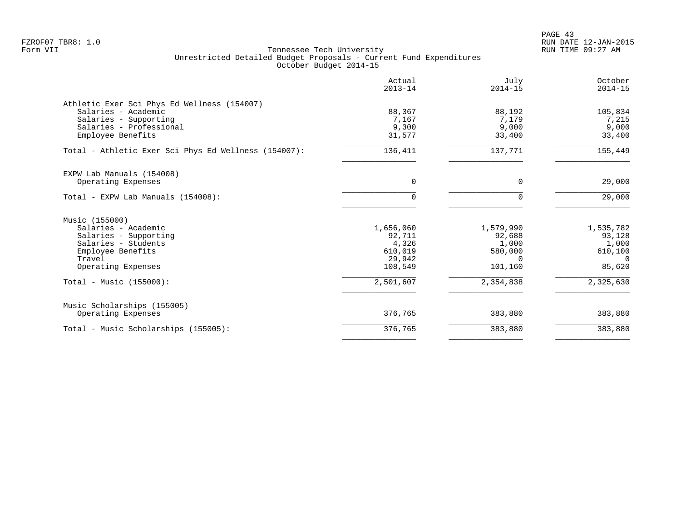|                                                      | Actual<br>$2013 - 14$ | July<br>$2014 - 15$ | October<br>$2014 - 15$ |
|------------------------------------------------------|-----------------------|---------------------|------------------------|
| Athletic Exer Sci Phys Ed Wellness (154007)          |                       |                     |                        |
| Salaries - Academic                                  | 88,367                | 88,192              | 105,834                |
| Salaries - Supporting                                | 7,167                 | 7,179               | 7,215                  |
| Salaries - Professional                              | 9,300                 | 9,000               | 9,000                  |
| Employee Benefits                                    | 31,577                | 33,400              | 33,400                 |
| Total - Athletic Exer Sci Phys Ed Wellness (154007): | 136,411               | 137,771             | 155,449                |
| EXPW Lab Manuals (154008)                            |                       |                     |                        |
| Operating Expenses                                   | $\Omega$              | $\Omega$            | 29,000                 |
| Total - EXPW Lab Manuals (154008):                   | $\Omega$              | $\Omega$            | 29,000                 |
| Music (155000)                                       |                       |                     |                        |
| Salaries - Academic                                  | 1,656,060             | 1,579,990           | 1,535,782              |
| Salaries - Supporting                                | 92,711                | 92,688              | 93,128                 |
| Salaries - Students                                  | 4,326                 | 1,000               | 1,000                  |
| Employee Benefits                                    | 610,019               | 580,000             | 610,100                |
| Travel                                               | 29,942                | $\Omega$            | $\overline{0}$         |
| Operating Expenses                                   | 108,549               | 101,160             | 85,620                 |
| Total - Music (155000):                              | 2,501,607             | 2,354,838           | 2,325,630              |
| Music Scholarships (155005)                          |                       |                     |                        |
| Operating Expenses                                   | 376,765               | 383,880             | 383,880                |
| Total - Music Scholarships (155005):                 | 376,765               | 383,880             | 383,880                |
|                                                      |                       |                     |                        |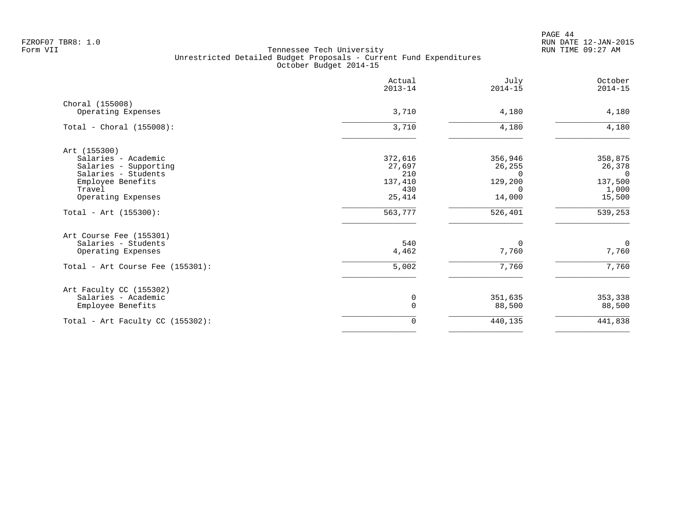|                                       | Actual<br>$2013 - 14$ | July<br>$2014 - 15$ | October<br>$2014 - 15$ |
|---------------------------------------|-----------------------|---------------------|------------------------|
| Choral (155008)<br>Operating Expenses | 3,710                 | 4,180               | 4,180                  |
|                                       |                       |                     |                        |
| Total - Choral $(155008):$            | 3,710                 | 4,180               | 4,180                  |
| Art (155300)                          |                       |                     |                        |
| Salaries - Academic                   | 372,616               | 356,946             | 358,875                |
| Salaries - Supporting                 | 27,697                | 26,255              | 26,378                 |
| Salaries - Students                   | 210                   | $\Omega$            | $\Omega$               |
| Employee Benefits                     | 137,410               | 129,200             | 137,500                |
| Travel                                | 430                   | $\Omega$            | 1,000                  |
| Operating Expenses                    | 25,414                | 14,000              | 15,500                 |
| Total - Art $(155300)$ :              | 563,777               | 526,401             | 539,253                |
| Art Course Fee (155301)               |                       |                     |                        |
| Salaries - Students                   | 540                   | $\Omega$            | $\overline{0}$         |
| Operating Expenses                    | 4,462                 | 7,760               | 7,760                  |
| Total - Art Course Fee (155301):      | 5,002                 | 7,760               | 7,760                  |
| Art Faculty CC (155302)               |                       |                     |                        |
| Salaries - Academic                   | 0                     | 351,635             | 353,338                |
| Employee Benefits                     | $\mathbf 0$           | 88,500              | 88,500                 |
| Total - Art Faculty CC $(155302)$ :   | 0                     | 440,135             | 441,838                |
|                                       |                       |                     |                        |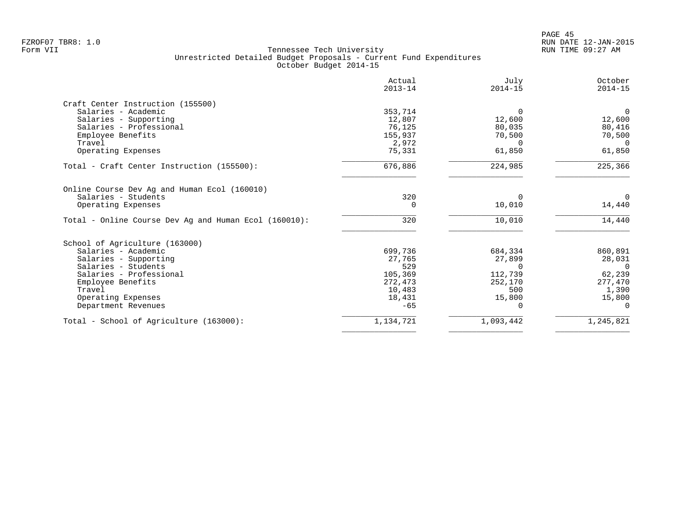|                                                       | Actual<br>$2013 - 14$ | July<br>$2014 - 15$ | October<br>$2014 - 15$ |
|-------------------------------------------------------|-----------------------|---------------------|------------------------|
| Craft Center Instruction (155500)                     |                       |                     |                        |
| Salaries - Academic                                   | 353,714               | $\Omega$            | $\overline{0}$         |
| Salaries - Supporting                                 | 12,807                | 12,600              | 12,600                 |
| Salaries - Professional                               | 76,125                | 80,035              | 80,416                 |
| Employee Benefits                                     | 155,937               | 70,500              | 70,500                 |
| Travel                                                | 2,972                 | $\Omega$            | $\Omega$               |
| Operating Expenses                                    | 75,331                | 61,850              | 61,850                 |
| Total - Craft Center Instruction (155500):            | 676,886               | 224,985             | 225,366                |
| Online Course Dev Ag and Human Ecol (160010)          |                       |                     |                        |
| Salaries - Students                                   | 320                   | $\Omega$            | $\Omega$               |
| Operating Expenses                                    | 0                     | 10,010              | 14,440                 |
| Total - Online Course Dev Ag and Human Ecol (160010): | 320                   | 10,010              | 14,440                 |
| School of Agriculture (163000)                        |                       |                     |                        |
| Salaries - Academic                                   | 699,736               | 684,334             | 860,891                |
| Salaries - Supporting                                 | 27,765                | 27,899              | 28,031                 |
| Salaries - Students                                   | 529                   | $\Omega$            | $\mathbf{0}$           |
| Salaries - Professional                               | 105,369               | 112,739             | 62,239                 |
| Employee Benefits                                     | 272,473               | 252,170             | 277,470                |
| Travel                                                | 10,483                | 500                 | 1,390                  |
| Operating Expenses                                    | 18,431                | 15,800              | 15,800                 |
| Department Revenues                                   | $-65$                 | ∩                   | $\Omega$               |
| Total - School of Agriculture (163000):               | 1,134,721             | 1,093,442           | 1,245,821              |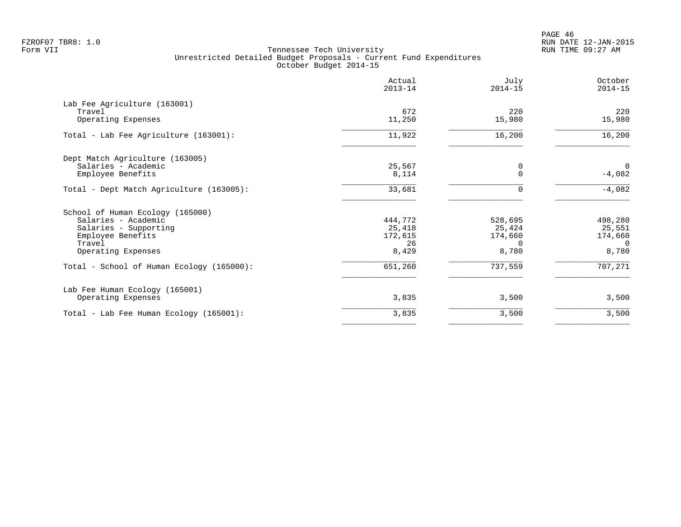|                                           | Actual<br>$2013 - 14$ | July<br>$2014 - 15$ | October<br>$2014 - 15$ |
|-------------------------------------------|-----------------------|---------------------|------------------------|
| Lab Fee Agriculture (163001)              |                       |                     |                        |
| Travel                                    | 672                   | 220                 | 220                    |
| Operating Expenses                        | 11,250                | 15,980              | 15,980                 |
| Total - Lab Fee Agriculture (163001):     | 11,922                | 16,200              | 16,200                 |
| Dept Match Agriculture (163005)           |                       |                     |                        |
| Salaries - Academic                       | 25,567                | 0                   | $\mathbf{0}$           |
| Employee Benefits                         | 8,114                 | $\mathbf 0$         | $-4,082$               |
| Total - Dept Match Agriculture (163005):  | 33,681                | $\Omega$            | $-4,082$               |
| School of Human Ecology (165000)          |                       |                     |                        |
| Salaries - Academic                       | 444,772               | 528,695             | 498,280                |
| Salaries - Supporting                     | 25,418                | 25,424              | 25,551                 |
| Employee Benefits                         | 172,615               | 174,660             | 174,660                |
| Travel                                    | 26                    | $\Omega$            | $\Omega$               |
| Operating Expenses                        | 8,429                 | 8,780               | 8,780                  |
| Total - School of Human Ecology (165000): | 651,260               | 737,559             | 707,271                |
| Lab Fee Human Ecology (165001)            |                       |                     |                        |
| Operating Expenses                        | 3,835                 | 3,500               | 3,500                  |
| Total - Lab Fee Human Ecology (165001):   | 3,835                 | 3,500               | 3,500                  |
|                                           |                       |                     |                        |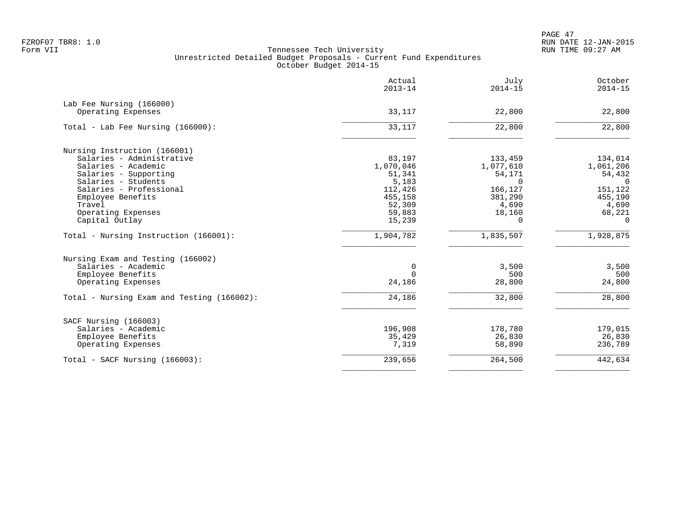PAGE 47 FZROF07 TBR8: 1.0 RUN DATE 12-JAN-2015

|                                            | Actual<br>$2013 - 14$ | July<br>$2014 - 15$ | October<br>$2014 - 15$ |
|--------------------------------------------|-----------------------|---------------------|------------------------|
| Lab Fee Nursing (166000)                   |                       |                     |                        |
| Operating Expenses                         | 33,117                | 22,800              | 22,800                 |
| Total - Lab Fee Nursing (166000):          | 33,117                | 22,800              | 22,800                 |
| Nursing Instruction (166001)               |                       |                     |                        |
| Salaries - Administrative                  | 83,197                | 133,459             | 134,014                |
| Salaries - Academic                        | 1,070,046             | 1,077,610           | 1,061,206              |
| Salaries - Supporting                      | 51,341                | 54,171              | 54,432                 |
| Salaries - Students                        | 5,183                 | $\Omega$            | $\Omega$               |
| Salaries - Professional                    | 112,426               | 166,127             | 151,122                |
| Employee Benefits                          | 455,158               | 381,290             | 455,190                |
| Travel                                     | 52,309                | 4,690               | 4,690                  |
| Operating Expenses                         | 59,883                | 18,160              | 68,221                 |
| Capital Outlay                             | 15,239                | $\Omega$            | $\Omega$               |
| Total - Nursing Instruction (166001):      | 1,904,782             | 1,835,507           | 1,928,875              |
| Nursing Exam and Testing (166002)          |                       |                     |                        |
| Salaries - Academic                        | 0                     | 3,500               | 3,500                  |
| Employee Benefits                          | 0                     | 500                 | 500                    |
| Operating Expenses                         | 24,186                | 28,800              | 24,800                 |
| Total - Nursing Exam and Testing (166002): | 24,186                | 32,800              | 28,800                 |
| SACF Nursing (166003)                      |                       |                     |                        |
| Salaries - Academic                        | 196,908               | 178,780             | 179,015                |
| Employee Benefits                          | 35,429                | 26,830              | 26,830                 |
| Operating Expenses                         | 7,319                 | 58,890              | 236,789                |
| Total - SACF Nursing (166003):             | 239,656               | 264,500             | 442,634                |
|                                            |                       |                     |                        |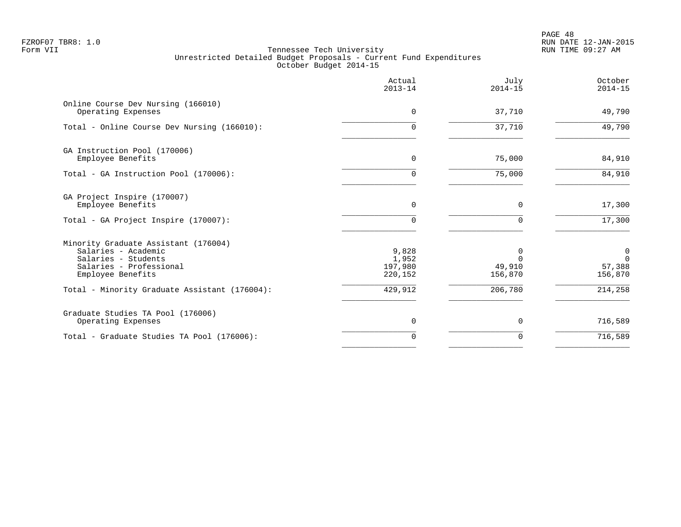PAGE 48 FZROF07 TBR8: 1.0 RUN DATE 12-JAN-2015

|                                                                                                                                    | Actual<br>$2013 - 14$                | July<br>$2014 - 15$    | October<br>$2014 - 15$                          |
|------------------------------------------------------------------------------------------------------------------------------------|--------------------------------------|------------------------|-------------------------------------------------|
| Online Course Dev Nursing (166010)<br>Operating Expenses                                                                           | 0                                    | 37,710                 | 49,790                                          |
| Total - Online Course Dev Nursing (166010):                                                                                        | $\Omega$                             | 37,710                 | 49,790                                          |
| GA Instruction Pool (170006)<br>Employee Benefits                                                                                  | $\mathbf 0$                          | 75,000                 | 84,910                                          |
| Total - GA Instruction Pool (170006):                                                                                              | $\Omega$                             | 75,000                 | 84,910                                          |
| GA Project Inspire (170007)<br>Employee Benefits                                                                                   | $\Omega$                             | $\Omega$               | 17,300                                          |
| Total - GA Project Inspire (170007):                                                                                               | $\Omega$                             | O                      | 17,300                                          |
| Minority Graduate Assistant (176004)<br>Salaries - Academic<br>Salaries - Students<br>Salaries - Professional<br>Employee Benefits | 9,828<br>1,952<br>197,980<br>220,152 | 0<br>49,910<br>156,870 | $\overline{0}$<br>$\Omega$<br>57,388<br>156,870 |
| Total - Minority Graduate Assistant (176004):                                                                                      | 429,912                              | 206,780                | 214,258                                         |
| Graduate Studies TA Pool (176006)<br>Operating Expenses                                                                            | 0                                    | 0                      | 716,589                                         |
| Total - Graduate Studies TA Pool (176006):                                                                                         | $\Omega$                             | $\Omega$               | 716,589                                         |
|                                                                                                                                    |                                      |                        |                                                 |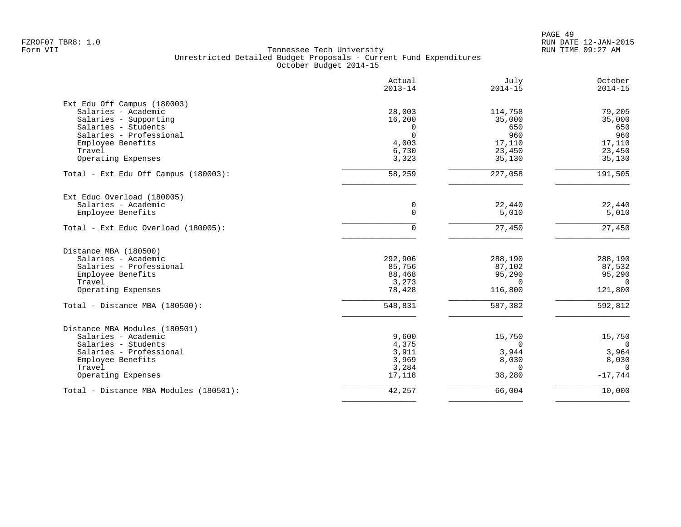|                                        | Actual<br>$2013 - 14$ | July<br>$2014 - 15$ | October<br>$2014 - 15$ |
|----------------------------------------|-----------------------|---------------------|------------------------|
| Ext Edu Off Campus (180003)            |                       |                     |                        |
| Salaries - Academic                    | 28,003                | 114,758             | 79,205                 |
| Salaries - Supporting                  | 16,200                | 35,000              | 35,000                 |
| Salaries - Students                    | $\Omega$              | 650                 | 650                    |
| Salaries - Professional                | $\Omega$              | 960                 | 960                    |
| Employee Benefits                      | 4,003                 | 17,110              | 17,110                 |
| Travel                                 | 6,730                 | 23,450              | 23,450                 |
| Operating Expenses                     | 3,323                 | 35,130              | 35,130                 |
| Total - Ext Edu Off Campus (180003):   | 58,259                | 227,058             | 191,505                |
| Ext Educ Overload (180005)             |                       |                     |                        |
| Salaries - Academic                    | 0                     | 22,440              | 22,440                 |
| Employee Benefits                      | $\mathbf 0$           | 5,010               | 5,010                  |
| Total - Ext Educ Overload (180005):    | $\Omega$              | 27,450              | 27,450                 |
| Distance MBA (180500)                  |                       |                     |                        |
| Salaries - Academic                    | 292,906               | 288,190             | 288,190                |
| Salaries - Professional                | 85,756                | 87,102              | 87,532                 |
| Employee Benefits                      | 88,468                | 95,290              | 95,290                 |
| Travel                                 | 3,273                 | $\Omega$            | $\Omega$               |
| Operating Expenses                     | 78,428                | 116,800             | 121,800                |
| Total - Distance MBA (180500):         | 548,831               | 587,382             | 592,812                |
| Distance MBA Modules (180501)          |                       |                     |                        |
| Salaries - Academic                    | 9,600                 | 15,750              | 15,750                 |
| Salaries - Students                    | 4,375                 | $\Omega$            | $\overline{0}$         |
| Salaries - Professional                | 3,911                 | 3,944               | 3,964                  |
| Employee Benefits                      | 3,969                 | 8,030               | 8,030                  |
| Travel                                 | 3,284                 | $\Omega$            | $\Omega$               |
| Operating Expenses                     | 17,118                | 38,280              | $-17,744$              |
| Total - Distance MBA Modules (180501): | 42,257                | 66,004              | 10,000                 |
|                                        |                       |                     |                        |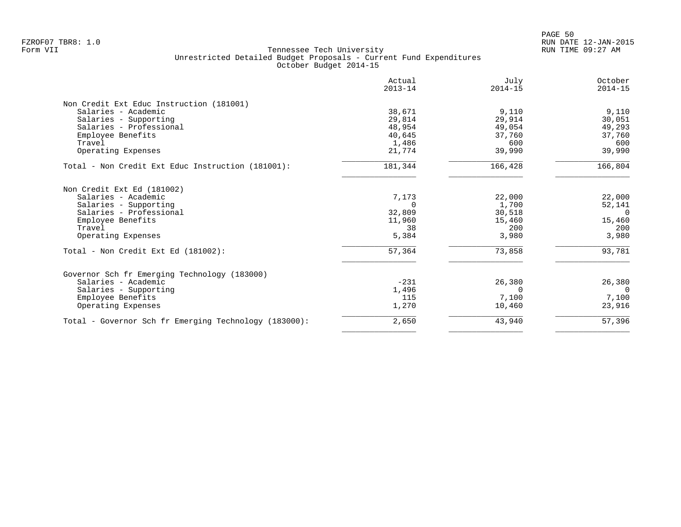|                                                       | Actual<br>$2013 - 14$ | July<br>$2014 - 15$ | October<br>$2014 - 15$ |
|-------------------------------------------------------|-----------------------|---------------------|------------------------|
| Non Credit Ext Educ Instruction (181001)              |                       |                     |                        |
| Salaries - Academic                                   | 38,671                | 9,110               | 9,110                  |
| Salaries - Supporting                                 | 29,814                | 29,914              | 30,051                 |
| Salaries - Professional                               | 48,954                | 49,054              | 49,293                 |
| Employee Benefits                                     | 40,645                | 37,760              | 37,760                 |
| Travel                                                | 1,486                 | 600                 | 600                    |
| Operating Expenses                                    | 21,774                | 39,990              | 39,990                 |
| Total - Non Credit Ext Educ Instruction (181001):     | 181,344               | 166,428             | 166,804                |
| Non Credit Ext Ed (181002)                            |                       |                     |                        |
| Salaries - Academic                                   | 7,173                 | 22,000              | 22,000                 |
| Salaries - Supporting                                 | $\Omega$              | 1,700               | 52,141                 |
| Salaries - Professional                               | 32,809                | 30,518              | $\Omega$               |
| Employee Benefits                                     | 11,960                | 15,460              | 15,460                 |
| Travel                                                | 38                    | 200                 | 200                    |
| Operating Expenses                                    | 5,384                 | 3,980               | 3,980                  |
| Total - Non Credit Ext Ed (181002):                   | 57,364                | 73,858              | 93,781                 |
| Governor Sch fr Emerging Technology (183000)          |                       |                     |                        |
| Salaries - Academic                                   | $-231$                | 26,380              | 26,380                 |
| Salaries - Supporting                                 | 1,496                 | $\Omega$            | $\Omega$               |
| Employee Benefits                                     | 115                   | 7,100               | 7,100                  |
| Operating Expenses                                    | 1,270                 | 10,460              | 23,916                 |
| Total - Governor Sch fr Emerging Technology (183000): | 2,650                 | 43,940              | 57,396                 |
|                                                       |                       |                     |                        |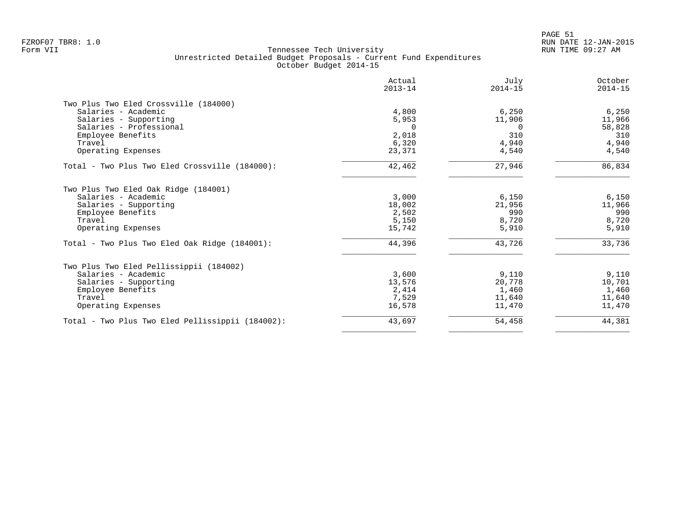|                                                  | Actual<br>$2013 - 14$ | July<br>$2014 - 15$ | October<br>$2014 - 15$ |
|--------------------------------------------------|-----------------------|---------------------|------------------------|
| Two Plus Two Eled Crossville (184000)            |                       |                     |                        |
| Salaries - Academic                              | 4,800                 | 6,250               | 6,250                  |
| Salaries - Supporting                            | 5,953                 | 11,906              | 11,966                 |
| Salaries - Professional                          | $\Omega$              | $\Omega$            | 58,828                 |
| Employee Benefits                                | 2,018                 | 310                 | 310                    |
| Travel                                           | 6,320                 | 4,940               | 4,940                  |
| Operating Expenses                               | 23,371                | 4,540               | 4,540                  |
| Total - Two Plus Two Eled Crossville (184000):   | 42,462                | 27,946              | 86,834                 |
| Two Plus Two Eled Oak Ridge (184001)             |                       |                     |                        |
| Salaries - Academic                              | 3,000                 | 6,150               | 6,150                  |
| Salaries - Supporting                            | 18,002                | 21,956              | 11,966                 |
| Employee Benefits                                | 2,502                 | 990                 | 990                    |
| Travel                                           | 5,150                 | 8,720               | 8,720                  |
| Operating Expenses                               | 15,742                | 5,910               | 5,910                  |
| Total - Two Plus Two Eled Oak Ridge (184001):    | 44,396                | 43,726              | 33,736                 |
| Two Plus Two Eled Pellissippii (184002)          |                       |                     |                        |
| Salaries - Academic                              | 3,600                 | 9,110               | 9,110                  |
| Salaries - Supporting                            | 13,576                | 20,778              | 10,701                 |
| Employee Benefits                                | 2,414                 | 1,460               | 1,460                  |
| Travel                                           | 7,529                 | 11,640              | 11,640                 |
| Operating Expenses                               | 16,578                | 11,470              | 11,470                 |
| Total - Two Plus Two Eled Pellissippii (184002): | 43,697                | 54,458              | 44,381                 |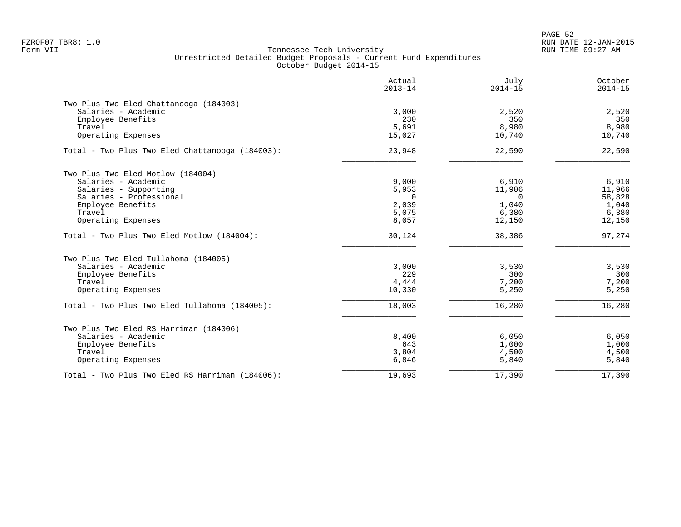PAGE 52 FZROF07 TBR8: 1.0 RUN DATE 12-JAN-2015

|                                                 | Actual<br>$2013 - 14$ | July<br>$2014 - 15$ | October<br>$2014 - 15$ |
|-------------------------------------------------|-----------------------|---------------------|------------------------|
| Two Plus Two Eled Chattanooga (184003)          |                       |                     |                        |
| Salaries - Academic                             | 3,000                 | 2,520               | 2,520                  |
| Employee Benefits                               | 230                   | 350                 | 350                    |
| Travel                                          | 5,691                 | 8,980               | 8,980                  |
| Operating Expenses                              | 15,027                | 10,740              | 10,740                 |
| Total - Two Plus Two Eled Chattanooga (184003): | 23,948                | 22,590              | 22,590                 |
| Two Plus Two Eled Motlow (184004)               |                       |                     |                        |
| Salaries - Academic                             | 9,000                 | 6,910               | 6,910                  |
| Salaries - Supporting                           | 5,953                 | 11,906              | 11,966                 |
| Salaries - Professional                         | $\Omega$              | $\Omega$            | 58,828                 |
| Employee Benefits                               | 2,039                 | 1,040               | 1,040                  |
| Travel                                          | 5,075                 | 6,380               | 6,380                  |
| Operating Expenses                              | 8,057                 | 12,150              | 12,150                 |
| Total - Two Plus Two Eled Motlow (184004):      | 30,124                | 38,386              | 97,274                 |
| Two Plus Two Eled Tullahoma (184005)            |                       |                     |                        |
| Salaries - Academic                             | 3,000                 | 3,530               | 3,530                  |
| Employee Benefits                               | 229                   | 300                 | 300                    |
| Travel                                          | 4,444                 | 7,200               | 7,200                  |
| Operating Expenses                              | 10,330                | 5,250               | 5,250                  |
| Total - Two Plus Two Eled Tullahoma (184005):   | 18,003                | 16,280              | 16,280                 |
| Two Plus Two Eled RS Harriman (184006)          |                       |                     |                        |
| Salaries - Academic                             | 8,400                 | 6,050               | 6,050                  |
| Employee Benefits                               | 643                   | 1,000               | 1,000                  |
| Travel                                          | 3,804                 | 4,500               | 4,500                  |
| Operating Expenses                              | 6,846                 | 5,840               | 5,840                  |
| Total - Two Plus Two Eled RS Harriman (184006): | 19,693                | 17,390              | 17,390                 |
|                                                 |                       |                     |                        |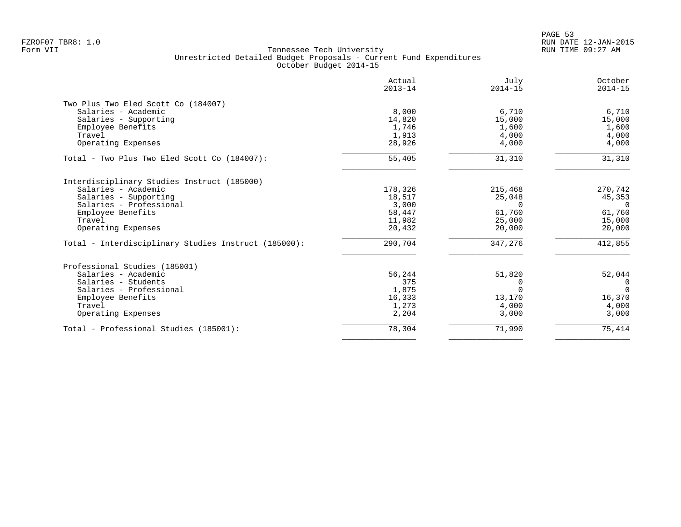|                                                      | Actual<br>$2013 - 14$ | July<br>$2014 - 15$ | October<br>$2014 - 15$ |
|------------------------------------------------------|-----------------------|---------------------|------------------------|
| Two Plus Two Eled Scott Co (184007)                  |                       |                     |                        |
| Salaries - Academic                                  | 8,000                 | 6,710               | 6,710                  |
| Salaries - Supporting                                | 14,820                | 15,000              | 15,000                 |
| Employee Benefits                                    | 1,746                 | 1,600               | 1,600                  |
| Travel                                               | 1,913                 | 4,000               | 4,000                  |
| Operating Expenses                                   | 28,926                | 4,000               | 4,000                  |
| Total - Two Plus Two Eled Scott Co (184007):         | 55,405                | 31,310              | 31,310                 |
| Interdisciplinary Studies Instruct (185000)          |                       |                     |                        |
| Salaries - Academic                                  | 178,326               | 215,468             | 270,742                |
| Salaries - Supporting                                | 18,517                | 25,048              | 45,353                 |
| Salaries - Professional                              | 3,000                 | $\Omega$            | $\Omega$               |
| Employee Benefits                                    | 58,447                | 61,760              | 61,760                 |
| Travel                                               | 11,982                | 25,000              | 15,000                 |
| Operating Expenses                                   | 20,432                | 20,000              | 20,000                 |
| Total - Interdisciplinary Studies Instruct (185000): | 290,704               | 347,276             | 412,855                |
| Professional Studies (185001)                        |                       |                     |                        |
| Salaries - Academic                                  | 56,244                | 51,820              | 52,044                 |
| Salaries - Students                                  | 375                   | $\Omega$            | $\Omega$               |
| Salaries - Professional                              | 1,875                 | $\Omega$            | $\Omega$               |
| Employee Benefits                                    | 16,333                | 13,170              | 16,370                 |
| Travel                                               | 1,273                 | 4,000               | 4,000                  |
| Operating Expenses                                   | 2,204                 | 3,000               | 3,000                  |
| Total - Professional Studies (185001):               | 78,304                | 71,990              | 75,414                 |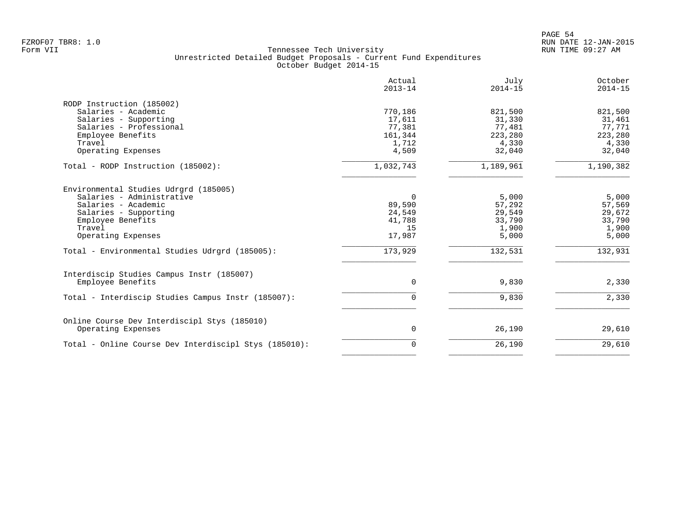|                                                                                                                                                                                                                           | Actual<br>$2013 - 14$                                      | July<br>$2014 - 15$                                              | October<br>$2014 - 15$                                           |
|---------------------------------------------------------------------------------------------------------------------------------------------------------------------------------------------------------------------------|------------------------------------------------------------|------------------------------------------------------------------|------------------------------------------------------------------|
| RODP Instruction (185002)<br>Salaries - Academic<br>Salaries - Supporting<br>Salaries - Professional<br>Employee Benefits<br>Travel<br>Operating Expenses                                                                 | 770,186<br>17,611<br>77,381<br>161,344<br>1,712<br>4,509   | 821,500<br>31,330<br>77,481<br>223,280<br>4,330<br>32,040        | 821,500<br>31,461<br>77,771<br>223,280<br>4,330<br>32,040        |
| Total - RODP Instruction (185002):                                                                                                                                                                                        | 1,032,743                                                  | 1,189,961                                                        | 1,190,382                                                        |
| Environmental Studies Udrgrd (185005)<br>Salaries - Administrative<br>Salaries - Academic<br>Salaries - Supporting<br>Employee Benefits<br>Travel<br>Operating Expenses<br>Total - Environmental Studies Udrgrd (185005): | 0<br>89,590<br>24,549<br>41,788<br>15<br>17,987<br>173,929 | 5,000<br>57,292<br>29,549<br>33,790<br>1,900<br>5,000<br>132,531 | 5,000<br>57,569<br>29,672<br>33,790<br>1,900<br>5,000<br>132,931 |
| Interdiscip Studies Campus Instr (185007)<br>Employee Benefits                                                                                                                                                            | 0                                                          | 9,830                                                            | 2,330                                                            |
| Total - Interdiscip Studies Campus Instr (185007):                                                                                                                                                                        | $\Omega$                                                   | 9,830                                                            | 2,330                                                            |
| Online Course Dev Interdiscipl Stys (185010)<br>Operating Expenses                                                                                                                                                        | 0                                                          | 26,190                                                           | 29,610                                                           |
| Total - Online Course Dev Interdiscipl Stys (185010):                                                                                                                                                                     | $\Omega$                                                   | 26,190                                                           | 29,610                                                           |
|                                                                                                                                                                                                                           |                                                            |                                                                  |                                                                  |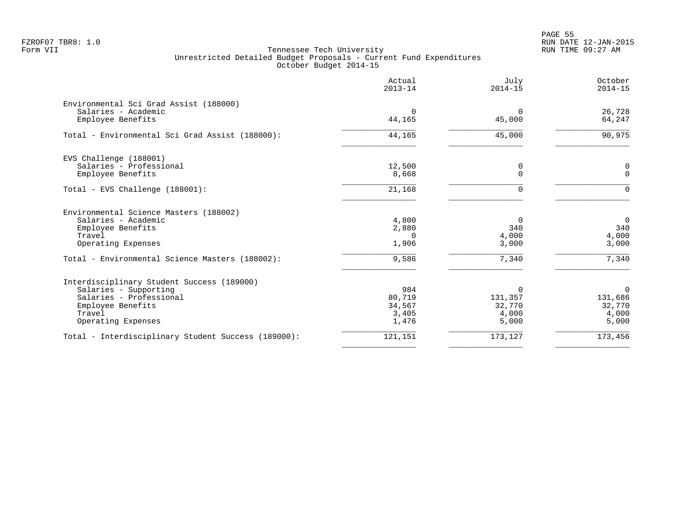en and the state of the state of the state of the state of the state of the state of the state of the state of the state of the state of the state of the state of the state of the state of the state of the state of the sta FZROF07 TBR8: 1.0 RUN DATE 12-JAN-2015

| Actual      | July        | October     |
|-------------|-------------|-------------|
| $2013 - 14$ | $2014 - 15$ | $2014 - 15$ |
| $\Omega$    | $\Omega$    | 26,728      |
| 44,165      | 45,000      | 64,247      |
| 44,165      | 45,000      | 90,975      |
| 12,500      | 0           | 0           |
| 8,668       | $\Omega$    | $\Omega$    |
| 21,168      | $\Omega$    | $\Omega$    |
| 4,800       | 0           | $\mathbf 0$ |
| 2,880       | 340         | 340         |
| $\Omega$    | 4,000       | 4,000       |
| 1,906       | 3,000       | 3,000       |
| 9,586       | 7,340       | 7,340       |
| 984         | $\Omega$    | $\mathbf 0$ |
| 80,719      | 131,357     | 131,686     |
| 34,567      | 32,770      | 32,770      |
| 3,405       | 4,000       | 4,000       |
| 1,476       | 5,000       | 5,000       |
| 121,151     | 173,127     | 173,456     |
|             |             |             |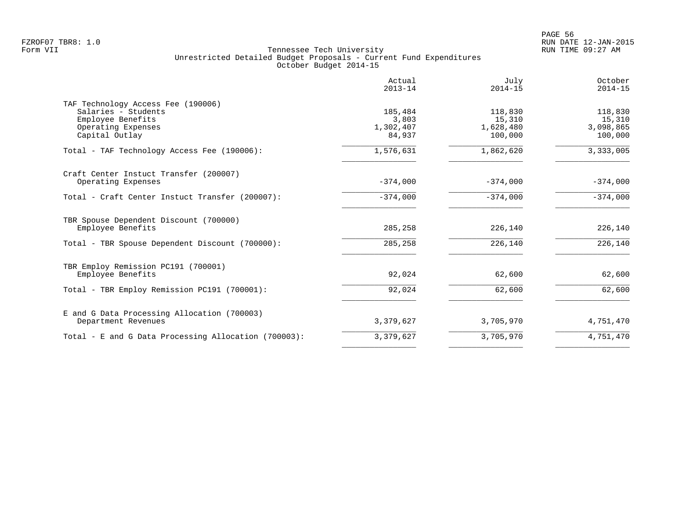|                                                                                                                        | Actual<br>$2013 - 14$                   | July<br>$2014 - 15$                       | October<br>$2014 - 15$                    |
|------------------------------------------------------------------------------------------------------------------------|-----------------------------------------|-------------------------------------------|-------------------------------------------|
| TAF Technology Access Fee (190006)<br>Salaries - Students<br>Employee Benefits<br>Operating Expenses<br>Capital Outlay | 185,484<br>3,803<br>1,302,407<br>84,937 | 118,830<br>15,310<br>1,628,480<br>100,000 | 118,830<br>15,310<br>3,098,865<br>100,000 |
| Total - TAF Technology Access Fee (190006):                                                                            | 1,576,631                               | 1,862,620                                 | 3, 333, 005                               |
| Craft Center Instuct Transfer (200007)<br>Operating Expenses                                                           | $-374,000$                              | $-374,000$                                | $-374,000$                                |
| Total - Craft Center Instuct Transfer (200007):                                                                        | $-374,000$                              | $-374,000$                                | $-374,000$                                |
| TBR Spouse Dependent Discount (700000)<br>Employee Benefits                                                            | 285,258                                 | 226,140                                   | 226,140                                   |
| Total - TBR Spouse Dependent Discount (700000):                                                                        | 285,258                                 | 226,140                                   | 226,140                                   |
| TBR Employ Remission PC191 (700001)<br>Employee Benefits                                                               | 92,024                                  | 62,600                                    | 62,600                                    |
| Total - TBR Employ Remission PC191 (700001):                                                                           | 92,024                                  | 62,600                                    | 62,600                                    |
| E and G Data Processing Allocation (700003)<br>Department Revenues                                                     | 3,379,627                               | 3,705,970                                 | 4,751,470                                 |
| Total - E and G Data Processing Allocation (700003):                                                                   | 3,379,627                               | 3,705,970                                 | 4,751,470                                 |
|                                                                                                                        |                                         |                                           |                                           |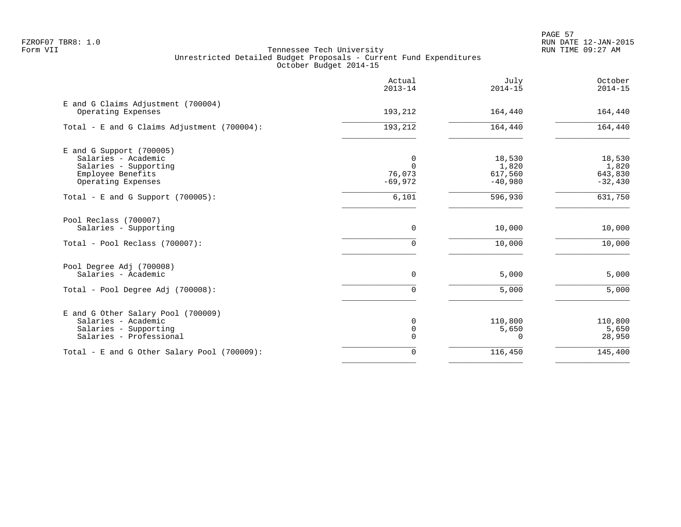|                                                                                                                       | Actual<br>$2013 - 14$                | July<br>$2014 - 15$                     | October<br>$2014 - 15$                  |
|-----------------------------------------------------------------------------------------------------------------------|--------------------------------------|-----------------------------------------|-----------------------------------------|
| E and G Claims Adjustment (700004)<br>Operating Expenses                                                              | 193,212                              | 164,440                                 | 164,440                                 |
| Total - E and G Claims Adjustment (700004):                                                                           | 193,212                              | 164,440                                 | 164,440                                 |
| $E$ and G Support (700005)<br>Salaries - Academic<br>Salaries - Supporting<br>Employee Benefits<br>Operating Expenses | 0<br>$\Omega$<br>76,073<br>$-69,972$ | 18,530<br>1,820<br>617,560<br>$-40,980$ | 18,530<br>1,820<br>643,830<br>$-32,430$ |
| Total - E and G Support $(700005)$ :                                                                                  | 6,101                                | 596,930                                 | 631,750                                 |
| Pool Reclass (700007)<br>Salaries - Supporting                                                                        | 0                                    | 10,000                                  | 10,000                                  |
| Total - Pool Reclass (700007):                                                                                        | $\Omega$                             | 10,000                                  | 10,000                                  |
| Pool Degree Adj (700008)<br>Salaries - Academic                                                                       | 0                                    | 5,000                                   | 5,000                                   |
| Total - Pool Degree Adj (700008):                                                                                     | $\Omega$                             | 5,000                                   | 5,000                                   |
| E and G Other Salary Pool (700009)<br>Salaries - Academic<br>Salaries - Supporting<br>Salaries - Professional         | 0<br>0<br>$\mathbf 0$                | 110,800<br>5,650<br>0                   | 110,800<br>5,650<br>28,950              |
| Total - E and G Other Salary Pool (700009):                                                                           | 0                                    | 116,450                                 | 145,400                                 |
|                                                                                                                       |                                      |                                         |                                         |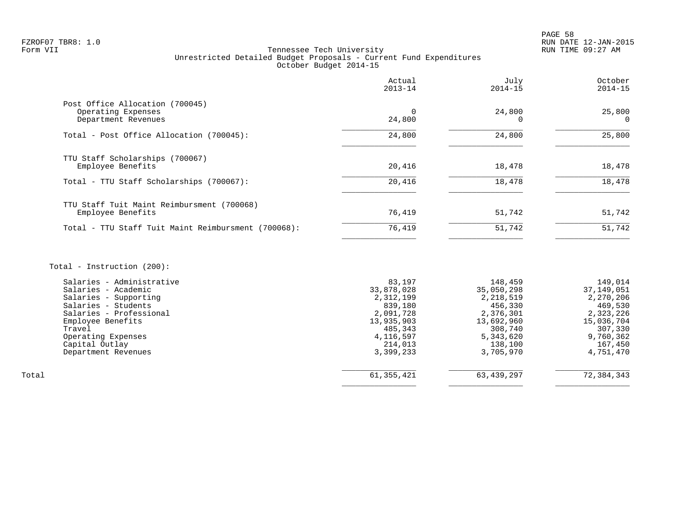# FZROF07 TBR8: 1.0 RUN DATE 12-JAN-2015 Tennessee Tech University Unrestricted Detailed Budget Proposals - Current Fund Expenditures October Budget 2014-15

|                                                                              | Actual<br>$2013 - 14$ | July<br>$2014 - 15$ | October<br>$2014 - 15$ |
|------------------------------------------------------------------------------|-----------------------|---------------------|------------------------|
| Post Office Allocation (700045)<br>Operating Expenses<br>Department Revenues | 24,800                | 24,800              | 25,800<br>$\Omega$     |
| Total - Post Office Allocation (700045):                                     | 24,800                | 24,800              | 25,800                 |
| TTU Staff Scholarships (700067)<br>Employee Benefits                         | 20,416                | 18,478              | 18,478                 |
| Total - TTU Staff Scholarships (700067):                                     | 20,416                | 18,478              | 18,478                 |
| TTU Staff Tuit Maint Reimbursment (700068)<br>Employee Benefits              | 76,419                | 51,742              | 51,742                 |
| Total - TTU Staff Tuit Maint Reimbursment (700068):                          | 76,419                | 51,742              | 51,742                 |
|                                                                              |                       |                     |                        |

# Total - Instruction (200):

|       | Salaries - Administrative | 83,197     | 148,459      | 149,014    |
|-------|---------------------------|------------|--------------|------------|
|       | Salaries - Academic       | 33,878,028 | 35,050,298   | 37,149,051 |
|       | Salaries - Supporting     | 2,312,199  | 2,218,519    | 2,270,206  |
|       | Salaries - Students       | 839,180    | 456,330      | 469,530    |
|       | Salaries - Professional   | 2,091,728  | 2,376,301    | 2,323,226  |
|       | Employee Benefits         | 13,935,903 | 13,692,960   | 15,036,704 |
|       | Travel                    | 485,343    | 308,740      | 307,330    |
|       | Operating Expenses        | 4,116,597  | 5,343,620    | 9,760,362  |
|       | Capital Outlay            | 214,013    | 138,100      | 167,450    |
|       | Department Revenues       | 3,399,233  | 3,705,970    | 4,751,470  |
|       |                           |            |              |            |
| Total |                           | 61,355,421 | 63, 439, 297 | 72,384,343 |
|       |                           |            |              |            |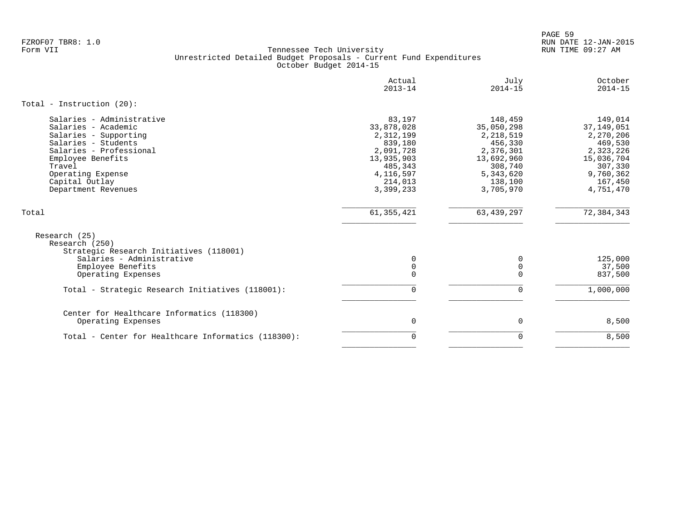PAGE 59 FZROF07 TBR8: 1.0 RUN DATE 12-JAN-2015

|                                                                                                                                                                                                                          | Actual<br>$2013 - 14$                                                                                                     | July<br>$2014 - 15$                                                                                                        | October<br>$2014 - 15$                                                                                                     |
|--------------------------------------------------------------------------------------------------------------------------------------------------------------------------------------------------------------------------|---------------------------------------------------------------------------------------------------------------------------|----------------------------------------------------------------------------------------------------------------------------|----------------------------------------------------------------------------------------------------------------------------|
| Total - Instruction $(20)$ :                                                                                                                                                                                             |                                                                                                                           |                                                                                                                            |                                                                                                                            |
| Salaries - Administrative<br>Salaries - Academic<br>Salaries - Supporting<br>Salaries - Students<br>Salaries - Professional<br>Employee Benefits<br>Travel<br>Operating Expense<br>Capital Outlay<br>Department Revenues | 83,197<br>33,878,028<br>2,312,199<br>839,180<br>2,091,728<br>13,935,903<br>485,343<br>4, 116, 597<br>214,013<br>3,399,233 | 148,459<br>35,050,298<br>2,218,519<br>456,330<br>2,376,301<br>13,692,960<br>308,740<br>5, 343, 620<br>138,100<br>3,705,970 | 149,014<br>37, 149, 051<br>2,270,206<br>469,530<br>2,323,226<br>15,036,704<br>307,330<br>9,760,362<br>167,450<br>4,751,470 |
| Total                                                                                                                                                                                                                    | 61, 355, 421                                                                                                              | 63, 439, 297                                                                                                               | 72, 384, 343                                                                                                               |
| Research (25)<br>Research (250)<br>Strategic Research Initiatives (118001)<br>Salaries - Administrative<br>Employee Benefits<br>Operating Expenses                                                                       | 0<br>$\mathbf 0$<br>$\mathbf 0$                                                                                           | 0<br>0<br>$\Omega$                                                                                                         | 125,000<br>37,500<br>837,500                                                                                               |
| Total - Strategic Research Initiatives (118001):                                                                                                                                                                         | $\mathbf 0$                                                                                                               | $\Omega$                                                                                                                   | 1,000,000                                                                                                                  |
| Center for Healthcare Informatics (118300)<br>Operating Expenses<br>Total - Center for Healthcare Informatics (118300):                                                                                                  | 0<br>$\mathbf 0$                                                                                                          | 0<br>$\Omega$                                                                                                              | 8,500<br>8,500                                                                                                             |
|                                                                                                                                                                                                                          |                                                                                                                           |                                                                                                                            |                                                                                                                            |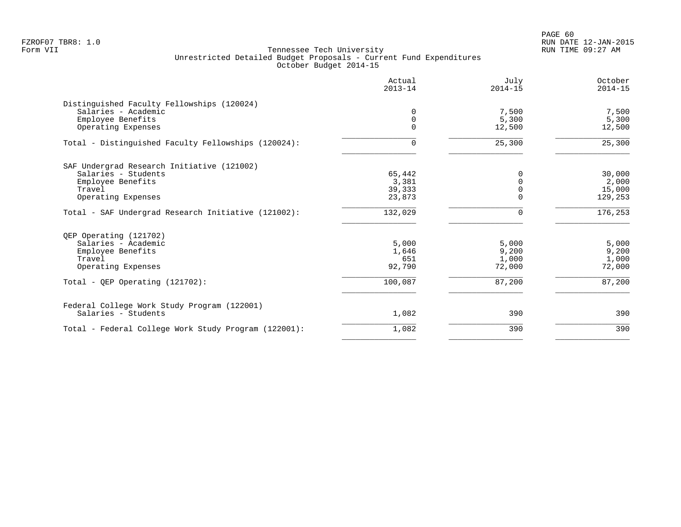PAGE 60 FZROF07 TBR8: 1.0 RUN DATE 12-JAN-2015

| Actual<br>$2013 - 14$ | July<br>$2014 - 15$ | October<br>$2014 - 15$ |
|-----------------------|---------------------|------------------------|
|                       |                     |                        |
| 0                     | 7,500               | 7,500                  |
| $\mathbf 0$           | 5,300               | 5,300                  |
| $\Omega$              | 12,500              | 12,500                 |
| 0                     | 25,300              | 25,300                 |
|                       |                     |                        |
| 65,442                | 0                   | 30,000                 |
| 3,381                 |                     | 2,000                  |
| 39,333                |                     | 15,000                 |
| 23,873                | $\Omega$            | 129,253                |
| 132,029               | ∩                   | 176,253                |
|                       |                     |                        |
| 5,000                 | 5,000               | 5,000                  |
| 1,646                 | 9,200               | 9,200                  |
| 651                   | 1,000               | 1,000                  |
| 92,790                | 72,000              | 72,000                 |
| 100,087               | 87,200              | 87,200                 |
|                       |                     |                        |
| 1,082                 | 390                 | 390                    |
| 1,082                 | 390                 | 390                    |
|                       |                     |                        |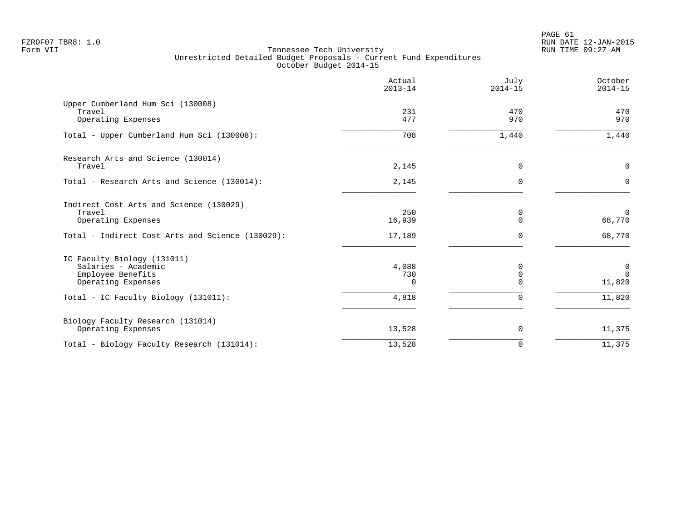|                                                                                                                             | Actual<br>$2013 - 14$    | July<br>$2014 - 15$          | October<br>$2014 - 15$          |
|-----------------------------------------------------------------------------------------------------------------------------|--------------------------|------------------------------|---------------------------------|
| Upper Cumberland Hum Sci (130008)<br>Travel<br>Operating Expenses                                                           | 231<br>477               | 470<br>970                   | 470<br>970                      |
| Total - Upper Cumberland Hum Sci (130008):                                                                                  | 708                      | 1,440                        | 1,440                           |
| Research Arts and Science (130014)<br>Travel                                                                                | 2,145                    | $\Omega$                     | $\mathbf 0$                     |
| Total - Research Arts and Science (130014):                                                                                 | 2,145                    | $\Omega$                     | $\Omega$                        |
| Indirect Cost Arts and Science (130029)<br>Travel<br>Operating Expenses<br>Total - Indirect Cost Arts and Science (130029): | 250<br>16,939<br>17,189  | 0<br>$\Omega$<br>$\Omega$    | $\mathbf 0$<br>68,770<br>68,770 |
| IC Faculty Biology (131011)<br>Salaries - Academic<br>Employee Benefits<br>Operating Expenses                               | 4,088<br>730<br>$\Omega$ | 0<br>$\mathbf 0$<br>$\Omega$ | 0<br>$\Omega$<br>11,820         |
| Total - IC Faculty Biology (131011):                                                                                        | 4,818                    | $\Omega$                     | 11,820                          |
| Biology Faculty Research (131014)<br>Operating Expenses                                                                     | 13,528                   | 0                            | 11,375                          |
| Total - Biology Faculty Research (131014):                                                                                  | 13,528                   | $\mathbf 0$                  | 11,375                          |
|                                                                                                                             |                          |                              |                                 |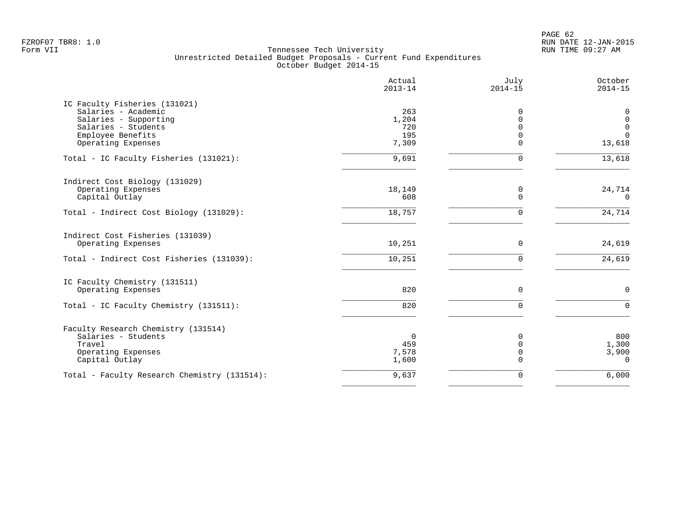|                                              | Actual<br>$2013 - 14$ | July<br>$2014 - 15$  | October<br>$2014 - 15$       |
|----------------------------------------------|-----------------------|----------------------|------------------------------|
| IC Faculty Fisheries (131021)                |                       |                      |                              |
| Salaries - Academic                          | 263                   | 0                    | 0                            |
| Salaries - Supporting                        | 1,204                 | $\mathbf 0$          | $\mathsf 0$                  |
| Salaries - Students                          | 720                   | $\Omega$             | $\mathsf{O}$<br>$\mathbf{0}$ |
| Employee Benefits<br>Operating Expenses      | 195<br>7,309          | $\Omega$<br>$\Omega$ | 13,618                       |
|                                              |                       |                      |                              |
| Total - IC Faculty Fisheries (131021):       | 9,691                 | $\mathbf 0$          | 13,618                       |
| Indirect Cost Biology (131029)               |                       |                      |                              |
| Operating Expenses                           | 18,149                | 0                    | 24,714                       |
| Capital Outlay                               | 608                   | $\Omega$             | $\Omega$                     |
| Total - Indirect Cost Biology (131029):      | 18,757                | $\Omega$             | 24,714                       |
| Indirect Cost Fisheries (131039)             |                       |                      |                              |
| Operating Expenses                           | 10,251                | $\Omega$             | 24,619                       |
| Total - Indirect Cost Fisheries (131039):    | 10,251                | $\Omega$             | 24,619                       |
| IC Faculty Chemistry (131511)                |                       |                      |                              |
| Operating Expenses                           | 820                   | $\mathbf 0$          | $\mathbf 0$                  |
| Total - IC Faculty Chemistry (131511):       | 820                   | $\Omega$             | $\Omega$                     |
| Faculty Research Chemistry (131514)          |                       |                      |                              |
| Salaries - Students                          | $\overline{0}$        | 0                    | 800                          |
| Travel                                       | 459                   | 0                    | 1,300                        |
| Operating Expenses                           | 7,578                 | $\mathbf 0$          | 3,900                        |
| Capital Outlay                               | 1,600                 | $\Omega$             | $\Omega$                     |
| Total - Faculty Research Chemistry (131514): | 9,637                 | 0                    | 6,000                        |
|                                              |                       |                      |                              |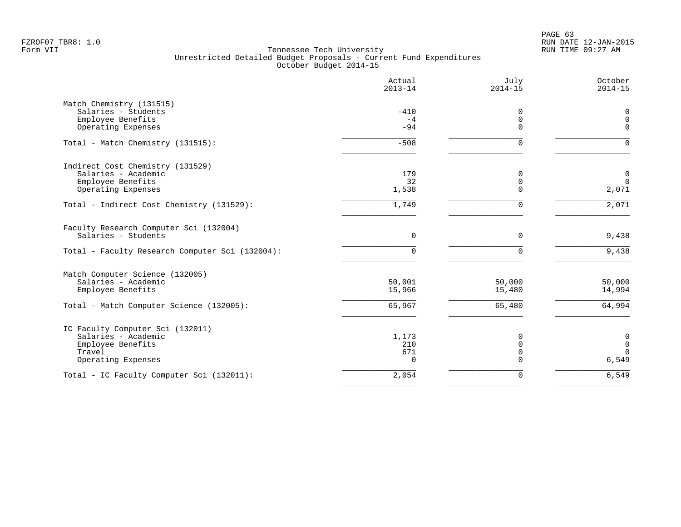PAGE 63 FZROF07 TBR8: 1.0 RUN DATE 12-JAN-2015

|                                                 | Actual<br>$2013 - 14$ | July<br>$2014 - 15$ | October<br>$2014 - 15$ |
|-------------------------------------------------|-----------------------|---------------------|------------------------|
| Match Chemistry (131515)                        |                       |                     |                        |
| Salaries - Students                             | $-410$                | 0                   | 0                      |
| Employee Benefits                               | $-4$                  | $\mathbf 0$         | $\mathbf 0$            |
| Operating Expenses                              | $-94$                 | $\Omega$            | $\Omega$               |
| Total - Match Chemistry (131515):               | $-508$                | $\Omega$            | $\Omega$               |
| Indirect Cost Chemistry (131529)                |                       |                     |                        |
| Salaries - Academic                             | 179                   | $\mathbf 0$         | $\mathbf 0$            |
| Employee Benefits                               | 32                    | $\mathbf 0$         | $\overline{0}$         |
| Operating Expenses                              | 1,538                 | $\Omega$            | 2,071                  |
| Total - Indirect Cost Chemistry (131529):       | 1,749                 | $\Omega$            | 2,071                  |
| Faculty Research Computer Sci (132004)          |                       |                     |                        |
| Salaries - Students                             | 0                     | $\mathbf 0$         | 9,438                  |
| Total - Faculty Research Computer Sci (132004): | $\Omega$              | $\Omega$            | 9,438                  |
| Match Computer Science (132005)                 |                       |                     |                        |
| Salaries - Academic                             | 50,001                | 50,000              | 50,000                 |
| Employee Benefits                               | 15,966                | 15,480              | 14,994                 |
| Total - Match Computer Science (132005):        | 65,967                | 65,480              | 64,994                 |
| IC Faculty Computer Sci (132011)                |                       |                     |                        |
| Salaries - Academic                             | 1,173                 | $\mathbf 0$         | $\mathbf 0$            |
| Employee Benefits                               | 210                   | $\mathbf 0$         | $\mathbf 0$            |
| Travel                                          | 671                   | $\mathbf 0$         | $\Omega$               |
| Operating Expenses                              | $\Omega$              | $\Omega$            | 6,549                  |
| Total - IC Faculty Computer Sci (132011):       | 2,054                 | $\mathbf 0$         | 6,549                  |
|                                                 |                       |                     |                        |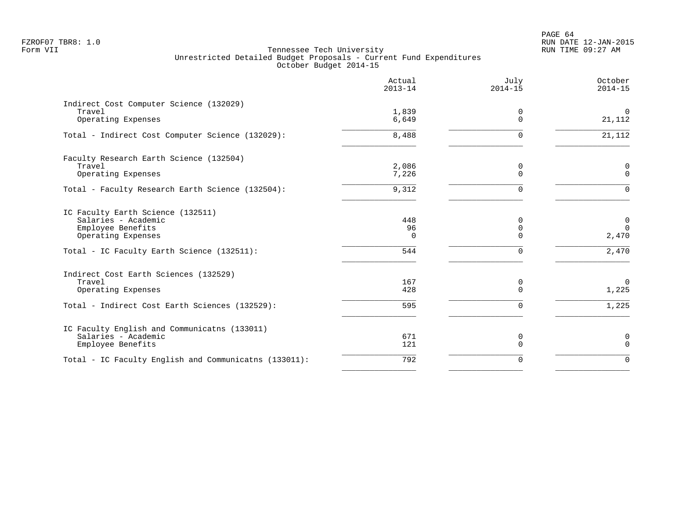PAGE 64 FZROF07 TBR8: 1.0 RUN DATE 12-JAN-2015

|                                                                                                                                                   | Actual<br>$2013 - 14$        | July<br>$2014 - 15$            | October<br>$2014 - 15$                          |
|---------------------------------------------------------------------------------------------------------------------------------------------------|------------------------------|--------------------------------|-------------------------------------------------|
| Indirect Cost Computer Science (132029)<br>Travel<br>Operating Expenses                                                                           | 1,839<br>6,649               | 0<br>$\Omega$                  | $\overline{0}$<br>21,112                        |
| Total - Indirect Cost Computer Science (132029):                                                                                                  | 8,488                        | $\Omega$                       | 21,112                                          |
| Faculty Research Earth Science (132504)<br>Travel<br>Operating Expenses                                                                           | 2,086<br>7,226               | 0<br>$\Omega$                  | 0<br>$\Omega$                                   |
| Total - Faculty Research Earth Science (132504):                                                                                                  | 9,312                        | $\Omega$                       | $\Omega$                                        |
| IC Faculty Earth Science (132511)<br>Salaries - Academic<br>Employee Benefits<br>Operating Expenses<br>Total - IC Faculty Earth Science (132511): | 448<br>96<br>$\Omega$<br>544 | 0<br>0<br>$\Omega$<br>$\Omega$ | $\mathbf 0$<br>$\overline{0}$<br>2,470<br>2,470 |
| Indirect Cost Earth Sciences (132529)<br>Travel<br>Operating Expenses<br>Total - Indirect Cost Earth Sciences (132529):                           | 167<br>428<br>595            | 0<br>$\Omega$<br>$\Omega$      | $\overline{0}$<br>1,225<br>1,225                |
| IC Faculty English and Communicatns (133011)<br>Salaries - Academic<br>Employee Benefits                                                          | 671<br>121                   | 0<br>$\Omega$                  | 0<br>$\mathbf 0$                                |
| Total - IC Faculty English and Communicatns (133011):                                                                                             | 792                          | 0                              | $\Omega$                                        |
|                                                                                                                                                   |                              |                                |                                                 |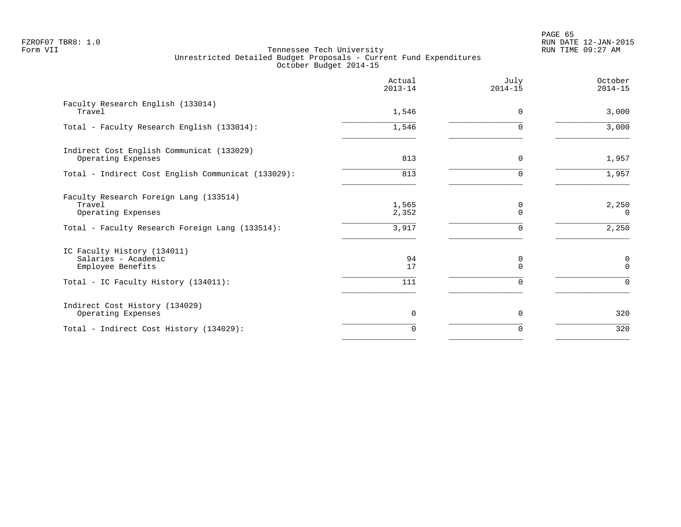PAGE 65 FZROF07 TBR8: 1.0 RUN DATE 12-JAN-2015

|                                                                         | Actual<br>$2013 - 14$ | July<br>$2014 - 15$ | October<br>$2014 - 15$ |
|-------------------------------------------------------------------------|-----------------------|---------------------|------------------------|
| Faculty Research English (133014)<br>Travel                             | 1,546                 | $\Omega$            | 3,000                  |
| Total - Faculty Research English (133014):                              | 1,546                 | U                   | 3,000                  |
| Indirect Cost English Communicat (133029)<br>Operating Expenses         | 813                   | $\Omega$            | 1,957                  |
| Total - Indirect Cost English Communicat (133029):                      | 813                   | $\Omega$            | 1,957                  |
| Faculty Research Foreign Lang (133514)<br>Travel<br>Operating Expenses  | 1,565<br>2,352        | 0<br>U              | 2,250<br>$\Omega$      |
| Total - Faculty Research Foreign Lang (133514):                         | 3,917                 |                     | 2,250                  |
| IC Faculty History (134011)<br>Salaries - Academic<br>Employee Benefits | 94<br>17              | 0<br>$\Omega$       | 0<br>$\Omega$          |
| Total - IC Faculty History (134011):                                    | 111                   | $\Omega$            | $\Omega$               |
| Indirect Cost History (134029)<br>Operating Expenses                    | $\Omega$              | $\Omega$            | 320                    |
| Total - Indirect Cost History (134029):                                 | $\Omega$              | O                   | 320                    |
|                                                                         |                       |                     |                        |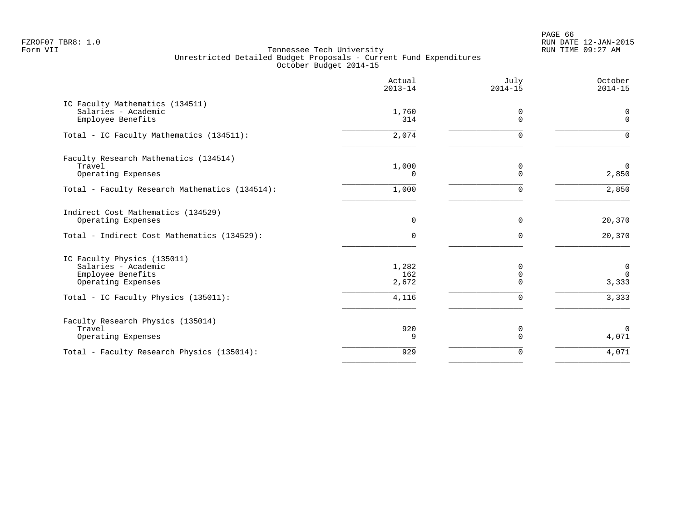PAGE 66 FZROF07 TBR8: 1.0 RUN DATE 12-JAN-2015

|                                                                                               | Actual<br>$2013 - 14$ | July<br>$2014 - 15$     | October<br>$2014 - 15$           |
|-----------------------------------------------------------------------------------------------|-----------------------|-------------------------|----------------------------------|
| IC Faculty Mathematics (134511)<br>Salaries - Academic<br>Employee Benefits                   | 1,760<br>314          | 0<br>$\Omega$           | 0<br>$\mathbf 0$                 |
| Total - IC Faculty Mathematics (134511):                                                      | 2,074                 | $\Omega$                | $\Omega$                         |
| Faculty Research Mathematics (134514)<br>Travel<br>Operating Expenses                         | 1,000<br>$\Omega$     | $\mathbf 0$<br>$\Omega$ | $\Omega$<br>2,850                |
| Total - Faculty Research Mathematics (134514):                                                | 1,000                 | 0                       | 2,850                            |
| Indirect Cost Mathematics (134529)<br>Operating Expenses                                      | $\mathbf 0$           | $\mathbf 0$             | 20,370                           |
| Total - Indirect Cost Mathematics (134529):                                                   | $\Omega$              | $\mathbf 0$             | 20,370                           |
| IC Faculty Physics (135011)<br>Salaries - Academic<br>Employee Benefits<br>Operating Expenses | 1,282<br>162<br>2,672 | 0<br>0<br>$\Omega$      | $\mathbf 0$<br>$\Omega$<br>3,333 |
| Total - IC Faculty Physics (135011):                                                          | 4,116                 | $\mathbf 0$             | 3,333                            |
| Faculty Research Physics (135014)<br>Travel<br>Operating Expenses                             | 920<br>9              | 0<br>$\Omega$           | $\overline{0}$<br>4,071          |
| Total - Faculty Research Physics (135014):                                                    | 929                   | 0                       | 4,071                            |
|                                                                                               |                       |                         |                                  |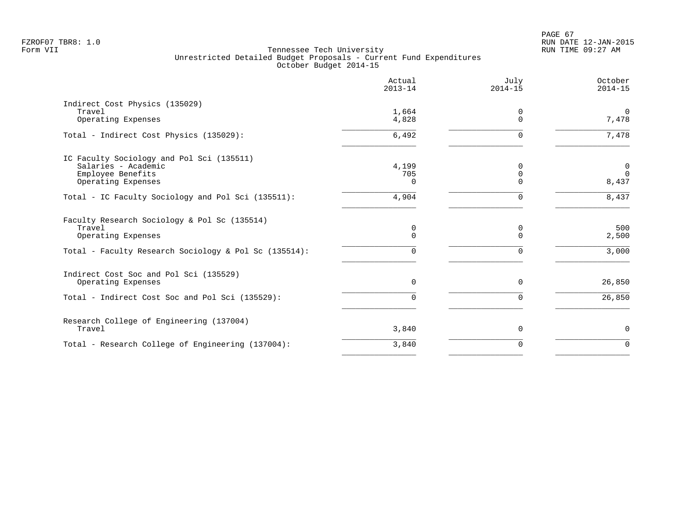|                                                       | Actual<br>$2013 - 14$ | July<br>$2014 - 15$  | October<br>$2014 - 15$ |
|-------------------------------------------------------|-----------------------|----------------------|------------------------|
| Indirect Cost Physics (135029)                        |                       |                      |                        |
| Travel                                                | 1,664                 | 0                    | $\mathbf 0$            |
| Operating Expenses                                    | 4,828                 | $\Omega$             | 7,478                  |
| Total - Indirect Cost Physics (135029):               | 6,492                 | 0                    | 7,478                  |
| IC Faculty Sociology and Pol Sci (135511)             |                       |                      |                        |
| Salaries - Academic                                   | 4,199                 | $\Omega$             | $\mathbf 0$            |
| Employee Benefits                                     | 705                   | $\Omega$<br>$\Omega$ | $\mathbf 0$            |
| Operating Expenses                                    | U                     |                      | 8,437                  |
| Total - IC Faculty Sociology and Pol Sci (135511):    | 4,904                 | $\Omega$             | 8,437                  |
| Faculty Research Sociology & Pol Sc (135514)          |                       |                      |                        |
| Travel                                                | $\mathbf 0$           | 0                    | 500                    |
| Operating Expenses                                    | $\Omega$              | $\Omega$             | 2,500                  |
| Total - Faculty Research Sociology & Pol Sc (135514): | 0                     | $\Omega$             | 3,000                  |
| Indirect Cost Soc and Pol Sci (135529)                |                       |                      |                        |
| Operating Expenses                                    | $\Omega$              | $\Omega$             | 26,850                 |
| Total - Indirect Cost Soc and Pol Sci (135529):       | 0                     | $\Omega$             | 26,850                 |
| Research College of Engineering (137004)              |                       |                      |                        |
| Travel                                                | 3,840                 | 0                    | $\mathsf{O}$           |
| Total - Research College of Engineering (137004):     | 3,840                 | $\Omega$             | $\Omega$               |
|                                                       |                       |                      |                        |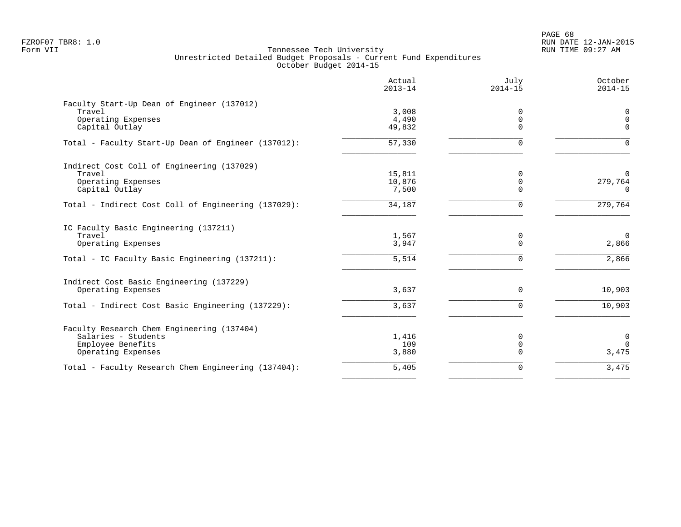PAGE 68 FZROF07 TBR8: 1.0 RUN DATE 12-JAN-2015

|                                                     | Actual<br>$2013 - 14$ | July<br>$2014 - 15$ | October<br>$2014 - 15$  |
|-----------------------------------------------------|-----------------------|---------------------|-------------------------|
| Faculty Start-Up Dean of Engineer (137012)          |                       |                     |                         |
| Travel                                              | 3,008                 | 0                   | $\mathbf 0$             |
| Operating Expenses                                  | 4,490                 | 0<br>$\Omega$       | $\mathbf 0$<br>$\Omega$ |
| Capital Outlay                                      | 49,832                |                     |                         |
| Total - Faculty Start-Up Dean of Engineer (137012): | 57,330                | $\Omega$            | $\Omega$                |
| Indirect Cost Coll of Engineering (137029)          |                       |                     |                         |
| Travel                                              | 15,811                | 0                   | $\overline{0}$          |
| Operating Expenses                                  | 10,876                | 0                   | 279,764                 |
| Capital Outlay                                      | 7,500                 | $\Omega$            | $\Omega$                |
| Total - Indirect Cost Coll of Engineering (137029): | 34,187                | $\Omega$            | 279,764                 |
| IC Faculty Basic Engineering (137211)               |                       |                     |                         |
| Travel                                              | 1,567                 | 0                   | $\mathbf 0$             |
| Operating Expenses                                  | 3,947                 | $\Omega$            | 2,866                   |
| Total - IC Faculty Basic Engineering (137211):      | 5,514                 | $\Omega$            | 2,866                   |
| Indirect Cost Basic Engineering (137229)            |                       |                     |                         |
| Operating Expenses                                  | 3,637                 | $\mathbf 0$         | 10,903                  |
| Total - Indirect Cost Basic Engineering (137229):   | 3,637                 | $\Omega$            | 10,903                  |
| Faculty Research Chem Engineering (137404)          |                       |                     |                         |
| Salaries - Students                                 | 1,416                 | 0                   | $\mathbf 0$             |
| Employee Benefits                                   | 109                   | 0                   | $\Omega$                |
| Operating Expenses                                  | 3,880                 | $\Omega$            | 3,475                   |
| Total - Faculty Research Chem Engineering (137404): | 5,405                 | 0                   | 3,475                   |
|                                                     |                       |                     |                         |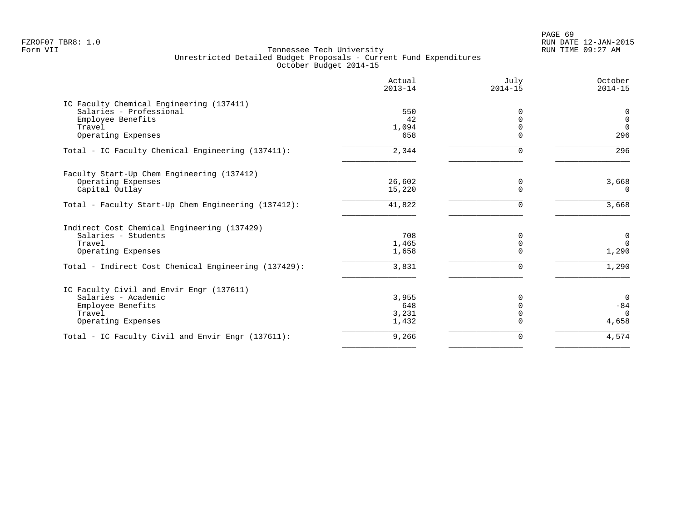PAGE 69 FZROF07 TBR8: 1.0 RUN DATE 12-JAN-2015

| Actual<br>$2013 - 14$ | July<br>$2014 - 15$ | October<br>$2014 - 15$ |
|-----------------------|---------------------|------------------------|
|                       |                     |                        |
| 550                   | $\Omega$            | 0                      |
| 42                    | $\Omega$            | $\mathbf 0$            |
| 1,094                 |                     | $\Omega$               |
|                       | $\Omega$            | 296                    |
| 2,344                 | $\Omega$            | 296                    |
|                       |                     |                        |
| 26,602                | 0                   | 3,668                  |
| 15,220                | $\Omega$            | $\overline{0}$         |
| 41,822                | 0                   | 3,668                  |
|                       |                     |                        |
| 708                   | 0                   | $\mathbf 0$            |
| 1,465                 | $\Omega$            | $\Omega$               |
| 1,658                 | $\Omega$            | 1,290                  |
| 3,831                 | $\Omega$            | 1,290                  |
|                       |                     |                        |
|                       |                     | $\Omega$               |
| 648                   | $\Omega$            | $-84$                  |
| 3,231                 | $\Omega$            | $\Omega$               |
| 1,432                 |                     | 4,658                  |
| 9,266                 | 0                   | 4,574                  |
|                       | 658<br>3,955        |                        |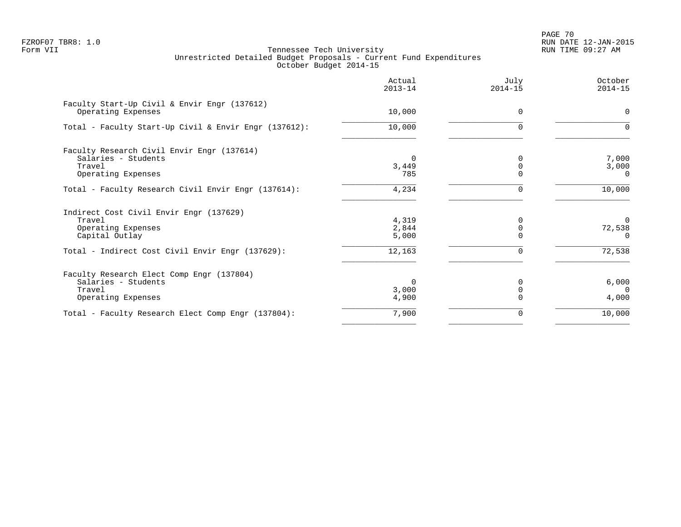PAGE 70 FZROF07 TBR8: 1.0 RUN DATE 12-JAN-2015

|                                                                                                   | Actual<br>$2013 - 14$      | July<br>$2014 - 15$ | October<br>$2014 - 15$           |
|---------------------------------------------------------------------------------------------------|----------------------------|---------------------|----------------------------------|
| Faculty Start-Up Civil & Envir Engr (137612)<br>Operating Expenses                                | 10,000                     | $\Omega$            | $\mathbf 0$                      |
| Total - Faculty Start-Up Civil & Envir Engr (137612):                                             | 10,000                     | $\Omega$            | $\Omega$                         |
| Faculty Research Civil Envir Engr (137614)<br>Salaries - Students<br>Travel<br>Operating Expenses | $\Omega$<br>3,449<br>785   |                     | 7,000<br>3,000<br>$\overline{0}$ |
| Total - Faculty Research Civil Envir Engr (137614):                                               | 4,234                      | U                   | 10,000                           |
| Indirect Cost Civil Envir Engr (137629)<br>Travel<br>Operating Expenses<br>Capital Outlay         | 4,319<br>2,844<br>5,000    | O                   | $\Omega$<br>72,538<br>$\Omega$   |
| Total - Indirect Cost Civil Envir Engr (137629):                                                  | 12,163                     |                     | 72,538                           |
| Faculty Research Elect Comp Engr (137804)<br>Salaries - Students<br>Travel<br>Operating Expenses  | $\Omega$<br>3,000<br>4,900 |                     | 6,000<br>$\Omega$<br>4,000       |
| Total - Faculty Research Elect Comp Engr (137804):                                                | 7,900                      | 0                   | 10,000                           |
|                                                                                                   |                            |                     |                                  |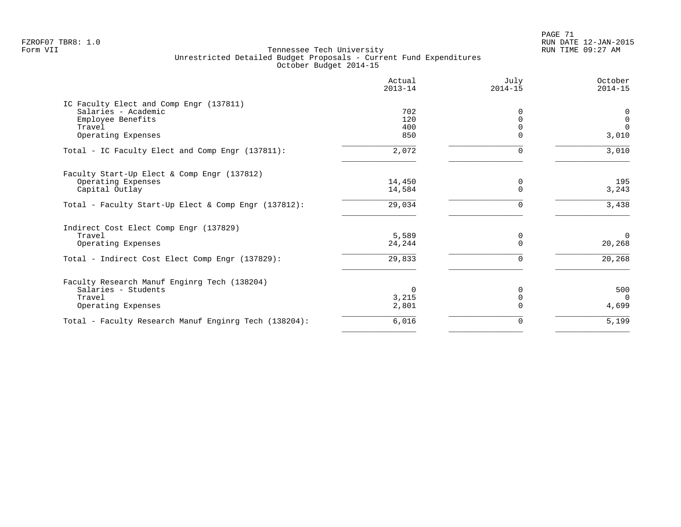PAGE 71 FZROF07 TBR8: 1.0 RUN DATE 12-JAN-2015

|                                                       | Actual<br>$2013 - 14$ | July<br>$2014 - 15$ | October<br>$2014 - 15$ |
|-------------------------------------------------------|-----------------------|---------------------|------------------------|
| IC Faculty Elect and Comp Engr (137811)               |                       |                     |                        |
| Salaries - Academic                                   | 702                   |                     | 0                      |
| Employee Benefits                                     | 120                   |                     | $\mathbf 0$            |
| Travel                                                | 400                   |                     | $\Omega$               |
| Operating Expenses                                    | 850                   |                     | 3,010                  |
| Total - IC Faculty Elect and Comp Engr (137811):      | 2,072                 | 0                   | 3,010                  |
| Faculty Start-Up Elect & Comp Engr (137812)           |                       |                     |                        |
| Operating Expenses                                    | 14,450                | 0                   | 195                    |
| Capital Outlay                                        | 14,584                | $\Omega$            | 3,243                  |
| Total - Faculty Start-Up Elect & Comp Engr (137812):  | 29,034                | $\Omega$            | 3,438                  |
| Indirect Cost Elect Comp Engr (137829)                |                       |                     |                        |
| Travel                                                | 5,589                 | 0                   | $\Omega$               |
| Operating Expenses                                    | 24,244                | O                   | 20,268                 |
| Total - Indirect Cost Elect Comp Engr (137829):       | 29,833                | $\Omega$            | 20,268                 |
| Faculty Research Manuf Enginrg Tech (138204)          |                       |                     |                        |
| Salaries - Students                                   | $\Omega$              | N                   | 500                    |
| Travel                                                | 3,215                 |                     | $\Omega$               |
| Operating Expenses                                    | 2,801                 |                     | 4,699                  |
| Total - Faculty Research Manuf Enginrg Tech (138204): | 6,016                 | 0                   | 5,199                  |
|                                                       |                       |                     |                        |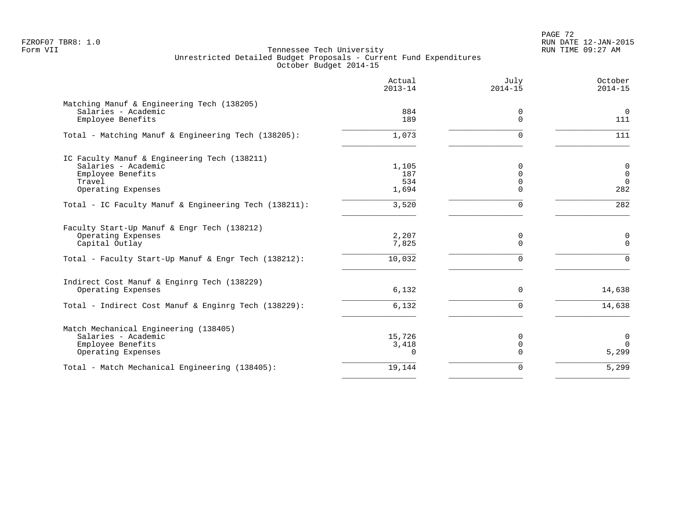PAGE 72 FZROF07 TBR8: 1.0 RUN DATE 12-JAN-2015

|                                                              | Actual<br>$2013 - 14$ | July<br>$2014 - 15$ | October<br>$2014 - 15$ |
|--------------------------------------------------------------|-----------------------|---------------------|------------------------|
| Matching Manuf & Engineering Tech (138205)                   |                       |                     |                        |
| Salaries - Academic                                          | 884                   | 0                   | $\overline{0}$         |
| Employee Benefits                                            | 189                   | $\Omega$            | 111                    |
| Total - Matching Manuf & Engineering Tech (138205):          | 1,073                 | $\Omega$            | 111                    |
| IC Faculty Manuf & Engineering Tech (138211)                 |                       |                     |                        |
| Salaries - Academic                                          | 1,105                 | $\Omega$            | $\mathbf 0$            |
| Employee Benefits                                            | 187                   | $\mathbf 0$         | $\mathbf 0$            |
| Travel                                                       | 534                   | $\mathbf 0$         | $\overline{0}$         |
| Operating Expenses                                           | 1,694                 | $\Omega$            | 282                    |
| Total - IC Faculty Manuf & Engineering Tech (138211):        | 3,520                 | $\Omega$            | 282                    |
| Faculty Start-Up Manuf & Engr Tech (138212)                  |                       |                     |                        |
| Operating Expenses                                           | 2,207                 | 0                   | $\mathbf 0$            |
| Capital Outlay                                               | 7,825                 | $\Omega$            | $\mathbf 0$            |
| Total - Faculty Start-Up Manuf & Engr Tech (138212):         | 10,032                | $\Omega$            | $\Omega$               |
| Indirect Cost Manuf & Enginrg Tech (138229)                  |                       |                     |                        |
| Operating Expenses                                           | 6,132                 | 0                   | 14,638                 |
| Total - Indirect Cost Manuf & Enginrg Tech (138229):         | 6,132                 | $\Omega$            | 14,638                 |
|                                                              |                       |                     |                        |
| Match Mechanical Engineering (138405)<br>Salaries - Academic | 15,726                | 0                   | 0                      |
| Employee Benefits                                            | 3,418                 | $\mathbf 0$         | $\Omega$               |
| Operating Expenses                                           | $\cap$                | $\Omega$            | 5,299                  |
| Total - Match Mechanical Engineering (138405):               | 19,144                | $\Omega$            | 5,299                  |
|                                                              |                       |                     |                        |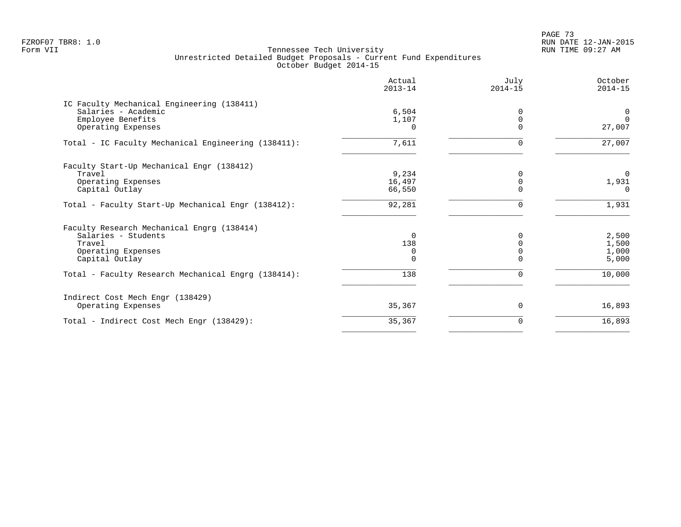PAGE 73 FZROF07 TBR8: 1.0 RUN DATE 12-JAN-2015

|                                                     | Actual<br>$2013 - 14$ | July<br>$2014 - 15$ | October<br>$2014 - 15$ |
|-----------------------------------------------------|-----------------------|---------------------|------------------------|
| IC Faculty Mechanical Engineering (138411)          |                       |                     |                        |
| Salaries - Academic                                 | 6,504                 | $\Omega$            | 0                      |
| Employee Benefits                                   | 1,107                 | $\Omega$            | $\Omega$               |
| Operating Expenses                                  | 0                     | $\Omega$            | 27,007                 |
| Total - IC Faculty Mechanical Engineering (138411): | 7,611                 | $\Omega$            | 27,007                 |
| Faculty Start-Up Mechanical Engr (138412)           |                       |                     |                        |
| Travel                                              | 9,234                 |                     | $\mathbf 0$            |
| Operating Expenses                                  | 16,497                | $\Omega$            | 1,931                  |
| Capital Outlay                                      | 66,550                |                     | $\Omega$               |
| Total - Faculty Start-Up Mechanical Engr (138412):  | 92,281                | 0                   | 1,931                  |
| Faculty Research Mechanical Engrg (138414)          |                       |                     |                        |
| Salaries - Students                                 | $\Omega$              |                     | 2,500                  |
| Travel                                              | 138                   |                     | 1,500                  |
| Operating Expenses                                  | $\mathbf 0$           |                     | 1,000                  |
| Capital Outlay                                      | 0                     |                     | 5,000                  |
| Total - Faculty Research Mechanical Engrg (138414): | 138                   | $\Omega$            | 10,000                 |
| Indirect Cost Mech Engr (138429)                    |                       |                     |                        |
| Operating Expenses                                  | 35,367                | 0                   | 16,893                 |
| Total - Indirect Cost Mech Engr (138429):           | 35,367                | 0                   | 16,893                 |
|                                                     |                       |                     |                        |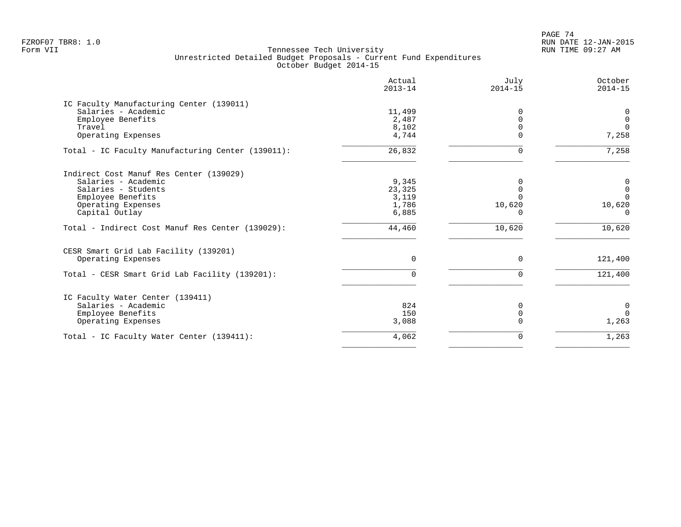PAGE 74 FZROF07 TBR8: 1.0 RUN DATE 12-JAN-2015

|                                                   | Actual<br>$2013 - 14$ | July<br>$2014 - 15$ | October<br>$2014 - 15$ |
|---------------------------------------------------|-----------------------|---------------------|------------------------|
| IC Faculty Manufacturing Center (139011)          |                       |                     |                        |
| Salaries - Academic                               | 11,499                | O                   | 0                      |
| Employee Benefits                                 | 2,487                 |                     | $\mathbf 0$            |
| Travel                                            | 8,102                 |                     | $\Omega$               |
| Operating Expenses                                | 4,744                 |                     | 7,258                  |
| Total - IC Faculty Manufacturing Center (139011): | 26,832                | $\Omega$            | 7,258                  |
| Indirect Cost Manuf Res Center (139029)           |                       |                     |                        |
| Salaries - Academic                               | 9,345                 | 0                   | $\overline{0}$         |
| Salaries - Students                               | 23,325                |                     | $\mathsf 0$            |
| Employee Benefits                                 | 3,119                 |                     | $\Omega$               |
| Operating Expenses                                | 1,786                 | 10,620              | 10,620                 |
| Capital Outlay                                    | 6,885                 | 0                   | $\Omega$               |
| Total - Indirect Cost Manuf Res Center (139029):  | 44,460                | 10,620              | 10,620                 |
| CESR Smart Grid Lab Facility (139201)             |                       |                     |                        |
| Operating Expenses                                | $\mathbf 0$           | $\Omega$            | 121,400                |
| Total - CESR Smart Grid Lab Facility (139201):    | $\Omega$              | $\Omega$            | 121,400                |
| IC Faculty Water Center (139411)                  |                       |                     |                        |
| Salaries - Academic                               | 824                   | 0                   | $\mathbf 0$            |
| Employee Benefits                                 | 150                   | $\Omega$            | $\Omega$               |
| Operating Expenses                                | 3,088                 |                     | 1,263                  |
| Total - IC Faculty Water Center (139411):         | 4,062                 | $\Omega$            | 1,263                  |
|                                                   |                       |                     |                        |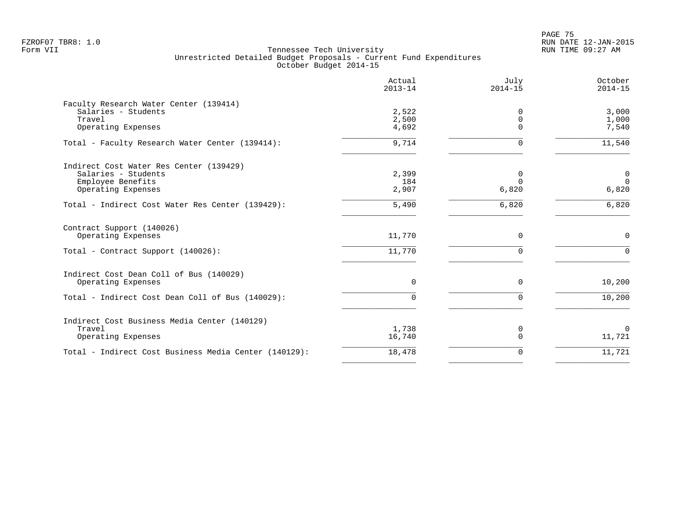en and the set of the set of the set of the set of the set of the set of the set of the set of the set of the set of the set of the set of the set of the set of the set of the set of the set of the set of the set of the se FZROF07 TBR8: 1.0 RUN DATE 12-JAN-2015

|                                                       | Actual<br>$2013 - 14$ | July<br>$2014 - 15$ | October<br>$2014 - 15$ |
|-------------------------------------------------------|-----------------------|---------------------|------------------------|
| Faculty Research Water Center (139414)                |                       |                     |                        |
| Salaries - Students                                   | 2,522                 | $\Omega$            | 3,000                  |
| Travel                                                | 2,500                 | $\mathbf 0$         | 1,000                  |
| Operating Expenses                                    | 4,692                 | $\Omega$            | 7,540                  |
| Total - Faculty Research Water Center (139414):       | 9,714                 | 0                   | 11,540                 |
| Indirect Cost Water Res Center (139429)               |                       |                     |                        |
| Salaries - Students                                   | 2,399                 | 0                   | $\mathbf 0$            |
| Employee Benefits                                     | 184                   | $\Omega$            | $\mathbf 0$            |
| Operating Expenses                                    | 2,907                 | 6,820               | 6,820                  |
| Total - Indirect Cost Water Res Center (139429):      | 5,490                 | 6,820               | 6,820                  |
| Contract Support (140026)                             |                       |                     |                        |
| Operating Expenses                                    | 11,770                | $\mathbf 0$         | $\mathbf 0$            |
| Total - Contract Support (140026):                    | 11,770                | $\Omega$            | $\Omega$               |
| Indirect Cost Dean Coll of Bus (140029)               |                       |                     |                        |
| Operating Expenses                                    | $\mathbf 0$           | $\mathbf 0$         | 10,200                 |
| Total - Indirect Cost Dean Coll of Bus (140029):      | $\Omega$              | $\mathbf 0$         | 10,200                 |
| Indirect Cost Business Media Center (140129)          |                       |                     |                        |
| Travel                                                | 1,738                 | 0                   | $\mathbf 0$            |
| Operating Expenses                                    | 16,740                | $\mathbf 0$         | 11,721                 |
| Total - Indirect Cost Business Media Center (140129): | 18,478                | 0                   | 11,721                 |
|                                                       |                       |                     |                        |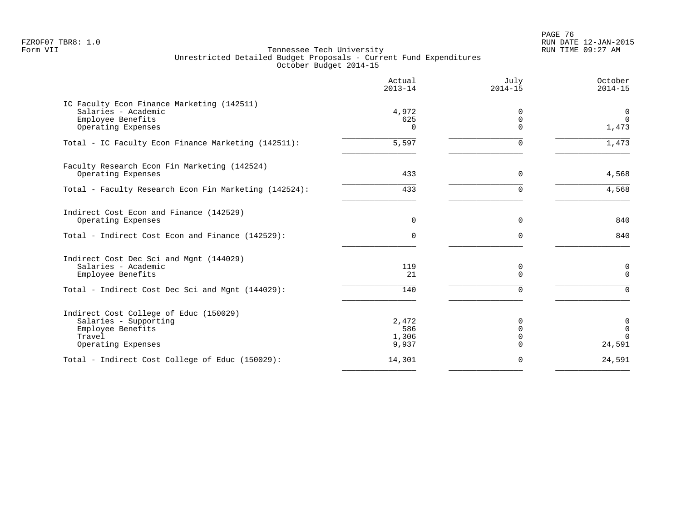en and the set of the set of the set of the set of the set of the set of the set of the set of the set of the set of the set of the set of the set of the set of the set of the set of the set of the set of the set of the se FZROF07 TBR8: 1.0 RUN DATE 12-JAN-2015

|                                                                                                                      | Actual<br>$2013 - 14$          | July<br>$2014 - 15$                   | October<br>$2014 - 15$              |
|----------------------------------------------------------------------------------------------------------------------|--------------------------------|---------------------------------------|-------------------------------------|
| IC Faculty Econ Finance Marketing (142511)<br>Salaries - Academic<br>Employee Benefits                               | 4,972<br>625                   | $\Omega$<br>0                         | 0<br>$\Omega$                       |
| Operating Expenses                                                                                                   | 0                              | $\Omega$                              | 1,473                               |
| Total - IC Faculty Econ Finance Marketing (142511):                                                                  | 5,597                          | $\Omega$                              | 1,473                               |
| Faculty Research Econ Fin Marketing (142524)                                                                         |                                |                                       |                                     |
| Operating Expenses                                                                                                   | 433                            | 0                                     | 4,568                               |
| Total - Faculty Research Econ Fin Marketing (142524):                                                                | 433                            | $\Omega$                              | 4,568                               |
| Indirect Cost Econ and Finance (142529)<br>Operating Expenses                                                        | $\mathbf 0$                    | 0                                     | 840                                 |
| Total - Indirect Cost Econ and Finance (142529):                                                                     | $\Omega$                       | $\Omega$                              | 840                                 |
| Indirect Cost Dec Sci and Mgnt (144029)<br>Salaries - Academic<br>Employee Benefits                                  | 119<br>21                      | 0<br>$\Omega$                         | 0<br>$\Omega$                       |
| Total - Indirect Cost Dec Sci and Mgnt (144029):                                                                     | 140                            | $\Omega$                              | $\Omega$                            |
| Indirect Cost College of Educ (150029)<br>Salaries - Supporting<br>Employee Benefits<br>Travel<br>Operating Expenses | 2,472<br>586<br>1,306<br>9,937 | 0<br>$\Omega$<br>$\Omega$<br>$\Omega$ | 0<br>$\Omega$<br>$\Omega$<br>24,591 |
| Total - Indirect Cost College of Educ (150029):                                                                      | 14,301                         | 0                                     | 24,591                              |
|                                                                                                                      |                                |                                       |                                     |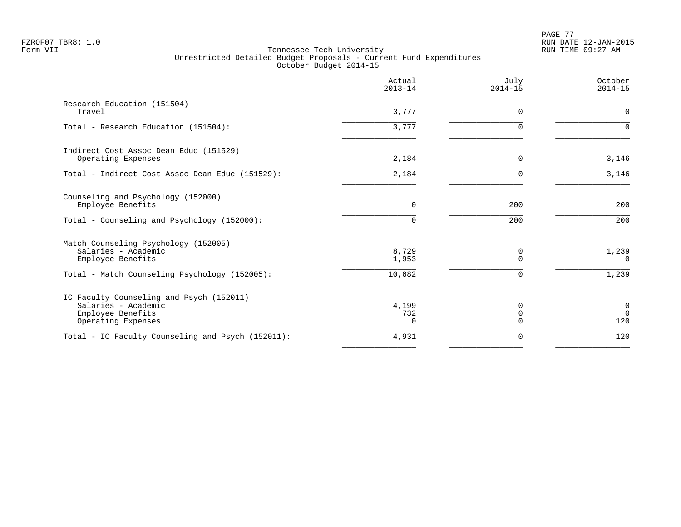PAGE 77 FZROF07 TBR8: 1.0 RUN DATE 12-JAN-2015

|                                                                                                            | Actual<br>$2013 - 14$    | July<br>$2014 - 15$ | October<br>$2014 - 15$               |
|------------------------------------------------------------------------------------------------------------|--------------------------|---------------------|--------------------------------------|
| Research Education (151504)<br>Travel                                                                      | 3,777                    | 0                   | 0                                    |
| Total - Research Education (151504):                                                                       | 3,777                    | U                   | $\Omega$                             |
| Indirect Cost Assoc Dean Educ (151529)<br>Operating Expenses                                               | 2,184                    | $\Omega$            | 3,146                                |
| Total - Indirect Cost Assoc Dean Educ (151529):                                                            | 2,184                    | ∩                   | 3,146                                |
| Counseling and Psychology (152000)<br>Employee Benefits                                                    | 0                        | 200                 | 200                                  |
| Total - Counseling and Psychology (152000):                                                                | $\Omega$                 | 200                 | 200                                  |
| Match Counseling Psychology (152005)<br>Salaries - Academic<br>Employee Benefits                           | 8,729<br>1,953           | 0<br>U              | 1,239<br>$\Omega$                    |
| Total - Match Counseling Psychology (152005):                                                              | 10,682                   | $\Omega$            | 1,239                                |
| IC Faculty Counseling and Psych (152011)<br>Salaries - Academic<br>Employee Benefits<br>Operating Expenses | 4,199<br>732<br>$\Omega$ | 0<br>0              | $\mathbf 0$<br>$\overline{0}$<br>120 |
| Total - IC Faculty Counseling and Psych (152011):                                                          | 4,931                    | $\Omega$            | 120                                  |
|                                                                                                            |                          |                     |                                      |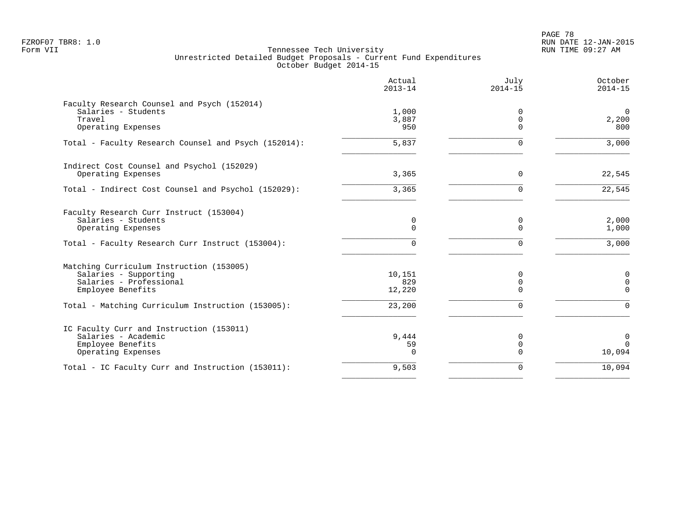PAGE 78 FZROF07 TBR8: 1.0 RUN DATE 12-JAN-2015

|                                                                                                                                                                        | Actual<br>$2013 - 14$             | July<br>$2014 - 15$       | October<br>$2014 - 15$              |
|------------------------------------------------------------------------------------------------------------------------------------------------------------------------|-----------------------------------|---------------------------|-------------------------------------|
| Faculty Research Counsel and Psych (152014)<br>Salaries - Students<br>Travel<br>Operating Expenses                                                                     | 1,000<br>3,887<br>950             | n<br>$\Omega$<br>$\Omega$ | $\overline{0}$<br>2,200<br>800      |
| Total - Faculty Research Counsel and Psych (152014):                                                                                                                   | 5,837                             |                           | 3,000                               |
| Indirect Cost Counsel and Psychol (152029)<br>Operating Expenses                                                                                                       | 3,365                             | $\Omega$                  | 22,545                              |
| Total - Indirect Cost Counsel and Psychol (152029):                                                                                                                    | 3,365                             | $\Omega$                  | 22,545                              |
| Faculty Research Curr Instruct (153004)<br>Salaries - Students<br>Operating Expenses                                                                                   | 0<br>$\Omega$                     | 0<br>$\Omega$             | 2,000<br>1,000                      |
| Total - Faculty Research Curr Instruct (153004):                                                                                                                       | U                                 | ∩                         | 3,000                               |
| Matching Curriculum Instruction (153005)<br>Salaries - Supporting<br>Salaries - Professional<br>Employee Benefits<br>Total - Matching Curriculum Instruction (153005): | 10,151<br>829<br>12,220<br>23,200 | O<br>∩                    | 0<br>$\Omega$<br>$\cap$<br>$\Omega$ |
| IC Faculty Curr and Instruction (153011)<br>Salaries - Academic<br>Employee Benefits<br>Operating Expenses                                                             | 9,444<br>59<br><sup>n</sup>       | $\Omega$<br>$\Omega$      | 0<br>$\mathbf 0$<br>10,094          |
| Total - IC Faculty Curr and Instruction (153011):                                                                                                                      | 9,503                             | $\Omega$                  | 10,094                              |
|                                                                                                                                                                        |                                   |                           |                                     |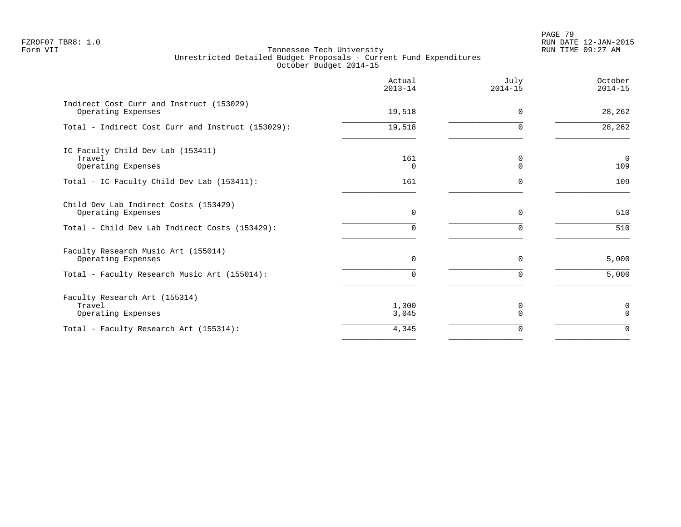PAGE 79 FZROF07 TBR8: 1.0 RUN DATE 12-JAN-2015

|                                                                   | Actual<br>$2013 - 14$ | July<br>$2014 - 15$ | October<br>$2014 - 15$ |
|-------------------------------------------------------------------|-----------------------|---------------------|------------------------|
| Indirect Cost Curr and Instruct (153029)<br>Operating Expenses    | 19,518                | $\Omega$            | 28,262                 |
| Total - Indirect Cost Curr and Instruct (153029):                 | 19,518                | $\Omega$            | $\overline{28,262}$    |
| IC Faculty Child Dev Lab (153411)<br>Travel<br>Operating Expenses | 161<br>$\Omega$       | 0<br>0              | $\overline{0}$<br>109  |
| Total - IC Faculty Child Dev Lab (153411):                        | 161                   | $\Omega$            | 109                    |
| Child Dev Lab Indirect Costs (153429)<br>Operating Expenses       | $\Omega$              | $\Omega$            | 510                    |
| Total - Child Dev Lab Indirect Costs (153429):                    | 0                     | ∩                   | 510                    |
| Faculty Research Music Art (155014)<br>Operating Expenses         | $\mathbf 0$           | 0                   | 5,000                  |
| Total - Faculty Research Music Art (155014):                      | 0                     | $\Omega$            | 5,000                  |
| Faculty Research Art (155314)<br>Travel<br>Operating Expenses     | 1,300<br>3,045        | 0<br>$\Omega$       | 0<br>$\Omega$          |
| Total - Faculty Research Art (155314):                            | 4,345                 | 0                   | $\mathbf 0$            |
|                                                                   |                       |                     |                        |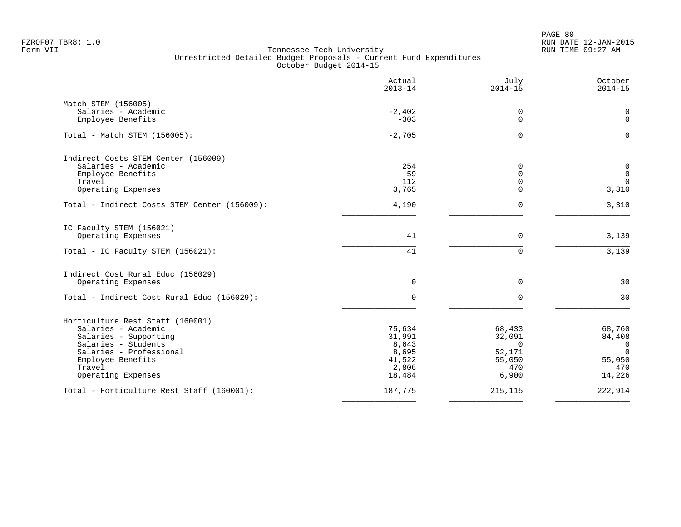PAGE 80 FZROF07 TBR8: 1.0 RUN DATE 12-JAN-2015

|                                              | Actual<br>$2013 - 14$ | July<br>$2014 - 15$           | October<br>$2014 - 15$     |
|----------------------------------------------|-----------------------|-------------------------------|----------------------------|
| Match STEM (156005)                          |                       |                               |                            |
| Salaries - Academic                          | $-2,402$              | 0                             | 0                          |
| Employee Benefits                            | $-303$                | $\Omega$                      | $\mathbf 0$                |
| Total - Match STEM (156005):                 | $-2,705$              | $\mathbf 0$                   | $\Omega$                   |
| Indirect Costs STEM Center (156009)          |                       |                               |                            |
| Salaries - Academic                          | 254                   | 0                             | $\mathbf 0$                |
| Employee Benefits<br>Travel                  | 59<br>112             | $\mathbf 0$<br>$\overline{0}$ | $\mathbf 0$<br>$\mathbf 0$ |
| Operating Expenses                           | 3,765                 | $\Omega$                      | 3,310                      |
|                                              |                       |                               |                            |
| Total - Indirect Costs STEM Center (156009): | 4,190                 | $\mathbf 0$                   | 3,310                      |
| IC Faculty STEM (156021)                     |                       |                               |                            |
| Operating Expenses                           | 41                    | $\mathbf 0$                   | 3,139                      |
| Total - IC Faculty STEM (156021):            | 41                    | $\Omega$                      | 3,139                      |
| Indirect Cost Rural Educ (156029)            |                       |                               |                            |
| Operating Expenses                           | $\mathbf 0$           | $\mathbf 0$                   | 30                         |
| Total - Indirect Cost Rural Educ (156029):   | 0                     | $\Omega$                      | 30                         |
| Horticulture Rest Staff (160001)             |                       |                               |                            |
| Salaries - Academic                          | 75,634                | 68,433                        | 68,760                     |
| Salaries - Supporting                        | 31,991                | 32,091                        | 84,408                     |
| Salaries - Students                          | 8,643                 | $\Omega$                      | $\overline{0}$             |
| Salaries - Professional                      | 8,695                 | 52,171                        | $\Omega$                   |
| Employee Benefits                            | 41,522                | 55,050                        | 55,050                     |
| Travel                                       | 2,806                 | 470                           | 470                        |
| Operating Expenses                           | 18,484                | 6,900                         | 14,226                     |
| Total - Horticulture Rest Staff (160001):    | 187,775               | 215,115                       | 222,914                    |
|                                              |                       |                               |                            |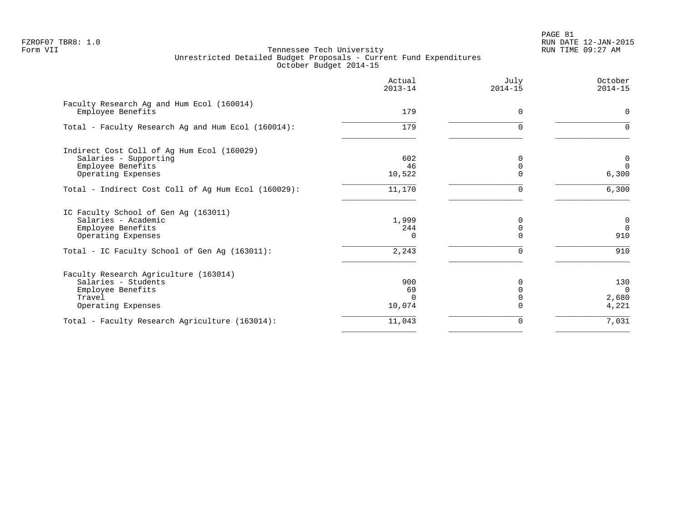PAGE 81 FZROF07 TBR8: 1.0 RUN DATE 12-JAN-2015

|                                                                | Actual<br>$2013 - 14$ | July<br>$2014 - 15$ | October<br>$2014 - 15$ |
|----------------------------------------------------------------|-----------------------|---------------------|------------------------|
| Faculty Research Ag and Hum Ecol (160014)<br>Employee Benefits | 179                   | 0                   | $\mathbf 0$            |
|                                                                |                       |                     |                        |
| Total - Faculty Research Ag and Hum Ecol (160014):             | 179                   | $\Omega$            | $\Omega$               |
| Indirect Cost Coll of Aq Hum Ecol (160029)                     |                       |                     |                        |
| Salaries - Supporting                                          | 602                   | $\Omega$            | 0                      |
| Employee Benefits                                              | 46                    |                     | $\Omega$               |
| Operating Expenses                                             | 10,522                | $\Omega$            | 6,300                  |
| Total - Indirect Cost Coll of Ag Hum Ecol (160029):            | 11,170                | $\Omega$            | 6,300                  |
| IC Faculty School of Gen Ag (163011)                           |                       |                     |                        |
| Salaries - Academic                                            | 1,999                 | $\Omega$            | $\mathbf 0$            |
| Employee Benefits                                              | 244                   |                     | $\overline{0}$         |
| Operating Expenses                                             | 0                     | $\Omega$            | 910                    |
| Total - IC Faculty School of Gen Ag (163011):                  | 2,243                 | $\Omega$            | 910                    |
| Faculty Research Agriculture (163014)                          |                       |                     |                        |
| Salaries - Students                                            | 900                   | O                   | 130                    |
| Employee Benefits                                              | 69                    |                     | $\Omega$               |
| Travel                                                         | $\Omega$              |                     | 2,680                  |
| Operating Expenses                                             | 10,074                |                     | 4,221                  |
| Total - Faculty Research Agriculture (163014):                 | 11,043                | 0                   | 7,031                  |
|                                                                |                       |                     |                        |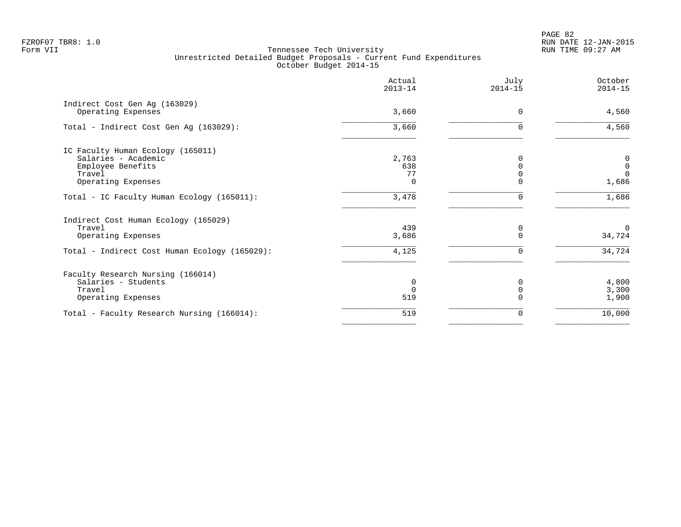PAGE 82 FZROF07 TBR8: 1.0 RUN DATE 12-JAN-2015

|                                                                                                                       | Actual<br>$2013 - 14$          | July<br>$2014 - 15$ | October<br>$2014 - 15$                        |
|-----------------------------------------------------------------------------------------------------------------------|--------------------------------|---------------------|-----------------------------------------------|
| Indirect Cost Gen Ag (163029)<br>Operating Expenses                                                                   | 3,660                          | $\Omega$            | 4,560                                         |
| Total - Indirect Cost Gen Aq (163029):                                                                                | 3,660                          |                     | 4,560                                         |
| IC Faculty Human Ecology (165011)<br>Salaries - Academic<br>Employee Benefits<br>Travel<br>Operating Expenses         | 2,763<br>638<br>77<br>$\Omega$ |                     | 0<br>$\mathsf{O}\xspace$<br>$\Omega$<br>1,686 |
| Total - IC Faculty Human Ecology (165011):                                                                            | 3,478                          |                     | 1,686                                         |
| Indirect Cost Human Ecology (165029)<br>Travel<br>Operating Expenses<br>Total - Indirect Cost Human Ecology (165029): | 439<br>3,686<br>4,125          | 0<br>$\Omega$<br>U  | $\mathbf 0$<br>34,724<br>34,724               |
| Faculty Research Nursing (166014)<br>Salaries - Students<br>Travel<br>Operating Expenses                              | 0<br>$\Omega$<br>519           |                     | 4,800<br>3,300<br>1,900                       |
| Total - Faculty Research Nursing (166014):                                                                            | 519                            | 0                   | 10,000                                        |
|                                                                                                                       |                                |                     |                                               |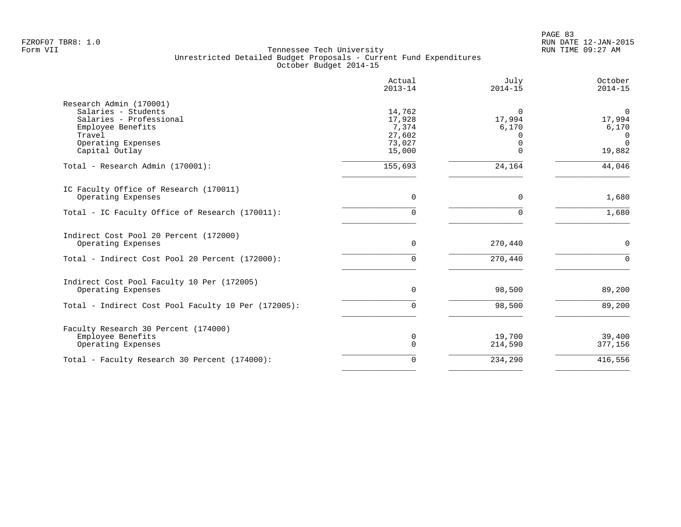PAGE 83 FZROF07 TBR8: 1.0 RUN DATE 12-JAN-2015

|                                                                                                                                                  | Actual<br>$2013 - 14$                                   | July<br>$2014 - 15$         | October<br>$2014 - 15$                                           |
|--------------------------------------------------------------------------------------------------------------------------------------------------|---------------------------------------------------------|-----------------------------|------------------------------------------------------------------|
| Research Admin (170001)<br>Salaries - Students<br>Salaries - Professional<br>Employee Benefits<br>Travel<br>Operating Expenses<br>Capital Outlay | 14,762<br>17,928<br>7,374<br>27,602<br>73,027<br>15,000 | $\Omega$<br>17,994<br>6,170 | $\mathbf 0$<br>17,994<br>6,170<br>$\Omega$<br>$\Omega$<br>19,882 |
| Total - Research Admin (170001):                                                                                                                 | 155,693                                                 | 24,164                      | 44,046                                                           |
| IC Faculty Office of Research (170011)<br>Operating Expenses                                                                                     | 0                                                       | $\Omega$                    | 1,680                                                            |
| Total - IC Faculty Office of Research (170011):                                                                                                  | U                                                       | $\Omega$                    | 1,680                                                            |
| Indirect Cost Pool 20 Percent (172000)<br>Operating Expenses                                                                                     | 0                                                       | 270,440                     | 0                                                                |
| Total - Indirect Cost Pool 20 Percent (172000):                                                                                                  | $\Omega$                                                | 270,440                     | $\cap$                                                           |
| Indirect Cost Pool Faculty 10 Per (172005)<br>Operating Expenses                                                                                 | $\Omega$                                                | 98,500                      | 89,200                                                           |
| Total - Indirect Cost Pool Faculty 10 Per (172005):                                                                                              | 0                                                       | 98,500                      | 89,200                                                           |
| Faculty Research 30 Percent (174000)<br>Employee Benefits<br>Operating Expenses                                                                  | 0<br>$\Omega$                                           | 19,700<br>214,590           | 39,400<br>377,156                                                |
| Total - Faculty Research 30 Percent (174000):                                                                                                    | $\Omega$                                                | 234,290                     | 416,556                                                          |
|                                                                                                                                                  |                                                         |                             |                                                                  |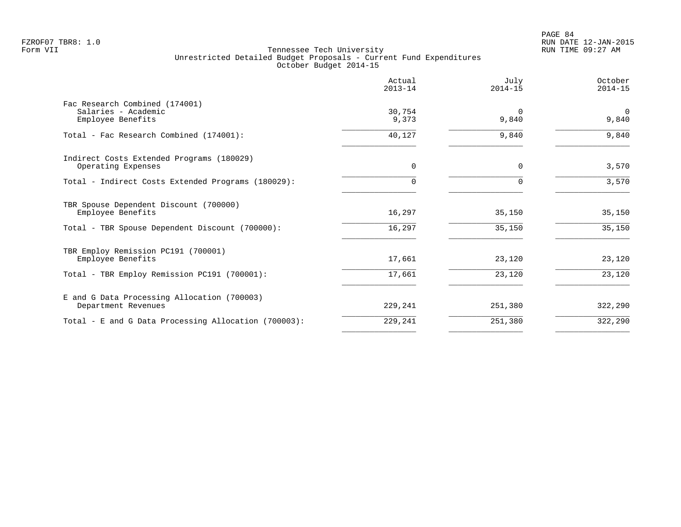|                                                                            | Actual<br>$2013 - 14$ | July<br>$2014 - 15$ | October<br>$2014 - 15$ |
|----------------------------------------------------------------------------|-----------------------|---------------------|------------------------|
| Fac Research Combined (174001)<br>Salaries - Academic<br>Employee Benefits | 30,754<br>9,373       | $\Omega$<br>9,840   | $\Omega$<br>9,840      |
| Total - Fac Research Combined (174001):                                    | 40,127                | 9,840               | 9,840                  |
| Indirect Costs Extended Programs (180029)<br>Operating Expenses            | $\Omega$              | $\Omega$            | 3,570                  |
| Total - Indirect Costs Extended Programs (180029):                         |                       |                     | 3,570                  |
| TBR Spouse Dependent Discount (700000)<br>Employee Benefits                | 16,297                | 35,150              | 35,150                 |
| Total - TBR Spouse Dependent Discount (700000):                            | 16,297                | 35,150              | 35,150                 |
| TBR Employ Remission PC191 (700001)<br>Employee Benefits                   | 17,661                | 23,120              | 23,120                 |
| Total - TBR Employ Remission PC191 (700001):                               | 17,661                | 23,120              | 23,120                 |
| E and G Data Processing Allocation (700003)<br>Department Revenues         | 229,241               | 251,380             | 322,290                |
| Total - E and G Data Processing Allocation (700003):                       | 229,241               | 251,380             | 322,290                |
|                                                                            |                       |                     |                        |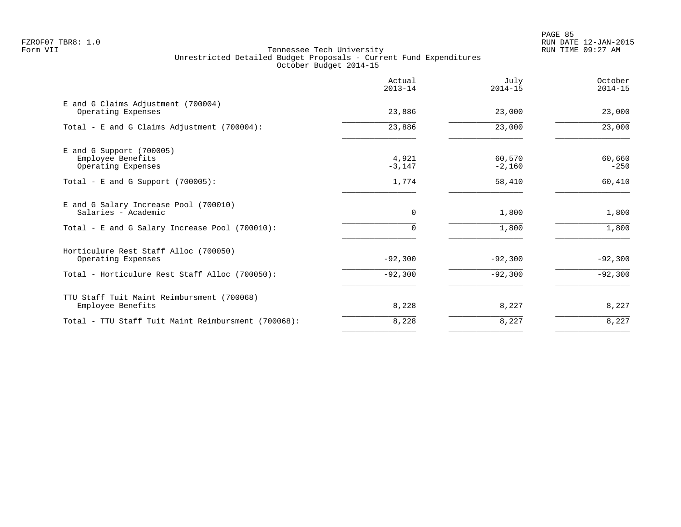PAGE 85 FZROF07 TBR8: 1.0 RUN DATE 12-JAN-2015

|                                                              | Actual<br>$2013 - 14$ | July<br>$2014 - 15$ | October<br>$2014 - 15$ |
|--------------------------------------------------------------|-----------------------|---------------------|------------------------|
| E and G Claims Adjustment (700004)<br>Operating Expenses     | 23,886                | 23,000              | 23,000                 |
| Total - E and G Claims Adjustment (700004):                  | 23,886                | 23,000              | 23,000                 |
| $E$ and G Support (700005)<br>Employee Benefits              | 4,921                 | 60,570              | 60,660                 |
| Operating Expenses                                           | $-3,147$              | $-2,160$            | $-250$                 |
| Total - E and G Support $(700005)$ :                         | 1,774                 | 58,410              | 60,410                 |
| E and G Salary Increase Pool (700010)<br>Salaries - Academic | $\mathbf 0$           | 1,800               | 1,800                  |
| Total - E and G Salary Increase Pool (700010):               | $\Omega$              | 1,800               | 1,800                  |
| Horticulure Rest Staff Alloc (700050)                        |                       |                     |                        |
| Operating Expenses                                           | $-92,300$             | $-92,300$           | $-92,300$              |
| Total - Horticulure Rest Staff Alloc (700050):               | $-92,300$             | $-92,300$           | $-92,300$              |
| TTU Staff Tuit Maint Reimbursment (700068)                   |                       |                     |                        |
| Employee Benefits                                            | 8,228                 | 8,227               | 8,227                  |
| Total - TTU Staff Tuit Maint Reimbursment (700068):          | 8,228                 | 8,227               | 8,227                  |
|                                                              |                       |                     |                        |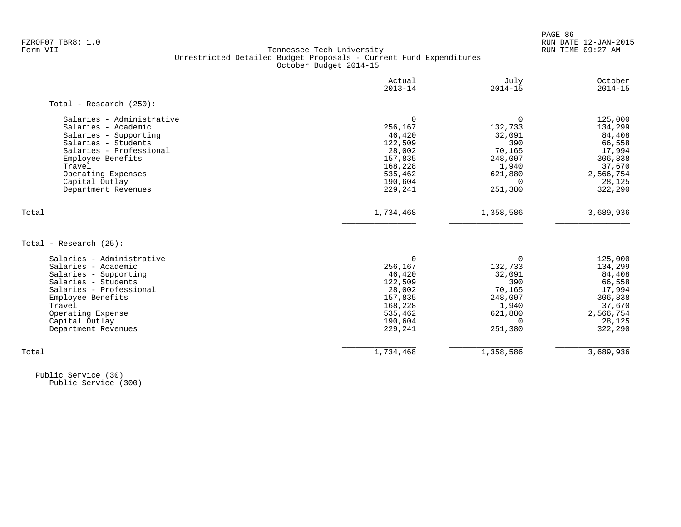PAGE 86 FZROF07 TBR8: 1.0 RUN DATE 12-JAN-2015

#### Form VII Tennessee Tech University RUN TIME 09:27 AM Unrestricted Detailed Budget Proposals - Current Fund Expenditures October Budget 2014-15

|                                                  | Actual<br>$2013 - 14$ | July<br>$2014 - 15$ | October<br>$2014 - 15$ |
|--------------------------------------------------|-----------------------|---------------------|------------------------|
| Total - Research $(250)$ :                       |                       |                     |                        |
| Salaries - Administrative                        | $\Omega$              | 0                   | 125,000                |
| Salaries - Academic                              | 256,167               | 132,733             | 134,299                |
| Salaries - Supporting                            | 46,420                | 32,091              | 84,408                 |
| Salaries - Students                              | 122,509               | 390                 | 66,558                 |
| Salaries - Professional                          | 28,002                | 70,165              | 17,994                 |
| Employee Benefits                                | 157,835               | 248,007             | 306,838                |
| Travel                                           | 168,228               | 1,940               | 37,670                 |
| Operating Expenses                               | 535,462               | 621,880             | 2,566,754              |
| Capital Outlay                                   | 190,604               | $\Omega$            | 28,125                 |
| Department Revenues                              | 229,241               | 251,380             | 322,290                |
| Total                                            | 1,734,468             | 1,358,586           | 3,689,936              |
| Total - Research (25):                           |                       |                     |                        |
|                                                  |                       |                     |                        |
| Salaries - Administrative<br>Salaries - Academic | $\Omega$              | 0                   | 125,000                |
| Salaries - Supporting                            | 256,167<br>46,420     | 132,733<br>32,091   | 134,299                |
| Salaries - Students                              | 122,509               | 390                 | 84,408                 |
| Salaries - Professional                          | 28,002                | 70,165              | 66,558<br>17,994       |
|                                                  | 157,835               | 248,007             | 306,838                |
| Employee Benefits<br>Travel                      | 168,228               | 1,940               | 37,670                 |
| Operating Expense                                | 535,462               | 621,880             | 2,566,754              |
| Capital Outlay                                   | 190,604               | $\Omega$            | 28,125                 |
| Department Revenues                              | 229,241               | 251,380             | 322,290                |
|                                                  |                       |                     |                        |
| Total                                            | 1,734,468             | 1,358,586           | 3,689,936              |
|                                                  |                       |                     |                        |

 Public Service (30) Public Service (300)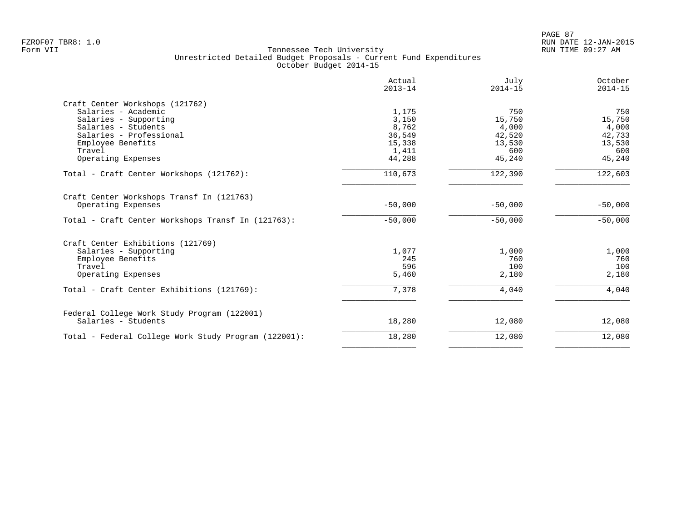|                                                      | Actual<br>$2013 - 14$ | July<br>$2014 - 15$ | October<br>$2014 - 15$ |
|------------------------------------------------------|-----------------------|---------------------|------------------------|
| Craft Center Workshops (121762)                      |                       |                     |                        |
| Salaries - Academic                                  | 1,175                 | 750                 | 750                    |
| Salaries - Supporting                                | 3,150                 | 15,750              | 15,750                 |
| Salaries - Students                                  | 8,762                 | 4,000               | 4,000                  |
| Salaries - Professional                              | 36,549                | 42,520              | 42,733                 |
| Employee Benefits                                    | 15,338                | 13,530              | 13,530                 |
| Travel                                               | 1,411                 | 600                 | 600                    |
| Operating Expenses                                   | 44,288                | 45,240              | 45,240                 |
| Total - Craft Center Workshops (121762):             | 110,673               | 122,390             | 122,603                |
| Craft Center Workshops Transf In (121763)            |                       |                     |                        |
| Operating Expenses                                   | $-50,000$             | $-50,000$           | $-50,000$              |
| Total - Craft Center Workshops Transf In (121763):   | $-50,000$             | $-50,000$           | $-50,000$              |
| Craft Center Exhibitions (121769)                    |                       |                     |                        |
| Salaries - Supporting                                | 1,077                 | 1,000               | 1,000                  |
| Employee Benefits                                    | 245                   | 760                 | 760                    |
| Travel                                               | 596                   | 100                 | 100                    |
| Operating Expenses                                   | 5,460                 | 2,180               | 2,180                  |
| Total - Craft Center Exhibitions (121769):           | 7,378                 | 4,040               | 4,040                  |
| Federal College Work Study Program (122001)          |                       |                     |                        |
| Salaries - Students                                  | 18,280                | 12,080              | 12,080                 |
| Total - Federal College Work Study Program (122001): | 18,280                | 12,080              | 12,080                 |
|                                                      |                       |                     |                        |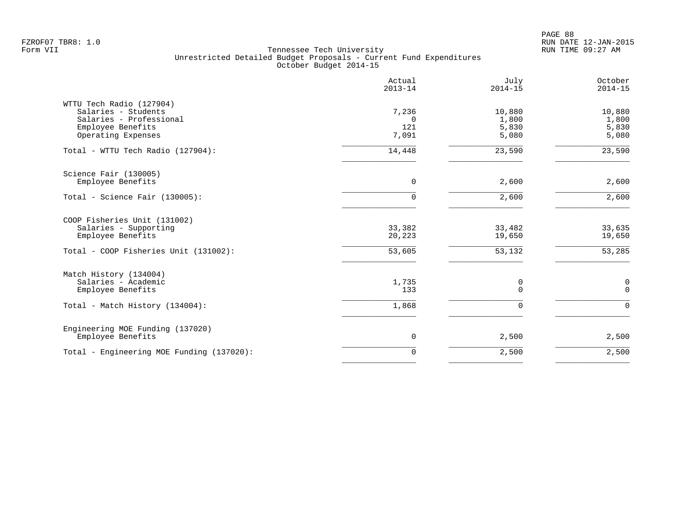PAGE 88 FZROF07 TBR8: 1.0 RUN DATE 12-JAN-2015

| July<br>October<br>$2014 - 15$<br>$2014 - 15$                          | Actual<br>$2013 - 14$             |                                                                                                                       |
|------------------------------------------------------------------------|-----------------------------------|-----------------------------------------------------------------------------------------------------------------------|
| 10,880<br>10,880<br>1,800<br>1,800<br>5,830<br>5,830<br>5,080<br>5,080 | 7,236<br>$\Omega$<br>121<br>7,091 | WTTU Tech Radio (127904)<br>Salaries - Students<br>Salaries - Professional<br>Employee Benefits<br>Operating Expenses |
| 23,590<br>23,590                                                       | 14,448                            | Total - WTTU Tech Radio (127904):                                                                                     |
| 2,600<br>2,600                                                         | $\mathbf 0$                       | Science Fair (130005)<br>Employee Benefits                                                                            |
| 2,600<br>2,600                                                         | $\Omega$                          | Total - Science Fair (130005):                                                                                        |
| 33,635<br>33,482<br>19,650<br>19,650<br>53,285<br>53,132               | 33,382<br>20,223<br>53,605        | COOP Fisheries Unit (131002)<br>Salaries - Supporting<br>Employee Benefits<br>Total - COOP Fisheries Unit (131002):   |
| $\mathbf 0$<br>0<br>$\mathsf 0$<br>0                                   | 1,735<br>133                      | Match History (134004)<br>Salaries - Academic<br>Employee Benefits                                                    |
| $\mathbf 0$<br>0                                                       | 1,868                             | Total - Match History (134004):                                                                                       |
| 2,500<br>2,500                                                         | 0                                 | Engineering MOE Funding (137020)<br>Employee Benefits                                                                 |
| 2,500<br>2,500                                                         | $\mathbf 0$                       | Total - Engineering MOE Funding (137020):                                                                             |
|                                                                        |                                   |                                                                                                                       |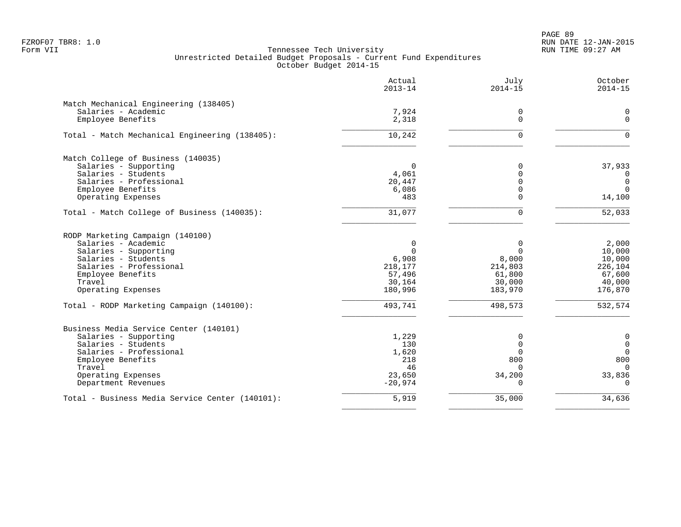PAGE 89 FZROF07 TBR8: 1.0 RUN DATE 12-JAN-2015

|                                                                                                                                                                                               | Actual<br>$2013 - 14$                                                      | July<br>$2014 - 15$                                                        | October<br>$2014 - 15$                                                                |
|-----------------------------------------------------------------------------------------------------------------------------------------------------------------------------------------------|----------------------------------------------------------------------------|----------------------------------------------------------------------------|---------------------------------------------------------------------------------------|
| Match Mechanical Engineering (138405)<br>Salaries - Academic<br>Employee Benefits                                                                                                             | 7,924<br>2,318                                                             | 0<br>$\Omega$                                                              | 0<br>$\mathbf 0$                                                                      |
| Total - Match Mechanical Engineering (138405):                                                                                                                                                | 10,242                                                                     | $\Omega$                                                                   | $\Omega$                                                                              |
| Match College of Business (140035)<br>Salaries - Supporting<br>Salaries - Students<br>Salaries - Professional<br>Employee Benefits                                                            | $\Omega$<br>4,061<br>20,447<br>6,086                                       | 0<br>$\overline{0}$<br>$\overline{0}$<br>$\mathbf 0$                       | 37,933<br>0<br>$\mathbf 0$<br>$\Omega$                                                |
| Operating Expenses                                                                                                                                                                            | 483                                                                        | $\Omega$                                                                   | 14,100                                                                                |
| Total - Match College of Business (140035):                                                                                                                                                   | 31,077                                                                     | $\Omega$                                                                   | 52,033                                                                                |
| RODP Marketing Campaign (140100)<br>Salaries - Academic<br>Salaries - Supporting<br>Salaries - Students<br>Salaries - Professional<br>Employee Benefits<br>Travel<br>Operating Expenses       | $\mathbf 0$<br>$\Omega$<br>6,908<br>218,177<br>57,496<br>30,164<br>180,996 | $\mathbf 0$<br>$\Omega$<br>8,000<br>214,803<br>61,800<br>30,000<br>183,970 | 2,000<br>10,000<br>10,000<br>226,104<br>67,600<br>40,000<br>176,870                   |
| Total - RODP Marketing Campaign (140100):                                                                                                                                                     | 493,741                                                                    | 498,573                                                                    | 532,574                                                                               |
| Business Media Service Center (140101)<br>Salaries - Supporting<br>Salaries - Students<br>Salaries - Professional<br>Employee Benefits<br>Travel<br>Operating Expenses<br>Department Revenues | 1,229<br>130<br>1,620<br>218<br>46<br>23,650<br>$-20,974$                  | 0<br>$\mathbf 0$<br>$\mathbf 0$<br>800<br>$\Omega$<br>34,200<br>$\Omega$   | $\mathbf 0$<br>$\mathbf 0$<br>$\overline{0}$<br>800<br>$\Omega$<br>33,836<br>$\Omega$ |
| Total - Business Media Service Center (140101):                                                                                                                                               | 5,919                                                                      | 35,000                                                                     | 34,636                                                                                |
|                                                                                                                                                                                               |                                                                            |                                                                            |                                                                                       |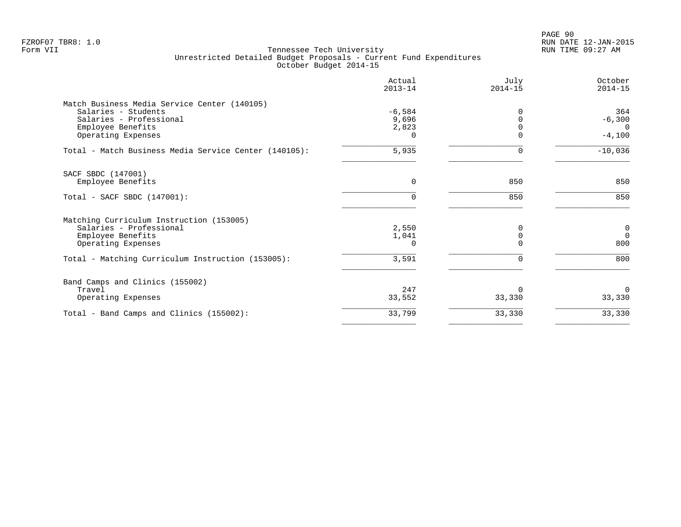|                                                       | Actual<br>$2013 - 14$ | July<br>$2014 - 15$ | October<br>$2014 - 15$ |
|-------------------------------------------------------|-----------------------|---------------------|------------------------|
| Match Business Media Service Center (140105)          |                       |                     |                        |
| Salaries - Students                                   | $-6,584$              |                     | 364                    |
| Salaries - Professional<br>Employee Benefits          | 9,696<br>2,823        |                     | $-6,300$<br>$\Omega$   |
| Operating Expenses                                    | 0                     | $\Omega$            | $-4,100$               |
| Total - Match Business Media Service Center (140105): | 5,935                 | $\Omega$            | $-10,036$              |
| SACF SBDC (147001)                                    |                       |                     |                        |
| Employee Benefits                                     | $\Omega$              | 850                 | 850                    |
| Total - SACF SBDC (147001):                           | 0                     | 850                 | 850                    |
| Matching Curriculum Instruction (153005)              |                       |                     |                        |
| Salaries - Professional                               | 2,550                 | $\Omega$            | 0                      |
| Employee Benefits                                     | 1,041                 | $\Omega$            | $\Omega$               |
| Operating Expenses                                    | 0                     |                     | 800                    |
| Total - Matching Curriculum Instruction (153005):     | 3,591                 |                     | 800                    |
| Band Camps and Clinics (155002)                       |                       |                     |                        |
| Travel                                                | 247                   | O                   | $\Omega$               |
| Operating Expenses                                    | 33,552                | 33,330              | 33,330                 |
| Total - Band Camps and Clinics (155002):              | 33,799                | 33,330              | 33,330                 |
|                                                       |                       |                     |                        |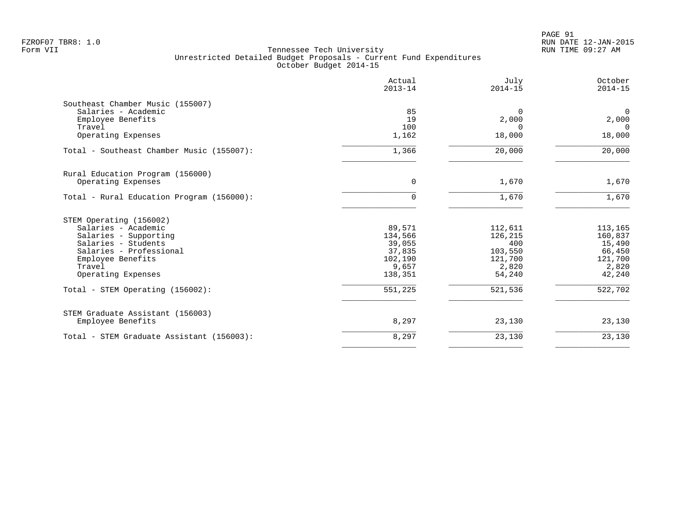|                                           | Actual<br>$2013 - 14$ | July<br>$2014 - 15$ | October<br>$2014 - 15$ |
|-------------------------------------------|-----------------------|---------------------|------------------------|
| Southeast Chamber Music (155007)          |                       |                     |                        |
| Salaries - Academic                       | 85                    | $\Omega$            | $\Omega$               |
| Employee Benefits                         | 19                    | 2,000               | 2,000                  |
| Travel                                    | 100                   | $\Omega$            | $\Omega$               |
| Operating Expenses                        | 1,162                 | 18,000              | 18,000                 |
| Total - Southeast Chamber Music (155007): | 1,366                 | 20,000              | 20,000                 |
| Rural Education Program (156000)          |                       |                     |                        |
| Operating Expenses                        | $\mathbf 0$           | 1,670               | 1,670                  |
| Total - Rural Education Program (156000): | $\Omega$              | 1,670               | 1,670                  |
| STEM Operating (156002)                   |                       |                     |                        |
| Salaries - Academic                       | 89,571                | 112,611             | 113,165                |
| Salaries - Supporting                     | 134,566               | 126,215             | 160,837                |
| Salaries - Students                       | 39,055                | 400                 | 15,490                 |
| Salaries - Professional                   | 37,835                | 103,550             | 66,450                 |
| Employee Benefits                         | 102,190               | 121,700             | 121,700                |
| Travel                                    | 9,657                 | 2,820               | 2,820                  |
| Operating Expenses                        | 138,351               | 54,240              | 42,240                 |
| Total - STEM Operating (156002):          | 551,225               | 521,536             | 522,702                |
| STEM Graduate Assistant (156003)          |                       |                     |                        |
| Employee Benefits                         | 8,297                 | 23,130              | 23,130                 |
| Total - STEM Graduate Assistant (156003): | 8,297                 | 23,130              | 23,130                 |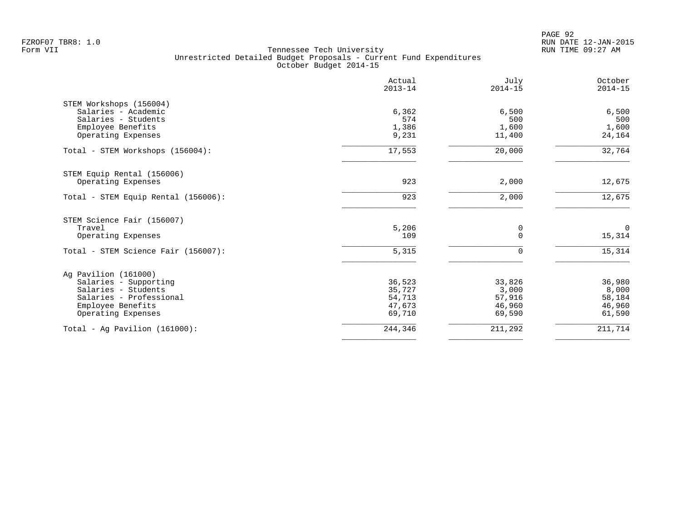PAGE 92 FZROF07 TBR8: 1.0 RUN DATE 12-JAN-2015

|                                     | Actual<br>$2013 - 14$ | July<br>$2014 - 15$ | October<br>$2014 - 15$ |
|-------------------------------------|-----------------------|---------------------|------------------------|
| STEM Workshops (156004)             |                       |                     |                        |
| Salaries - Academic                 | 6,362                 | 6,500               | 6,500                  |
| Salaries - Students                 | 574                   | 500                 | 500                    |
| Employee Benefits                   | 1,386                 | 1,600               | 1,600                  |
| Operating Expenses                  | 9,231                 | 11,400              | 24,164                 |
| Total - STEM Workshops (156004):    | 17,553                | 20,000              | 32,764                 |
| STEM Equip Rental (156006)          |                       |                     |                        |
| Operating Expenses                  | 923                   | 2,000               | 12,675                 |
| Total - STEM Equip Rental (156006): | 923                   | 2,000               | 12,675                 |
| STEM Science Fair (156007)          |                       |                     |                        |
| Travel                              | 5,206                 | 0                   | $\overline{0}$         |
| Operating Expenses                  | 109                   | $\Omega$            | 15,314                 |
| Total - STEM Science Fair (156007): | $\overline{5,315}$    | 0                   | 15,314                 |
| Ag Pavilion (161000)                |                       |                     |                        |
| Salaries - Supporting               | 36,523                | 33,826              | 36,980                 |
| Salaries - Students                 | 35,727                | 3,000               | 8,000                  |
| Salaries - Professional             | 54,713                | 57,916              | 58,184                 |
| Employee Benefits                   | 47,673                | 46,960              | 46,960                 |
| Operating Expenses                  | 69,710                | 69,590              | 61,590                 |
| Total - Aq Pavilion $(161000)$ :    | 244,346               | 211,292             | 211,714                |
|                                     |                       |                     |                        |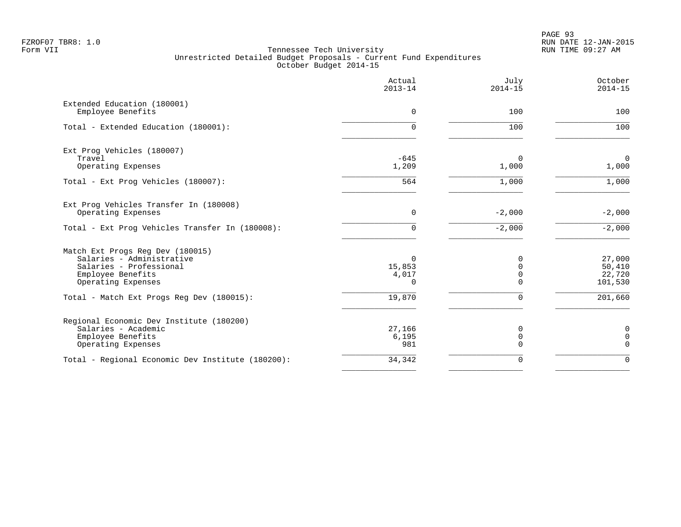|                                                                                                                                     | Actual<br>$2013 - 14$            | July<br>$2014 - 15$               | October<br>$2014 - 15$                 |
|-------------------------------------------------------------------------------------------------------------------------------------|----------------------------------|-----------------------------------|----------------------------------------|
| Extended Education (180001)<br>Employee Benefits                                                                                    | $\Omega$                         | 100                               | 100                                    |
| Total - Extended Education (180001):                                                                                                | $\Omega$                         | 100                               | 100                                    |
| Ext Prog Vehicles (180007)<br>Travel                                                                                                | $-645$                           | 0                                 | $\mathbf 0$                            |
| Operating Expenses                                                                                                                  | 1,209                            | 1,000                             | 1,000                                  |
| Total - Ext Prog Vehicles (180007):                                                                                                 | 564                              | 1,000                             | 1,000                                  |
| Ext Prog Vehicles Transfer In (180008)<br>Operating Expenses                                                                        | $\mathbf 0$                      | $-2,000$                          | $-2,000$                               |
| Total - Ext Prog Vehicles Transfer In (180008):                                                                                     | $\Omega$                         | $-2,000$                          | $-2,000$                               |
| Match Ext Progs Reg Dev (180015)<br>Salaries - Administrative<br>Salaries - Professional<br>Employee Benefits<br>Operating Expenses | $\Omega$<br>15,853<br>4,017<br>0 | 0<br>$\Omega$<br>$\mathbf 0$<br>∩ | 27,000<br>50,410<br>22,720<br>101,530  |
| Total - Match Ext Progs Reg Dev (180015):                                                                                           | 19,870                           | $\Omega$                          | 201,660                                |
| Regional Economic Dev Institute (180200)<br>Salaries - Academic<br>Employee Benefits<br>Operating Expenses                          | 27,166<br>6,195<br>981           | 0<br>$\mathbf 0$<br>$\Omega$      | $\mathbf 0$<br>$\mathbf 0$<br>$\Omega$ |
| Total - Regional Economic Dev Institute (180200):                                                                                   | 34,342                           | 0                                 | $\Omega$                               |
|                                                                                                                                     |                                  |                                   |                                        |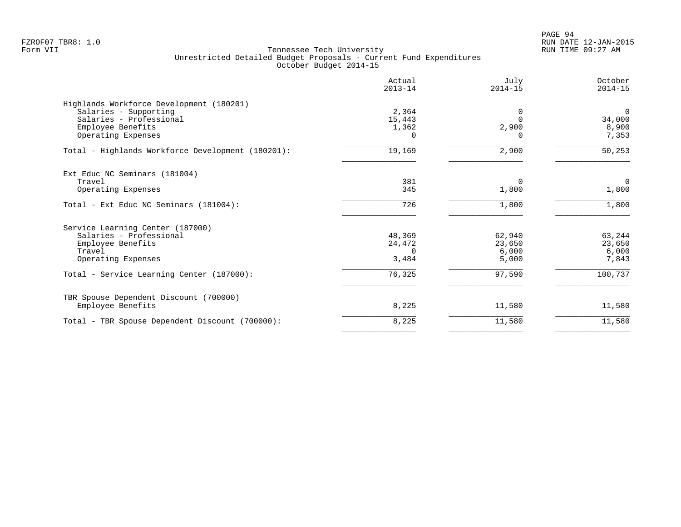| Actual<br>$2013 - 14$ | July<br>$2014 - 15$              | October<br>$2014 - 15$             |
|-----------------------|----------------------------------|------------------------------------|
|                       |                                  |                                    |
|                       | $\Omega$                         | $\mathbf 0$                        |
| 15,443                | $\Omega$                         | 34,000                             |
| 1,362                 |                                  | 8,900                              |
| 0                     | O                                | 7,353                              |
| 19,169                | 2,900                            | 50,253                             |
|                       |                                  |                                    |
|                       | $\Omega$                         | $\mathbf 0$                        |
| 345                   | 1,800                            | 1,800                              |
| 726                   | 1,800                            | 1,800                              |
|                       |                                  |                                    |
|                       |                                  | 63,244                             |
|                       |                                  | 23,650                             |
| $\Omega$              |                                  | 6,000                              |
| 3,484                 | 5,000                            | 7,843                              |
| 76,325                | 97,590                           | 100,737                            |
|                       |                                  |                                    |
| 8,225                 | 11,580                           | 11,580                             |
| 8,225                 | 11,580                           | 11,580                             |
|                       | 2,364<br>381<br>48,369<br>24,472 | 2,900<br>62,940<br>23,650<br>6,000 |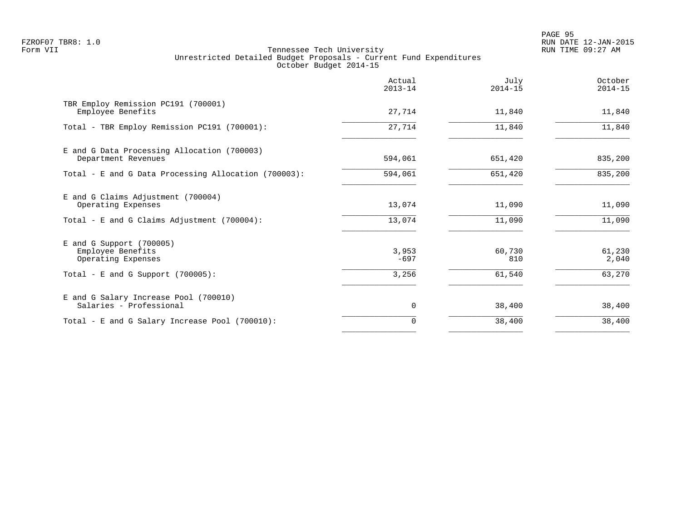PAGE 95 FZROF07 TBR8: 1.0 RUN DATE 12-JAN-2015

|                                                                                                             | Actual<br>$2013 - 14$    | July<br>$2014 - 15$     | October<br>$2014 - 15$    |
|-------------------------------------------------------------------------------------------------------------|--------------------------|-------------------------|---------------------------|
| TBR Employ Remission PC191 (700001)<br>Employee Benefits                                                    | 27,714                   | 11,840                  | 11,840                    |
| Total - TBR Employ Remission PC191 (700001):                                                                | 27,714                   | 11,840                  | 11,840                    |
| E and G Data Processing Allocation (700003)<br>Department Revenues                                          | 594,061                  | 651,420                 | 835,200                   |
| Total - E and G Data Processing Allocation (700003):                                                        | 594,061                  | 651,420                 | 835,200                   |
| E and G Claims Adjustment (700004)<br>Operating Expenses                                                    | 13,074                   | 11,090                  | 11,090                    |
| Total - E and G Claims Adjustment (700004):                                                                 | 13,074                   | 11,090                  | 11,090                    |
| E and G Support (700005)<br>Employee Benefits<br>Operating Expenses<br>Total - E and G Support $(700005)$ : | 3,953<br>$-697$<br>3,256 | 60,730<br>810<br>61,540 | 61,230<br>2,040<br>63,270 |
|                                                                                                             |                          |                         |                           |
| E and G Salary Increase Pool (700010)<br>Salaries - Professional                                            | 0                        | 38,400                  | 38,400                    |
| Total - E and G Salary Increase Pool (700010):                                                              | $\mathbf 0$              | 38,400                  | 38,400                    |
|                                                                                                             |                          |                         |                           |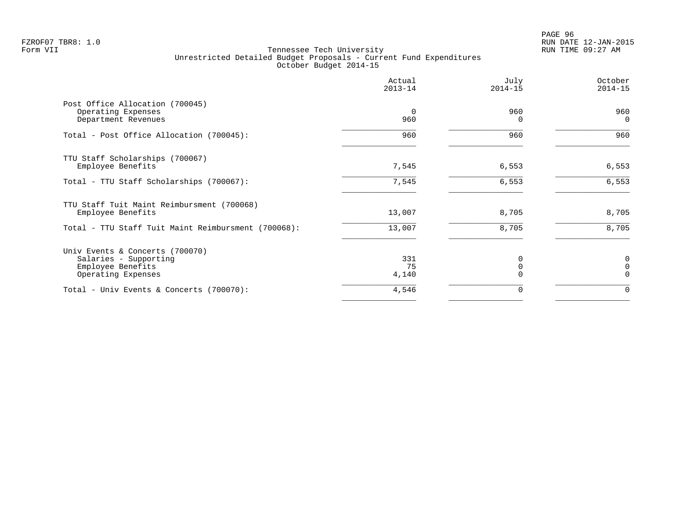PAGE 96 FZROF07 TBR8: 1.0 RUN DATE 12-JAN-2015

|                                                                                                     | Actual<br>$2013 - 14$ | July<br>$2014 - 15$ | October<br>$2014 - 15$    |
|-----------------------------------------------------------------------------------------------------|-----------------------|---------------------|---------------------------|
| Post Office Allocation (700045)<br>Operating Expenses<br>Department Revenues                        | 0<br>960              | 960<br>∩            | 960<br>$\Omega$           |
| Total - Post Office Allocation (700045):                                                            | 960                   | 960                 | 960                       |
| TTU Staff Scholarships (700067)<br>Employee Benefits                                                | 7,545                 | 6,553               | 6,553                     |
| Total - TTU Staff Scholarships (700067):                                                            | 7,545                 | 6,553               | 6,553                     |
| TTU Staff Tuit Maint Reimbursment (700068)<br>Employee Benefits                                     | 13,007                | 8,705               | 8,705                     |
| Total - TTU Staff Tuit Maint Reimbursment (700068):                                                 | 13,007                | 8,705               | 8,705                     |
| Univ Events & Concerts (700070)<br>Salaries - Supporting<br>Employee Benefits<br>Operating Expenses | 331<br>75<br>4,140    |                     | 0<br>$\Omega$<br>$\Omega$ |
| Total - Univ Events & Concerts (700070):                                                            | 4,546                 |                     | $\Omega$                  |
|                                                                                                     |                       |                     |                           |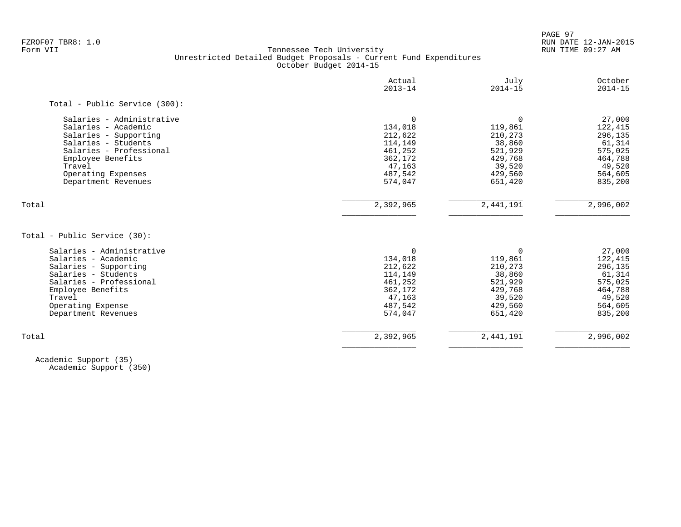PAGE 97 FZROF07 TBR8: 1.0 RUN DATE 12-JAN-2015

### Form VII Tennessee Tech University RUN TIME 09:27 AM Unrestricted Detailed Budget Proposals - Current Fund Expenditures October Budget 2014-15

| Actual<br>$2013 - 14$ | July<br>$2014 - 15$                                                                  | October<br>$2014 - 15$                                                              |
|-----------------------|--------------------------------------------------------------------------------------|-------------------------------------------------------------------------------------|
|                       |                                                                                      |                                                                                     |
| $\Omega$              | $\Omega$                                                                             | 27,000                                                                              |
| 134,018               | 119,861                                                                              | 122,415                                                                             |
|                       | 210,273                                                                              | 296,135                                                                             |
| 114,149               | 38,860                                                                               | 61,314                                                                              |
| 461,252               |                                                                                      | 575,025                                                                             |
| 362,172               | 429,768                                                                              | 464,788                                                                             |
| 47,163                | 39,520                                                                               | 49,520                                                                              |
| 487,542               | 429,560                                                                              | 564,605                                                                             |
| 574,047               | 651,420                                                                              | 835,200                                                                             |
| 2,392,965             | 2,441,191                                                                            | 2,996,002                                                                           |
|                       |                                                                                      |                                                                                     |
|                       |                                                                                      |                                                                                     |
|                       |                                                                                      | 27,000                                                                              |
|                       |                                                                                      | 122,415<br>296,135                                                                  |
|                       |                                                                                      | 61,314                                                                              |
|                       |                                                                                      | 575,025                                                                             |
|                       |                                                                                      | 464,788                                                                             |
|                       |                                                                                      | 49,520                                                                              |
|                       | 429,560                                                                              |                                                                                     |
|                       |                                                                                      |                                                                                     |
| 487,542<br>574,047    | 651,420                                                                              | 564,605<br>835,200                                                                  |
|                       | 212,622<br>$\Omega$<br>134,018<br>212,622<br>114,149<br>461,252<br>362,172<br>47,163 | 521,929<br>$\Omega$<br>119,861<br>210,273<br>38,860<br>521,929<br>429,768<br>39,520 |

 Academic Support (35) Academic Support (350)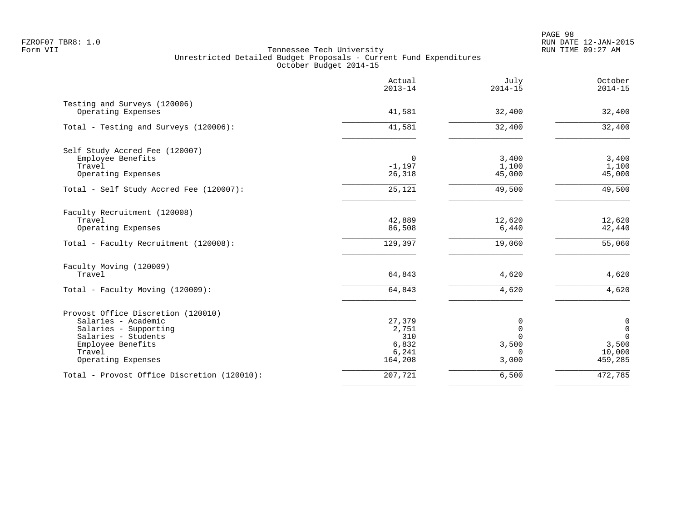PAGE 98 FZROF07 TBR8: 1.0 RUN DATE 12-JAN-2015

| Actual<br>$2013 - 14$ | July<br>$2014 - 15$                                                       | October<br>$2014 - 15$                                              |
|-----------------------|---------------------------------------------------------------------------|---------------------------------------------------------------------|
|                       |                                                                           | 32,400                                                              |
|                       |                                                                           |                                                                     |
| 41,581                | 32,400                                                                    | 32,400                                                              |
|                       |                                                                           |                                                                     |
| 0                     | 3,400                                                                     | 3,400                                                               |
|                       |                                                                           | 1,100                                                               |
|                       |                                                                           | 45,000                                                              |
| 25,121                | 49,500                                                                    | 49,500                                                              |
|                       |                                                                           |                                                                     |
| 42,889                | 12,620                                                                    | 12,620                                                              |
|                       |                                                                           | 42,440                                                              |
| 129,397               | 19,060                                                                    | 55,060                                                              |
|                       |                                                                           |                                                                     |
|                       | 4,620                                                                     | 4,620                                                               |
| 64,843                | 4,620                                                                     | 4,620                                                               |
|                       |                                                                           |                                                                     |
| 27,379                | 0                                                                         | $\mathsf{O}\xspace$                                                 |
| 2,751                 | 0                                                                         | $\mathsf 0$                                                         |
|                       |                                                                           | $\overline{0}$                                                      |
|                       |                                                                           | 3,500                                                               |
| 164,208               | 3,000                                                                     | 10,000<br>459,285                                                   |
| 207,721               | 6,500                                                                     | 472,785                                                             |
|                       | 41,581<br>$-1,197$<br>26,318<br>86,508<br>64,843<br>310<br>6,832<br>6,241 | 32,400<br>1,100<br>45,000<br>6,440<br>$\Omega$<br>3,500<br>$\Omega$ |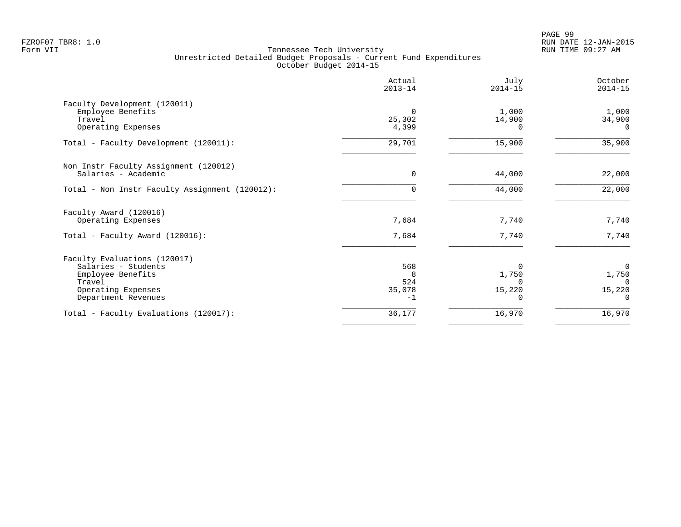|                                                | Actual<br>$2013 - 14$ | July<br>$2014 - 15$ | October<br>$2014 - 15$ |
|------------------------------------------------|-----------------------|---------------------|------------------------|
| Faculty Development (120011)                   |                       |                     |                        |
| Employee Benefits                              | $\Omega$              | 1,000               | 1,000                  |
| Travel                                         | 25,302                | 14,900              | 34,900                 |
| Operating Expenses                             | 4,399                 | 0                   | $\Omega$               |
| Total - Faculty Development (120011):          | 29,701                | 15,900              | 35,900                 |
| Non Instr Faculty Assignment (120012)          |                       |                     |                        |
| Salaries - Academic                            | 0                     | 44,000              | 22,000                 |
| Total - Non Instr Faculty Assignment (120012): | $\Omega$              | 44,000              | 22,000                 |
| Faculty Award (120016)                         |                       |                     |                        |
| Operating Expenses                             | 7,684                 | 7,740               | 7,740                  |
| Total - Faculty Award (120016):                | 7,684                 | 7,740               | 7,740                  |
| Faculty Evaluations (120017)                   |                       |                     |                        |
| Salaries - Students                            | 568                   | 0                   | $\Omega$               |
| Employee Benefits                              | 8                     | 1,750               | 1,750                  |
| Travel                                         | 524                   |                     | $\Omega$               |
| Operating Expenses<br>Department Revenues      | 35,078<br>$-1$        | 15,220              | 15,220<br>$\Omega$     |
|                                                |                       |                     |                        |
| Total - Faculty Evaluations (120017):          | 36,177                | 16,970              | 16,970                 |
|                                                |                       |                     |                        |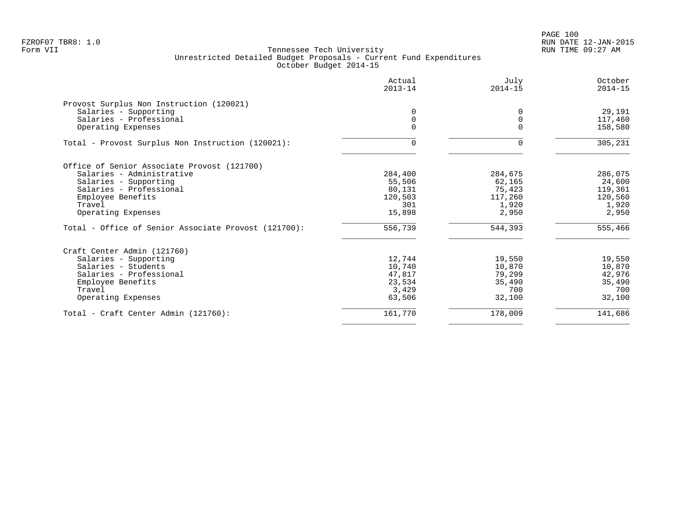|                                                      | Actual<br>$2013 - 14$ | July<br>$2014 - 15$ | October<br>$2014 - 15$ |
|------------------------------------------------------|-----------------------|---------------------|------------------------|
| Provost Surplus Non Instruction (120021)             |                       |                     |                        |
| Salaries - Supporting                                | $\Omega$              | 0                   | 29,191                 |
| Salaries - Professional                              | 0                     | $\Omega$            | 117,460                |
| Operating Expenses                                   | $\Omega$              | $\Omega$            | 158,580                |
| Total - Provost Surplus Non Instruction (120021):    | $\Omega$              | $\Omega$            | 305,231                |
| Office of Senior Associate Provost (121700)          |                       |                     |                        |
| Salaries - Administrative                            | 284,400               | 284,675             | 286,075                |
| Salaries - Supporting                                | 55,506                | 62,165              | 24,600                 |
| Salaries - Professional                              | 80,131                | 75,423              | 119,361                |
| Employee Benefits                                    | 120,503               | 117,260             | 120,560                |
| Travel                                               | 301                   | 1,920               | 1,920                  |
| Operating Expenses                                   | 15,898                | 2,950               | 2,950                  |
| Total - Office of Senior Associate Provost (121700): | 556,739               | 544,393             | 555,466                |
| Craft Center Admin (121760)                          |                       |                     |                        |
| Salaries - Supporting                                | 12,744                | 19,550              | 19,550                 |
| Salaries - Students                                  | 10,740                | 10,870              | 10,870                 |
| Salaries - Professional                              | 47,817                | 79,299              | 42,976                 |
| Employee Benefits                                    | 23,534                | 35,490              | 35,490                 |
| Travel                                               | 3,429                 | 700                 | 700                    |
| Operating Expenses                                   | 63,506                | 32,100              | 32,100                 |
| Total - Craft Center Admin (121760):                 | 161,770               | 178,009             | 141,686                |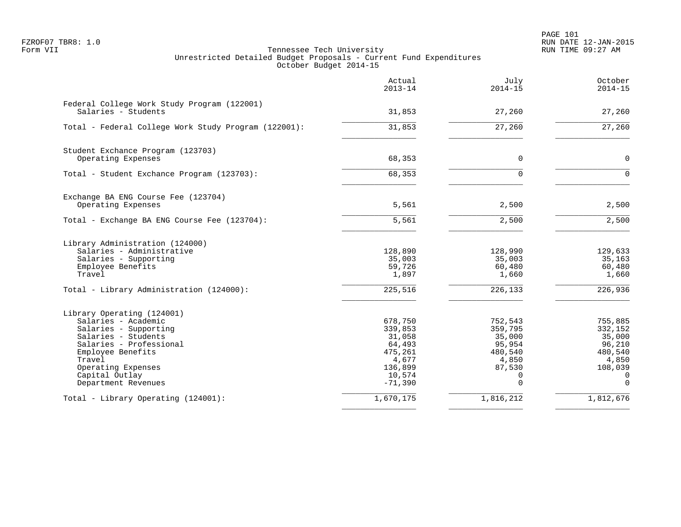PAGE 101 FZROF07 TBR8: 1.0 RUN DATE 12-JAN-2015

|                                                                    | Actual<br>$2013 - 14$ | July<br>$2014 - 15$ | October<br>$2014 - 15$ |
|--------------------------------------------------------------------|-----------------------|---------------------|------------------------|
| Federal College Work Study Program (122001)<br>Salaries - Students | 31,853                | 27,260              | 27,260                 |
|                                                                    | 31,853                |                     | 27,260                 |
| Total - Federal College Work Study Program (122001):               |                       | 27,260              |                        |
| Student Exchance Program (123703)                                  |                       |                     |                        |
| Operating Expenses                                                 | 68,353                | $\mathbf 0$         | $\mathbf 0$            |
| Total - Student Exchance Program (123703):                         | 68,353                | $\Omega$            | $\Omega$               |
| Exchange BA ENG Course Fee (123704)                                |                       |                     |                        |
| Operating Expenses                                                 | 5,561                 | 2,500               | 2,500                  |
| Total - Exchange BA ENG Course Fee (123704):                       | 5,561                 | 2,500               | 2,500                  |
| Library Administration (124000)                                    |                       |                     |                        |
| Salaries - Administrative<br>Salaries - Supporting                 | 128,890<br>35,003     | 128,990<br>35,003   | 129,633<br>35,163      |
| Employee Benefits                                                  | 59,726                | 60,480              | 60,480                 |
| Travel                                                             | 1,897                 | 1,660               | 1,660                  |
| Total - Library Administration (124000):                           | 225,516               | 226,133             | 226,936                |
| Library Operating (124001)                                         |                       |                     |                        |
| Salaries - Academic                                                | 678,750               | 752,543             | 755,885                |
| Salaries - Supporting                                              | 339,853               | 359,795             | 332,152                |
| Salaries - Students<br>Salaries - Professional                     | 31,058<br>64,493      | 35,000<br>95,954    | 35,000<br>96,210       |
| Employee Benefits                                                  | 475,261               | 480,540             | 480,540                |
| Travel                                                             | 4,677                 | 4,850               | 4,850                  |
| Operating Expenses                                                 | 136,899               | 87,530              | 108,039                |
| Capital Outlay<br>Department Revenues                              | 10,574<br>$-71,390$   | 0<br>$\Omega$       | 0<br>$\Omega$          |
| Total - Library Operating (124001):                                | 1,670,175             | 1,816,212           | 1,812,676              |
|                                                                    |                       |                     |                        |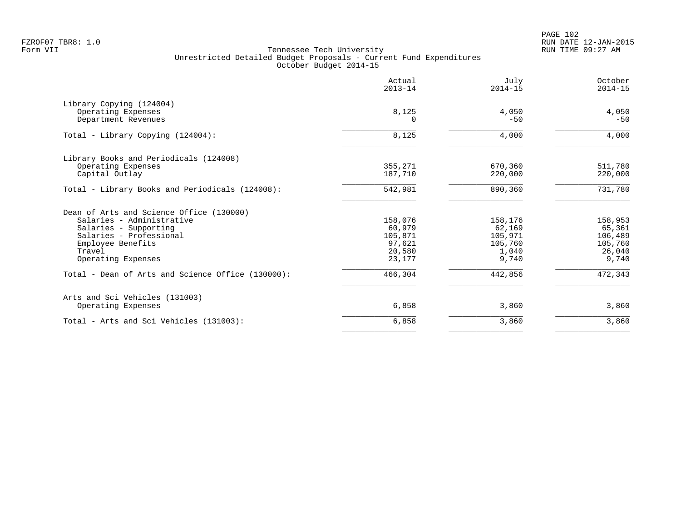PAGE 102 FZROF07 TBR8: 1.0 RUN DATE 12-JAN-2015

|                                                   | Actual<br>$2013 - 14$ | July<br>$2014 - 15$ | October<br>$2014 - 15$ |
|---------------------------------------------------|-----------------------|---------------------|------------------------|
| Library Copying (124004)                          |                       | 4,050               | 4,050                  |
| Operating Expenses<br>Department Revenues         | 8,125                 | $-50$               | $-50$                  |
| Total - Library Copying (124004):                 | 8,125                 | 4,000               | 4,000                  |
| Library Books and Periodicals (124008)            |                       |                     |                        |
| Operating Expenses<br>Capital Outlay              | 355,271<br>187,710    | 670,360<br>220,000  | 511,780<br>220,000     |
|                                                   |                       |                     |                        |
| Total - Library Books and Periodicals (124008):   | 542,981               | 890,360             | 731,780                |
| Dean of Arts and Science Office (130000)          |                       |                     |                        |
| Salaries - Administrative                         | 158,076               | 158,176             | 158,953                |
| Salaries - Supporting                             | 60,979                | 62,169              | 65,361                 |
| Salaries - Professional<br>Employee Benefits      | 105,871<br>97,621     | 105,971<br>105,760  | 106,489<br>105,760     |
| Travel                                            | 20,580                | 1,040               | 26,040                 |
| Operating Expenses                                | 23,177                | 9,740               | 9,740                  |
| Total - Dean of Arts and Science Office (130000): | 466,304               | 442,856             | 472,343                |
| Arts and Sci Vehicles (131003)                    |                       |                     |                        |
| Operating Expenses                                | 6,858                 | 3,860               | 3,860                  |
| Total - Arts and Sci Vehicles (131003):           | 6,858                 | 3,860               | 3,860                  |
|                                                   |                       |                     |                        |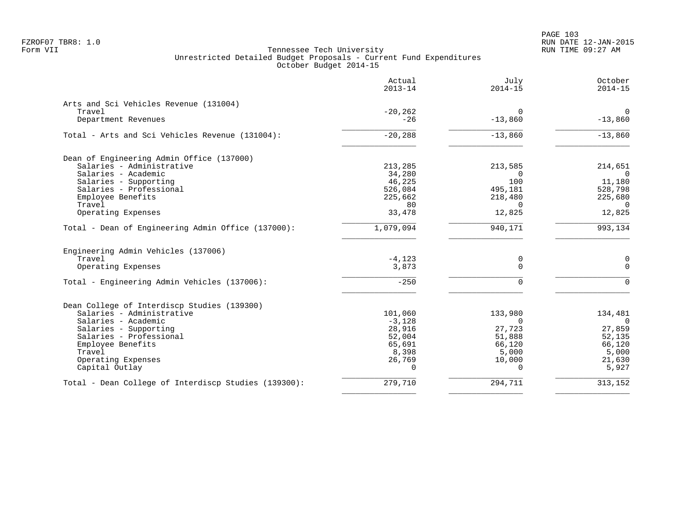|                                                      | Actual<br>$2013 - 14$ | July<br>$2014 - 15$ | October<br>$2014 - 15$ |
|------------------------------------------------------|-----------------------|---------------------|------------------------|
| Arts and Sci Vehicles Revenue (131004)               |                       |                     |                        |
| Travel                                               | $-20, 262$            | $\Omega$            | $\mathbf 0$            |
| Department Revenues                                  | $-26$                 | $-13,860$           | $-13,860$              |
| Total - Arts and Sci Vehicles Revenue (131004):      | $-20, 288$            | $-13,860$           | $-13,860$              |
| Dean of Engineering Admin Office (137000)            |                       |                     |                        |
| Salaries - Administrative                            | 213,285               | 213,585             | 214,651                |
| Salaries - Academic                                  | 34,280                | $\Omega$            |                        |
| Salaries - Supporting                                | 46,225                | 100                 | 11,180                 |
| Salaries - Professional                              | 526,084               | 495,181             | 528,798                |
| Employee Benefits                                    | 225,662               | 218,480             | 225,680                |
| Travel                                               | 80                    | $\Omega$            | $\Omega$               |
| Operating Expenses                                   | 33,478                | 12,825              | 12,825                 |
| Total - Dean of Engineering Admin Office (137000):   | 1,079,094             | 940,171             | 993, 134               |
| Engineering Admin Vehicles (137006)                  |                       |                     |                        |
| Travel                                               | $-4,123$              | 0                   | 0                      |
| Operating Expenses                                   | 3,873                 | $\mathbf 0$         | $\Omega$               |
| Total - Engineering Admin Vehicles (137006):         | $-250$                | $\Omega$            | $\Omega$               |
| Dean College of Interdiscp Studies (139300)          |                       |                     |                        |
| Salaries - Administrative                            | 101,060               | 133,980             | 134,481                |
| Salaries - Academic                                  | $-3,128$              | $\Omega$            | $\overline{0}$         |
| Salaries - Supporting                                | 28,916                | 27,723              | 27,859                 |
| Salaries - Professional                              | 52,004                | 51,888              | 52,135                 |
| Employee Benefits                                    | 65,691                | 66,120              | 66,120                 |
| Travel                                               | 8,398                 | 5,000               | 5,000                  |
| Operating Expenses                                   | 26,769                | 10,000              | 21,630                 |
| Capital Outlay                                       | $\Omega$              | $\Omega$            | 5,927                  |
| Total - Dean College of Interdiscp Studies (139300): | 279,710               | 294,711             | 313,152                |
|                                                      |                       |                     |                        |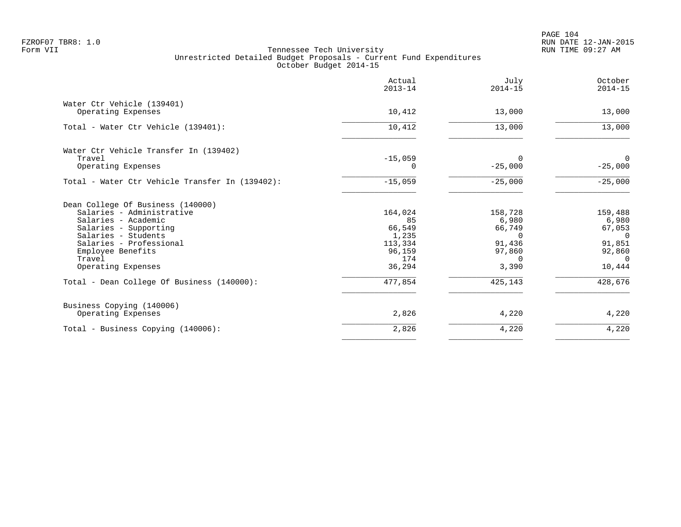PAGE 104 FZROF07 TBR8: 1.0 RUN DATE 12-JAN-2015

|                                                  | Actual<br>$2013 - 14$ | July<br>$2014 - 15$ | October<br>$2014 - 15$ |
|--------------------------------------------------|-----------------------|---------------------|------------------------|
| Water Ctr Vehicle (139401)<br>Operating Expenses | 10,412                | 13,000              | 13,000                 |
|                                                  |                       |                     |                        |
| Total - Water Ctr Vehicle (139401):              | 10,412                | 13,000              | 13,000                 |
| Water Ctr Vehicle Transfer In (139402)           |                       |                     |                        |
| Travel                                           | $-15,059$             | $\Omega$            | $\overline{0}$         |
| Operating Expenses                               | 0                     | $-25,000$           | $-25,000$              |
| Total - Water Ctr Vehicle Transfer In (139402):  | $-15,059$             | $-25,000$           | $-25,000$              |
| Dean College Of Business (140000)                |                       |                     |                        |
| Salaries - Administrative                        | 164,024               | 158,728             | 159,488                |
| Salaries - Academic                              | 85                    | 6,980               | 6,980                  |
| Salaries - Supporting                            | 66,549                | 66,749              | 67,053                 |
| Salaries - Students                              | 1,235                 | $\Omega$            | $\Omega$               |
| Salaries - Professional                          | 113,334               | 91,436              | 91,851                 |
| Employee Benefits                                | 96,159                | 97,860              | 92,860                 |
| Travel                                           | 174                   | $\Omega$            | $\Omega$               |
| Operating Expenses                               | 36,294                | 3,390               | 10,444                 |
| Total - Dean College Of Business (140000):       | 477,854               | 425,143             | 428,676                |
| Business Copying (140006)                        |                       |                     |                        |
| Operating Expenses                               | 2,826                 | 4,220               | 4,220                  |
| Total - Business Copying (140006):               | 2,826                 | 4,220               | 4,220                  |
|                                                  |                       |                     |                        |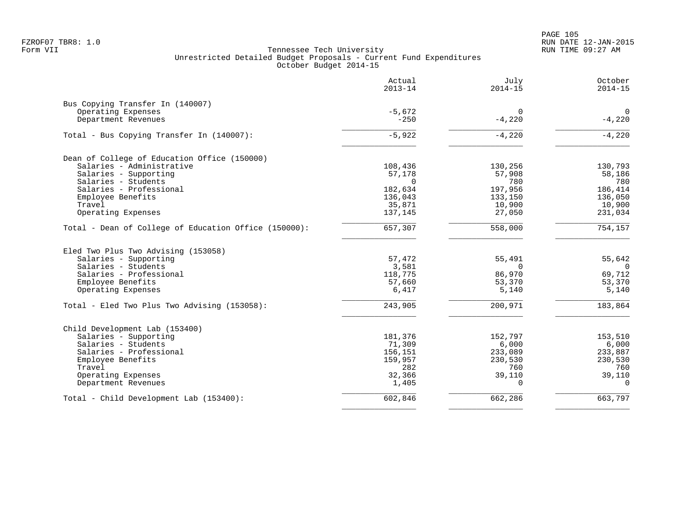PAGE 105 FZROF07 TBR8: 1.0 RUN DATE 12-JAN-2015

| Actual<br>$2013 - 14$                                    | July<br>$2014 - 15$                                                                  | October<br>$2014 - 15$                                                  |
|----------------------------------------------------------|--------------------------------------------------------------------------------------|-------------------------------------------------------------------------|
|                                                          |                                                                                      |                                                                         |
|                                                          |                                                                                      | $\mathbf 0$                                                             |
| $-250$                                                   | $-4,220$                                                                             | $-4,220$                                                                |
| $-5,922$                                                 | $-4,220$                                                                             | $-4,220$                                                                |
|                                                          |                                                                                      |                                                                         |
|                                                          |                                                                                      | 130,793                                                                 |
|                                                          |                                                                                      | 58,186                                                                  |
|                                                          |                                                                                      | 780                                                                     |
|                                                          |                                                                                      | 186,414                                                                 |
|                                                          |                                                                                      | 136,050                                                                 |
|                                                          |                                                                                      | 10,900                                                                  |
| 137,145                                                  | 27,050                                                                               | 231,034                                                                 |
| 657,307                                                  | 558,000                                                                              | 754,157                                                                 |
| 57,472<br>3,581<br>118,775<br>57,660<br>6,417<br>243,905 | 55,491<br>$\Omega$<br>86,970<br>53,370<br>5,140<br>200,971                           | 55,642<br>$\Omega$<br>69,712<br>53,370<br>5,140<br>183,864              |
| 181,376                                                  | 152,797                                                                              | 153,510                                                                 |
| 71,309                                                   | 6,000                                                                                | 6,000                                                                   |
|                                                          | 233,089                                                                              | 233,887                                                                 |
| 159,957                                                  | 230,530                                                                              | 230,530                                                                 |
| 282                                                      | 760                                                                                  | 760                                                                     |
| 32,366                                                   |                                                                                      | 39,110                                                                  |
| 1,405                                                    | $\Omega$                                                                             | $\Omega$                                                                |
|                                                          |                                                                                      |                                                                         |
|                                                          | $-5,672$<br>108,436<br>57,178<br>$\Omega$<br>182,634<br>136,043<br>35,871<br>156,151 | 0<br>130,256<br>57,908<br>780<br>197,956<br>133,150<br>10,900<br>39,110 |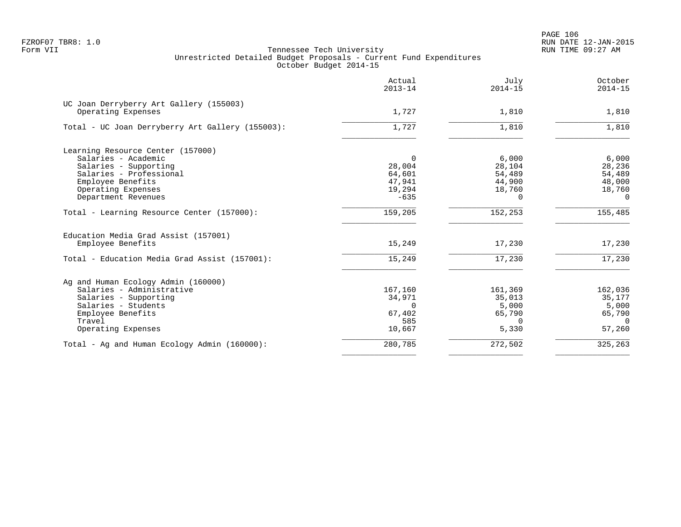|                                                               | Actual<br>$2013 - 14$ | July<br>$2014 - 15$ | October<br>$2014 - 15$ |
|---------------------------------------------------------------|-----------------------|---------------------|------------------------|
| UC Joan Derryberry Art Gallery (155003)<br>Operating Expenses | 1,727                 | 1,810               | 1,810                  |
| Total - UC Joan Derryberry Art Gallery (155003):              | 1,727                 | 1,810               | 1,810                  |
| Learning Resource Center (157000)<br>Salaries - Academic      | $\Omega$              | 6,000               | 6,000                  |
| Salaries - Supporting<br>Salaries - Professional              | 28,004<br>64,601      | 28,104<br>54,489    | 28,236<br>54,489       |
| Employee Benefits                                             | 47,941                | 44,900              | 48,000                 |
| Operating Expenses                                            | 19,294                | 18,760              | 18,760                 |
| Department Revenues                                           | $-635$                | $\Omega$            | $\Omega$               |
| Total - Learning Resource Center (157000):                    | 159,205               | 152,253             | 155,485                |
| Education Media Grad Assist (157001)                          |                       |                     |                        |
| Employee Benefits                                             | 15,249                | 17,230              | 17,230                 |
| Total - Education Media Grad Assist (157001):                 | 15,249                | 17,230              | 17,230                 |
| Ag and Human Ecology Admin (160000)                           |                       |                     |                        |
| Salaries - Administrative                                     | 167,160               | 161,369             | 162,036                |
| Salaries - Supporting                                         | 34,971                | 35,013              | 35,177                 |
| Salaries - Students<br>Employee Benefits                      | $\Omega$<br>67,402    | 5,000<br>65,790     | 5,000<br>65,790        |
| Travel                                                        | 585                   | $\Omega$            | $\Omega$               |
| Operating Expenses                                            | 10,667                | 5,330               | 57,260                 |
| Total - Ag and Human Ecology Admin (160000):                  | 280,785               | 272,502             | 325,263                |
|                                                               |                       |                     |                        |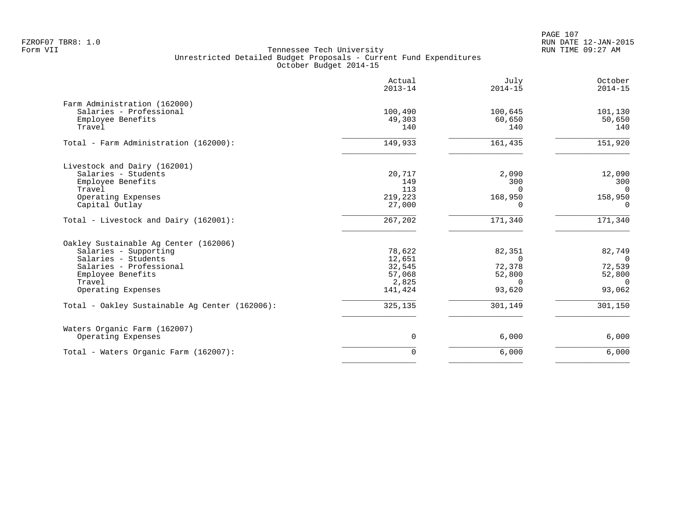PAGE 107 FZROF07 TBR8: 1.0 RUN DATE 12-JAN-2015

|                                                                                                                                                                       | Actual<br>$2013 - 14$                                    | July<br>$2014 - 15$                                             | October<br>$2014 - 15$                                             |
|-----------------------------------------------------------------------------------------------------------------------------------------------------------------------|----------------------------------------------------------|-----------------------------------------------------------------|--------------------------------------------------------------------|
| Farm Administration (162000)<br>Salaries - Professional<br>Employee Benefits<br>Travel                                                                                | 100,490<br>49,303<br>140                                 | 100,645<br>60,650<br>140                                        | 101,130<br>50,650<br>140                                           |
| Total - Farm Administration (162000):                                                                                                                                 | 149,933                                                  | 161,435                                                         | 151,920                                                            |
| Livestock and Dairy (162001)<br>Salaries - Students<br>Employee Benefits<br>Travel<br>Operating Expenses<br>Capital Outlay                                            | 20,717<br>149<br>113<br>219,223<br>27,000                | 2,090<br>300<br>$\Omega$<br>168,950<br>0                        | 12,090<br>300<br>$\overline{0}$<br>158,950<br>0                    |
| Total - Livestock and Dairy (162001):                                                                                                                                 | 267,202                                                  | 171,340                                                         | 171,340                                                            |
| Oakley Sustainable Aq Center (162006)<br>Salaries - Supporting<br>Salaries - Students<br>Salaries - Professional<br>Employee Benefits<br>Travel<br>Operating Expenses | 78,622<br>12,651<br>32,545<br>57,068<br>2,825<br>141,424 | 82,351<br>$\mathbf 0$<br>72,378<br>52,800<br>$\Omega$<br>93,620 | 82,749<br>$\overline{0}$<br>72,539<br>52,800<br>$\Omega$<br>93,062 |
| Total - Oakley Sustainable Aq Center (162006):                                                                                                                        | 325,135                                                  | 301,149                                                         | 301,150                                                            |
| Waters Organic Farm (162007)<br>Operating Expenses                                                                                                                    | $\mathbf 0$                                              | 6,000                                                           | 6,000                                                              |
| Total - Waters Organic Farm (162007):                                                                                                                                 | $\mathbf 0$                                              | 6,000                                                           | 6,000                                                              |
|                                                                                                                                                                       |                                                          |                                                                 |                                                                    |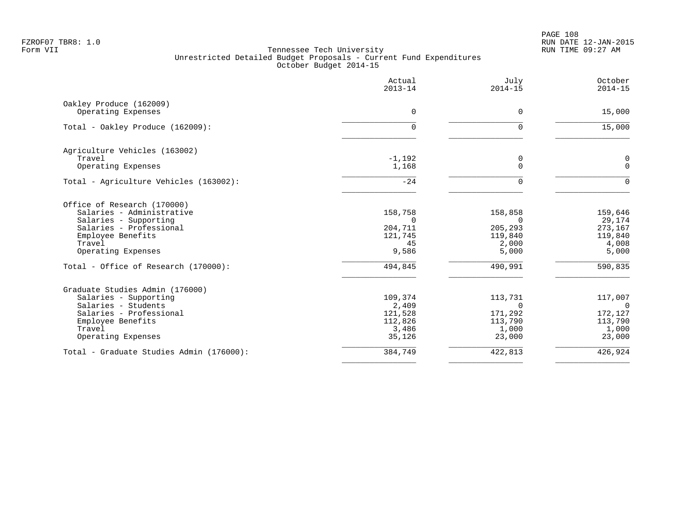PAGE 108 FZROF07 TBR8: 1.0 RUN DATE 12-JAN-2015

|                                          | Actual<br>$2013 - 14$ | July<br>$2014 - 15$ | October<br>$2014 - 15$ |
|------------------------------------------|-----------------------|---------------------|------------------------|
| Oakley Produce (162009)                  |                       |                     |                        |
| Operating Expenses                       | 0                     | $\mathbf 0$         | 15,000                 |
| Total - Oakley Produce (162009):         | 0                     | $\Omega$            | 15,000                 |
| Agriculture Vehicles (163002)            |                       |                     |                        |
| Travel                                   | $-1,192$              | 0                   | 0                      |
| Operating Expenses                       | 1,168                 | $\overline{0}$      | $\mathbf{0}$           |
| Total - Agriculture Vehicles (163002):   | $-24$                 | $\Omega$            | $\Omega$               |
| Office of Research (170000)              |                       |                     |                        |
| Salaries - Administrative                | 158,758               | 158,858             | 159,646                |
| Salaries - Supporting                    | $\Omega$              | $\Omega$            | 29,174                 |
| Salaries - Professional                  | 204,711               | 205,293             | 273,167                |
| Employee Benefits                        | 121,745               | 119,840             | 119,840                |
| Travel                                   | 45                    | 2,000               | 4,008                  |
| Operating Expenses                       | 9,586                 | 5,000               | 5,000                  |
| Total - Office of Research (170000):     | 494,845               | 490,991             | 590,835                |
| Graduate Studies Admin (176000)          |                       |                     |                        |
| Salaries - Supporting                    | 109,374               | 113,731             | 117,007                |
| Salaries - Students                      | 2,409                 | $\Omega$            | $\overline{0}$         |
| Salaries - Professional                  | 121,528               | 171,292             | 172,127                |
| Employee Benefits                        | 112,826               | 113,790             | 113,790                |
| Travel<br>Operating Expenses             | 3,486<br>35,126       | 1,000<br>23,000     | 1,000<br>23,000        |
|                                          |                       |                     |                        |
| Total - Graduate Studies Admin (176000): | 384,749               | 422,813             | 426,924                |
|                                          |                       |                     |                        |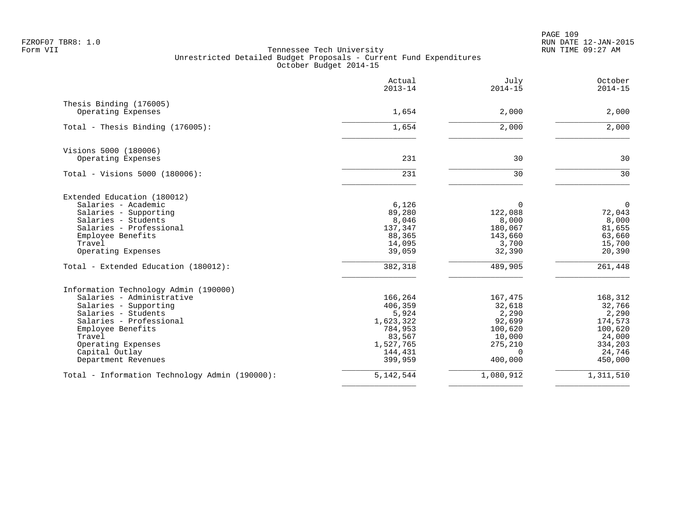PAGE 109 FZROF07 TBR8: 1.0 RUN DATE 12-JAN-2015

|                                                | Actual<br>$2013 - 14$ | July<br>$2014 - 15$ | October<br>$2014 - 15$ |
|------------------------------------------------|-----------------------|---------------------|------------------------|
| Thesis Binding (176005)                        |                       |                     |                        |
| Operating Expenses                             | 1,654                 | 2,000               | 2,000                  |
| Total - Thesis Binding (176005):               | 1,654                 | 2,000               | 2,000                  |
| Visions 5000 (180006)                          |                       |                     |                        |
| Operating Expenses                             | 231                   | 30                  | 30                     |
| Total - Visions 5000 (180006):                 | 231                   | 30                  | 30                     |
| Extended Education (180012)                    |                       |                     |                        |
| Salaries - Academic                            | 6,126                 | $\Omega$            | $\mathbf 0$            |
| Salaries - Supporting                          | 89,280                | 122,088             | 72,043                 |
| Salaries - Students                            | 8,046                 | 8,000               | 8,000                  |
| Salaries - Professional                        | 137,347               | 180,067             | 81,655                 |
| Employee Benefits<br>Travel                    | 88,365<br>14,095      | 143,660<br>3,700    | 63,660<br>15,700       |
| Operating Expenses                             | 39,059                | 32,390              | 20,390                 |
| Total - Extended Education (180012):           | 382,318               | 489,905             | 261,448                |
| Information Technology Admin (190000)          |                       |                     |                        |
| Salaries - Administrative                      | 166,264               | 167,475             | 168,312                |
| Salaries - Supporting                          | 406,359               | 32,618              | 32,766                 |
| Salaries - Students                            | 5,924                 | 2,290               | 2,290                  |
| Salaries - Professional                        | 1,623,322             | 92,699              | 174,573                |
| Employee Benefits                              | 784,953               | 100,620             | 100,620                |
| Travel<br>Operating Expenses                   | 83,567<br>1,527,765   | 10,000<br>275,210   | 24,000<br>334,203      |
| Capital Outlay                                 | 144,431               | $\Omega$            | 24,746                 |
| Department Revenues                            | 399,959               | 400,000             | 450,000                |
| Total - Information Technology Admin (190000): | 5, 142, 544           | 1,080,912           | 1,311,510              |
|                                                |                       |                     |                        |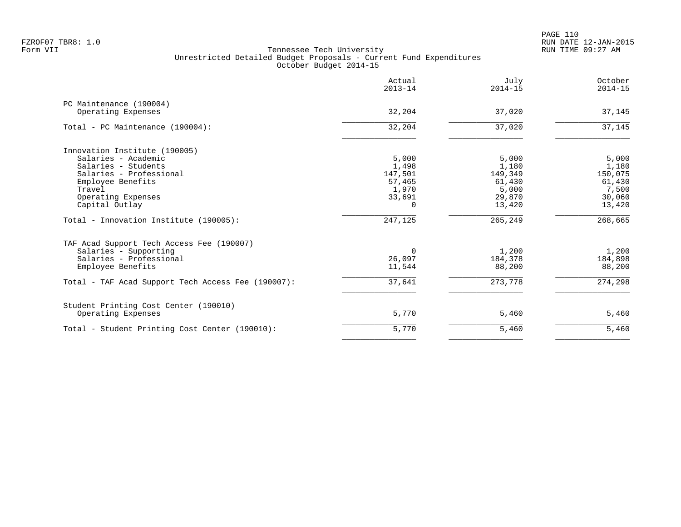|                                                    | Actual<br>$2013 - 14$ | July<br>$2014 - 15$ | October<br>$2014 - 15$ |
|----------------------------------------------------|-----------------------|---------------------|------------------------|
| PC Maintenance (190004)                            |                       |                     |                        |
| Operating Expenses                                 | 32,204                | 37,020              | 37,145                 |
| Total - PC Maintenance (190004):                   | 32,204                | 37,020              | 37,145                 |
| Innovation Institute (190005)                      |                       |                     |                        |
| Salaries - Academic                                | 5,000                 | 5,000               | 5,000                  |
| Salaries - Students                                | 1,498                 | 1,180               | 1,180                  |
| Salaries - Professional                            | 147,501               | 149,349             | 150,075                |
| Employee Benefits                                  | 57,465                | 61,430              | 61,430                 |
| Travel                                             | 1,970                 | 5,000               | 7,500                  |
| Operating Expenses                                 | 33,691                | 29,870              | 30,060                 |
| Capital Outlay                                     | $\cap$                | 13,420              | 13,420                 |
| Total - Innovation Institute (190005):             | 247,125               | 265,249             | 268,665                |
| TAF Acad Support Tech Access Fee (190007)          |                       |                     |                        |
| Salaries - Supporting                              | 0                     | 1,200               | 1,200                  |
| Salaries - Professional                            | 26,097                | 184,378             | 184,898                |
| Employee Benefits                                  | 11,544                | 88,200              | 88,200                 |
| Total - TAF Acad Support Tech Access Fee (190007): | 37,641                | 273,778             | 274,298                |
| Student Printing Cost Center (190010)              |                       |                     |                        |
| Operating Expenses                                 | 5,770                 | 5,460               | 5,460                  |
| Total - Student Printing Cost Center (190010):     | 5,770                 | 5,460               | 5,460                  |
|                                                    |                       |                     |                        |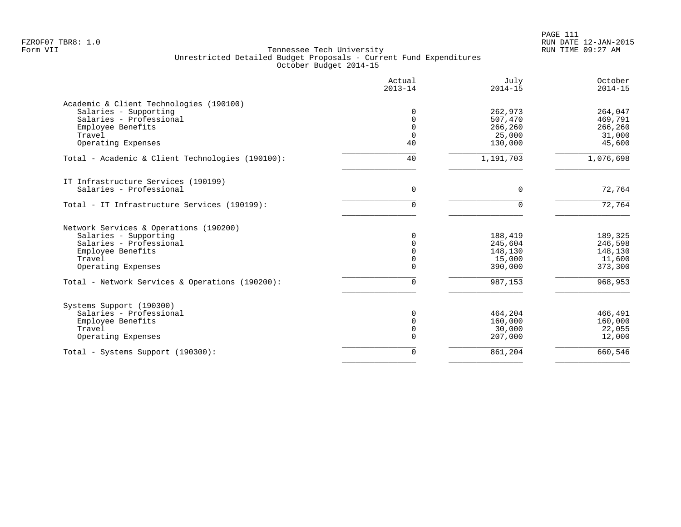| Actual<br>$2013 - 14$ | July<br>$2014 - 15$ | October<br>$2014 - 15$                                        |
|-----------------------|---------------------|---------------------------------------------------------------|
|                       |                     |                                                               |
| $\Omega$              | 262,973             | 264,047                                                       |
| $\Omega$              | 507,470             | 469,791                                                       |
| $\mathbf 0$           | 266,260             | 266,260                                                       |
| $\mathbf 0$           | 25,000              | 31,000                                                        |
| 40                    | 130,000             | 45,600                                                        |
| 40                    | 1,191,703           | 1,076,698                                                     |
|                       |                     |                                                               |
| $\mathbf 0$           | 0                   | 72,764                                                        |
| 0                     | $\Omega$            | 72,764                                                        |
|                       |                     |                                                               |
| $\Omega$              |                     | 189,325                                                       |
| 0                     |                     | 246,598                                                       |
| 0                     |                     | 148,130                                                       |
| 0                     | 15,000              | 11,600                                                        |
| 0                     | 390,000             | 373,300                                                       |
| 0                     | 987,153             | 968,953                                                       |
|                       |                     |                                                               |
|                       |                     | 466,491                                                       |
| $\Omega$              |                     | 160,000                                                       |
| 0                     |                     | 22,055                                                        |
| 0                     | 207,000             | 12,000                                                        |
|                       |                     |                                                               |
|                       | 0                   | 188,419<br>245,604<br>148,130<br>464,204<br>160,000<br>30,000 |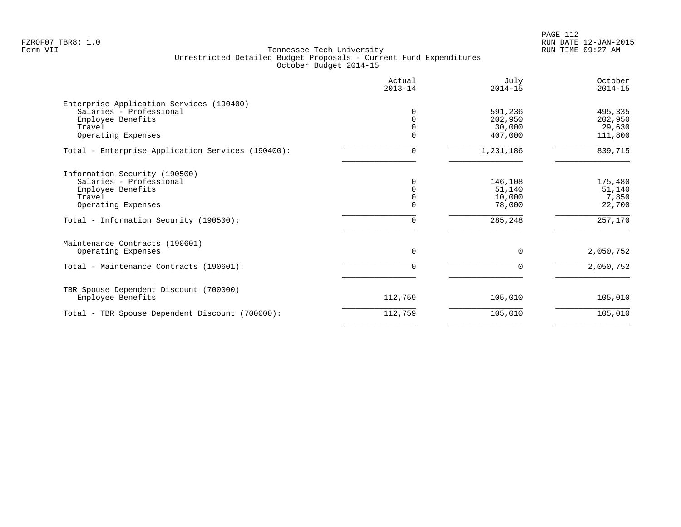PAGE 112 FZROF07 TBR8: 1.0 RUN DATE 12-JAN-2015

| Actual<br>$2013 - 14$ | July<br>$2014 - 15$ | October<br>$2014 - 15$ |
|-----------------------|---------------------|------------------------|
|                       |                     |                        |
|                       |                     | 495,335                |
|                       | 202,950             | 202,950                |
|                       | 30,000              | 29,630                 |
| O                     | 407,000             | 111,800                |
| 0                     | 1,231,186           | 839,715                |
|                       |                     |                        |
| 0                     | 146,108             | 175,480                |
| <sup>n</sup>          | 51,140              | 51,140                 |
|                       | 10,000              | 7,850                  |
| 0                     | 78,000              | 22,700                 |
| 0                     | 285,248             | 257,170                |
|                       |                     |                        |
| $\Omega$              | $\Omega$            | 2,050,752              |
| 0                     | 0                   | 2,050,752              |
|                       |                     |                        |
| 112,759               | 105,010             | 105,010                |
| 112,759               | 105,010             | 105,010                |
|                       |                     | 591,236                |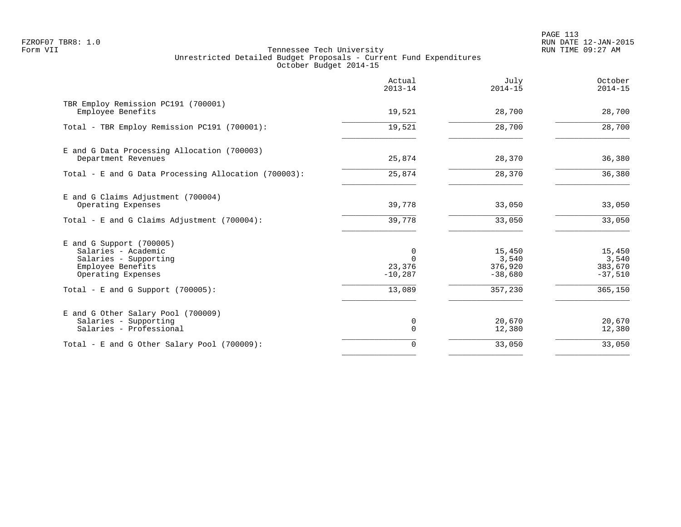PAGE 113 FZROF07 TBR8: 1.0 RUN DATE 12-JAN-2015

|                                                                                                                       | Actual<br>$2013 - 14$                | July<br>$2014 - 15$                     | October<br>$2014 - 15$                  |
|-----------------------------------------------------------------------------------------------------------------------|--------------------------------------|-----------------------------------------|-----------------------------------------|
| TBR Employ Remission PC191 (700001)<br>Employee Benefits                                                              | 19,521                               | 28,700                                  | 28,700                                  |
| Total - TBR Employ Remission PC191 (700001):                                                                          | 19,521                               | 28,700                                  | 28,700                                  |
| E and G Data Processing Allocation (700003)<br>Department Revenues                                                    | 25,874                               | 28,370                                  | 36,380                                  |
| Total - E and G Data Processing Allocation (700003):                                                                  | 25,874                               | 28,370                                  | 36,380                                  |
| E and G Claims Adjustment (700004)<br>Operating Expenses                                                              | 39,778                               | 33,050                                  | 33,050                                  |
| Total - E and G Claims Adjustment $(700004)$ :                                                                        | 39,778                               | 33,050                                  | 33,050                                  |
| $E$ and G Support (700005)<br>Salaries - Academic<br>Salaries - Supporting<br>Employee Benefits<br>Operating Expenses | 0<br>$\Omega$<br>23,376<br>$-10,287$ | 15,450<br>3,540<br>376,920<br>$-38,680$ | 15,450<br>3,540<br>383,670<br>$-37,510$ |
| Total - E and G Support $(700005)$ :                                                                                  | 13,089                               | 357,230                                 | 365,150                                 |
| E and G Other Salary Pool (700009)<br>Salaries - Supporting<br>Salaries - Professional                                | 0<br>0                               | 20,670<br>12,380                        | 20,670<br>12,380                        |
| Total - E and G Other Salary Pool (700009):                                                                           | $\Omega$                             | 33,050                                  | 33,050                                  |
|                                                                                                                       |                                      |                                         |                                         |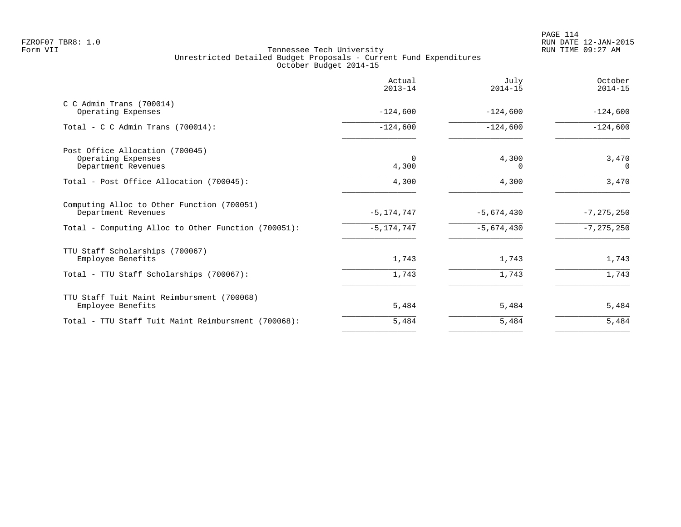|                                                                   | Actual<br>$2013 - 14$ | July<br>$2014 - 15$ | October<br>$2014 - 15$ |
|-------------------------------------------------------------------|-----------------------|---------------------|------------------------|
| $C$ C Admin Trans (700014)<br>Operating Expenses                  | $-124,600$            | $-124,600$          | $-124,600$             |
| Total - C C Admin Trans $(700014)$ :                              | $-124,600$            | $-124,600$          | $-124,600$             |
| Post Office Allocation (700045)<br>Operating Expenses             | $\Omega$              | 4,300               | 3,470                  |
| Department Revenues                                               | 4,300                 | $\Omega$            | $\Omega$               |
| Total - Post Office Allocation (700045):                          | 4,300                 | 4,300               | 3,470                  |
| Computing Alloc to Other Function (700051)<br>Department Revenues | $-5, 174, 747$        | $-5,674,430$        | $-7, 275, 250$         |
| Total - Computing Alloc to Other Function (700051):               | $-5, 174, 747$        | $-5,674,430$        | $-7, 275, 250$         |
| TTU Staff Scholarships (700067)<br>Employee Benefits              | 1,743                 | 1,743               | 1,743                  |
| Total - TTU Staff Scholarships (700067):                          | 1,743                 | 1,743               | 1,743                  |
| TTU Staff Tuit Maint Reimbursment (700068)<br>Employee Benefits   | 5,484                 | 5,484               | 5,484                  |
| Total - TTU Staff Tuit Maint Reimbursment (700068):               | 5,484                 | 5,484               | 5,484                  |
|                                                                   |                       |                     |                        |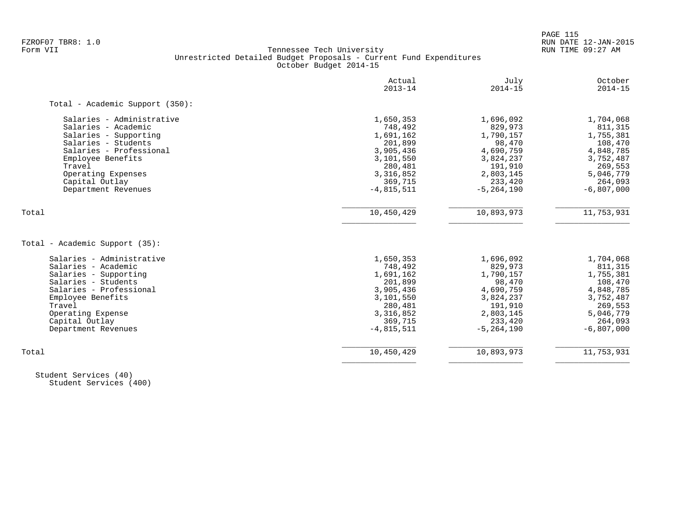PAGE 115

# FZROF07 TBR8: 1.0 RUN DATE 12-JAN-2015 Tennessee Tech University Unrestricted Detailed Budget Proposals - Current Fund Expenditures October Budget 2014-15

|                                 | Actual<br>$2013 - 14$ | July<br>$2014 - 15$ | October<br>$2014 - 15$ |
|---------------------------------|-----------------------|---------------------|------------------------|
| Total - Academic Support (350): |                       |                     |                        |
| Salaries - Administrative       | 1,650,353             | 1,696,092           | 1,704,068              |
| Salaries - Academic             | 748,492               | 829,973             | 811,315                |
| Salaries - Supporting           | 1,691,162             | 1,790,157           | 1,755,381              |
| Salaries - Students             | 201,899               | 98,470              | 108,470                |
| Salaries - Professional         | 3,905,436             | 4,690,759           | 4,848,785              |
| Employee Benefits               | 3,101,550             | 3,824,237           | 3,752,487              |
| Travel                          | 280,481               | 191,910             | 269,553                |
| Operating Expenses              | 3,316,852             | 2,803,145           | 5,046,779              |
| Capital Outlay                  | 369,715               | 233,420             | 264,093                |
| Department Revenues             | $-4,815,511$          | $-5, 264, 190$      | $-6,807,000$           |
| Total                           | 10,450,429            | 10,893,973          | 11,753,931             |
| Total - Academic Support (35):  |                       |                     |                        |
| Salaries - Administrative       | 1,650,353             | 1,696,092           | 1,704,068              |
| Salaries - Academic             | 748,492               | 829,973             | 811,315                |
| Salaries - Supporting           | 1,691,162             | 1,790,157           | 1,755,381              |
| Salaries - Students             | 201,899               | 98,470              | 108,470                |
| Salaries - Professional         | 3,905,436             | 4,690,759           | 4,848,785              |
| Employee Benefits               | 3,101,550             | 3,824,237           | 3,752,487              |
| Travel                          | 280,481               | 191,910             | 269,553                |
| Operating Expense               | 3,316,852             | 2,803,145           | 5,046,779              |
| Capital Outlay                  | 369,715               | 233,420             | 264,093                |
|                                 |                       |                     |                        |
| Department Revenues             | $-4,815,511$          | $-5, 264, 190$      | $-6,807,000$           |

 Student Services (40) Student Services (400)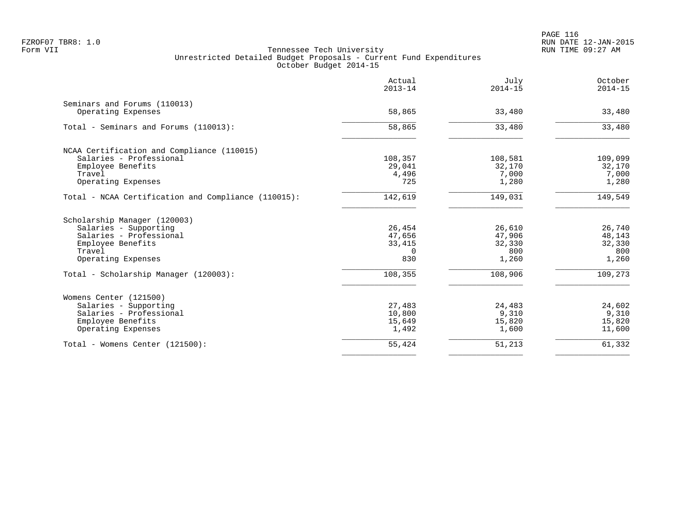|                                                     | Actual<br>$2013 - 14$ | July<br>$2014 - 15$ | October<br>$2014 - 15$ |
|-----------------------------------------------------|-----------------------|---------------------|------------------------|
| Seminars and Forums (110013)                        |                       |                     |                        |
| Operating Expenses                                  | 58,865                | 33,480              | 33,480                 |
| Total - Seminars and Forums (110013):               | 58,865                | 33,480              | 33,480                 |
| NCAA Certification and Compliance (110015)          |                       |                     |                        |
| Salaries - Professional                             | 108,357               | 108,581             | 109,099                |
| Employee Benefits                                   | 29,041                | 32,170              | 32,170                 |
| Travel                                              | 4,496                 | 7,000               | 7,000                  |
| Operating Expenses                                  | 725                   | 1,280               | 1,280                  |
| Total - NCAA Certification and Compliance (110015): | 142,619               | 149,031             | 149,549                |
| Scholarship Manager (120003)                        |                       |                     |                        |
| Salaries - Supporting                               | 26,454                | 26,610              | 26,740                 |
| Salaries - Professional                             | 47,656                | 47,906              | 48,143                 |
| Employee Benefits                                   | 33,415                | 32,330              | 32,330                 |
| Travel                                              | $\Omega$              | 800                 | 800                    |
| Operating Expenses                                  | 830                   | 1,260               | 1,260                  |
| Total - Scholarship Manager (120003):               | 108,355               | 108,906             | 109,273                |
| Womens Center (121500)                              |                       |                     |                        |
| Salaries - Supporting                               | 27,483                | 24,483              | 24,602                 |
| Salaries - Professional                             | 10,800                | 9,310               | 9,310                  |
| Employee Benefits                                   | 15,649                | 15,820              | 15,820                 |
| Operating Expenses                                  | 1,492                 | 1,600               | 11,600                 |
| Total - Womens Center (121500):                     | 55,424                | 51,213              | 61,332                 |
|                                                     |                       |                     |                        |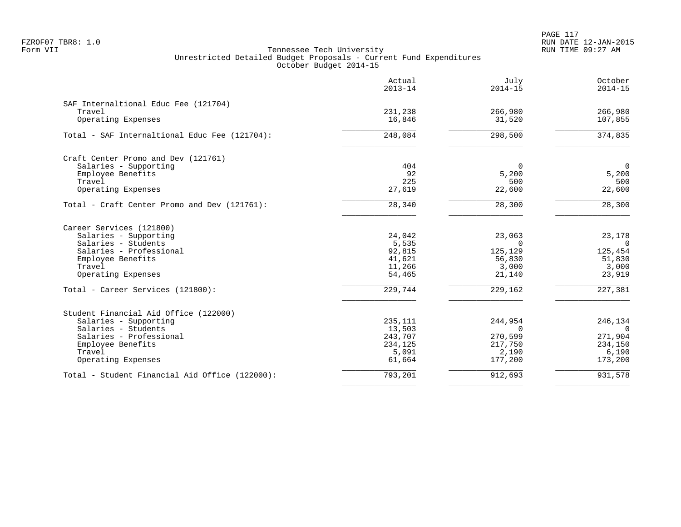PAGE 117 FZROF07 TBR8: 1.0 RUN DATE 12-JAN-2015

|                                                | Actual<br>$2013 - 14$ | July<br>$2014 - 15$ | October<br>$2014 - 15$ |
|------------------------------------------------|-----------------------|---------------------|------------------------|
| SAF Internaltional Educ Fee (121704)           |                       |                     |                        |
| Travel                                         | 231,238               | 266,980             | 266,980                |
| Operating Expenses                             | 16,846                | 31,520              | 107,855                |
| Total - SAF Internaltional Educ Fee (121704):  | 248,084               | 298,500             | 374,835                |
| Craft Center Promo and Dev (121761)            |                       |                     |                        |
| Salaries - Supporting                          | 404                   | $\mathbf 0$         | $\mathbf{0}$           |
| Employee Benefits                              | 92                    | 5,200               | 5,200                  |
| Travel                                         | 225                   | 500                 | 500                    |
| Operating Expenses                             | 27,619                | 22,600              | 22,600                 |
| Total - Craft Center Promo and Dev (121761):   | 28,340                | 28,300              | 28,300                 |
| Career Services (121800)                       |                       |                     |                        |
| Salaries - Supporting                          | 24,042                | 23,063              | 23,178                 |
| Salaries - Students                            | 5,535                 | $\Omega$            | $\Omega$               |
| Salaries - Professional                        | 92,815                | 125,129             | 125,454                |
| Employee Benefits                              | 41,621                | 56,830              | 51,830                 |
| Travel                                         | 11,266                | 3,000               | 3,000                  |
| Operating Expenses                             | 54,465                | 21,140              | 23,919                 |
| Total - Career Services (121800):              | 229,744               | 229,162             | 227,381                |
| Student Financial Aid Office (122000)          |                       |                     |                        |
| Salaries - Supporting                          | 235,111               | 244,954             | 246,134                |
| Salaries - Students                            | 13,503                | $\Omega$            | $\Omega$               |
| Salaries - Professional                        | 243,707               | 270,599             | 271,904                |
| Employee Benefits                              | 234,125               | 217,750             | 234,150                |
| Travel                                         | 5,091                 | 2,190               | 6,190                  |
| Operating Expenses                             | 61,664                | 177,200             | 173,200                |
| Total - Student Financial Aid Office (122000): | 793,201               | 912,693             | 931,578                |
|                                                |                       |                     |                        |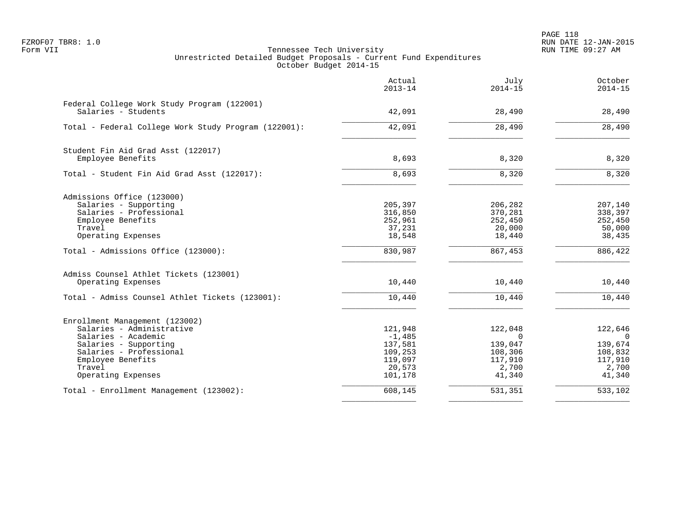PAGE 118 FZROF07 TBR8: 1.0 RUN DATE 12-JAN-2015

|                                                                    | Actual<br>$2013 - 14$ | July<br>$2014 - 15$ | October<br>$2014 - 15$ |
|--------------------------------------------------------------------|-----------------------|---------------------|------------------------|
| Federal College Work Study Program (122001)<br>Salaries - Students | 42,091                | 28,490              | 28,490                 |
|                                                                    |                       |                     |                        |
| Total - Federal College Work Study Program (122001):               | 42,091                | 28,490              | 28,490                 |
| Student Fin Aid Grad Asst (122017)                                 |                       |                     |                        |
| Employee Benefits                                                  | 8,693                 | 8,320               | 8,320                  |
| Total - Student Fin Aid Grad Asst (122017):                        | 8,693                 | 8,320               | 8,320                  |
| Admissions Office (123000)                                         |                       |                     |                        |
| Salaries - Supporting                                              | 205,397               | 206,282             | 207,140                |
| Salaries - Professional                                            | 316,850               | 370,281             | 338,397                |
| Employee Benefits                                                  | 252,961               | 252,450             | 252,450                |
| Travel<br>Operating Expenses                                       | 37,231<br>18,548      | 20,000<br>18,440    | 50,000<br>38,435       |
| Total - Admissions Office (123000):                                | 830,987               | 867,453             | 886,422                |
| Admiss Counsel Athlet Tickets (123001)                             |                       |                     |                        |
| Operating Expenses                                                 | 10,440                | 10,440              | 10,440                 |
| Total - Admiss Counsel Athlet Tickets (123001):                    | 10,440                | 10,440              | 10,440                 |
| Enrollment Management (123002)                                     |                       |                     |                        |
| Salaries - Administrative                                          | 121,948               | 122,048             | 122,646                |
| Salaries - Academic                                                | $-1,485$              | $\Omega$            | $\overline{0}$         |
| Salaries - Supporting                                              | 137,581               | 139,047             | 139,674                |
| Salaries - Professional                                            | 109,253               | 108,306             | 108,832                |
| Employee Benefits                                                  | 119,097               | 117,910             | 117,910                |
| Travel<br>Operating Expenses                                       | 20,573<br>101,178     | 2,700<br>41,340     | 2,700<br>41,340        |
| Total - Enrollment Management (123002):                            | 608,145               | 531,351             | 533,102                |
|                                                                    |                       |                     |                        |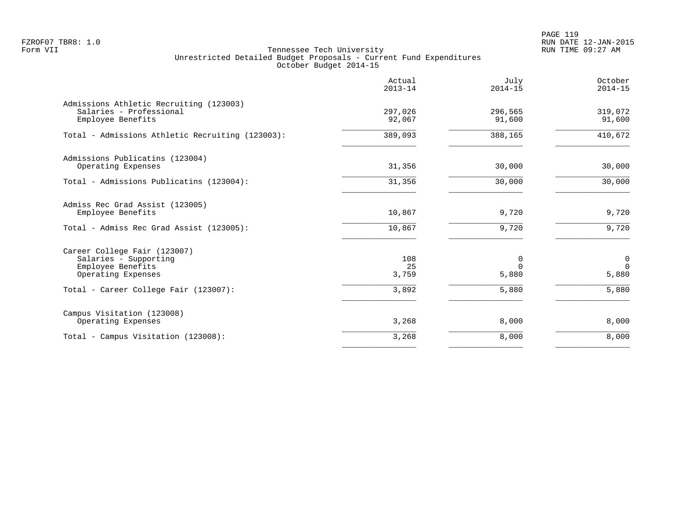PAGE 119 FZROF07 TBR8: 1.0 RUN DATE 12-JAN-2015

|                                                                                                  | Actual<br>$2013 - 14$ | July<br>$2014 - 15$    | October<br>$2014 - 15$ |
|--------------------------------------------------------------------------------------------------|-----------------------|------------------------|------------------------|
| Admissions Athletic Recruiting (123003)<br>Salaries - Professional<br>Employee Benefits          | 297,026<br>92,067     | 296,565<br>91,600      | 319,072<br>91,600      |
| Total - Admissions Athletic Recruiting (123003):                                                 | 389,093               | 388,165                | 410,672                |
| Admissions Publicatins (123004)<br>Operating Expenses                                            | 31,356                | 30,000                 | 30,000                 |
| Total - Admissions Publicatins (123004):                                                         | 31,356                | 30,000                 | 30,000                 |
| Admiss Rec Grad Assist (123005)<br>Employee Benefits<br>Total - Admiss Rec Grad Assist (123005): | 10,867<br>10,867      | 9,720<br>9,720         | 9,720<br>9,720         |
| Career College Fair (123007)<br>Salaries - Supporting<br>Employee Benefits<br>Operating Expenses | 108<br>25<br>3,759    | 0<br>$\Omega$<br>5,880 | 0<br>$\Omega$<br>5,880 |
| Total - Career College Fair (123007):                                                            | 3,892                 | 5,880                  | 5,880                  |
| Campus Visitation (123008)<br>Operating Expenses                                                 | 3,268                 | 8,000                  | 8,000                  |
| Total - Campus Visitation (123008):                                                              | 3,268                 | 8,000                  | 8,000                  |
|                                                                                                  |                       |                        |                        |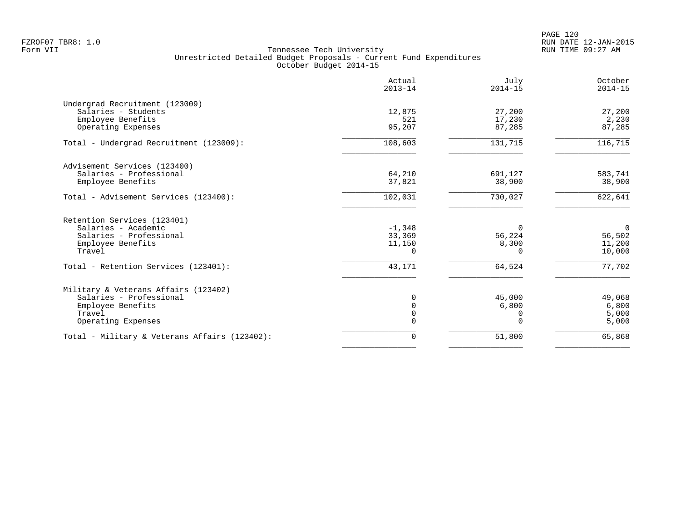PAGE 120 FZROF07 TBR8: 1.0 RUN DATE 12-JAN-2015

|                                               | Actual<br>$2013 - 14$ | July<br>$2014 - 15$ | October<br>$2014 - 15$ |
|-----------------------------------------------|-----------------------|---------------------|------------------------|
| Undergrad Recruitment (123009)                |                       |                     |                        |
| Salaries - Students                           | 12,875                | 27,200              | 27,200                 |
| Employee Benefits                             | 521                   | 17,230              | 2,230                  |
| Operating Expenses                            | 95,207                | 87,285              | 87,285                 |
| Total - Undergrad Recruitment (123009):       | 108,603               | 131,715             | 116, 715               |
| Advisement Services (123400)                  |                       |                     |                        |
| Salaries - Professional                       | 64,210                | 691,127             | 583,741                |
| Employee Benefits                             | 37,821                | 38,900              | 38,900                 |
| Total - Advisement Services (123400):         | 102,031               | 730,027             | 622,641                |
| Retention Services (123401)                   |                       |                     |                        |
| Salaries - Academic                           | $-1,348$              | 0                   | $\overline{0}$         |
| Salaries - Professional                       | 33,369                | 56,224              | 56,502                 |
| Employee Benefits                             | 11,150                | 8,300               | 11,200                 |
| Travel                                        | $\Omega$              | $\Omega$            | 10,000                 |
| Total - Retention Services (123401):          | 43,171                | 64,524              | 77,702                 |
| Military & Veterans Affairs (123402)          |                       |                     |                        |
| Salaries - Professional                       |                       | 45,000              | 49,068                 |
| Employee Benefits                             | $\Omega$              | 6,800               | 6,800                  |
| Travel                                        | $\Omega$              | 0                   | 5,000                  |
| Operating Expenses                            |                       | $\Omega$            | 5,000                  |
| Total - Military & Veterans Affairs (123402): | 0                     | 51,800              | 65,868                 |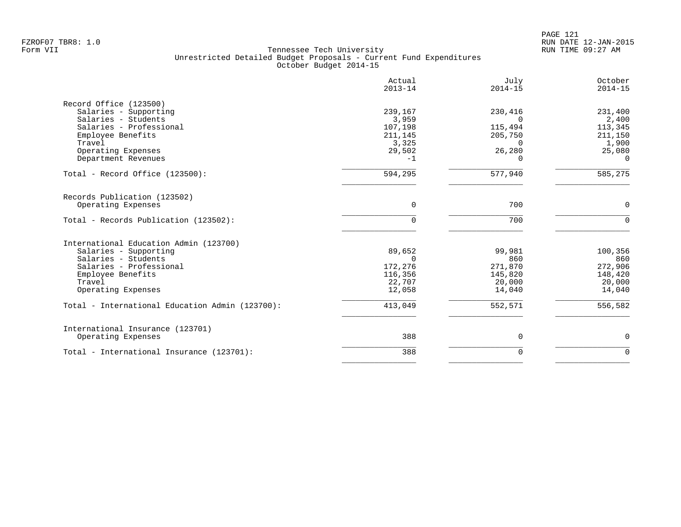|                                                 | Actual<br>$2013 - 14$ | July<br>$2014 - 15$ | October<br>$2014 - 15$ |
|-------------------------------------------------|-----------------------|---------------------|------------------------|
| Record Office (123500)                          |                       |                     |                        |
| Salaries - Supporting                           | 239,167               | 230,416             | 231,400                |
| Salaries - Students                             | 3,959                 | $\Omega$            | 2,400                  |
| Salaries - Professional                         | 107,198               | 115,494             | 113,345                |
| Employee Benefits                               | 211,145               | 205,750             | 211,150                |
| Travel                                          | 3,325                 | $\Omega$            | 1,900                  |
| Operating Expenses                              | 29,502                | 26,280              | 25,080                 |
| Department Revenues                             | $-1$                  | 0                   | $\Omega$               |
| Total - Record Office (123500):                 | 594,295               | 577,940             | 585,275                |
| Records Publication (123502)                    |                       |                     |                        |
| Operating Expenses                              | $\Omega$              | 700                 | $\mathbf 0$            |
|                                                 |                       |                     |                        |
| Total - Records Publication (123502):           | $\Omega$              | 700                 | $\Omega$               |
| International Education Admin (123700)          |                       |                     |                        |
| Salaries - Supporting                           | 89,652                | 99,981              | 100,356                |
| Salaries - Students                             | $\Omega$              | 860                 | 860                    |
| Salaries - Professional                         | 172,276               | 271,870             | 272,906                |
| Employee Benefits                               | 116,356               | 145,820             | 148,420                |
| Travel                                          | 22,707                | 20,000              | 20,000                 |
| Operating Expenses                              | 12,058                | 14,040              | 14,040                 |
| Total - International Education Admin (123700): | 413,049               | 552,571             | 556,582                |
|                                                 |                       |                     |                        |
| International Insurance (123701)                |                       |                     |                        |
| Operating Expenses                              | 388                   | 0                   | 0                      |
| Total - International Insurance (123701):       | 388                   | $\Omega$            | $\Omega$               |
|                                                 |                       |                     |                        |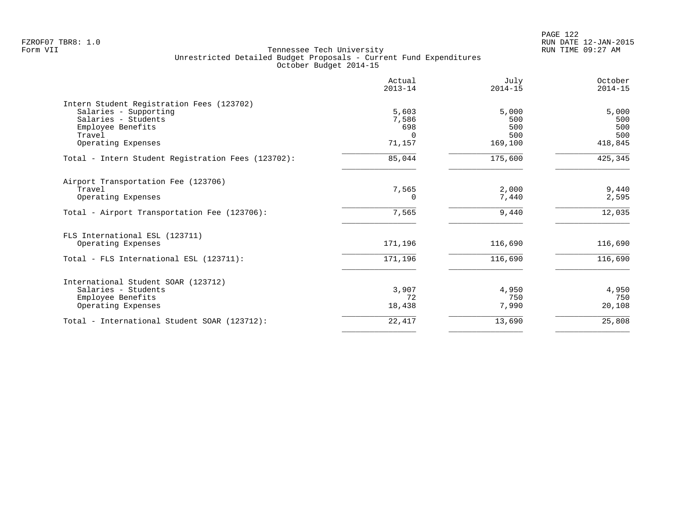PAGE 122 FZROF07 TBR8: 1.0 RUN DATE 12-JAN-2015

|                                                    | Actual<br>$2013 - 14$ | July<br>$2014 - 15$ | October<br>$2014 - 15$ |
|----------------------------------------------------|-----------------------|---------------------|------------------------|
| Intern Student Registration Fees (123702)          |                       |                     |                        |
| Salaries - Supporting                              | 5,603                 | 5,000               | 5,000                  |
| Salaries - Students                                | 7,586                 | 500                 | 500                    |
| Employee Benefits                                  | 698<br>$\cap$         | 500<br>500          | 500<br>500             |
| Travel<br>Operating Expenses                       | 71,157                | 169,100             | 418,845                |
|                                                    |                       |                     |                        |
| Total - Intern Student Registration Fees (123702): | 85,044                | 175,600             | 425,345                |
| Airport Transportation Fee (123706)                |                       |                     |                        |
| Travel                                             | 7,565                 | 2,000               | 9,440                  |
| Operating Expenses                                 | 0                     | 7,440               | 2,595                  |
| Total - Airport Transportation Fee (123706):       | 7,565                 | 9,440               | 12,035                 |
| FLS International ESL (123711)                     |                       |                     |                        |
| Operating Expenses                                 | 171,196               | 116,690             | 116,690                |
| Total - FLS International ESL (123711):            | 171,196               | 116,690             | 116,690                |
| International Student SOAR (123712)                |                       |                     |                        |
| Salaries - Students                                | 3,907                 | 4,950               | 4,950                  |
| Employee Benefits                                  | 72                    | 750                 | 750                    |
| Operating Expenses                                 | 18,438                | 7,990               | 20,108                 |
| Total - International Student SOAR (123712):       | 22,417                | 13,690              | 25,808                 |
|                                                    |                       |                     |                        |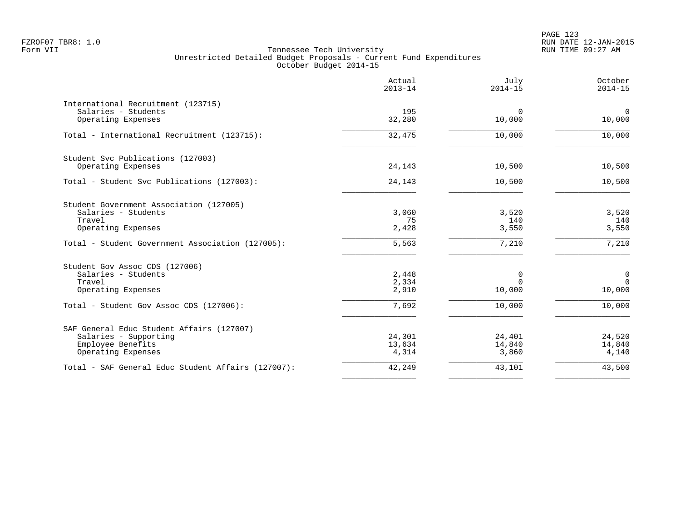|                                                    | Actual<br>$2013 - 14$ | July<br>$2014 - 15$   | October<br>$2014 - 15$   |
|----------------------------------------------------|-----------------------|-----------------------|--------------------------|
| International Recruitment (123715)                 |                       |                       |                          |
| Salaries - Students<br>Operating Expenses          | 195<br>32,280         | $\mathbf 0$<br>10,000 | $\overline{0}$<br>10,000 |
| Total - International Recruitment (123715):        | 32,475                | 10,000                | 10,000                   |
| Student Svc Publications (127003)                  |                       |                       |                          |
| Operating Expenses                                 | 24,143                | 10,500                | 10,500                   |
| Total - Student Svc Publications (127003):         | 24,143                | 10,500                | 10,500                   |
| Student Government Association (127005)            |                       |                       |                          |
| Salaries - Students                                | 3,060                 | 3,520                 | 3,520                    |
| Travel<br>Operating Expenses                       | 75<br>2,428           | 140<br>3,550          | 140<br>3,550             |
| Total - Student Government Association (127005):   | 5,563                 | 7,210                 | $\overline{7}$ , 210     |
| Student Gov Assoc CDS (127006)                     |                       |                       |                          |
| Salaries - Students                                | 2,448                 | 0                     | $\mathbf 0$              |
| Travel<br>Operating Expenses                       | 2,334<br>2,910        | $\Omega$<br>10,000    | $\Omega$<br>10,000       |
| Total - Student Gov Assoc CDS (127006):            | 7.692                 | 10,000                | 10,000                   |
|                                                    |                       |                       |                          |
| SAF General Educ Student Affairs (127007)          |                       |                       |                          |
| Salaries - Supporting                              | 24,301                | 24,401                | 24,520                   |
| Employee Benefits<br>Operating Expenses            | 13,634<br>4,314       | 14,840<br>3,860       | 14,840<br>4,140          |
| Total - SAF General Educ Student Affairs (127007): | 42,249                | 43,101                | 43,500                   |
|                                                    |                       |                       |                          |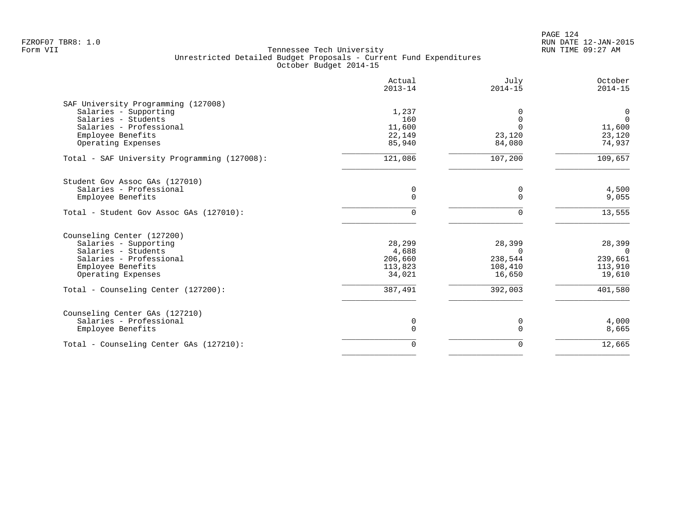|                                                                                                                                                  | Actual<br>$2013 - 14$                           | July<br>$2014 - 15$                                | October<br>$2014 - 15$                             |
|--------------------------------------------------------------------------------------------------------------------------------------------------|-------------------------------------------------|----------------------------------------------------|----------------------------------------------------|
| SAF University Programming (127008)<br>Salaries - Supporting<br>Salaries - Students<br>Salaries - Professional<br>Employee Benefits              | 1,237<br>160<br>11,600<br>22,149                | $\Omega$<br>$\Omega$<br>23,120                     | 0<br>$\mathbf{0}$<br>11,600<br>23,120              |
| Operating Expenses                                                                                                                               | 85,940                                          | 84,080                                             | 74,937                                             |
| Total - SAF University Programming (127008):                                                                                                     | 121,086                                         | 107,200                                            | 109,657                                            |
| Student Gov Assoc GAs (127010)<br>Salaries - Professional<br>Employee Benefits                                                                   | 0<br>0                                          | 0<br>$\Omega$                                      | 4,500<br>9,055                                     |
| Total - Student Gov Assoc GAs (127010):                                                                                                          | 0                                               | $\Omega$                                           | 13,555                                             |
| Counseling Center (127200)<br>Salaries - Supporting<br>Salaries - Students<br>Salaries - Professional<br>Employee Benefits<br>Operating Expenses | 28,299<br>4,688<br>206,660<br>113,823<br>34,021 | 28,399<br>$\Omega$<br>238,544<br>108,410<br>16,650 | 28,399<br>$\Omega$<br>239,661<br>113,910<br>19,610 |
| Total - Counseling Center (127200):                                                                                                              | 387,491                                         | 392,003                                            | 401,580                                            |
| Counseling Center GAs (127210)<br>Salaries - Professional<br>Employee Benefits                                                                   | 0<br>0                                          | 0<br>$\mathbf 0$                                   | 4,000<br>8,665                                     |
| Total - Counseling Center GAs (127210):                                                                                                          | $\mathbf 0$                                     | 0                                                  | 12,665                                             |
|                                                                                                                                                  |                                                 |                                                    |                                                    |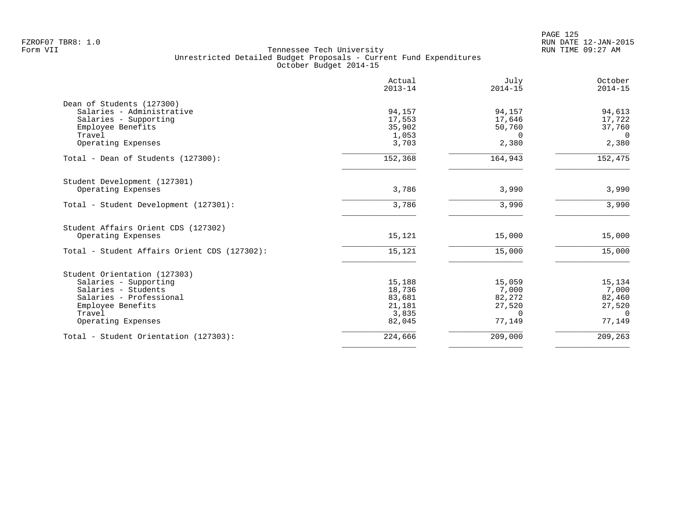|                                              | Actual<br>$2013 - 14$ | July<br>$2014 - 15$ | October<br>$2014 - 15$ |
|----------------------------------------------|-----------------------|---------------------|------------------------|
| Dean of Students (127300)                    |                       |                     |                        |
| Salaries - Administrative                    | 94,157                | 94,157              | 94,613                 |
| Salaries - Supporting                        | 17,553                | 17,646              | 17,722                 |
| Employee Benefits                            | 35,902                | 50,760              | 37,760                 |
| Travel                                       | 1,053                 | $\Omega$            | $\overline{0}$         |
| Operating Expenses                           | 3,703                 | 2,380               | 2,380                  |
| Total - Dean of Students (127300):           | 152,368               | 164,943             | 152,475                |
| Student Development (127301)                 |                       |                     |                        |
| Operating Expenses                           | 3,786                 | 3,990               | 3,990                  |
| Total - Student Development (127301):        | 3,786                 | 3,990               | 3,990                  |
| Student Affairs Orient CDS (127302)          |                       |                     |                        |
| Operating Expenses                           | 15,121                | 15,000              | 15,000                 |
| Total - Student Affairs Orient CDS (127302): | 15,121                | 15,000              | 15,000                 |
| Student Orientation (127303)                 |                       |                     |                        |
| Salaries - Supporting                        | 15,188                | 15,059              | 15,134                 |
| Salaries - Students                          | 18,736                | 7,000               | 7,000                  |
| Salaries - Professional                      | 83,681                | 82,272              | 82,460                 |
| Employee Benefits                            | 21,181                | 27,520              | 27,520                 |
| Travel                                       | 3,835                 | $\Omega$            | $\Omega$               |
| Operating Expenses                           | 82,045                | 77,149              | 77,149                 |
| Total - Student Orientation (127303):        | 224,666               | 209,000             | 209,263                |
|                                              |                       |                     |                        |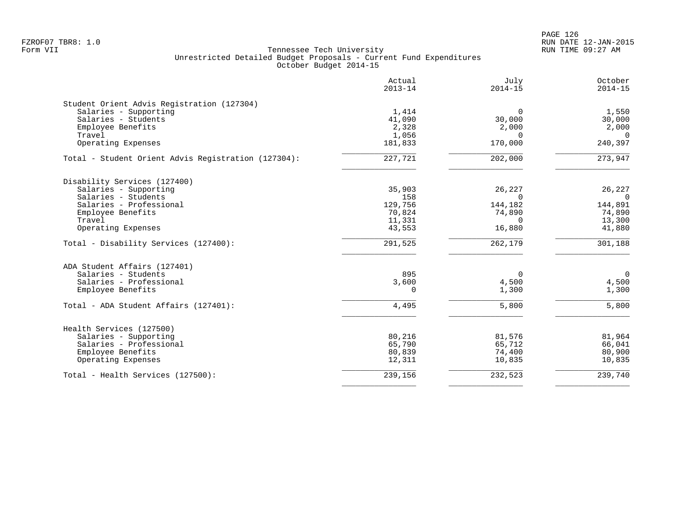PAGE 126 FZROF07 TBR8: 1.0 RUN DATE 12-JAN-2015

|                                                     | Actual<br>$2013 - 14$ | July<br>$2014 - 15$ | October<br>$2014 - 15$ |
|-----------------------------------------------------|-----------------------|---------------------|------------------------|
| Student Orient Advis Registration (127304)          |                       |                     |                        |
| Salaries - Supporting                               | 1,414                 | 0                   | 1,550                  |
| Salaries - Students                                 | 41,090                | 30,000              | 30,000                 |
| Employee Benefits                                   | 2,328                 | 2,000               | 2,000                  |
| Travel                                              | 1,056                 | $\Omega$            | $\overline{0}$         |
| Operating Expenses                                  | 181,833               | 170,000             | 240,397                |
| Total - Student Orient Advis Registration (127304): | 227,721               | 202,000             | 273,947                |
| Disability Services (127400)                        |                       |                     |                        |
| Salaries - Supporting                               | 35,903                | 26,227              | 26,227                 |
| Salaries - Students                                 | 158                   | $\Omega$            | $\Omega$               |
| Salaries - Professional                             | 129,756               | 144,182             | 144,891                |
| Employee Benefits                                   | 70,824                | 74,890              | 74,890                 |
| Travel                                              | 11,331                | $\Omega$            | 13,300                 |
| Operating Expenses                                  | 43,553                | 16,880              | 41,880                 |
| Total - Disability Services (127400):               | 291,525               | 262,179             | 301,188                |
| ADA Student Affairs (127401)                        |                       |                     |                        |
| Salaries - Students                                 | 895                   | 0                   | $\mathbf 0$            |
| Salaries - Professional                             | 3,600                 | 4,500               | 4,500                  |
| Employee Benefits                                   | $\Omega$              | 1,300               | 1,300                  |
|                                                     |                       |                     |                        |
| Total - ADA Student Affairs (127401):               | 4,495                 | 5,800               | 5,800                  |
| Health Services (127500)                            |                       |                     |                        |
| Salaries - Supporting                               | 80,216                | 81,576              | 81,964                 |
| Salaries - Professional                             | 65,790                | 65,712              | 66,041                 |
| Employee Benefits                                   | 80,839                | 74,400              | 80,900                 |
| Operating Expenses                                  | 12,311                | 10,835              | 10,835                 |
| Total - Health Services (127500):                   | 239,156               | 232,523             | 239,740                |
|                                                     |                       |                     |                        |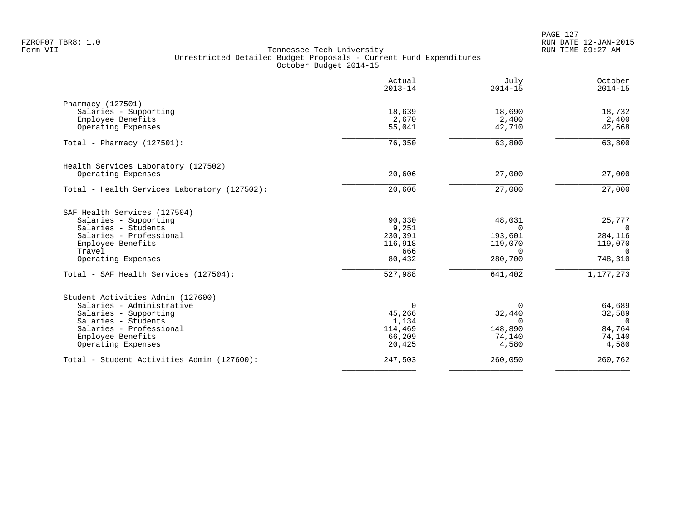PAGE 127 FZROF07 TBR8: 1.0 RUN DATE 12-JAN-2015

|                                              | Actual<br>$2013 - 14$ | July<br>$2014 - 15$ | October<br>$2014 - 15$ |
|----------------------------------------------|-----------------------|---------------------|------------------------|
| Pharmacy (127501)                            |                       |                     |                        |
| Salaries - Supporting                        | 18,639                | 18,690              | 18,732                 |
| Employee Benefits                            | 2,670                 | 2,400               | 2,400                  |
| Operating Expenses                           | 55,041                | 42,710              | 42,668                 |
| Total - Pharmacy $(127501)$ :                | 76,350                | 63,800              | 63,800                 |
| Health Services Laboratory (127502)          |                       |                     |                        |
| Operating Expenses                           | 20,606                | 27,000              | 27,000                 |
| Total - Health Services Laboratory (127502): | 20,606                | 27,000              | 27,000                 |
| SAF Health Services (127504)                 |                       |                     |                        |
| Salaries - Supporting                        | 90,330                | 48,031              | 25,777                 |
| Salaries - Students                          | 9,251                 | $\Omega$            | $\overline{0}$         |
| Salaries - Professional<br>Employee Benefits | 230,391<br>116,918    | 193,601<br>119,070  | 284,116<br>119,070     |
| Travel                                       | 666                   | $\Omega$            | $\overline{0}$         |
| Operating Expenses                           | 80,432                | 280,700             | 748,310                |
| Total - SAF Health Services (127504):        | 527,988               | 641,402             | 1,177,273              |
| Student Activities Admin (127600)            |                       |                     |                        |
| Salaries - Administrative                    | $\Omega$              | 0                   | 64,689                 |
| Salaries - Supporting                        | 45,266                | 32,440              | 32,589                 |
| Salaries - Students                          | 1,134                 | $\Omega$            | $\Omega$               |
| Salaries - Professional<br>Employee Benefits | 114,469<br>66,209     | 148,890             | 84,764<br>74,140       |
| Operating Expenses                           | 20,425                | 74,140<br>4,580     | 4,580                  |
| Total - Student Activities Admin (127600):   | 247,503               | 260,050             | 260,762                |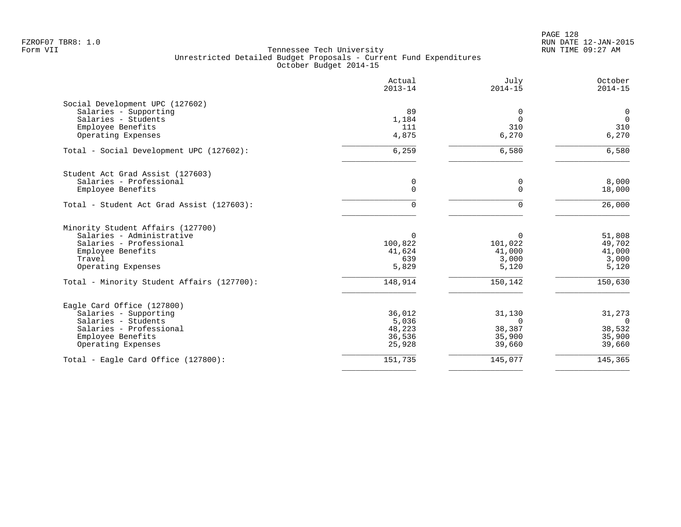| Actual<br>$2013 - 14$ | July<br>$2014 - 15$ | October<br>$2014 - 15$  |
|-----------------------|---------------------|-------------------------|
|                       |                     |                         |
| 89                    | $\Omega$            | $\mathbf 0$             |
| 1,184                 | $\Omega$            | $\overline{0}$          |
| 111                   | 310                 | 310                     |
| 4,875                 | 6,270               | 6,270                   |
| 6,259                 | 6,580               | 6,580                   |
|                       |                     |                         |
|                       |                     | 8,000                   |
| $\Omega$              | $\Omega$            | 18,000                  |
| 0                     | $\Omega$            | 26,000                  |
|                       |                     |                         |
| $\Omega$              | $\Omega$            | 51,808                  |
|                       |                     | 49,702                  |
| 41,624                | 41,000              | 41,000                  |
| 639                   | 3,000               | 3,000                   |
| 5,829                 | 5,120               | 5,120                   |
| 148,914               | 150,142             | 150,630                 |
|                       |                     |                         |
| 36,012                | 31,130              | 31,273                  |
| 5,036                 | $\Omega$            | $\Omega$                |
| 48,223                | 38,387              | 38,532                  |
| 36,536                | 35,900              | 35,900                  |
| 25,928                | 39,660              | 39,660                  |
| 151,735               |                     | 145,365                 |
|                       | 0<br>100,822        | 0<br>101,022<br>145,077 |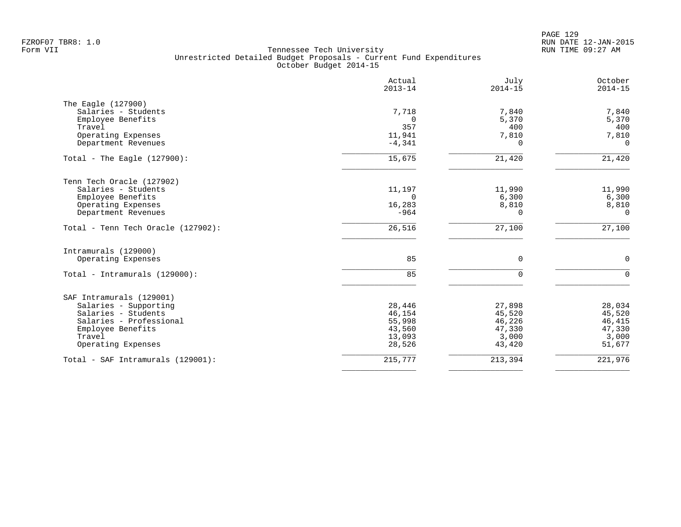|                                    | Actual<br>$2013 - 14$ | July<br>$2014 - 15$ | October<br>$2014 - 15$ |
|------------------------------------|-----------------------|---------------------|------------------------|
| The Eagle (127900)                 |                       |                     |                        |
| Salaries - Students                | 7,718                 | 7,840               | 7,840                  |
| Employee Benefits                  | $\Omega$              | 5,370               | 5,370                  |
| Travel                             | 357                   | 400                 | 400                    |
| Operating Expenses                 | 11,941                | 7,810               | 7,810                  |
| Department Revenues                | $-4,341$              | $\Omega$            | $\Omega$               |
| Total - The Eagle $(127900)$ :     | 15,675                | 21,420              | 21,420                 |
| Tenn Tech Oracle (127902)          |                       |                     |                        |
| Salaries - Students                | 11,197                | 11,990              | 11,990                 |
| Employee Benefits                  | $\Omega$              | 6,300               | 6,300                  |
| Operating Expenses                 | 16,283                | 8,810               | 8,810                  |
| Department Revenues                | $-964$                | $\Omega$            | $\Omega$               |
| Total - Tenn Tech Oracle (127902): | 26,516                | 27,100              | 27,100                 |
| Intramurals (129000)               |                       |                     |                        |
| Operating Expenses                 | 85                    | $\Omega$            | $\mathbf 0$            |
| Total - Intramurals (129000):      | 85                    | $\Omega$            | $\Omega$               |
| SAF Intramurals (129001)           |                       |                     |                        |
| Salaries - Supporting              | 28,446                | 27,898              | 28,034                 |
| Salaries - Students                | 46,154                | 45,520              | 45,520                 |
| Salaries - Professional            | 55,998                | 46,226              | 46,415                 |
| Employee Benefits                  | 43,560                | 47,330              | 47,330                 |
| Travel                             | 13,093                | 3,000               | 3,000                  |
| Operating Expenses                 | 28,526                | 43,420              | 51,677                 |
| Total - SAF Intramurals (129001):  | 215,777               | 213,394             | 221,976                |
|                                    |                       |                     |                        |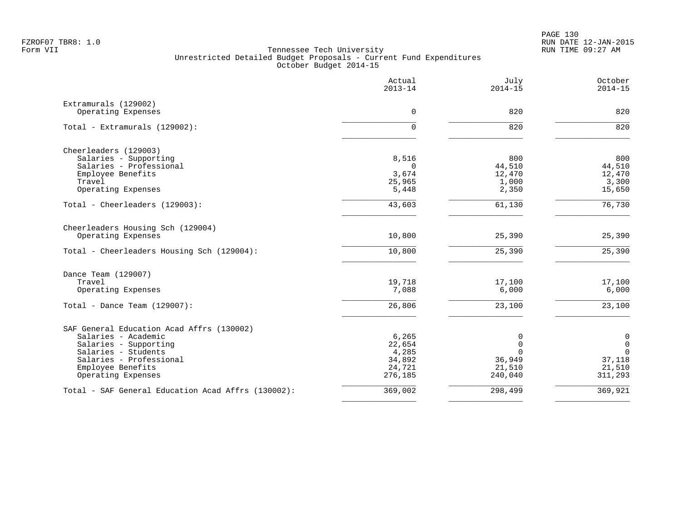|                                                    | Actual<br>$2013 - 14$ | July<br>$2014 - 15$ | October<br>$2014 - 15$ |
|----------------------------------------------------|-----------------------|---------------------|------------------------|
| Extramurals (129002)<br>Operating Expenses         | $\Omega$              | 820                 | 820                    |
|                                                    |                       |                     |                        |
| Total - Extramurals (129002):                      | $\mathbf 0$           | 820                 | 820                    |
| Cheerleaders (129003)                              |                       |                     |                        |
| Salaries - Supporting                              | 8,516                 | 800                 | 800                    |
| Salaries - Professional                            | $\Omega$              | 44,510              | 44,510                 |
| Employee Benefits<br>Travel                        | 3,674<br>25,965       | 12,470<br>1,000     | 12,470<br>3,300        |
| Operating Expenses                                 | 5,448                 | 2,350               | 15,650                 |
| Total - Cheerleaders (129003):                     | 43,603                | 61,130              | $\overline{76,730}$    |
| Cheerleaders Housing Sch (129004)                  |                       |                     |                        |
| Operating Expenses                                 | 10,800                | 25,390              | 25,390                 |
| Total - Cheerleaders Housing Sch (129004):         | 10,800                | 25,390              | 25,390                 |
| Dance Team (129007)                                |                       |                     |                        |
| Travel                                             | 19,718                | 17,100              | 17,100                 |
| Operating Expenses                                 | 7,088                 | 6,000               | 6,000                  |
| Total - Dance Team $(129007)$ :                    | 26,806                | 23,100              | 23,100                 |
| SAF General Education Acad Affrs (130002)          |                       |                     |                        |
| Salaries - Academic                                | 6,265                 | 0                   | $\mathbf 0$            |
| Salaries - Supporting                              | 22,654                | $\mathbf 0$         | $\mathbf 0$            |
| Salaries - Students                                | 4,285                 | $\Omega$            | $\mathbf 0$            |
| Salaries - Professional<br>Employee Benefits       | 34,892<br>24,721      | 36,949<br>21,510    | 37,118<br>21,510       |
| Operating Expenses                                 | 276,185               | 240,040             | 311,293                |
| Total - SAF General Education Acad Affrs (130002): | 369,002               | 298,499             | 369,921                |
|                                                    |                       |                     |                        |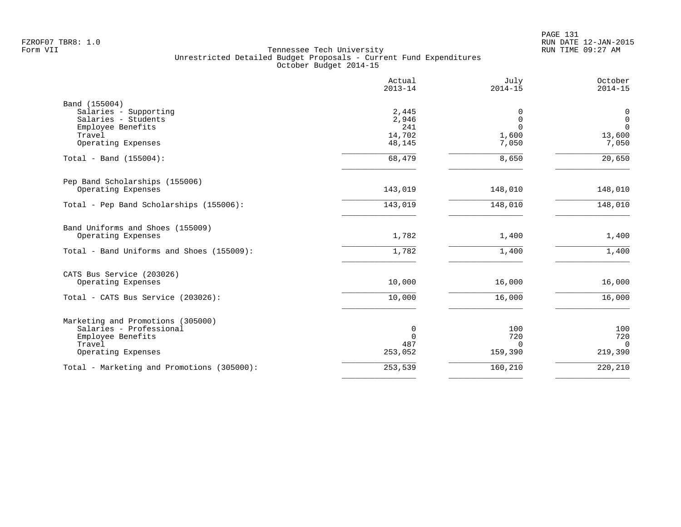|                                            | Actual<br>$2013 - 14$ | July<br>$2014 - 15$     | October<br>$2014 - 15$      |
|--------------------------------------------|-----------------------|-------------------------|-----------------------------|
| Band (155004)                              |                       |                         |                             |
| Salaries - Supporting                      | 2,445                 | 0                       | $\mathbf 0$                 |
| Salaries - Students                        | 2,946                 | $\mathbf 0$<br>$\Omega$ | $\mathbf{0}$<br>$\mathbf 0$ |
| Employee Benefits<br>Travel                | 241<br>14,702         | 1,600                   | 13,600                      |
| Operating Expenses                         | 48,145                | 7,050                   | 7,050                       |
| Total - Band $(155004)$ :                  | 68,479                | 8,650                   | 20,650                      |
| Pep Band Scholarships (155006)             |                       |                         |                             |
| Operating Expenses                         | 143,019               | 148,010                 | 148,010                     |
| Total - Pep Band Scholarships (155006):    | 143,019               | 148,010                 | 148,010                     |
| Band Uniforms and Shoes (155009)           |                       |                         |                             |
| Operating Expenses                         | 1,782                 | 1,400                   | 1,400                       |
| Total - Band Uniforms and Shoes (155009):  | 1,782                 | 1,400                   | 1,400                       |
| CATS Bus Service (203026)                  |                       |                         |                             |
| Operating Expenses                         | 10,000                | 16,000                  | 16,000                      |
| Total - CATS Bus Service (203026):         | 10,000                | 16,000                  | 16,000                      |
| Marketing and Promotions (305000)          |                       |                         |                             |
| Salaries - Professional                    | 0                     | 100                     | 100                         |
| Employee Benefits<br>Travel                | $\Omega$<br>487       | 720                     | 720                         |
| Operating Expenses                         | 253,052               | $\Omega$<br>159,390     | $\Omega$<br>219,390         |
| Total - Marketing and Promotions (305000): | 253,539               | 160,210                 | 220,210                     |
|                                            |                       |                         |                             |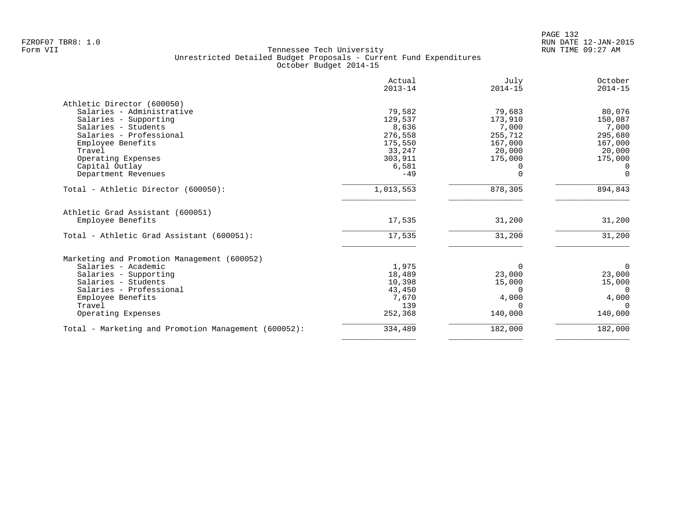|                                                      | Actual<br>$2013 - 14$ | July<br>$2014 - 15$ | October<br>$2014 - 15$ |
|------------------------------------------------------|-----------------------|---------------------|------------------------|
|                                                      |                       |                     |                        |
| Athletic Director (600050)                           |                       |                     |                        |
| Salaries - Administrative                            | 79,582                | 79,683              | 80,076                 |
| Salaries - Supporting                                | 129,537               | 173,910             | 150,087                |
| Salaries - Students                                  | 8,636                 | 7,000               | 7,000                  |
| Salaries - Professional                              | 276,558               | 255,712             | 295,680                |
| Employee Benefits                                    | 175,550               | 167,000             | 167,000                |
| Travel                                               | 33,247                | 20,000              | 20,000                 |
| Operating Expenses                                   | 303,911               | 175,000             | 175,000                |
| Capital Outlay                                       | 6,581                 | 0                   | $\Omega$               |
| Department Revenues                                  | $-49$                 | O                   | $\Omega$               |
| Total - Athletic Director (600050):                  | 1,013,553             | 878,305             | 894,843                |
| Athletic Grad Assistant (600051)                     |                       |                     |                        |
| Employee Benefits                                    | 17,535                | 31,200              | 31,200                 |
| Total - Athletic Grad Assistant (600051):            | 17,535                | 31,200              | 31,200                 |
| Marketing and Promotion Management (600052)          |                       |                     |                        |
| Salaries - Academic                                  | 1,975                 | $\Omega$            | $\mathbf 0$            |
| Salaries - Supporting                                | 18,489                | 23,000              | 23,000                 |
| Salaries - Students                                  | 10,398                | 15,000              | 15,000                 |
| Salaries - Professional                              | 43,450                | $\Omega$            | $\Omega$               |
| Employee Benefits                                    | 7,670                 | 4,000               | 4,000                  |
| Travel                                               | 139                   | $\Omega$            | $\Omega$               |
| Operating Expenses                                   | 252,368               | 140,000             | 140,000                |
| Total - Marketing and Promotion Management (600052): | 334,489               | 182,000             | 182,000                |
|                                                      |                       |                     |                        |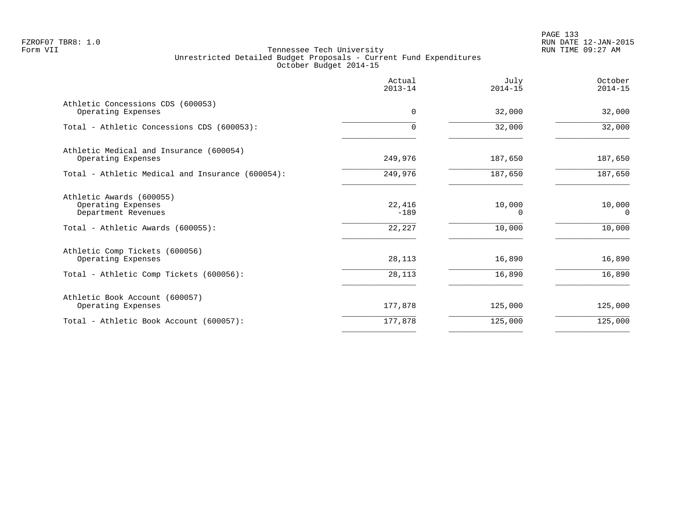PAGE 133 FZROF07 TBR8: 1.0 RUN DATE 12-JAN-2015

|                                                                       | Actual<br>$2013 - 14$ | July<br>$2014 - 15$ | October<br>$2014 - 15$ |
|-----------------------------------------------------------------------|-----------------------|---------------------|------------------------|
| Athletic Concessions CDS (600053)<br>Operating Expenses               | 0                     | 32,000              | 32,000                 |
| Total - Athletic Concessions CDS (600053):                            | $\Omega$              | 32,000              | 32,000                 |
| Athletic Medical and Insurance (600054)<br>Operating Expenses         | 249,976               | 187,650             | 187,650                |
| Total - Athletic Medical and Insurance (600054):                      | 249,976               | 187,650             | 187,650                |
| Athletic Awards (600055)<br>Operating Expenses<br>Department Revenues | 22,416<br>$-189$      | 10,000<br>0         | 10,000<br>$\Omega$     |
| Total - Athletic Awards (600055):                                     | 22,227                | 10,000              | 10,000                 |
| Athletic Comp Tickets (600056)<br>Operating Expenses                  | 28,113                | 16,890              | 16,890                 |
| Total - Athletic Comp Tickets (600056):                               | 28,113                | 16,890              | 16,890                 |
| Athletic Book Account (600057)<br>Operating Expenses                  | 177,878               | 125,000             | 125,000                |
| Total - Athletic Book Account (600057):                               | 177,878               | 125,000             | 125,000                |
|                                                                       |                       |                     |                        |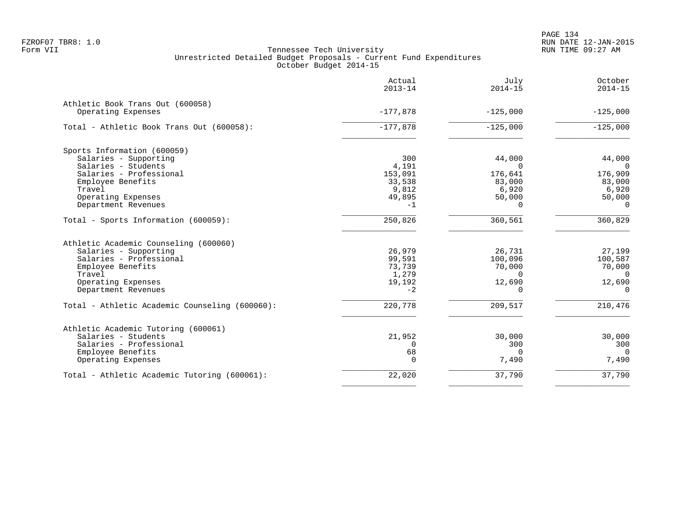PAGE 134 FZROF07 TBR8: 1.0 RUN DATE 12-JAN-2015

|                                                        | Actual<br>$2013 - 14$ | July<br>$2014 - 15$ | October<br>$2014 - 15$ |
|--------------------------------------------------------|-----------------------|---------------------|------------------------|
| Athletic Book Trans Out (600058)<br>Operating Expenses | $-177,878$            | $-125,000$          | $-125,000$             |
| Total - Athletic Book Trans Out (600058):              | $-177,878$            | $-125,000$          | $-125,000$             |
|                                                        |                       |                     |                        |
| Sports Information (600059)<br>Salaries - Supporting   | 300                   | 44,000              | 44,000                 |
| Salaries - Students                                    | 4,191                 | $\Omega$            | $\overline{0}$         |
| Salaries - Professional                                | 153,091               | 176,641             | 176,909                |
| Employee Benefits                                      | 33,538                | 83,000              | 83,000                 |
| Travel                                                 | 9,812                 | 6,920               | 6,920                  |
| Operating Expenses                                     | 49,895                | 50,000              | 50,000                 |
| Department Revenues                                    | $-1$                  | $\Omega$            | $\Omega$               |
| Total - Sports Information (600059):                   | 250,826               | 360,561             | 360,829                |
| Athletic Academic Counseling (600060)                  |                       |                     |                        |
| Salaries - Supporting                                  | 26,979                | 26,731              | 27,199                 |
| Salaries - Professional                                | 99,591                | 100,096             | 100,587                |
| Employee Benefits                                      | 73,739                | 70,000              | 70,000                 |
| Travel                                                 | 1,279                 | 0                   | $\overline{0}$         |
| Operating Expenses                                     | 19,192                | 12,690              | 12,690                 |
| Department Revenues                                    | $-2$                  | $\Omega$            | $\mathbf 0$            |
| Total - Athletic Academic Counseling (600060):         | 220,778               | 209,517             | 210,476                |
| Athletic Academic Tutoring (600061)                    |                       |                     |                        |
| Salaries - Students                                    | 21,952                | 30,000              | 30,000                 |
| Salaries - Professional                                | $\Omega$              | 300                 | 300                    |
| Employee Benefits                                      | 68                    | $\Omega$            | $\Omega$               |
| Operating Expenses                                     | $\Omega$              | 7,490               | 7,490                  |
| Total - Athletic Academic Tutoring (600061):           | 22,020                | 37,790              | 37,790                 |
|                                                        |                       |                     |                        |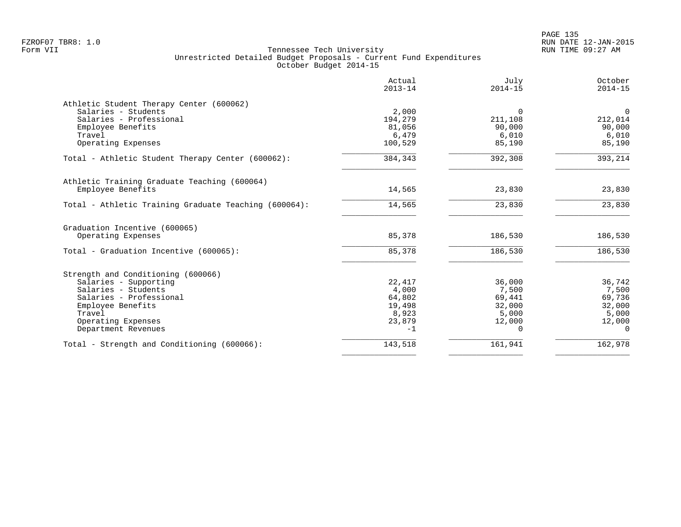|                                                       | Actual<br>$2013 - 14$ | July<br>$2014 - 15$ | October<br>$2014 - 15$ |
|-------------------------------------------------------|-----------------------|---------------------|------------------------|
| Athletic Student Therapy Center (600062)              |                       |                     |                        |
| Salaries - Students                                   | 2,000                 | $\Omega$            | $\overline{0}$         |
| Salaries - Professional                               | 194,279               | 211,108             | 212,014                |
| Employee Benefits                                     | 81,056                | 90,000              | 90,000                 |
| Travel                                                | 6,479                 | 6,010               | 6,010                  |
| Operating Expenses                                    | 100,529               | 85,190              | 85,190                 |
| Total - Athletic Student Therapy Center (600062):     | 384,343               | 392,308             | 393,214                |
| Athletic Training Graduate Teaching (600064)          |                       |                     |                        |
| Employee Benefits                                     | 14,565                | 23,830              | 23,830                 |
| Total - Athletic Training Graduate Teaching (600064): | 14,565                | 23,830              | 23,830                 |
| Graduation Incentive (600065)                         |                       |                     |                        |
| Operating Expenses                                    | 85,378                | 186,530             | 186,530                |
| Total - Graduation Incentive (600065):                | 85,378                | 186,530             | 186,530                |
| Strength and Conditioning (600066)                    |                       |                     |                        |
| Salaries - Supporting                                 | 22,417                | 36,000              | 36,742                 |
| Salaries - Students                                   | 4,000                 | 7,500               | 7,500                  |
| Salaries - Professional                               | 64,802                | 69,441              | 69,736                 |
| Employee Benefits                                     | 19,498                | 32,000              | 32,000                 |
| Travel                                                | 8,923                 | 5,000               | 5,000                  |
| Operating Expenses                                    | 23,879                | 12,000              | 12,000                 |
| Department Revenues                                   | $-1$                  | 0                   | $\Omega$               |
| Total - Strength and Conditioning (600066):           | 143,518               | 161,941             | 162,978                |
|                                                       |                       |                     |                        |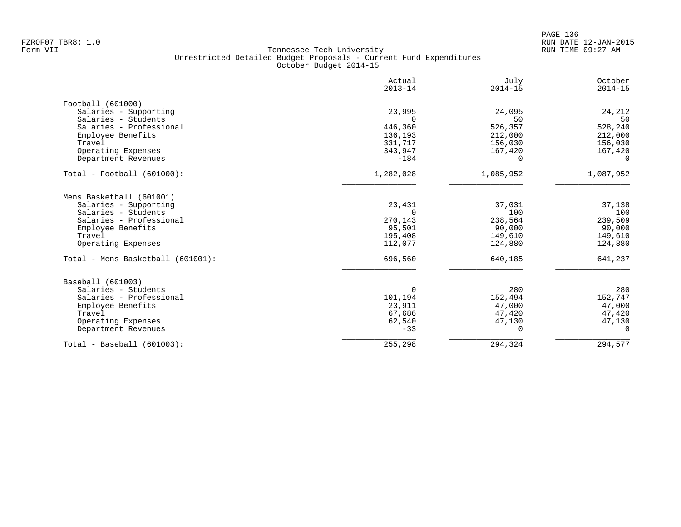| Actual<br>$2013 - 14$ | July<br>$2014 - 15$                                          | October<br>$2014 - 15$                        |
|-----------------------|--------------------------------------------------------------|-----------------------------------------------|
|                       |                                                              |                                               |
| 23,995                | 24,095                                                       | 24,212                                        |
| $\Omega$              | 50                                                           | 50                                            |
|                       | 526,357                                                      | 528,240                                       |
| 136,193               | 212,000                                                      | 212,000                                       |
| 331,717               | 156,030                                                      | 156,030                                       |
|                       | 167,420                                                      | 167,420                                       |
| $-184$                | $\Omega$                                                     | $\Omega$                                      |
| 1,282,028             | 1,085,952                                                    | 1,087,952                                     |
|                       |                                                              |                                               |
|                       |                                                              | 37,138                                        |
| 0                     |                                                              | 100                                           |
|                       |                                                              | 239,509                                       |
|                       |                                                              | 90,000                                        |
|                       |                                                              | 149,610                                       |
| 112,077               | 124,880                                                      | 124,880                                       |
| 696,560               | 640,185                                                      | 641,237                                       |
|                       |                                                              |                                               |
| 0                     | 280                                                          | 280                                           |
| 101,194               | 152,494                                                      | 152,747                                       |
| 23,911                | 47,000                                                       | 47,000                                        |
| 67,686                | 47,420                                                       | 47,420                                        |
| 62,540                | 47,130                                                       | 47,130                                        |
| $-33$                 | 0                                                            | $\mathbf{0}$                                  |
| 255,298               | 294,324                                                      | 294,577                                       |
|                       | 446,360<br>343,947<br>23,431<br>270,143<br>95,501<br>195,408 | 37,031<br>100<br>238,564<br>90,000<br>149,610 |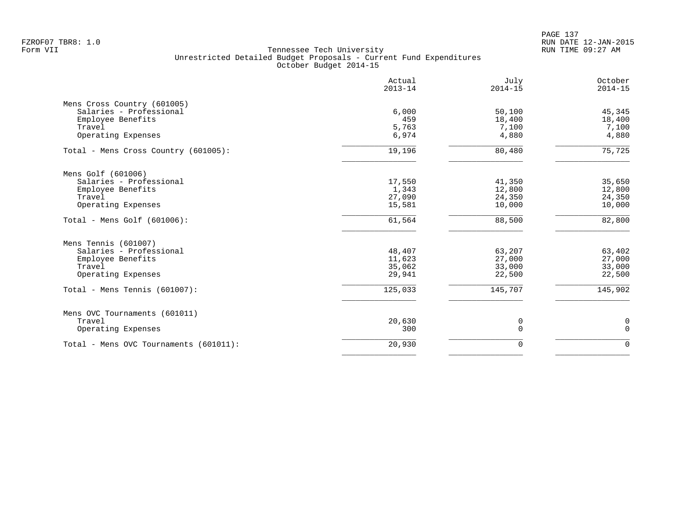PAGE 137 FZROF07 TBR8: 1.0 RUN DATE 12-JAN-2015

|                                        | Actual<br>$2013 - 14$ | July<br>$2014 - 15$ | October<br>$2014 - 15$ |
|----------------------------------------|-----------------------|---------------------|------------------------|
| Mens Cross Country (601005)            |                       |                     |                        |
| Salaries - Professional                | 6,000                 | 50,100              | 45,345                 |
| Employee Benefits                      | 459                   | 18,400              | 18,400                 |
| Travel                                 | 5,763                 | 7,100               | 7,100                  |
| Operating Expenses                     | 6,974                 | 4,880               | 4,880                  |
| Total - Mens Cross Country (601005):   | 19,196                | 80,480              | 75,725                 |
| Mens Golf (601006)                     |                       |                     |                        |
| Salaries - Professional                | 17,550                | 41,350              | 35,650                 |
| Employee Benefits                      | 1,343                 | 12,800              | 12,800                 |
| Travel                                 | 27,090                | 24,350              | 24,350                 |
| Operating Expenses                     | 15,581                | 10,000              | 10,000                 |
| Total - Mens Golf $(601006)$ :         | 61,564                | 88,500              | 82,800                 |
| Mens Tennis (601007)                   |                       |                     |                        |
| Salaries - Professional                | 48,407                | 63,207              | 63,402                 |
| Employee Benefits                      | 11,623                | 27,000              | 27,000                 |
| Travel                                 | 35,062                | 33,000              | 33,000                 |
| Operating Expenses                     | 29,941                | 22,500              | 22,500                 |
| Total - Mens Tennis (601007):          | 125,033               | 145,707             | 145,902                |
| Mens OVC Tournaments (601011)          |                       |                     |                        |
| Travel                                 | 20,630                | 0                   | 0                      |
| Operating Expenses                     | 300                   | $\mathbf 0$         | $\mathbf 0$            |
| Total - Mens OVC Tournaments (601011): | 20,930                | $\mathbf 0$         | $\mathbf 0$            |
|                                        |                       |                     |                        |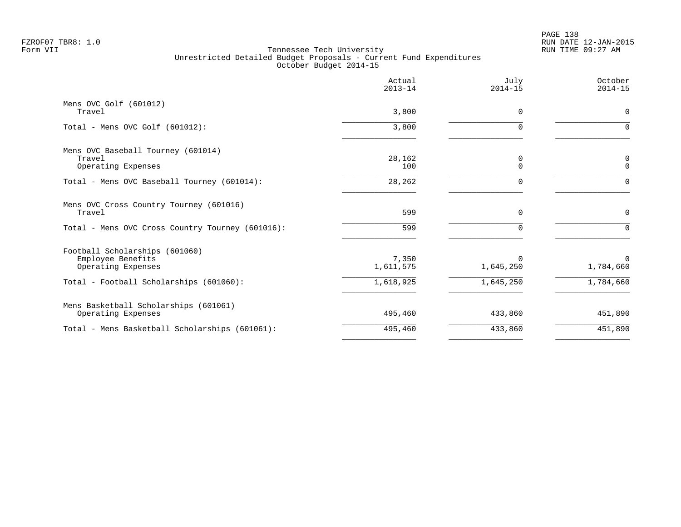PAGE 138 FZROF07 TBR8: 1.0 RUN DATE 12-JAN-2015

|                                                                           | Actual<br>$2013 - 14$ | July<br>$2014 - 15$   | October<br>$2014 - 15$   |
|---------------------------------------------------------------------------|-----------------------|-----------------------|--------------------------|
| Mens OVC Golf (601012)<br>Travel                                          | 3,800                 | 0                     | $\mathbf 0$              |
| Total - Mens OVC Golf (601012):                                           | 3,800                 | $\Omega$              | $\Omega$                 |
| Mens OVC Baseball Tourney (601014)<br>Travel<br>Operating Expenses        | 28,162<br>100         | 0<br>$\Omega$         | 0<br>$\mathbf 0$         |
| Total - Mens OVC Baseball Tourney (601014):                               | 28,262                | O                     | $\Omega$                 |
| Mens OVC Cross Country Tourney (601016)<br>Travel                         | 599                   | $\Omega$              | $\mathbf 0$              |
| Total - Mens OVC Cross Country Tourney (601016):                          | 599                   |                       | $\Omega$                 |
| Football Scholarships (601060)<br>Employee Benefits<br>Operating Expenses | 7,350<br>1,611,575    | $\Omega$<br>1,645,250 | $\mathbf 0$<br>1,784,660 |
| Total - Football Scholarships (601060):                                   | 1,618,925             | 1,645,250             | 1,784,660                |
| Mens Basketball Scholarships (601061)<br>Operating Expenses               | 495,460               | 433,860               | 451,890                  |
| Total - Mens Basketball Scholarships (601061):                            | 495,460               | 433,860               | 451,890                  |
|                                                                           |                       |                       |                          |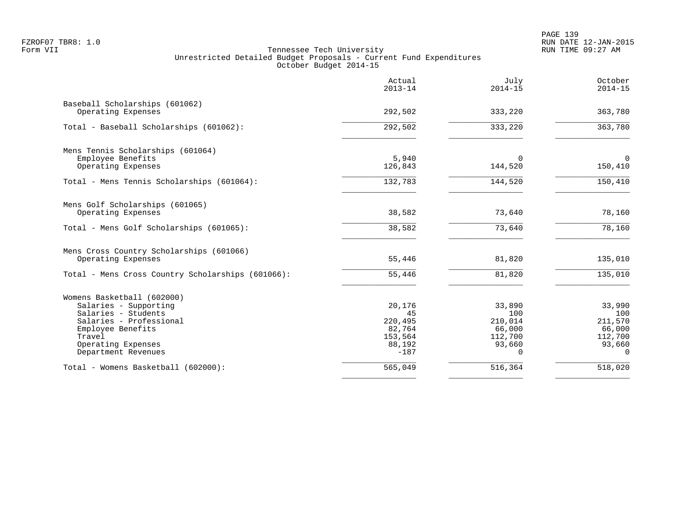|                                                        | Actual<br>$2013 - 14$ | July<br>$2014 - 15$ | October<br>$2014 - 15$ |
|--------------------------------------------------------|-----------------------|---------------------|------------------------|
| Baseball Scholarships (601062)<br>Operating Expenses   | 292,502               | 333,220             | 363,780                |
| Total - Baseball Scholarships (601062):                | 292,502               | 333,220             | 363,780                |
|                                                        |                       |                     |                        |
| Mens Tennis Scholarships (601064)<br>Employee Benefits | 5,940                 | $\Omega$            | $\overline{0}$         |
| Operating Expenses                                     | 126,843               | 144,520             | 150,410                |
| Total - Mens Tennis Scholarships (601064):             | 132,783               | 144,520             | 150,410                |
| Mens Golf Scholarships (601065)                        |                       |                     |                        |
| Operating Expenses                                     | 38,582                | 73,640              | 78,160                 |
| Total - Mens Golf Scholarships (601065):               | 38,582                | 73,640              | 78,160                 |
| Mens Cross Country Scholarships (601066)               |                       |                     |                        |
| Operating Expenses                                     | 55,446                | 81,820              | 135,010                |
| Total - Mens Cross Country Scholarships (601066):      | 55,446                | 81,820              | 135,010                |
| Womens Basketball (602000)                             |                       |                     |                        |
| Salaries - Supporting<br>Salaries - Students           | 20,176<br>45          | 33,890<br>100       | 33,990<br>100          |
| Salaries - Professional                                | 220,495               | 210,014             | 211,570                |
| Employee Benefits                                      | 82,764                | 66,000              | 66,000                 |
| Travel                                                 | 153,564               | 112,700             | 112,700                |
| Operating Expenses<br>Department Revenues              | 88,192<br>$-187$      | 93,660<br>$\Omega$  | 93,660<br>$\Omega$     |
|                                                        |                       |                     |                        |
| Total - Womens Basketball (602000):                    | 565,049               | 516,364             | 518,020                |
|                                                        |                       |                     |                        |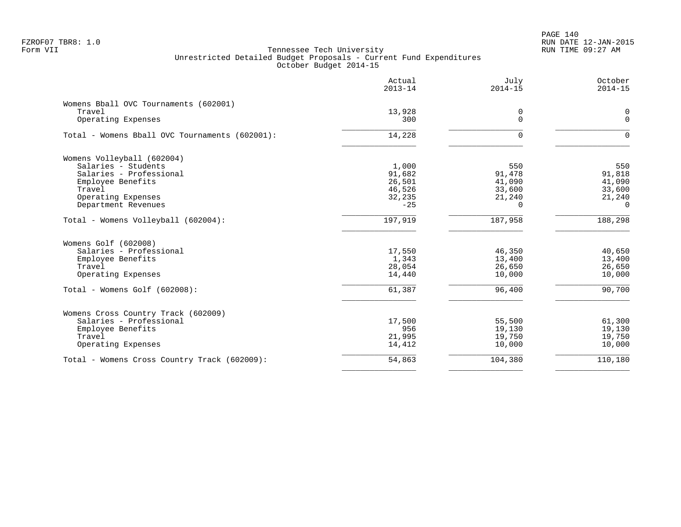PAGE 140 FZROF07 TBR8: 1.0 RUN DATE 12-JAN-2015

|                                                | Actual<br>$2013 - 14$ | July<br>$2014 - 15$ | October<br>$2014 - 15$ |
|------------------------------------------------|-----------------------|---------------------|------------------------|
| Womens Bball OVC Tournaments (602001)          |                       |                     |                        |
| Travel                                         | 13,928                | 0                   | 0                      |
| Operating Expenses                             | 300                   | $\mathbf 0$         | $\Omega$               |
| Total - Womens Bball OVC Tournaments (602001): | 14,228                | $\Omega$            | $\Omega$               |
| Womens Volleyball (602004)                     |                       |                     |                        |
| Salaries - Students                            | 1,000                 | 550                 | 550                    |
| Salaries - Professional                        | 91,682                | 91,478              | 91,818                 |
| Employee Benefits                              | 26,501                | 41,090              | 41,090                 |
| Travel                                         | 46,526                | 33,600              | 33,600                 |
| Operating Expenses                             | 32,235                | 21,240              | 21,240                 |
| Department Revenues                            | $-25$                 | $\Omega$            | $\Omega$               |
| Total - Womens Volleyball (602004):            | 197,919               | 187,958             | 188,298                |
| Womens Golf (602008)                           |                       |                     |                        |
| Salaries - Professional                        | 17,550                | 46,350              | 40,650                 |
| Employee Benefits                              | 1,343                 | 13,400              | 13,400                 |
| Travel                                         | 28,054                | 26,650              | 26,650                 |
| Operating Expenses                             | 14,440                | 10,000              | 10,000                 |
| Total - Womens Golf (602008):                  | 61,387                | 96,400              | 90,700                 |
| Womens Cross Country Track (602009)            |                       |                     |                        |
| Salaries - Professional                        | 17,500                | 55,500              | 61,300                 |
| Employee Benefits                              | 956                   | 19,130              | 19,130                 |
| Travel                                         | 21,995                | 19,750              | 19,750                 |
| Operating Expenses                             | 14,412                | 10,000              | 10,000                 |
| Total - Womens Cross Country Track (602009):   | 54,863                | 104,380             | 110,180                |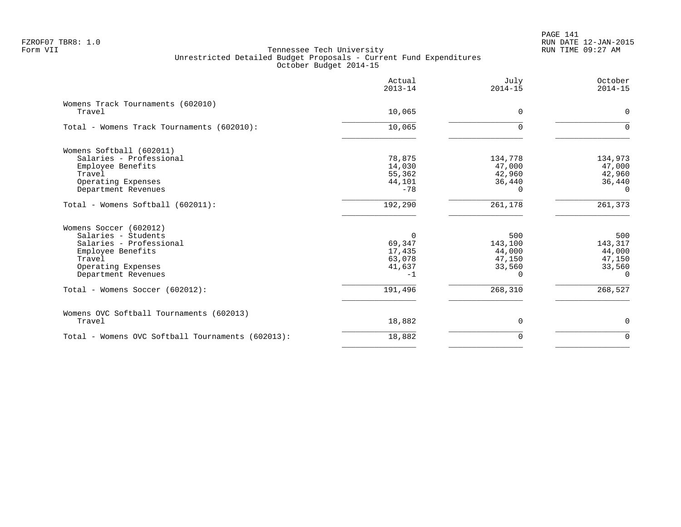PAGE 141 FZROF07 TBR8: 1.0 RUN DATE 12-JAN-2015

|                                                   | Actual<br>$2013 - 14$ | July<br>$2014 - 15$ | October<br>$2014 - 15$ |
|---------------------------------------------------|-----------------------|---------------------|------------------------|
| Womens Track Tournaments (602010)                 |                       |                     |                        |
| Travel                                            | 10,065                | $\Omega$            | $\Omega$               |
| Total - Womens Track Tournaments (602010):        | 10,065                | $\Omega$            | $\Omega$               |
| Womens Softball (602011)                          |                       |                     |                        |
| Salaries - Professional                           | 78,875                | 134,778             | 134,973                |
| Employee Benefits                                 | 14,030                | 47,000              | 47,000                 |
| Travel                                            | 55,362                | 42,960              | 42,960                 |
| Operating Expenses                                | 44,101                | 36,440              | 36,440                 |
| Department Revenues                               | $-78$                 | U                   | $\Omega$               |
| Total - Womens Softball (602011):                 | 192,290               | 261,178             | 261,373                |
| Womens Soccer (602012)                            |                       |                     |                        |
| Salaries - Students                               | $\Omega$              | 500                 | 500                    |
| Salaries - Professional                           | 69,347                | 143,100             | 143,317                |
| Employee Benefits                                 | 17,435                | 44,000              | 44,000                 |
| Travel                                            | 63,078                | 47,150              | 47,150                 |
| Operating Expenses                                | 41,637                | 33,560              | 33,560                 |
| Department Revenues                               | $-1$                  | ∩                   | $\Omega$               |
| Total - Womens Soccer (602012):                   | 191,496               | 268,310             | 268,527                |
| Womens OVC Softball Tournaments (602013)          |                       |                     |                        |
| Travel                                            | 18,882                | $\Omega$            | 0                      |
| Total - Womens OVC Softball Tournaments (602013): | 18,882                | $\Omega$            | $\Omega$               |
|                                                   |                       |                     |                        |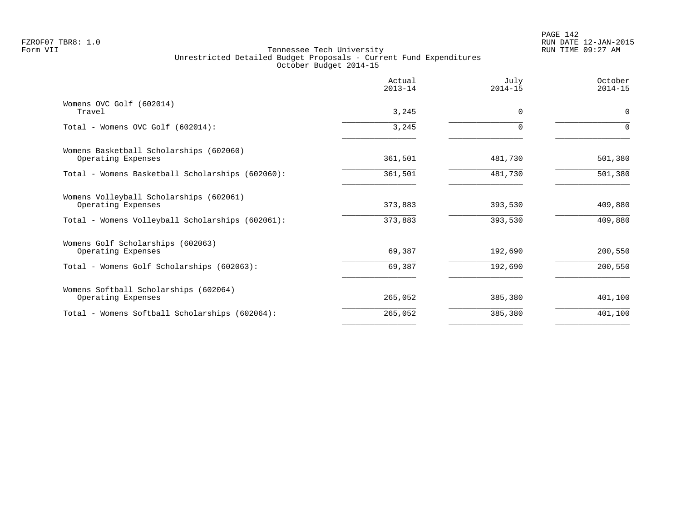PAGE 142 FZROF07 TBR8: 1.0 RUN DATE 12-JAN-2015

|                                                               | Actual<br>$2013 - 14$ | July<br>$2014 - 15$ | October<br>$2014 - 15$ |
|---------------------------------------------------------------|-----------------------|---------------------|------------------------|
| Womens OVC Golf (602014)<br>Travel                            | 3,245                 | 0                   | 0                      |
| Total - Womens OVC Golf (602014):                             | 3,245                 | $\Omega$            | $\Omega$               |
| Womens Basketball Scholarships (602060)<br>Operating Expenses | 361,501               | 481,730             | 501,380                |
| Total - Womens Basketball Scholarships (602060):              | 361,501               | 481,730             | 501,380                |
| Womens Volleyball Scholarships (602061)<br>Operating Expenses | 373,883               | 393,530             | 409,880                |
| Total - Womens Volleyball Scholarships (602061):              | 373,883               | 393,530             | 409,880                |
| Womens Golf Scholarships (602063)<br>Operating Expenses       | 69,387                | 192,690             | 200,550                |
| Total - Womens Golf Scholarships (602063):                    | 69,387                | 192,690             | 200,550                |
| Womens Softball Scholarships (602064)<br>Operating Expenses   | 265,052               | 385,380             | 401,100                |
| Total - Womens Softball Scholarships (602064):                | 265,052               | 385,380             | 401,100                |
|                                                               |                       |                     |                        |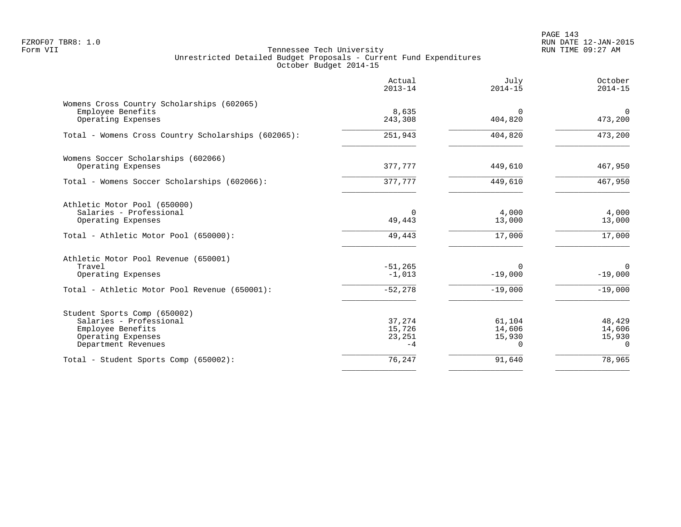PAGE 143 FZROF07 TBR8: 1.0 RUN DATE 12-JAN-2015

|                                                                                                                           | Actual<br>$2013 - 14$              | July<br>$2014 - 15$                    | October<br>$2014 - 15$                 |
|---------------------------------------------------------------------------------------------------------------------------|------------------------------------|----------------------------------------|----------------------------------------|
| Womens Cross Country Scholarships (602065)<br>Employee Benefits<br>Operating Expenses                                     | 8,635<br>243,308                   | $\Omega$<br>404,820                    | $\Omega$<br>473,200                    |
| Total - Womens Cross Country Scholarships (602065):                                                                       | 251,943                            | 404,820                                | 473,200                                |
| Womens Soccer Scholarships (602066)<br>Operating Expenses                                                                 | 377,777                            | 449,610                                | 467,950                                |
| Total - Womens Soccer Scholarships (602066):                                                                              | 377,777                            | 449,610                                | 467,950                                |
| Athletic Motor Pool (650000)<br>Salaries - Professional<br>Operating Expenses<br>Total - Athletic Motor Pool (650000):    | $\Omega$<br>49,443<br>49,443       | 4,000<br>13,000<br>17,000              | 4,000<br>13,000<br>17,000              |
| Athletic Motor Pool Revenue (650001)<br>Travel<br>Operating Expenses                                                      | $-51, 265$<br>$-1,013$             | $\Omega$<br>$-19,000$                  | $\overline{0}$<br>$-19,000$            |
| Total - Athletic Motor Pool Revenue (650001):                                                                             | $-52, 278$                         | $-19,000$                              | $-19,000$                              |
| Student Sports Comp (650002)<br>Salaries - Professional<br>Employee Benefits<br>Operating Expenses<br>Department Revenues | 37,274<br>15,726<br>23,251<br>$-4$ | 61,104<br>14,606<br>15,930<br>$\Omega$ | 48,429<br>14,606<br>15,930<br>$\Omega$ |
| Total - Student Sports Comp (650002):                                                                                     | 76,247                             | 91,640                                 | 78,965                                 |
|                                                                                                                           |                                    |                                        |                                        |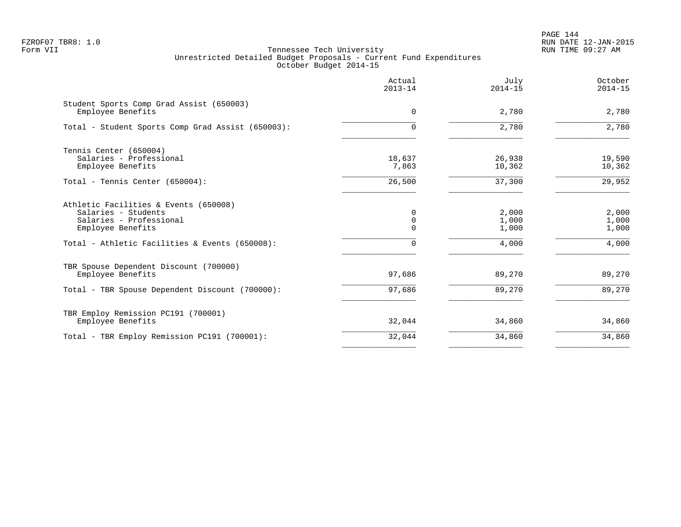PAGE 144 FZROF07 TBR8: 1.0 RUN DATE 12-JAN-2015

|                                                                                                                                                                | Actual<br>$2013 - 14$             | July<br>$2014 - 15$              | October<br>$2014 - 15$           |
|----------------------------------------------------------------------------------------------------------------------------------------------------------------|-----------------------------------|----------------------------------|----------------------------------|
| Student Sports Comp Grad Assist (650003)<br>Employee Benefits                                                                                                  | 0                                 | 2,780                            | 2,780                            |
| Total - Student Sports Comp Grad Assist (650003):                                                                                                              | 0                                 | 2,780                            | 2,780                            |
| Tennis Center (650004)<br>Salaries - Professional<br>Employee Benefits                                                                                         | 18,637<br>7,863                   | 26,938<br>10,362                 | 19,590<br>10,362                 |
| Total - Tennis Center (650004):                                                                                                                                | 26,500                            | 37,300                           | 29,952                           |
| Athletic Facilities & Events (650008)<br>Salaries - Students<br>Salaries - Professional<br>Employee Benefits<br>Total - Athletic Facilities & Events (650008): | 0<br>$\mathbf 0$<br>0<br>$\Omega$ | 2,000<br>1,000<br>1,000<br>4,000 | 2,000<br>1,000<br>1,000<br>4,000 |
| TBR Spouse Dependent Discount (700000)<br>Employee Benefits<br>Total - TBR Spouse Dependent Discount (700000):                                                 | 97,686<br>97,686                  | 89,270<br>89,270                 | 89,270<br>89,270                 |
| TBR Employ Remission PC191 (700001)<br>Employee Benefits                                                                                                       | 32,044                            | 34,860                           | 34,860                           |
| Total - TBR Employ Remission PC191 (700001):                                                                                                                   | 32,044                            | 34,860                           | 34,860                           |
|                                                                                                                                                                |                                   |                                  |                                  |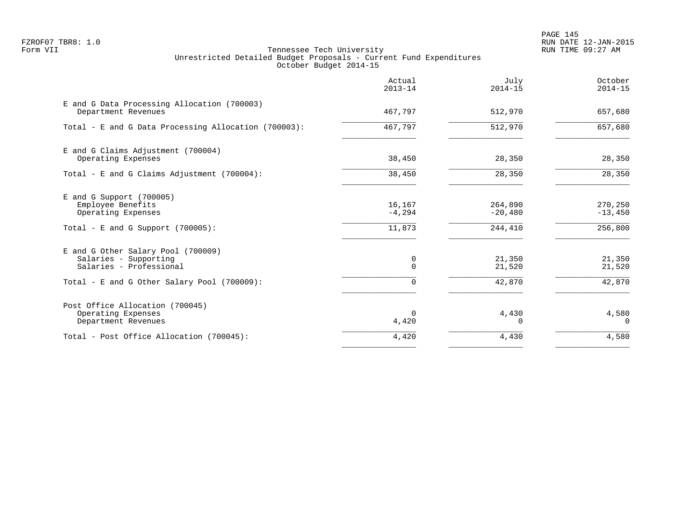PAGE 145 FZROF07 TBR8: 1.0 RUN DATE 12-JAN-2015

|                                                                                                                                       | Actual<br>$2013 - 14$         | July<br>$2014 - 15$             | October<br>$2014 - 15$          |
|---------------------------------------------------------------------------------------------------------------------------------------|-------------------------------|---------------------------------|---------------------------------|
| E and G Data Processing Allocation (700003)<br>Department Revenues                                                                    | 467,797                       | 512,970                         | 657,680                         |
| Total - E and G Data Processing Allocation (700003):                                                                                  | 467,797                       | 512,970                         | 657,680                         |
| E and G Claims Adjustment (700004)<br>Operating Expenses                                                                              | 38,450                        | 28,350                          | 28,350                          |
| Total - E and G Claims Adjustment $(700004)$ :                                                                                        | 38,450                        | 28,350                          | 28,350                          |
| $E$ and G Support (700005)<br>Employee Benefits<br>Operating Expenses<br>Total - E and G Support $(700005)$ :                         | 16,167<br>$-4, 294$<br>11,873 | 264,890<br>$-20,480$<br>244,410 | 270,250<br>$-13,450$<br>256,800 |
| E and G Other Salary Pool (700009)<br>Salaries - Supporting<br>Salaries - Professional<br>Total - E and G Other Salary Pool (700009): | 0<br>$\Omega$<br>$\Omega$     | 21,350<br>21,520<br>42,870      | 21,350<br>21,520<br>42,870      |
| Post Office Allocation (700045)<br>Operating Expenses<br>Department Revenues                                                          | $\Omega$<br>4,420             | 4,430<br>$\Omega$               | 4,580<br>$\Omega$               |
| Total - Post Office Allocation (700045):                                                                                              | 4,420                         | 4,430                           | 4,580                           |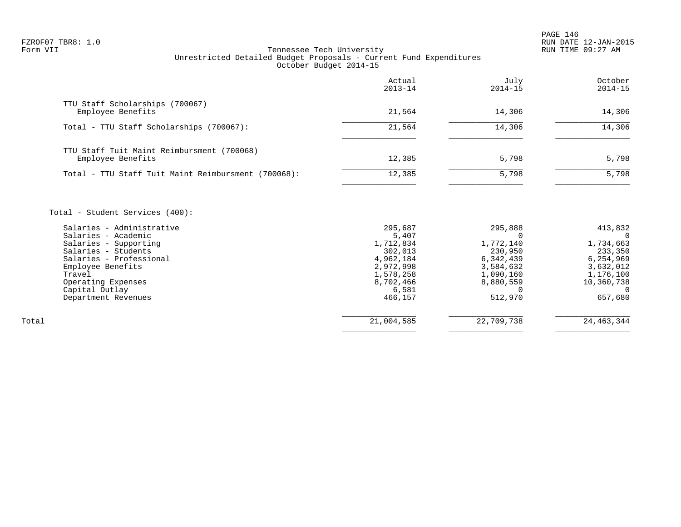PAGE 146

# FZROF07 TBR8: 1.0 RUN DATE 12-JAN-2015 Tennessee Tech University Unrestricted Detailed Budget Proposals - Current Fund Expenditures October Budget 2014-15

|                                                                 | Actual<br>$2013 - 14$ | July<br>$2014 - 15$ | October<br>$2014 - 15$ |
|-----------------------------------------------------------------|-----------------------|---------------------|------------------------|
| TTU Staff Scholarships (700067)<br>Employee Benefits            | 21,564                | 14,306              | 14,306                 |
| Total - TTU Staff Scholarships (700067):                        | 21,564                | 14,306              | 14,306                 |
| TTU Staff Tuit Maint Reimbursment (700068)<br>Employee Benefits | 12,385                | 5,798               | 5,798                  |
| Total - TTU Staff Tuit Maint Reimbursment (700068):             | 12,385                | 5,798               | 5,798                  |
|                                                                 |                       |                     |                        |

Total - Student Services (400):

|       | Salaries - Administrative | 295,687    | 295,888    | 413,832    |
|-------|---------------------------|------------|------------|------------|
|       | Salaries - Academic       | 5,407      |            |            |
|       | Salaries - Supporting     | 1,712,834  | 1,772,140  | 1,734,663  |
|       | Salaries - Students       | 302,013    | 230,950    | 233,350    |
|       | Salaries - Professional   | 4,962,184  | 6,342,439  | 6,254,969  |
|       | Employee Benefits         | 2,972,998  | 3,584,632  | 3,632,012  |
|       | Travel                    | 1,578,258  | 1,090,160  | 1,176,100  |
|       | Operating Expenses        | 8,702,466  | 8,880,559  | 10,360,738 |
|       | Capital Outlay            | 6,581      |            |            |
|       | Department Revenues       | 466,157    | 512,970    | 657,680    |
|       |                           |            |            |            |
| Total |                           | 21,004,585 | 22,709,738 | 24,463,344 |
|       |                           |            |            |            |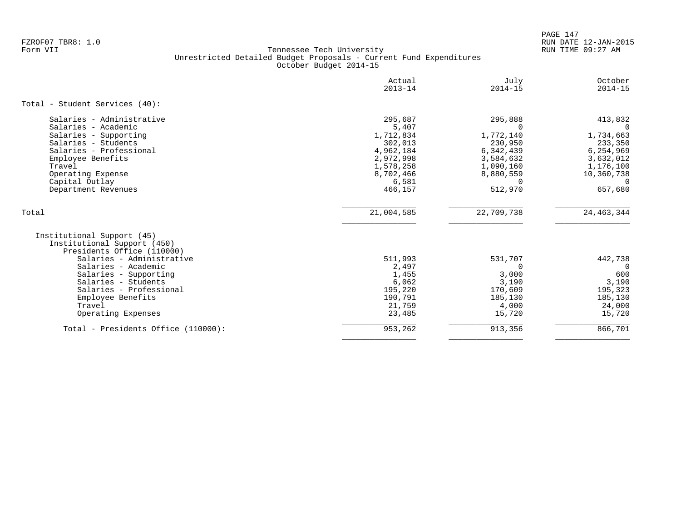PAGE 147 FZROF07 TBR8: 1.0 RUN DATE 12-JAN-2015

|                                                                                                                                                                                                                                                                             | Actual<br>$2013 - 14$                                                                                            | July<br>$2014 - 15$                                                                                                    | October<br>$2014 - 15$                                                                                                  |
|-----------------------------------------------------------------------------------------------------------------------------------------------------------------------------------------------------------------------------------------------------------------------------|------------------------------------------------------------------------------------------------------------------|------------------------------------------------------------------------------------------------------------------------|-------------------------------------------------------------------------------------------------------------------------|
| Total - Student Services (40):                                                                                                                                                                                                                                              |                                                                                                                  |                                                                                                                        |                                                                                                                         |
| Salaries - Administrative<br>Salaries - Academic<br>Salaries - Supporting<br>Salaries - Students<br>Salaries - Professional<br>Employee Benefits<br>Travel<br>Operating Expense<br>Capital Outlay<br>Department Revenues                                                    | 295,687<br>5,407<br>1,712,834<br>302,013<br>4,962,184<br>2,972,998<br>1,578,258<br>8,702,466<br>6,581<br>466,157 | 295,888<br>$\Omega$<br>1,772,140<br>230,950<br>6,342,439<br>3,584,632<br>1,090,160<br>8,880,559<br>$\Omega$<br>512,970 | 413,832<br>$\Omega$<br>1,734,663<br>233,350<br>6,254,969<br>3,632,012<br>1,176,100<br>10,360,738<br>$\Omega$<br>657,680 |
| Total                                                                                                                                                                                                                                                                       | 21,004,585                                                                                                       | 22,709,738                                                                                                             | 24, 463, 344                                                                                                            |
| Institutional Support (45)<br>Institutional Support (450)<br>Presidents Office (110000)<br>Salaries - Administrative<br>Salaries - Academic<br>Salaries - Supporting<br>Salaries - Students<br>Salaries - Professional<br>Employee Benefits<br>Travel<br>Operating Expenses | 511,993<br>2,497<br>1,455<br>6,062<br>195,220<br>190,791<br>21,759<br>23,485                                     | 531,707<br>$\Omega$<br>3,000<br>3,190<br>170,609<br>185,130<br>4,000<br>15,720                                         | 442,738<br>$\Omega$<br>600<br>3,190<br>195,323<br>185,130<br>24,000<br>15,720                                           |
| Total - Presidents Office (110000):                                                                                                                                                                                                                                         | 953,262                                                                                                          | 913,356                                                                                                                | 866,701                                                                                                                 |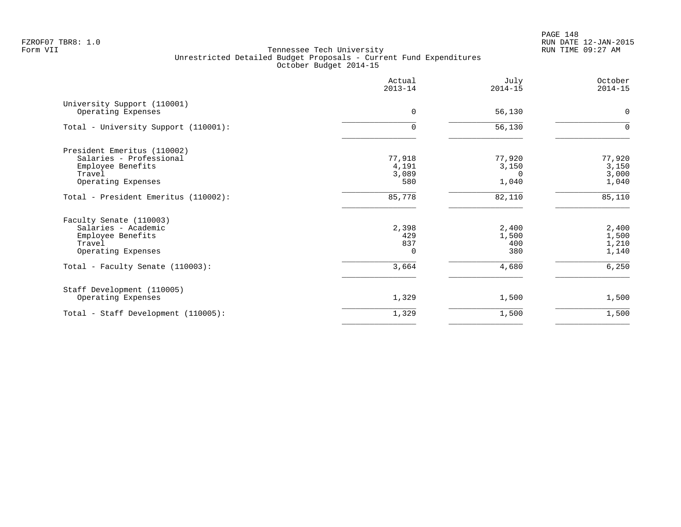PAGE 148 FZROF07 TBR8: 1.0 RUN DATE 12-JAN-2015

|                                                                                                             | Actual<br>$2013 - 14$           | July<br>$2014 - 15$                  | October<br>$2014 - 15$                   |
|-------------------------------------------------------------------------------------------------------------|---------------------------------|--------------------------------------|------------------------------------------|
| University Support (110001)<br>Operating Expenses                                                           | $\Omega$                        | 56,130                               | $\mathbf 0$                              |
| Total - University Support (110001):                                                                        | 0                               | 56,130                               | $\Omega$                                 |
| President Emeritus (110002)<br>Salaries - Professional<br>Employee Benefits<br>Travel<br>Operating Expenses | 77,918<br>4,191<br>3,089<br>580 | 77,920<br>3,150<br>$\Omega$<br>1,040 | 77,920<br>3,150<br>3,000<br>1,040        |
| Total - President Emeritus (110002):                                                                        | 85,778                          | 82,110                               | 85,110                                   |
| Faculty Senate (110003)<br>Salaries - Academic<br>Employee Benefits<br>Travel<br>Operating Expenses         | 2,398<br>429<br>837<br>$\Omega$ | 2,400<br>1,500<br>400<br>380         | $2$ , $400\,$<br>1,500<br>1,210<br>1,140 |
| Total - Faculty Senate (110003):                                                                            | 3,664                           | 4,680                                | 6,250                                    |
| Staff Development (110005)<br>Operating Expenses                                                            | 1,329                           | 1,500                                | 1,500                                    |
| Total - Staff Development (110005):                                                                         | 1,329                           | 1,500                                | 1,500                                    |
|                                                                                                             |                                 |                                      |                                          |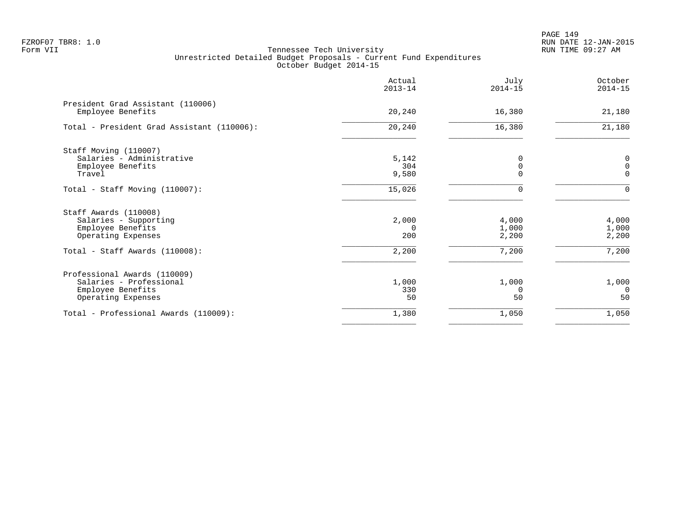PAGE 149 FZROF07 TBR8: 1.0 RUN DATE 12-JAN-2015

|                                                        | Actual<br>$2013 - 14$ | July<br>$2014 - 15$ | October<br>$2014 - 15$ |
|--------------------------------------------------------|-----------------------|---------------------|------------------------|
| President Grad Assistant (110006)<br>Employee Benefits | 20,240                | 16,380              | 21,180                 |
| Total - President Grad Assistant (110006):             | 20,240                | 16,380              | 21,180                 |
| Staff Moving (110007)                                  |                       |                     |                        |
| Salaries - Administrative                              | 5,142                 |                     | $\mathsf 0$            |
| Employee Benefits                                      | 304                   | 0                   | $\mathsf{O}\xspace$    |
| Travel                                                 | 9,580                 |                     | $\mathbf 0$            |
| Total - Staff Moving (110007):                         | 15,026                | $\Omega$            | $\Omega$               |
| Staff Awards (110008)                                  |                       |                     |                        |
| Salaries - Supporting                                  | 2,000                 | 4,000               | 4,000                  |
| Employee Benefits                                      | 0                     | 1,000               | 1,000                  |
| Operating Expenses                                     | 200                   | 2,200               | 2,200                  |
| Total - Staff Awards (110008):                         | 2,200                 | 7,200               | 7,200                  |
| Professional Awards (110009)                           |                       |                     |                        |
| Salaries - Professional                                | 1,000                 | 1,000               | 1,000                  |
| Employee Benefits                                      | 330                   | $\Omega$            | $\Omega$               |
| Operating Expenses                                     | 50                    | 50                  | 50                     |
| Total - Professional Awards (110009):                  | 1,380                 | 1,050               | 1,050                  |
|                                                        |                       |                     |                        |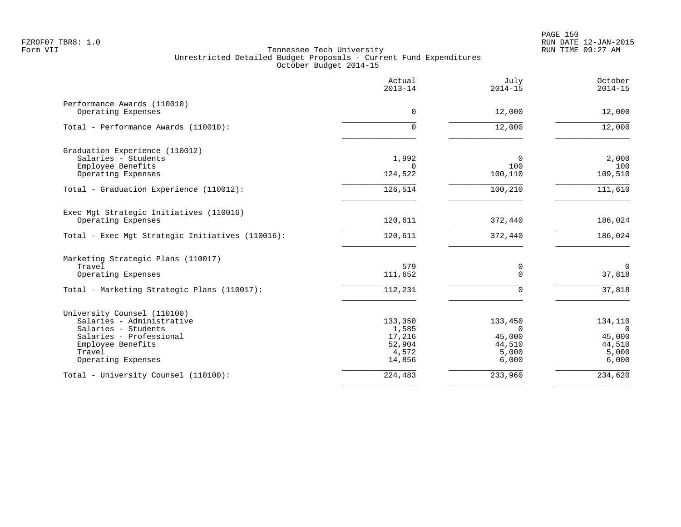|                                                  | Actual<br>$2013 - 14$ | July<br>$2014 - 15$ | October<br>$2014 - 15$ |
|--------------------------------------------------|-----------------------|---------------------|------------------------|
| Performance Awards (110010)                      |                       |                     |                        |
| Operating Expenses                               | $\Omega$              | 12,000              | 12,000                 |
| Total - Performance Awards (110010):             | $\Omega$              | 12,000              | 12,000                 |
| Graduation Experience (110012)                   |                       |                     |                        |
| Salaries - Students                              | 1,992                 | $\Omega$            | 2,000                  |
| Employee Benefits<br>Operating Expenses          | $\Omega$<br>124,522   | 100<br>100,110      | 100<br>109,510         |
| Total - Graduation Experience (110012):          | 126,514               | 100,210             | 111,610                |
| Exec Mgt Strategic Initiatives (110016)          |                       |                     |                        |
| Operating Expenses                               | 120,611               | 372,440             | 186,024                |
| Total - Exec Mgt Strategic Initiatives (110016): | 120,611               | 372,440             | 186,024                |
| Marketing Strategic Plans (110017)               |                       |                     |                        |
| Travel                                           | 579                   | 0                   | $\mathbf 0$            |
| Operating Expenses                               | 111,652               | $\mathbf 0$         | 37,818                 |
| Total - Marketing Strategic Plans (110017):      | 112,231               | $\Omega$            | 37,818                 |
| University Counsel (110100)                      |                       |                     |                        |
| Salaries - Administrative                        | 133,350               | 133,450             | 134,110                |
| Salaries - Students<br>Salaries - Professional   | 1,585                 | $\Omega$<br>45,000  | $\Omega$<br>45,000     |
| Employee Benefits                                | 17,216<br>52,904      | 44,510              | 44,510                 |
| Travel                                           | 4,572                 | 5,000               | 5,000                  |
| Operating Expenses                               | 14,856                | 6,000               | 6,000                  |
| Total - University Counsel (110100):             | 224,483               | 233,960             | 234,620                |
|                                                  |                       |                     |                        |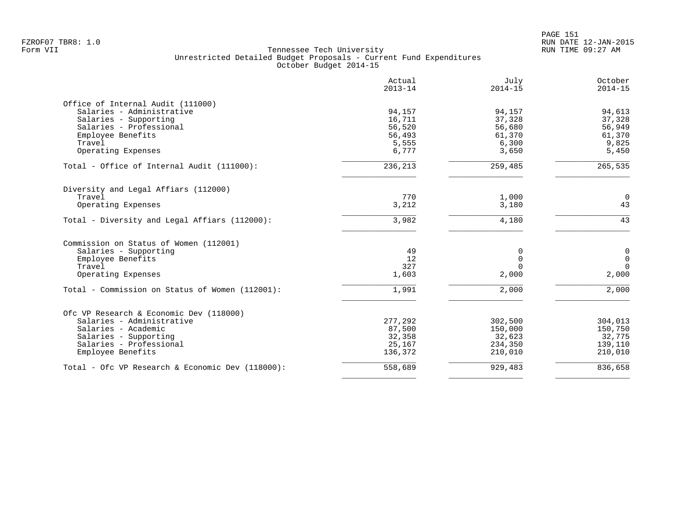|                                                     | Actual<br>$2013 - 14$ | July<br>$2014 - 15$ | October<br>$2014 - 15$ |
|-----------------------------------------------------|-----------------------|---------------------|------------------------|
| Office of Internal Audit (111000)                   |                       |                     |                        |
| Salaries - Administrative                           | 94,157                | 94,157              | 94,613                 |
| Salaries - Supporting                               | 16,711                | 37,328              | 37,328                 |
| Salaries - Professional                             | 56,520                | 56,680              | 56,949                 |
| Employee Benefits                                   | 56,493                | 61,370              | 61,370                 |
| Travel                                              | 5,555                 | 6,300               | 9,825                  |
| Operating Expenses                                  | 6,777                 | 3,650               | 5,450                  |
| Total - Office of Internal Audit (111000):          | 236,213               | 259,485             | 265,535                |
| Diversity and Legal Affiars (112000)                |                       |                     |                        |
| Travel                                              | 770                   | 1,000               | $\Omega$               |
| Operating Expenses                                  | 3,212                 | 3,180               | 43                     |
| Total - Diversity and Legal Affiars (112000):       | 3,982                 | 4,180               | 43                     |
| Commission on Status of Women (112001)              |                       |                     |                        |
| Salaries - Supporting                               | 49                    | 0                   | $\mathbf 0$            |
| Employee Benefits                                   | 12                    | $\Omega$            | $\mathbf 0$            |
| Travel                                              | 327                   | $\Omega$            | $\Omega$               |
| Operating Expenses                                  | 1,603                 | 2,000               | 2,000                  |
| Total - Commission on Status of Women (112001):     | 1,991                 | 2,000               | 2,000                  |
| Ofc VP Research & Economic Dev (118000)             |                       |                     |                        |
| Salaries - Administrative                           | 277,292               | 302,500             | 304,013                |
| Salaries - Academic                                 | 87,500                | 150,000             | 150,750                |
| Salaries - Supporting                               | 32,358                | 32,623              | 32,775                 |
| Salaries - Professional                             | 25,167                | 234,350             | 139,110                |
| Employee Benefits                                   | 136,372               | 210,010             | 210,010                |
| Total - Ofc VP Research & Economic Dev $(118000)$ : | 558,689               | 929,483             | 836,658                |
|                                                     |                       |                     |                        |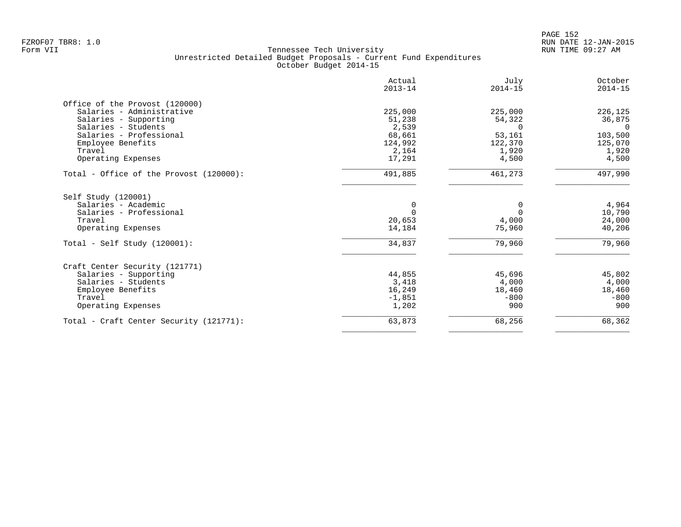|                                         | Actual<br>$2013 - 14$ | July<br>$2014 - 15$ | October<br>$2014 - 15$ |
|-----------------------------------------|-----------------------|---------------------|------------------------|
| Office of the Provost (120000)          |                       |                     |                        |
| Salaries - Administrative               | 225,000               | 225,000             | 226,125                |
| Salaries - Supporting                   | 51,238                | 54,322              | 36,875                 |
| Salaries - Students                     | 2,539                 | $\Omega$            | $\Omega$               |
| Salaries - Professional                 | 68,661                | 53,161              | 103,500                |
| Employee Benefits                       | 124,992               | 122,370             | 125,070                |
| Travel                                  | 2,164                 | 1,920               | 1,920                  |
| Operating Expenses                      | 17,291                | 4,500               | 4,500                  |
| Total - Office of the Provost (120000): | 491,885               | 461,273             | 497,990                |
| Self Study (120001)                     |                       |                     |                        |
| Salaries - Academic                     | 0                     | 0                   | 4,964                  |
| Salaries - Professional                 | $\Omega$              | $\Omega$            | 10,790                 |
| Travel                                  | 20,653                | 4,000               | 24,000                 |
| Operating Expenses                      | 14,184                | 75,960              | 40,206                 |
| Total - Self Study $(120001)$ :         | 34,837                | 79,960              | 79,960                 |
| Craft Center Security (121771)          |                       |                     |                        |
| Salaries - Supporting                   | 44,855                | 45,696              | 45,802                 |
| Salaries - Students                     | 3,418                 | 4,000               | 4,000                  |
| Employee Benefits                       | 16,249                | 18,460              | 18,460                 |
| Travel                                  | $-1,851$              | $-800$              | $-800$                 |
| Operating Expenses                      | 1,202                 | 900                 | 900                    |
| Total - Craft Center Security (121771): | 63,873                | 68,256              | 68,362                 |
|                                         |                       |                     |                        |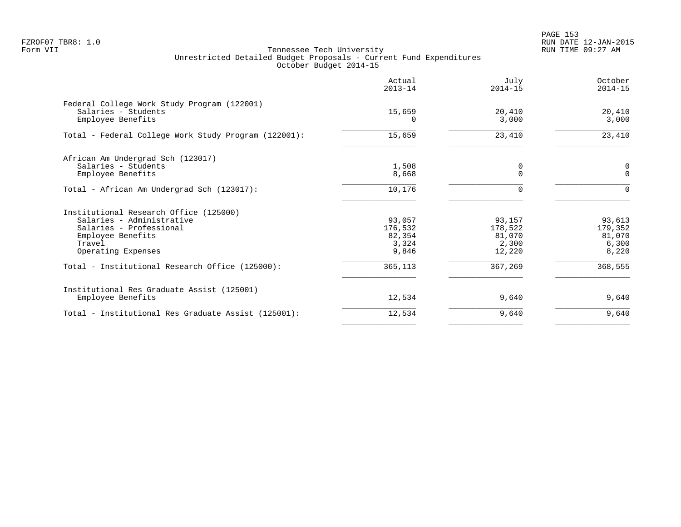|                                                                                         | Actual<br>$2013 - 14$ | July<br>$2014 - 15$ | October<br>$2014 - 15$ |
|-----------------------------------------------------------------------------------------|-----------------------|---------------------|------------------------|
| Federal College Work Study Program (122001)<br>Salaries - Students<br>Employee Benefits | 15,659<br>0           | 20,410<br>3,000     | 20,410<br>3,000        |
| Total - Federal College Work Study Program (122001):                                    | 15,659                | 23,410              | 23,410                 |
| African Am Undergrad Sch (123017)                                                       |                       |                     |                        |
| Salaries - Students<br>Employee Benefits                                                | 1,508<br>8,668        | 0<br>$\mathbf 0$    | 0<br>$\mathbf{0}$      |
| Total - African Am Undergrad Sch (123017):                                              | 10,176                | $\Omega$            | $\Omega$               |
| Institutional Research Office (125000)                                                  |                       |                     |                        |
| Salaries - Administrative                                                               | 93,057                | 93,157              | 93,613                 |
| Salaries - Professional                                                                 | 176,532               | 178,522             | 179,352                |
| Employee Benefits<br>Travel                                                             | 82,354<br>3,324       | 81,070<br>2,300     | 81,070<br>6,300        |
| Operating Expenses                                                                      | 9,846                 | 12,220              | 8,220                  |
| Total - Institutional Research Office (125000):                                         | 365,113               | 367,269             | 368,555                |
| Institutional Res Graduate Assist (125001)                                              |                       |                     |                        |
| Employee Benefits                                                                       | 12,534                | 9,640               | 9,640                  |
| Total - Institutional Res Graduate Assist (125001):                                     | 12,534                | 9,640               | 9,640                  |
|                                                                                         |                       |                     |                        |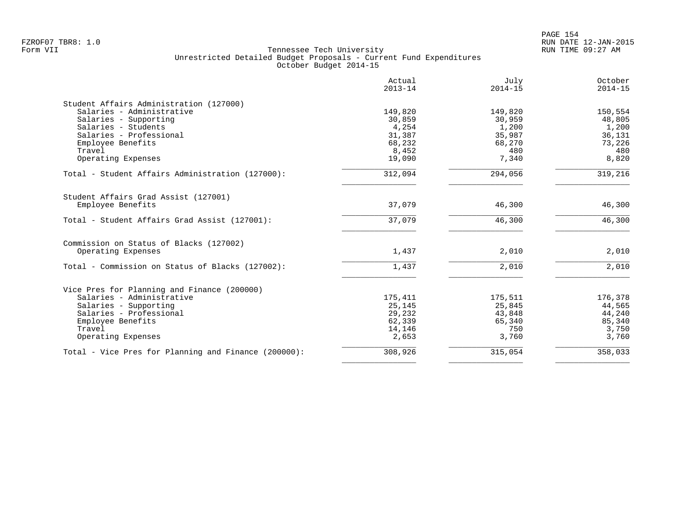|                                                      | Actual<br>$2013 - 14$ | July<br>$2014 - 15$ | October<br>$2014 - 15$ |
|------------------------------------------------------|-----------------------|---------------------|------------------------|
| Student Affairs Administration (127000)              |                       |                     |                        |
| Salaries - Administrative                            | 149,820               | 149,820             | 150,554                |
| Salaries - Supporting                                | 30,859                | 30,959              | 48,805                 |
| Salaries - Students<br>Salaries - Professional       | 4,254                 | 1,200               | 1,200                  |
| Employee Benefits                                    | 31,387<br>68,232      | 35,987<br>68,270    | 36,131<br>73,226       |
| Travel                                               | 8,452                 | 480                 | 480                    |
| Operating Expenses                                   | 19,090                | 7,340               | 8,820                  |
| Total - Student Affairs Administration (127000):     | 312,094               | 294,056             | 319,216                |
| Student Affairs Grad Assist (127001)                 |                       |                     |                        |
| Employee Benefits                                    | 37,079                | 46,300              | 46,300                 |
| Total - Student Affairs Grad Assist (127001):        | 37,079                | 46,300              | 46,300                 |
| Commission on Status of Blacks (127002)              |                       |                     |                        |
| Operating Expenses                                   | 1,437                 | 2,010               | 2,010                  |
| Total - Commission on Status of Blacks (127002):     | 1,437                 | 2,010               | 2,010                  |
| Vice Pres for Planning and Finance (200000)          |                       |                     |                        |
| Salaries - Administrative                            | 175,411               | 175,511             | 176,378                |
| Salaries - Supporting                                | 25,145                | 25,845              | 44,565                 |
| Salaries - Professional                              | 29,232                | 43,848              | 44,240                 |
| Employee Benefits                                    | 62,339                | 65,340              | 85,340                 |
| Travel                                               | 14,146                | 750                 | 3,750                  |
| Operating Expenses                                   | 2,653                 | 3,760               | 3,760                  |
| Total - Vice Pres for Planning and Finance (200000): | 308,926               | 315,054             | 358,033                |
|                                                      |                       |                     |                        |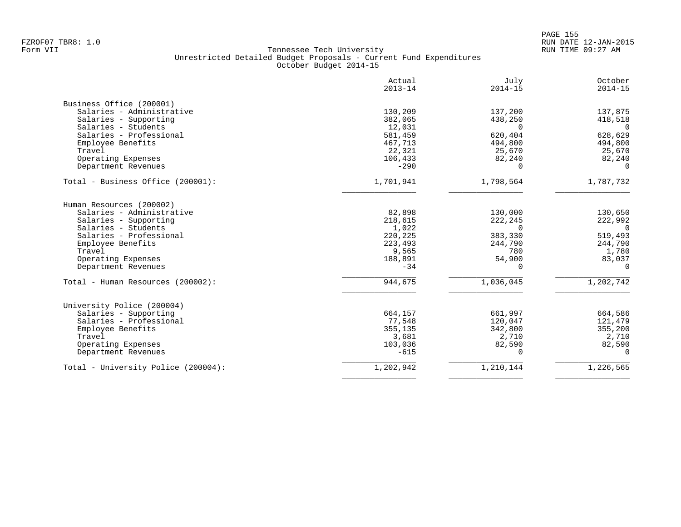|                                     | Actual<br>$2013 - 14$ | July<br>$2014 - 15$ | October<br>$2014 - 15$ |
|-------------------------------------|-----------------------|---------------------|------------------------|
| Business Office (200001)            |                       |                     |                        |
| Salaries - Administrative           | 130,209               | 137,200             | 137,875                |
| Salaries - Supporting               | 382,065               | 438,250             | 418,518                |
| Salaries - Students                 | 12,031                | $\Omega$            | $\Omega$               |
| Salaries - Professional             | 581,459               | 620,404             | 628,629                |
| Employee Benefits                   | 467,713               | 494,800             | 494,800                |
| Travel                              | 22,321                | 25,670              | 25,670                 |
| Operating Expenses                  | 106,433               | 82,240              | 82,240                 |
| Department Revenues                 | $-290$                | $\Omega$            | $\Omega$               |
| Total - Business Office (200001):   | 1,701,941             | 1,798,564           | 1,787,732              |
| Human Resources (200002)            |                       |                     |                        |
| Salaries - Administrative           | 82,898                | 130,000             | 130,650                |
| Salaries - Supporting               | 218,615               | 222,245             | 222,992                |
| Salaries - Students                 | 1,022                 | $\Omega$            | $\Omega$               |
| Salaries - Professional             | 220,225               | 383,330             | 519,493                |
| Employee Benefits                   | 223,493               | 244,790             | 244,790                |
| Travel                              | 9,565                 | 780                 | 1,780                  |
| Operating Expenses                  | 188,891               | 54,900              | 83,037                 |
| Department Revenues                 | $-34$                 | $\Omega$            | $\Omega$               |
| Total - Human Resources (200002):   | 944,675               | 1,036,045           | 1,202,742              |
| University Police (200004)          |                       |                     |                        |
| Salaries - Supporting               | 664,157               | 661,997             | 664,586                |
| Salaries - Professional             | 77,548                | 120,047             | 121,479                |
| Employee Benefits                   | 355,135               | 342,800             | 355,200                |
| Travel                              | 3,681                 | 2,710               | 2,710                  |
| Operating Expenses                  | 103,036               | 82,590              | 82,590                 |
| Department Revenues                 | $-615$                | $\Omega$            | $\Omega$               |
| Total - University Police (200004): | 1,202,942             | 1,210,144           | 1,226,565              |
|                                     |                       |                     |                        |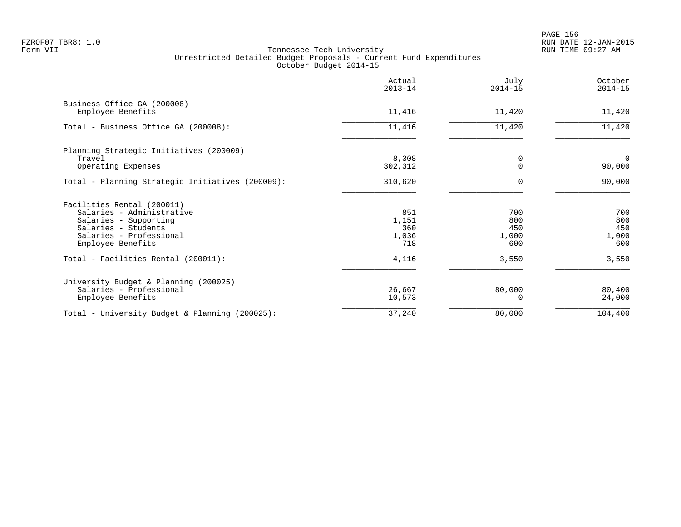en and the set of the set of the set of the set of the set of the set of the set of the set of the set of the set of the set of the set of the set of the set of the set of the set of the set of the set of the set of the se FZROF07 TBR8: 1.0 RUN DATE 12-JAN-2015

|                                                                                                                                                         | Actual<br>$2013 - 14$               | July<br>$2014 - 15$               | October<br>$2014 - 15$            |
|---------------------------------------------------------------------------------------------------------------------------------------------------------|-------------------------------------|-----------------------------------|-----------------------------------|
| Business Office GA (200008)<br>Employee Benefits                                                                                                        | 11,416                              | 11,420                            | 11,420                            |
| Total - Business Office GA (200008):                                                                                                                    | 11,416                              | 11,420                            | 11,420                            |
| Planning Strategic Initiatives (200009)<br>Travel<br>Operating Expenses                                                                                 | 8,308<br>302,312                    | 0<br>$\Omega$                     | $\Omega$<br>90,000                |
| Total - Planning Strategic Initiatives (200009):                                                                                                        | 310,620                             | $\Omega$                          | 90,000                            |
| Facilities Rental (200011)<br>Salaries - Administrative<br>Salaries - Supporting<br>Salaries - Students<br>Salaries - Professional<br>Employee Benefits | 851<br>1,151<br>360<br>1,036<br>718 | 700<br>800<br>450<br>1,000<br>600 | 700<br>800<br>450<br>1,000<br>600 |
| Total - Facilities Rental (200011):                                                                                                                     | 4,116                               | 3,550                             | 3,550                             |
| University Budget & Planning (200025)<br>Salaries - Professional<br>Employee Benefits                                                                   | 26,667<br>10,573                    | 80,000<br>U                       | 80,400<br>24,000                  |
| Total - University Budget & Planning (200025):                                                                                                          | 37,240                              | 80,000                            | 104,400                           |
|                                                                                                                                                         |                                     |                                   |                                   |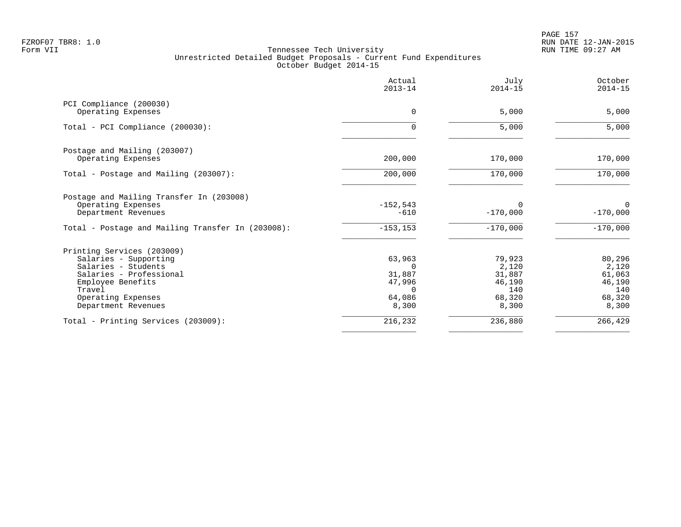PAGE 157 FZROF07 TBR8: 1.0 RUN DATE 12-JAN-2015

|                                                   | Actual<br>$2013 - 14$ | July<br>$2014 - 15$    | October<br>$2014 - 15$    |
|---------------------------------------------------|-----------------------|------------------------|---------------------------|
| PCI Compliance (200030)<br>Operating Expenses     | $\mathbf 0$           | 5,000                  | 5,000                     |
|                                                   |                       |                        |                           |
| Total - PCI Compliance (200030):                  | U                     | 5,000                  | 5,000                     |
| Postage and Mailing (203007)                      |                       |                        |                           |
| Operating Expenses                                | 200,000               | 170,000                | 170,000                   |
| Total - Postage and Mailing (203007):             | 200,000               | 170,000                | 170,000                   |
| Postage and Mailing Transfer In (203008)          |                       |                        |                           |
| Operating Expenses<br>Department Revenues         | $-152,543$<br>$-610$  | $\Omega$<br>$-170,000$ | $\mathbf 0$<br>$-170,000$ |
| Total - Postage and Mailing Transfer In (203008): | $-153, 153$           | $-170,000$             | $-170,000$                |
| Printing Services (203009)                        |                       |                        |                           |
| Salaries - Supporting                             | 63,963                | 79,923                 | 80,296                    |
| Salaries - Students                               | $\Omega$              | 2,120                  | 2,120                     |
| Salaries - Professional                           | 31,887                | 31,887                 | 61,063                    |
| Employee Benefits                                 | 47,996                | 46,190                 | 46,190                    |
| Travel                                            | $\Omega$              | 140                    | 140                       |
| Operating Expenses                                | 64,086                | 68,320                 | 68,320                    |
| Department Revenues                               | 8,300                 | 8,300                  | 8,300                     |
| Total - Printing Services (203009):               | 216,232               | 236,880                | 266,429                   |
|                                                   |                       |                        |                           |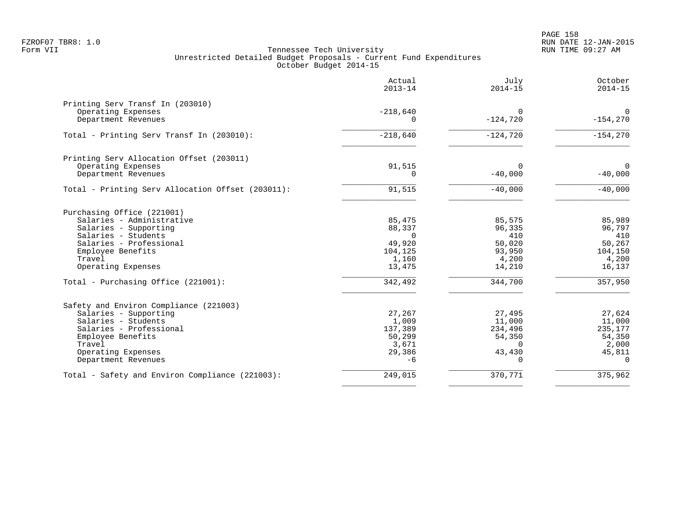|                                                                                                                                                                                               | Actual<br>$2013 - 14$                                                | July<br>$2014 - 15$                                                     | October<br>$2014 - 15$                                               |
|-----------------------------------------------------------------------------------------------------------------------------------------------------------------------------------------------|----------------------------------------------------------------------|-------------------------------------------------------------------------|----------------------------------------------------------------------|
| Printing Serv Transf In (203010)<br>Operating Expenses<br>Department Revenues                                                                                                                 | $-218,640$<br>$\Omega$                                               | $\mathbf 0$<br>$-124,720$                                               | $\Omega$<br>$-154,270$                                               |
| Total - Printing Serv Transf In (203010):                                                                                                                                                     | $-218,640$                                                           | $-124,720$                                                              | $-154,270$                                                           |
| Printing Serv Allocation Offset (203011)<br>Operating Expenses<br>Department Revenues                                                                                                         | 91,515<br>0                                                          | $\Omega$<br>$-40,000$                                                   | $\Omega$<br>$-40,000$                                                |
| Total - Printing Serv Allocation Offset (203011):                                                                                                                                             | 91,515                                                               | $-40,000$                                                               | $-40,000$                                                            |
| Purchasing Office (221001)<br>Salaries - Administrative<br>Salaries - Supporting<br>Salaries - Students<br>Salaries - Professional<br>Employee Benefits<br>Travel<br>Operating Expenses       | 85,475<br>88,337<br>$\Omega$<br>49,920<br>104,125<br>1,160<br>13,475 | 85,575<br>96,335<br>410<br>50,020<br>93,950<br>4,200<br>14,210          | 85,989<br>96,797<br>410<br>50,267<br>104,150<br>4,200<br>16,137      |
| Total - Purchasing Office (221001):                                                                                                                                                           | 342,492                                                              | 344,700                                                                 | 357,950                                                              |
| Safety and Environ Compliance (221003)<br>Salaries - Supporting<br>Salaries - Students<br>Salaries - Professional<br>Employee Benefits<br>Travel<br>Operating Expenses<br>Department Revenues | 27,267<br>1,009<br>137,389<br>50,299<br>3,671<br>29,386<br>$-6$      | 27,495<br>11,000<br>234,496<br>54,350<br>$\Omega$<br>43,430<br>$\Omega$ | 27,624<br>11,000<br>235,177<br>54,350<br>2,000<br>45,811<br>$\Omega$ |
| Total - Safety and Environ Compliance (221003):                                                                                                                                               | 249,015                                                              | 370,771                                                                 | 375,962                                                              |
|                                                                                                                                                                                               |                                                                      |                                                                         |                                                                      |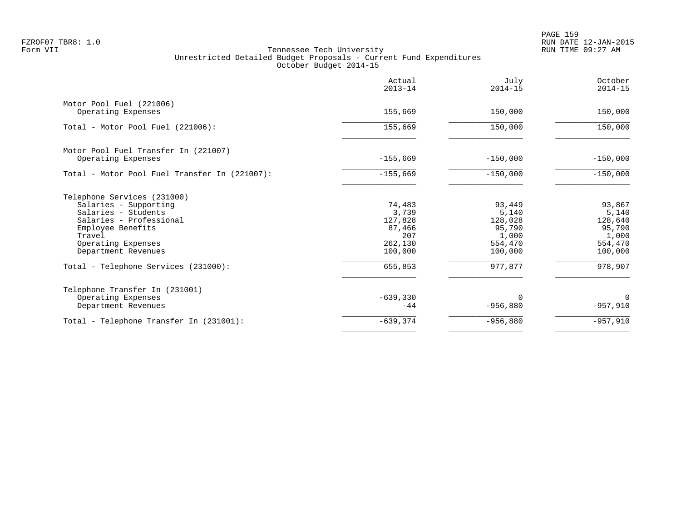PAGE 159 FZROF07 TBR8: 1.0 RUN DATE 12-JAN-2015

|                                               | Actual<br>$2013 - 14$ | July<br>$2014 - 15$ | October<br>$2014 - 15$ |
|-----------------------------------------------|-----------------------|---------------------|------------------------|
| Motor Pool Fuel (221006)                      |                       |                     |                        |
| Operating Expenses                            | 155,669               | 150,000             | 150,000                |
| Total - Motor Pool Fuel (221006):             | 155,669               | 150,000             | 150,000                |
| Motor Pool Fuel Transfer In (221007)          |                       |                     |                        |
| Operating Expenses                            | $-155,669$            | $-150,000$          | $-150,000$             |
| Total - Motor Pool Fuel Transfer In (221007): | $-155,669$            | $-150,000$          | $-150,000$             |
| Telephone Services (231000)                   |                       |                     |                        |
| Salaries - Supporting                         | 74,483                | 93,449              | 93,867                 |
| Salaries - Students                           | 3,739                 | 5,140               | 5,140                  |
| Salaries - Professional                       | 127,828               | 128,028             | 128,640                |
| Employee Benefits                             | 87,466                | 95,790              | 95,790                 |
| Travel                                        | 207<br>262,130        | 1,000<br>554,470    | 1,000<br>554,470       |
| Operating Expenses<br>Department Revenues     | 100,000               | 100,000             | 100,000                |
| Total - Telephone Services (231000):          | 655,853               | 977,877             | 978,907                |
| Telephone Transfer In (231001)                |                       |                     |                        |
| Operating Expenses                            | $-639,330$            | $\Omega$            | 0                      |
| Department Revenues                           | $-44$                 | $-956,880$          | $-957,910$             |
| Total - Telephone Transfer In (231001):       | $-639, 374$           | $-956,880$          | $-957,910$             |
|                                               |                       |                     |                        |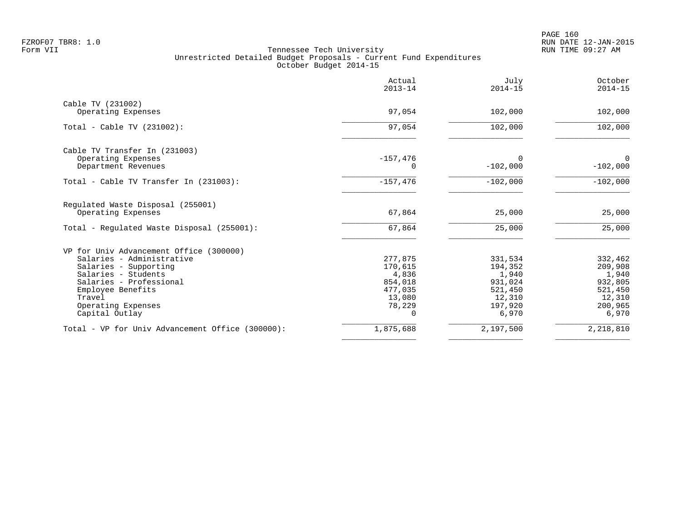|                                                  | Actual<br>$2013 - 14$ | July<br>$2014 - 15$ | October<br>$2014 - 15$ |
|--------------------------------------------------|-----------------------|---------------------|------------------------|
| Cable TV (231002)                                | 97,054                | 102,000             | 102,000                |
| Operating Expenses                               |                       |                     |                        |
| Total - Cable TV $(231002)$ :                    | 97,054                | 102,000             | 102,000                |
| Cable TV Transfer In (231003)                    |                       |                     |                        |
| Operating Expenses                               | $-157,476$            | 0                   | $\Omega$               |
| Department Revenues                              | 0                     | $-102,000$          | $-102,000$             |
| Total - Cable TV Transfer In (231003):           | $-157,476$            | $-102,000$          | $-102,000$             |
| Regulated Waste Disposal (255001)                |                       |                     |                        |
| Operating Expenses                               | 67,864                | 25,000              | 25,000                 |
| Total - Regulated Waste Disposal (255001):       | 67,864                | 25,000              | 25,000                 |
| VP for Univ Advancement Office (300000)          |                       |                     |                        |
| Salaries - Administrative                        | 277,875               | 331,534             | 332,462                |
| Salaries - Supporting                            | 170,615               | 194,352             | 209,908                |
| Salaries - Students                              | 4,836                 | 1,940               | 1,940                  |
| Salaries - Professional                          | 854,018               | 931,024             | 932,805                |
| Employee Benefits                                | 477,035               | 521,450             | 521,450                |
| Travel                                           | 13,080                | 12,310              | 12,310                 |
| Operating Expenses                               | 78,229                | 197,920             | 200,965                |
| Capital Outlay                                   | $\Omega$              | 6,970               | 6,970                  |
| Total - VP for Univ Advancement Office (300000): | 1,875,688             | 2,197,500           | 2,218,810              |
|                                                  |                       |                     |                        |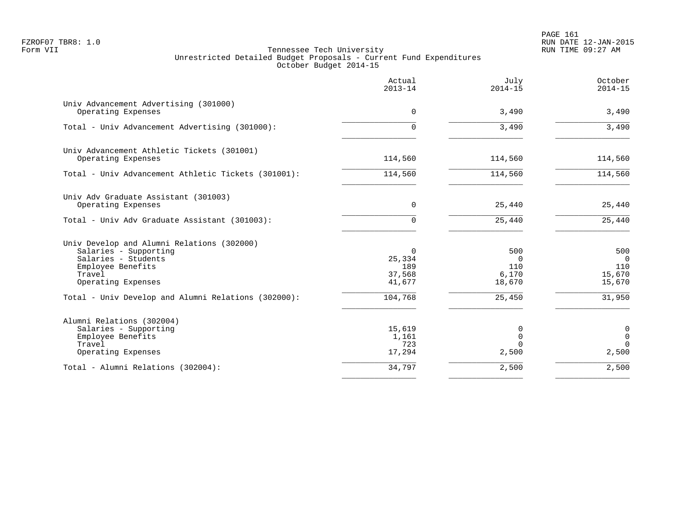PAGE 161 FZROF07 TBR8: 1.0 RUN DATE 12-JAN-2015

|                                                                                                                                                 | Actual<br>$2013 - 14$                         | July<br>$2014 - 15$                       | October<br>$2014 - 15$                     |
|-------------------------------------------------------------------------------------------------------------------------------------------------|-----------------------------------------------|-------------------------------------------|--------------------------------------------|
| Univ Advancement Advertising (301000)<br>Operating Expenses                                                                                     | $\mathbf 0$                                   | 3,490                                     | 3,490                                      |
| Total - Univ Advancement Advertising (301000):                                                                                                  | $\Omega$                                      | 3,490                                     | 3,490                                      |
| Univ Advancement Athletic Tickets (301001)<br>Operating Expenses                                                                                | 114,560                                       | 114,560                                   | 114,560                                    |
| Total - Univ Advancement Athletic Tickets (301001):                                                                                             | 114,560                                       | 114,560                                   | 114,560                                    |
| Univ Adv Graduate Assistant (301003)<br>Operating Expenses                                                                                      | 0                                             | 25,440                                    | 25,440                                     |
| Total - Univ Adv Graduate Assistant (301003):                                                                                                   | $\Omega$                                      | 25,440                                    | 25,440                                     |
| Univ Develop and Alumni Relations (302000)<br>Salaries - Supporting<br>Salaries - Students<br>Employee Benefits<br>Travel<br>Operating Expenses | $\Omega$<br>25,334<br>189<br>37,568<br>41,677 | 500<br>$\Omega$<br>110<br>6,170<br>18,670 | 500<br>$\Omega$<br>110<br>15,670<br>15,670 |
| Total - Univ Develop and Alumni Relations (302000):                                                                                             | 104,768                                       | 25,450                                    | 31,950                                     |
| Alumni Relations (302004)<br>Salaries - Supporting<br>Employee Benefits<br>Travel<br>Operating Expenses                                         | 15,619<br>1,161<br>723<br>17,294              | 0<br>$\Omega$<br>$\Omega$<br>2,500        | 0<br>0<br>$\Omega$<br>2,500                |
| Total - Alumni Relations (302004):                                                                                                              | 34,797                                        | 2,500                                     | 2,500                                      |
|                                                                                                                                                 |                                               |                                           |                                            |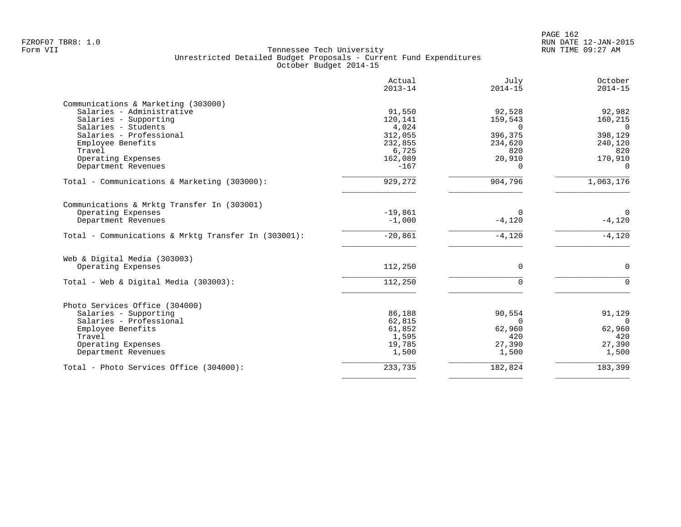| Actual<br>$2013 - 14$ | July<br>$2014 - 15$                                                   | October<br>$2014 - 15$                                                |
|-----------------------|-----------------------------------------------------------------------|-----------------------------------------------------------------------|
|                       |                                                                       |                                                                       |
| 91,550                | 92,528                                                                | 92,982                                                                |
| 120,141               | 159,543                                                               | 160,215                                                               |
| 4,024                 | $\Omega$                                                              | $\Omega$                                                              |
| 312,055               | 396,375                                                               | 398,129                                                               |
| 232,855               | 234,620                                                               | 240,120                                                               |
| 6,725                 | 820                                                                   | 820                                                                   |
| 162,089               | 20,910                                                                | 170,910                                                               |
| $-167$                | $\Omega$                                                              | $\Omega$                                                              |
| 929,272               | 904,796                                                               | 1,063,176                                                             |
|                       |                                                                       |                                                                       |
|                       |                                                                       | $\Omega$                                                              |
| $-1,000$              | $-4,120$                                                              | $-4,120$                                                              |
| $-20,861$             | $-4,120$                                                              | $-4,120$                                                              |
|                       |                                                                       |                                                                       |
|                       |                                                                       | $\Omega$                                                              |
|                       |                                                                       |                                                                       |
| 112,250               | $\Omega$                                                              | $\Omega$                                                              |
|                       |                                                                       |                                                                       |
|                       |                                                                       | 91,129                                                                |
|                       |                                                                       | $\Omega$                                                              |
|                       |                                                                       | 62,960                                                                |
|                       |                                                                       | 420                                                                   |
|                       |                                                                       | 27,390                                                                |
| 1,500                 | 1,500                                                                 | 1,500                                                                 |
|                       |                                                                       | $\overline{183}$ , 399                                                |
|                       | $-19,861$<br>112,250<br>86,188<br>62,815<br>61,852<br>1,595<br>19,785 | $\Omega$<br>$\Omega$<br>90,554<br>$\Omega$<br>62,960<br>420<br>27,390 |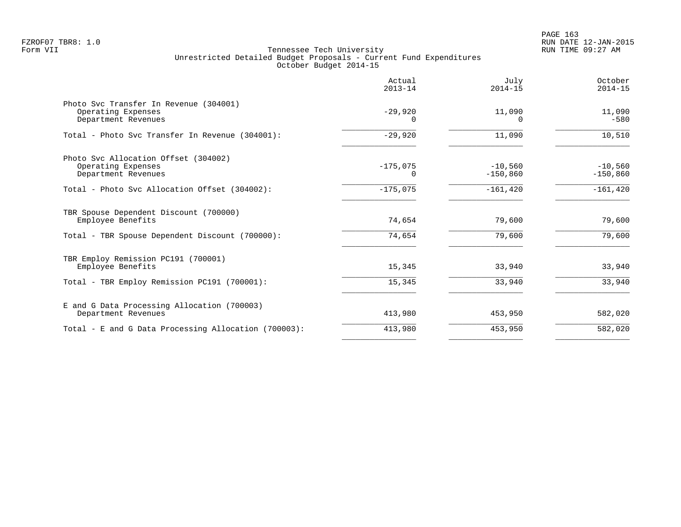|                                                                                                                                    | Actual<br>$2013 - 14$                | July<br>$2014 - 15$                   | October<br>$2014 - 15$                |
|------------------------------------------------------------------------------------------------------------------------------------|--------------------------------------|---------------------------------------|---------------------------------------|
| Photo Svc Transfer In Revenue (304001)<br>Operating Expenses<br>Department Revenues                                                | $-29,920$<br>$\Omega$                | 11,090<br><sup>0</sup>                | 11,090<br>$-580$                      |
| Total - Photo Svc Transfer In Revenue (304001):                                                                                    | $-29,920$                            | 11,090                                | 10,510                                |
| Photo Svc Allocation Offset (304002)<br>Operating Expenses<br>Department Revenues<br>Total - Photo Svc Allocation Offset (304002): | $-175,075$<br>$\Omega$<br>$-175,075$ | $-10,560$<br>$-150,860$<br>$-161,420$ | $-10,560$<br>$-150,860$<br>$-161,420$ |
| TBR Spouse Dependent Discount (700000)<br>Employee Benefits                                                                        | 74,654                               | 79,600                                | 79,600                                |
| Total - TBR Spouse Dependent Discount (700000):                                                                                    | 74,654                               | 79,600                                | 79,600                                |
| TBR Employ Remission PC191 (700001)<br>Employee Benefits                                                                           | 15,345                               | 33,940                                | 33,940                                |
| Total - TBR Employ Remission PC191 (700001):                                                                                       | 15,345                               | 33,940                                | 33,940                                |
| E and G Data Processing Allocation (700003)<br>Department Revenues                                                                 | 413,980                              | 453,950                               | 582,020                               |
| Total - E and G Data Processing Allocation (700003):                                                                               | 413,980                              | 453,950                               | 582,020                               |
|                                                                                                                                    |                                      |                                       |                                       |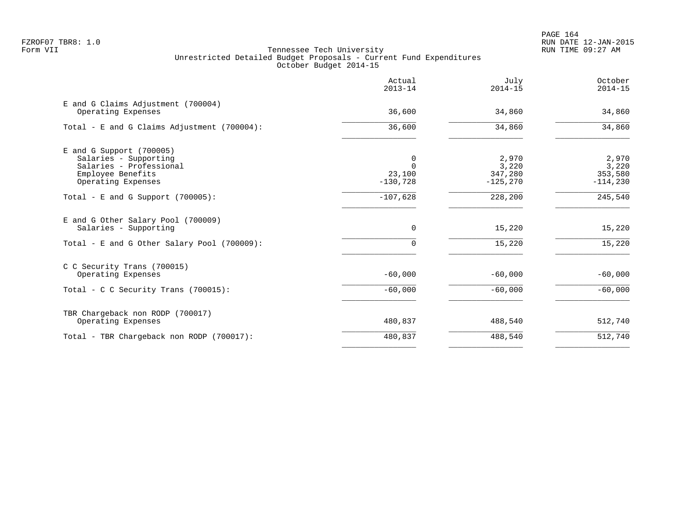|                                                                                                                           | Actual<br>$2013 - 14$                 | July<br>$2014 - 15$                      | October<br>$2014 - 15$                  |
|---------------------------------------------------------------------------------------------------------------------------|---------------------------------------|------------------------------------------|-----------------------------------------|
| E and G Claims Adjustment (700004)<br>Operating Expenses                                                                  | 36,600                                | 34,860                                   | 34,860                                  |
| Total - E and G Claims Adjustment (700004):                                                                               | 36,600                                | 34,860                                   | 34,860                                  |
| $E$ and G Support (700005)<br>Salaries - Supporting<br>Salaries - Professional<br>Employee Benefits<br>Operating Expenses | 0<br>$\Omega$<br>23,100<br>$-130,728$ | 2,970<br>3,220<br>347,280<br>$-125, 270$ | 2,970<br>3,220<br>353,580<br>$-114,230$ |
| Total - E and G Support $(700005)$ :                                                                                      | $-107,628$                            | 228,200                                  | 245,540                                 |
| E and G Other Salary Pool (700009)<br>Salaries - Supporting                                                               | $\Omega$                              | 15,220                                   | 15,220                                  |
| Total - E and G Other Salary Pool (700009):                                                                               | $\cap$                                | 15,220                                   | 15,220                                  |
| C C Security Trans (700015)<br>Operating Expenses                                                                         | $-60,000$                             | $-60,000$                                | $-60,000$                               |
| Total - C C Security Trans (700015):                                                                                      | $-60,000$                             | $-60,000$                                | $-60,000$                               |
| TBR Chargeback non RODP (700017)<br>Operating Expenses                                                                    | 480,837                               | 488,540                                  | 512,740                                 |
| Total - TBR Chargeback non RODP (700017):                                                                                 | 480,837                               | 488,540                                  | 512,740                                 |
|                                                                                                                           |                                       |                                          |                                         |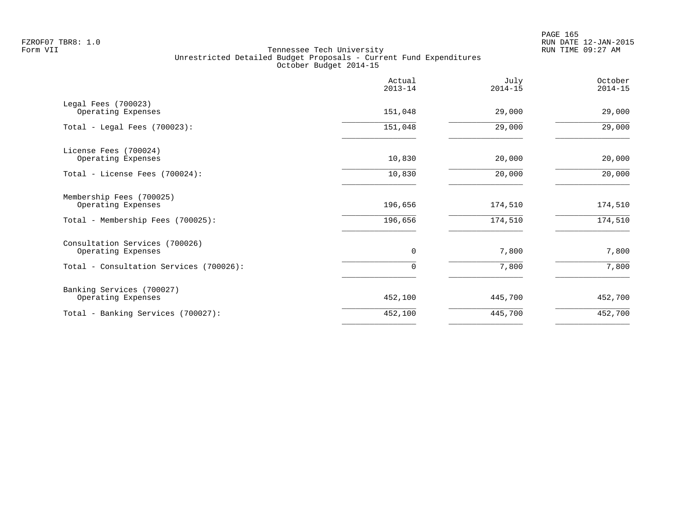PAGE 165 FZROF07 TBR8: 1.0 RUN DATE 12-JAN-2015

|                                                      | Actual<br>$2013 - 14$ | July<br>$2014 - 15$ | October<br>$2014 - 15$ |
|------------------------------------------------------|-----------------------|---------------------|------------------------|
| Legal Fees (700023)<br>Operating Expenses            | 151,048               | 29,000              | 29,000                 |
| Total - Legal Fees $(700023)$ :                      | 151,048               | 29,000              | 29,000                 |
| License Fees (700024)<br>Operating Expenses          | 10,830                | 20,000              | 20,000                 |
| Total - License Fees (700024):                       | 10,830                | 20,000              | 20,000                 |
| Membership Fees (700025)<br>Operating Expenses       | 196,656               | 174,510             | 174,510                |
| Total - Membership Fees (700025):                    | 196,656               | 174,510             | 174,510                |
| Consultation Services (700026)<br>Operating Expenses | 0                     | 7,800               | 7,800                  |
| Total - Consultation Services (700026):              | 0                     | 7,800               | 7,800                  |
| Banking Services (700027)<br>Operating Expenses      | 452,100               | 445,700             | 452,700                |
| Total - Banking Services (700027):                   | 452,100               | 445,700             | 452,700                |
|                                                      |                       |                     |                        |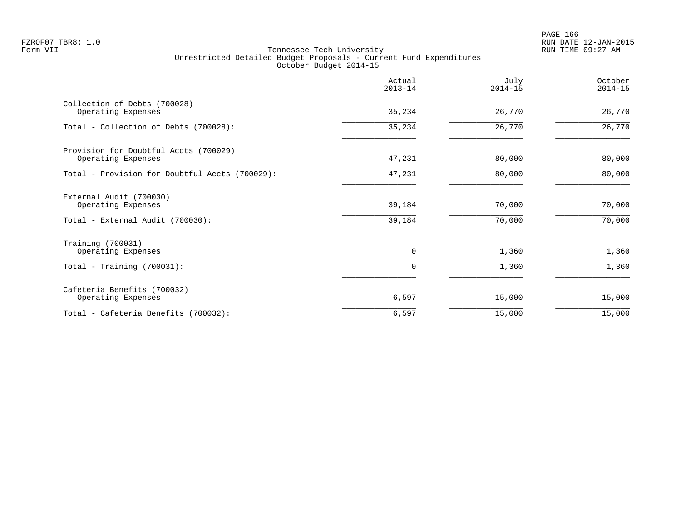PAGE 166 FZROF07 TBR8: 1.0 RUN DATE 12-JAN-2015

|                                                                                   | Actual<br>$2013 - 14$ | July<br>$2014 - 15$ | October<br>$2014 - 15$ |
|-----------------------------------------------------------------------------------|-----------------------|---------------------|------------------------|
| Collection of Debts (700028)<br>Operating Expenses                                | 35,234                | 26,770              | 26,770                 |
| Total - Collection of Debts (700028):                                             | 35,234                | 26,770              | 26,770                 |
| Provision for Doubtful Accts (700029)<br>Operating Expenses                       | 47,231                | 80,000              | 80,000                 |
| Total - Provision for Doubtful Accts (700029):                                    | 47,231                | 80,000              | 80,000                 |
| External Audit (700030)<br>Operating Expenses<br>Total - External Audit (700030): | 39,184<br>39,184      | 70,000<br>70,000    | 70,000<br>70,000       |
| Training (700031)<br>Operating Expenses                                           | 0                     | 1,360               | 1,360                  |
| Total - Training $(700031)$ :                                                     | $\Omega$              | 1,360               | 1,360                  |
| Cafeteria Benefits (700032)<br>Operating Expenses                                 | 6,597                 | 15,000              | 15,000                 |
| Total - Cafeteria Benefits (700032):                                              | 6,597                 | 15,000              | 15,000                 |
|                                                                                   |                       |                     |                        |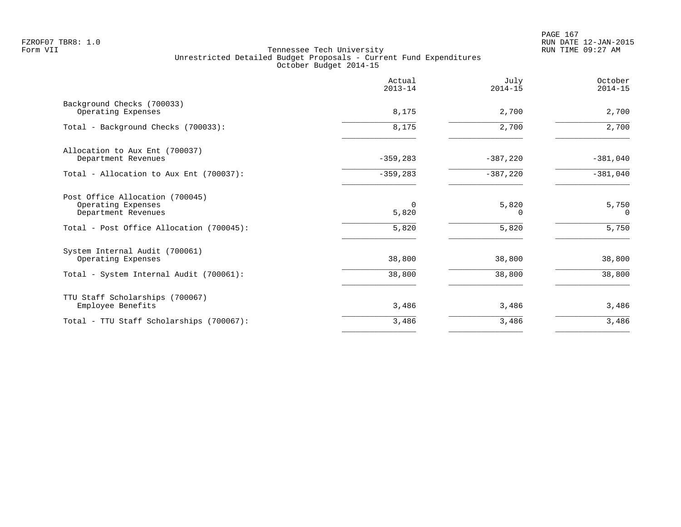|                                                                              | Actual<br>$2013 - 14$ | July<br>$2014 - 15$ | October<br>$2014 - 15$ |
|------------------------------------------------------------------------------|-----------------------|---------------------|------------------------|
| Background Checks (700033)<br>Operating Expenses                             | 8,175                 | 2,700               | 2,700                  |
| Total - Background Checks (700033):                                          | 8,175                 | 2,700               | 2,700                  |
| Allocation to Aux Ent (700037)<br>Department Revenues                        | $-359,283$            | $-387,220$          | $-381,040$             |
| Total - Allocation to Aux Ent (700037):                                      | $-359,283$            | $-387,220$          | $-381,040$             |
| Post Office Allocation (700045)<br>Operating Expenses<br>Department Revenues | $\Omega$<br>5,820     | 5,820<br>$\Omega$   | 5,750<br>$\Omega$      |
| Total - Post Office Allocation (700045):                                     | 5,820                 | 5,820               | 5,750                  |
| System Internal Audit (700061)<br>Operating Expenses                         | 38,800                | 38,800              | 38,800                 |
| Total - System Internal Audit (700061):                                      | 38,800                | 38,800              | 38,800                 |
| TTU Staff Scholarships (700067)<br>Employee Benefits                         | 3,486                 | 3,486               | 3,486                  |
| Total - TTU Staff Scholarships (700067):                                     | 3,486                 | 3,486               | 3,486                  |
|                                                                              |                       |                     |                        |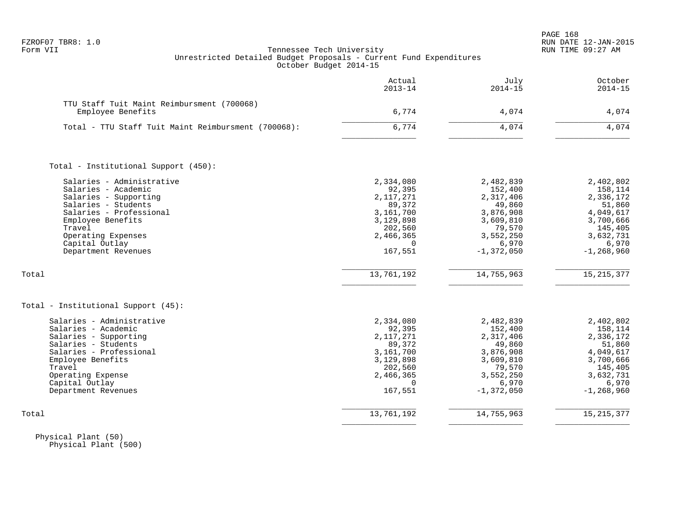|  | FZROF07 TBR8: |  |
|--|---------------|--|
|  |               |  |

|                                                                 | Actual<br>$2013 - 14$ | July<br>$2014 - 15$  | October<br>$2014 - 15$ |
|-----------------------------------------------------------------|-----------------------|----------------------|------------------------|
| TTU Staff Tuit Maint Reimbursment (700068)<br>Employee Benefits | 6,774                 | 4,074                | 4,074                  |
|                                                                 |                       |                      |                        |
| Total - TTU Staff Tuit Maint Reimbursment (700068):             | 6,774                 | 4,074                | 4,074                  |
| Total - Institutional Support (450):                            |                       |                      |                        |
|                                                                 |                       |                      |                        |
| Salaries - Administrative<br>Salaries - Academic                | 2,334,080<br>92,395   | 2,482,839<br>152,400 | 2,402,802<br>158,114   |
| Salaries - Supporting                                           | 2, 117, 271           | 2,317,406            | 2,336,172              |
| Salaries - Students                                             | 89,372                | 49,860               | 51,860                 |
| Salaries - Professional                                         | 3,161,700             | 3,876,908            | 4,049,617              |
| Employee Benefits                                               | 3,129,898             | 3,609,810            | 3,700,666              |
| Travel                                                          | 202,560               | 79,570               | 145,405                |
| Operating Expenses                                              | 2,466,365             | 3,552,250            | 3,632,731              |
| Capital Outlay                                                  | $\Omega$              | 6,970                | 6,970                  |
| Department Revenues                                             | 167,551               | $-1,372,050$         | $-1, 268, 960$         |
| Total                                                           | 13,761,192            | 14,755,963           | 15, 215, 377           |
| Total - Institutional Support (45):                             |                       |                      |                        |
| Salaries - Administrative                                       | 2,334,080             | 2,482,839            | 2,402,802              |
| Salaries - Academic                                             | 92,395                | 152,400              | 158,114                |
| Salaries - Supporting                                           | 2, 117, 271           | 2,317,406            | 2,336,172              |
| Salaries - Students                                             | 89,372                | 49,860               | 51,860                 |
| Salaries - Professional                                         | 3,161,700             | 3,876,908            | 4,049,617              |
| Employee Benefits                                               | 3,129,898             | 3,609,810            | 3,700,666              |
| Travel                                                          | 202,560               | 79,570               | 145,405                |
| Operating Expense                                               | 2,466,365             | 3,552,250            | 3,632,731              |
| Capital Outlay                                                  | $\Omega$              | 6,970                | 6,970                  |
| Department Revenues                                             | 167,551               | $-1,372,050$         | $-1, 268, 960$         |
| Total                                                           | 13,761,192            | 14,755,963           | 15, 215, 377           |
|                                                                 |                       |                      |                        |

 Physical Plant (50) Physical Plant (500)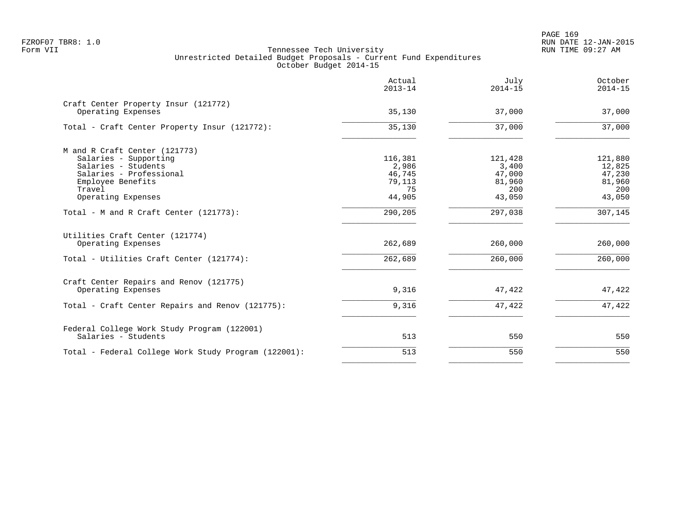PAGE 169 FZROF07 TBR8: 1.0 RUN DATE 12-JAN-2015

|                                                            | Actual<br>$2013 - 14$ | July<br>$2014 - 15$ | October<br>$2014 - 15$ |
|------------------------------------------------------------|-----------------------|---------------------|------------------------|
| Craft Center Property Insur (121772)<br>Operating Expenses | 35,130                | 37,000              | 37,000                 |
| Total - Craft Center Property Insur (121772):              | 35,130                | 37,000              | 37,000                 |
| M and R Craft Center (121773)                              |                       |                     |                        |
| Salaries - Supporting                                      | 116,381               | 121,428             | 121,880                |
| Salaries - Students                                        | 2,986                 | 3,400               | 12,825                 |
| Salaries - Professional                                    | 46,745                | 47,000              | 47,230                 |
| Employee Benefits                                          | 79,113                | 81,960              | 81,960                 |
| Travel                                                     | 75                    | 200                 | 200                    |
| Operating Expenses                                         | 44,905                | 43,050              | 43,050                 |
| Total - M and R Craft Center (121773):                     | 290,205               | 297,038             | 307,145                |
| Utilities Craft Center (121774)                            |                       |                     |                        |
| Operating Expenses                                         | 262,689               | 260,000             | 260,000                |
| Total - Utilities Craft Center (121774):                   | 262,689               | 260,000             | 260,000                |
| Craft Center Repairs and Renov (121775)                    |                       |                     |                        |
| Operating Expenses                                         | 9,316                 | 47,422              | 47,422                 |
| Total - Craft Center Repairs and Renov (121775):           | 9,316                 | 47,422              | 47,422                 |
| Federal College Work Study Program (122001)                |                       |                     |                        |
| Salaries - Students                                        | 513                   | 550                 | 550                    |
| Total - Federal College Work Study Program (122001):       | 513                   | 550                 | 550                    |
|                                                            |                       |                     |                        |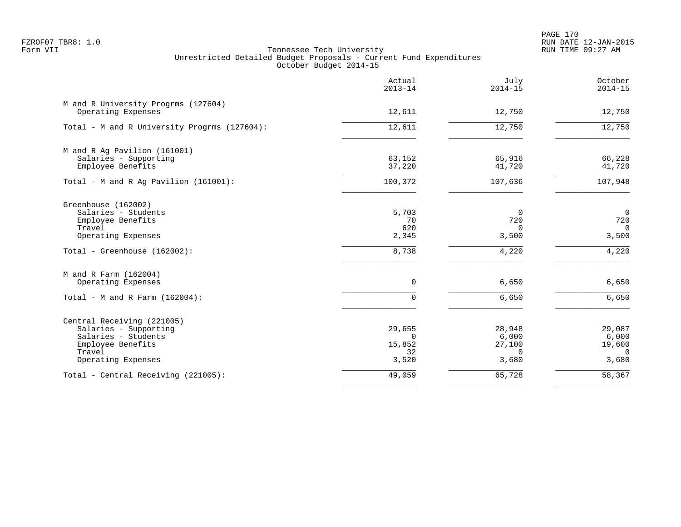PAGE 170 FZROF07 TBR8: 1.0 RUN DATE 12-JAN-2015

|                                                           | Actual<br>$2013 - 14$ | July<br>$2014 - 15$ | October<br>$2014 - 15$ |
|-----------------------------------------------------------|-----------------------|---------------------|------------------------|
| M and R University Progrms (127604)<br>Operating Expenses | 12,611                | 12,750              | 12,750                 |
|                                                           |                       |                     |                        |
| Total - M and R University Progrms (127604):              | 12,611                | 12,750              | 12,750                 |
| M and R Ag Pavilion (161001)                              |                       |                     |                        |
| Salaries - Supporting                                     | 63,152                | 65,916              | 66,228                 |
| Employee Benefits                                         | 37,220                | 41,720              | 41,720                 |
| Total - M and R Ag Pavilion (161001):                     | 100,372               | 107,636             | 107,948                |
| Greenhouse (162002)                                       |                       |                     |                        |
| Salaries - Students                                       | 5,703                 | $\overline{0}$      | $\mathbf 0$            |
| Employee Benefits                                         | 70                    | 720                 | 720                    |
| Travel                                                    | 620                   | $\Omega$            | $\Omega$               |
| Operating Expenses                                        | 2,345                 | 3,500               | 3,500                  |
| Total - Greenhouse (162002):                              | 8,738                 | 4,220               | 4,220                  |
| M and R Farm (162004)                                     |                       |                     |                        |
| Operating Expenses                                        | $\mathbf 0$           | 6,650               | 6,650                  |
| Total - M and R Farm $(162004)$ :                         | $\Omega$              | 6,650               | 6,650                  |
| Central Receiving (221005)                                |                       |                     |                        |
| Salaries - Supporting                                     | 29,655                | 28,948              | 29,087                 |
| Salaries - Students                                       | $\Omega$              | 6,000               | 6,000                  |
| Employee Benefits                                         | 15,852                | 27,100              | 19,600                 |
| Travel                                                    | 32                    | $\Omega$            | $\Omega$               |
| Operating Expenses                                        | 3,520                 | 3,680               | 3,680                  |
| Total - Central Receiving (221005):                       | 49,059                | 65,728              | 58,367                 |
|                                                           |                       |                     |                        |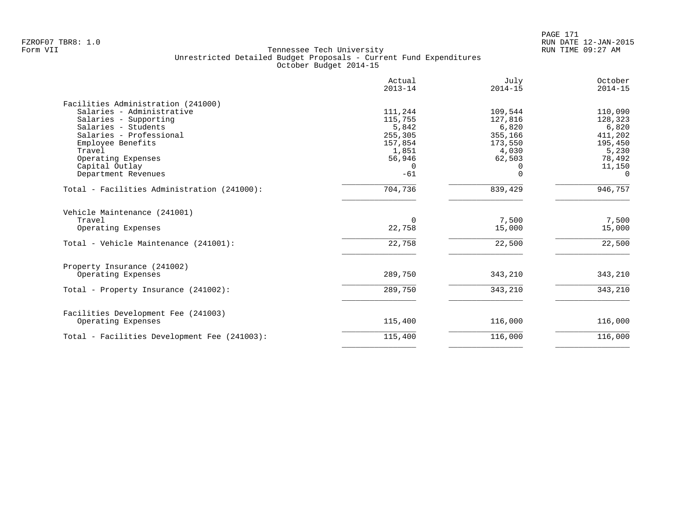|                                              | Actual<br>$2013 - 14$ | July<br>$2014 - 15$ | October<br>$2014 - 15$ |
|----------------------------------------------|-----------------------|---------------------|------------------------|
|                                              |                       |                     |                        |
| Facilities Administration (241000)           |                       |                     |                        |
| Salaries - Administrative                    | 111,244               | 109,544             | 110,090                |
| Salaries - Supporting                        | 115,755               | 127,816             | 128,323                |
| Salaries - Students                          | 5,842                 | 6,820               | 6,820                  |
| Salaries - Professional                      | 255,305               | 355,166             | 411,202                |
| Employee Benefits                            | 157,854               | 173,550             | 195,450                |
| Travel                                       | 1,851                 | 4,030               | 5,230                  |
| Operating Expenses                           | 56,946                | 62,503              | 78,492                 |
| Capital Outlay                               | $\Omega$              |                     | 11,150                 |
| Department Revenues                          | $-61$                 | $\Omega$            | $\Omega$               |
| Total - Facilities Administration (241000):  | 704,736               | 839,429             | 946,757                |
| Vehicle Maintenance (241001)                 |                       |                     |                        |
| Travel                                       | $\Omega$              | 7,500               | 7,500                  |
| Operating Expenses                           | 22,758                | 15,000              | 15,000                 |
| Total - Vehicle Maintenance (241001):        | 22,758                | 22,500              | 22,500                 |
| Property Insurance (241002)                  |                       |                     |                        |
| Operating Expenses                           | 289,750               | 343,210             | 343,210                |
| Total - Property Insurance (241002):         | 289,750               | 343,210             | 343,210                |
| Facilities Development Fee (241003)          |                       |                     |                        |
| Operating Expenses                           | 115,400               | 116,000             | 116,000                |
| Total - Facilities Development Fee (241003): | 115,400               | 116,000             | 116,000                |
|                                              |                       |                     |                        |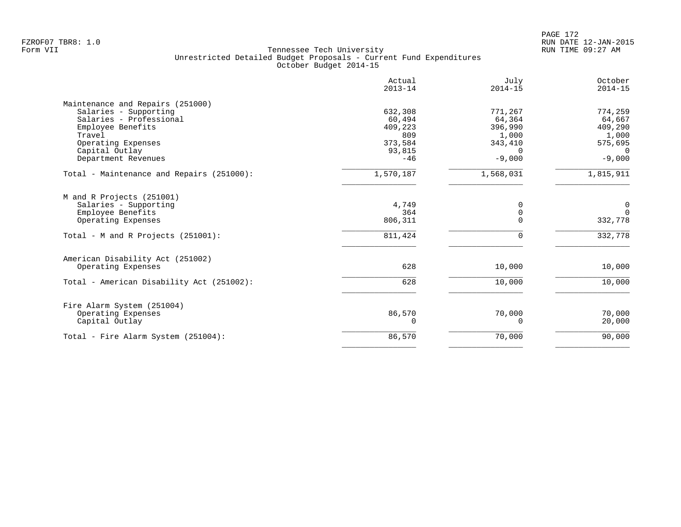|                                           | Actual<br>$2013 - 14$ | July<br>$2014 - 15$ | October<br>$2014 - 15$ |
|-------------------------------------------|-----------------------|---------------------|------------------------|
| Maintenance and Repairs (251000)          |                       |                     |                        |
| Salaries - Supporting                     | 632,308               | 771,267             | 774,259                |
| Salaries - Professional                   | 60,494                | 64,364              | 64,667                 |
| Employee Benefits                         | 409,223               | 396,990             | 409,290                |
| Travel                                    | 809                   | 1,000               | 1,000                  |
| Operating Expenses<br>Capital Outlay      | 373,584<br>93,815     | 343,410<br>$\Omega$ | 575,695<br>$\Omega$    |
| Department Revenues                       | $-46$                 | $-9,000$            | $-9,000$               |
|                                           |                       |                     |                        |
| Total - Maintenance and Repairs (251000): | 1,570,187             | 1,568,031           | 1,815,911              |
| M and R Projects (251001)                 |                       |                     |                        |
| Salaries - Supporting                     | 4,749                 | $\Omega$            | 0                      |
| Employee Benefits                         | 364                   | $\mathbf 0$         | $\Omega$               |
| Operating Expenses                        | 806,311               | $\Omega$            | 332,778                |
| Total - M and R Projects (251001):        | 811,424               | $\mathbf 0$         | 332,778                |
| American Disability Act (251002)          |                       |                     |                        |
| Operating Expenses                        | 628                   | 10,000              | 10,000                 |
| Total - American Disability Act (251002): | 628                   | 10,000              | 10,000                 |
| Fire Alarm System (251004)                |                       |                     |                        |
| Operating Expenses                        | 86,570                | 70,000              | 70,000                 |
| Capital Outlay                            | 0                     | 0                   | 20,000                 |
| Total - Fire Alarm System (251004):       | 86,570                | 70,000              | 90,000                 |
|                                           |                       |                     |                        |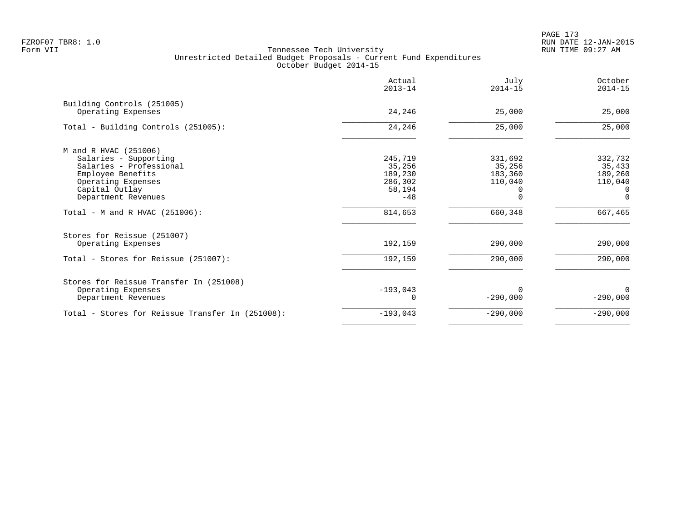PAGE 173 FZROF07 TBR8: 1.0 RUN DATE 12-JAN-2015

|                                                                                                                                        | Actual<br>$2013 - 14$                             | July<br>$2014 - 15$                     | October<br>$2014 - 15$                              |
|----------------------------------------------------------------------------------------------------------------------------------------|---------------------------------------------------|-----------------------------------------|-----------------------------------------------------|
| Building Controls (251005)<br>Operating Expenses                                                                                       | 24,246                                            | 25,000                                  | 25,000                                              |
| Total - Building Controls (251005):                                                                                                    | 24,246                                            | 25,000                                  | 25,000                                              |
| M and R HVAC (251006)<br>Salaries - Supporting<br>Salaries - Professional<br>Employee Benefits<br>Operating Expenses<br>Capital Outlay | 245,719<br>35,256<br>189,230<br>286,302<br>58,194 | 331,692<br>35,256<br>183,360<br>110,040 | 332,732<br>35,433<br>189,260<br>110,040<br>$\Omega$ |
| Department Revenues<br>Total - M and R HVAC $(251006)$ :                                                                               | $-48$<br>814,653                                  | 660,348                                 | $\Omega$<br>667,465                                 |
| Stores for Reissue (251007)<br>Operating Expenses<br>Total - Stores for Reissue (251007):                                              | 192,159<br>192,159                                | 290,000<br>290,000                      | 290,000<br>290,000                                  |
| Stores for Reissue Transfer In (251008)<br>Operating Expenses<br>Department Revenues                                                   | $-193,043$                                        | 0<br>$-290,000$                         | $\Omega$<br>$-290,000$                              |
| Total - Stores for Reissue Transfer In (251008):                                                                                       | $-193,043$                                        | $-290,000$                              | $-290,000$                                          |
|                                                                                                                                        |                                                   |                                         |                                                     |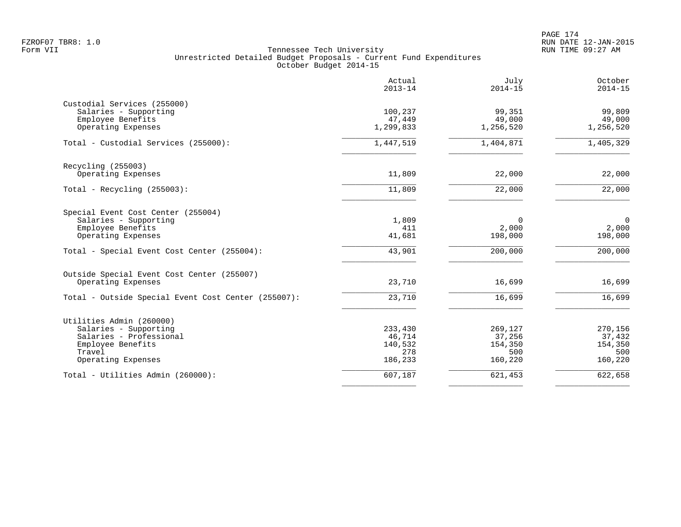PAGE 174 FZROF07 TBR8: 1.0 RUN DATE 12-JAN-2015

|                                                                                                                                                       | Actual<br>$2013 - 14$                          | July<br>$2014 - 15$                            | October<br>$2014 - 15$                         |
|-------------------------------------------------------------------------------------------------------------------------------------------------------|------------------------------------------------|------------------------------------------------|------------------------------------------------|
| Custodial Services (255000)<br>Salaries - Supporting<br>Employee Benefits<br>Operating Expenses                                                       | 100,237<br>47,449<br>1,299,833                 | 99,351<br>49,000<br>1,256,520                  | 99,809<br>49,000<br>1,256,520                  |
| Total - Custodial Services (255000):                                                                                                                  | 1,447,519                                      | 1,404,871                                      | 1,405,329                                      |
| Recycling (255003)<br>Operating Expenses                                                                                                              | 11,809                                         | 22,000                                         | 22,000                                         |
| Total - Recycling $(255003)$ :                                                                                                                        | 11,809                                         | 22,000                                         | 22,000                                         |
| Special Event Cost Center (255004)<br>Salaries - Supporting<br>Employee Benefits<br>Operating Expenses<br>Total - Special Event Cost Center (255004): | 1,809<br>411<br>41,681<br>43,901               | $\mathbf 0$<br>2,000<br>198,000<br>200,000     | $\mathbf 0$<br>2,000<br>198,000<br>200,000     |
|                                                                                                                                                       |                                                |                                                |                                                |
| Outside Special Event Cost Center (255007)<br>Operating Expenses                                                                                      | 23,710                                         | 16,699                                         | 16,699                                         |
| Total - Outside Special Event Cost Center (255007):                                                                                                   | 23,710                                         | 16,699                                         | 16,699                                         |
| Utilities Admin (260000)<br>Salaries - Supporting<br>Salaries - Professional<br>Employee Benefits<br>Travel<br>Operating Expenses                     | 233,430<br>46,714<br>140,532<br>278<br>186,233 | 269,127<br>37,256<br>154,350<br>500<br>160,220 | 270,156<br>37,432<br>154,350<br>500<br>160,220 |
| Total - Utilities Admin (260000):                                                                                                                     | 607,187                                        | 621,453                                        | 622,658                                        |
|                                                                                                                                                       |                                                |                                                |                                                |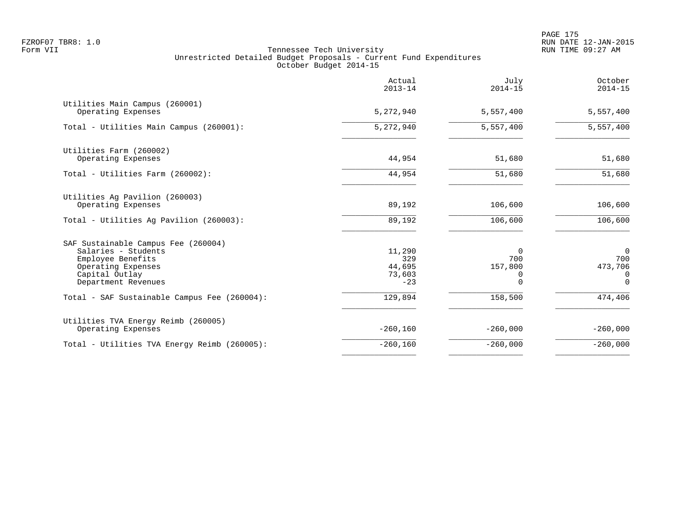PAGE 175 FZROF07 TBR8: 1.0 RUN DATE 12-JAN-2015

|                                                                                                                                                | Actual<br>$2013 - 14$                      | July<br>$2014 - 15$                         | October<br>$2014 - 15$                                   |
|------------------------------------------------------------------------------------------------------------------------------------------------|--------------------------------------------|---------------------------------------------|----------------------------------------------------------|
| Utilities Main Campus (260001)<br>Operating Expenses                                                                                           | 5,272,940                                  | 5,557,400                                   | 5,557,400                                                |
| Total - Utilities Main Campus (260001):                                                                                                        | 5, 272, 940                                | 5,557,400                                   | 5,557,400                                                |
| Utilities Farm (260002)<br>Operating Expenses                                                                                                  | 44,954                                     | 51,680                                      | 51,680                                                   |
| Total - Utilities Farm (260002):                                                                                                               | 44,954                                     | 51,680                                      | 51,680                                                   |
| Utilities Ag Pavilion (260003)<br>Operating Expenses<br>Total - Utilities Ag Pavilion (260003):                                                | 89,192<br>89,192                           | 106,600<br>106,600                          | 106,600<br>106,600                                       |
|                                                                                                                                                |                                            |                                             |                                                          |
| SAF Sustainable Campus Fee (260004)<br>Salaries - Students<br>Employee Benefits<br>Operating Expenses<br>Capital Outlay<br>Department Revenues | 11,290<br>329<br>44,695<br>73,603<br>$-23$ | $\Omega$<br>700<br>157,800<br>0<br>$\Omega$ | $\overline{0}$<br>700<br>473,706<br>$\Omega$<br>$\Omega$ |
| Total - SAF Sustainable Campus Fee (260004):                                                                                                   | 129,894                                    | 158,500                                     | 474,406                                                  |
| Utilities TVA Energy Reimb (260005)<br>Operating Expenses                                                                                      | $-260,160$                                 | $-260,000$                                  | $-260,000$                                               |
| Total - Utilities TVA Energy Reimb (260005):                                                                                                   | $-260,160$                                 | $-260,000$                                  | $-260,000$                                               |
|                                                                                                                                                |                                            |                                             |                                                          |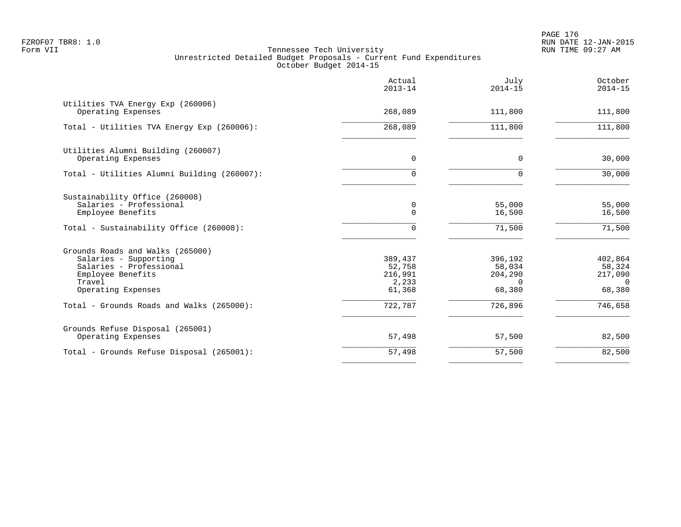|                                                                                                                                           | Actual<br>$2013 - 14$                           | July<br>$2014 - 15$                                | October<br>$2014 - 15$                             |
|-------------------------------------------------------------------------------------------------------------------------------------------|-------------------------------------------------|----------------------------------------------------|----------------------------------------------------|
| Utilities TVA Energy Exp (260006)<br>Operating Expenses                                                                                   | 268,089                                         | 111,800                                            | 111,800                                            |
| Total - Utilities TVA Energy Exp (260006):                                                                                                | 268,089                                         | 111,800                                            | 111,800                                            |
| Utilities Alumni Building (260007)<br>Operating Expenses                                                                                  | $\mathbf 0$                                     | 0                                                  | 30,000                                             |
| Total - Utilities Alumni Building (260007):                                                                                               | $\Omega$                                        | 0                                                  | 30,000                                             |
| Sustainability Office (260008)<br>Salaries - Professional<br>Employee Benefits                                                            | 0<br>0                                          | 55,000<br>16,500                                   | 55,000<br>16,500                                   |
| Total - Sustainability Office (260008):                                                                                                   | 0                                               | 71,500                                             | 71,500                                             |
| Grounds Roads and Walks (265000)<br>Salaries - Supporting<br>Salaries - Professional<br>Employee Benefits<br>Travel<br>Operating Expenses | 389,437<br>52,758<br>216,991<br>2,233<br>61,368 | 396,192<br>58,034<br>204,290<br>$\Omega$<br>68,380 | 402,864<br>58,324<br>217,090<br>$\Omega$<br>68,380 |
| Total - Grounds Roads and Walks (265000):                                                                                                 | 722,787                                         | 726,896                                            | 746,658                                            |
| Grounds Refuse Disposal (265001)<br>Operating Expenses                                                                                    | 57,498                                          | 57,500                                             | 82,500                                             |
| Total - Grounds Refuse Disposal (265001):                                                                                                 | 57,498                                          | 57,500                                             | 82,500                                             |
|                                                                                                                                           |                                                 |                                                    |                                                    |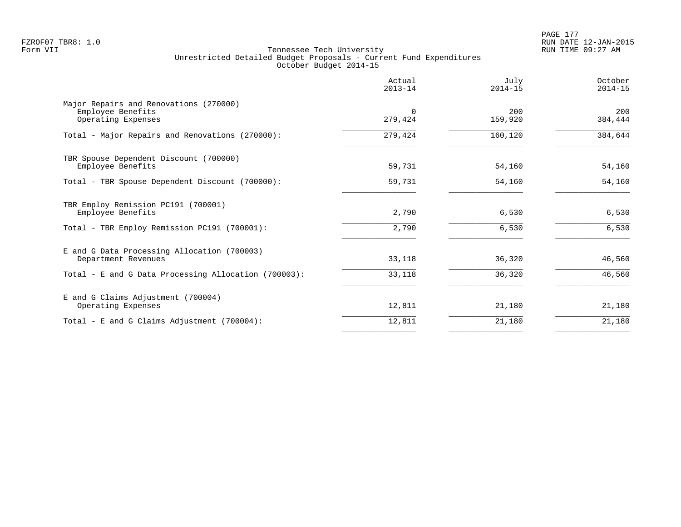PAGE 177 FZROF07 TBR8: 1.0 RUN DATE 12-JAN-2015

|                                                                                   | Actual<br>$2013 - 14$ | July<br>$2014 - 15$ | October<br>$2014 - 15$ |
|-----------------------------------------------------------------------------------|-----------------------|---------------------|------------------------|
| Major Repairs and Renovations (270000)<br>Employee Benefits<br>Operating Expenses | $\Omega$<br>279,424   | 200<br>159,920      | 200<br>384,444         |
| Total - Major Repairs and Renovations (270000):                                   | 279,424               | 160,120             | 384,644                |
| TBR Spouse Dependent Discount (700000)<br>Employee Benefits                       | 59,731                | 54,160              | 54,160                 |
| Total - TBR Spouse Dependent Discount (700000):                                   | 59,731                | 54,160              | 54,160                 |
| TBR Employ Remission PC191 (700001)<br>Employee Benefits                          | 2,790                 | 6,530               | 6,530                  |
| Total - TBR Employ Remission PC191 (700001):                                      | 2,790                 | 6,530               | 6,530                  |
| E and G Data Processing Allocation (700003)<br>Department Revenues                | 33,118                | 36,320              | 46,560                 |
| Total - E and G Data Processing Allocation (700003):                              | 33,118                | 36,320              | 46,560                 |
| E and G Claims Adjustment (700004)<br>Operating Expenses                          | 12,811                | 21,180              | 21,180                 |
| Total - E and G Claims Adjustment (700004):                                       | 12,811                | 21,180              | 21,180                 |
|                                                                                   |                       |                     |                        |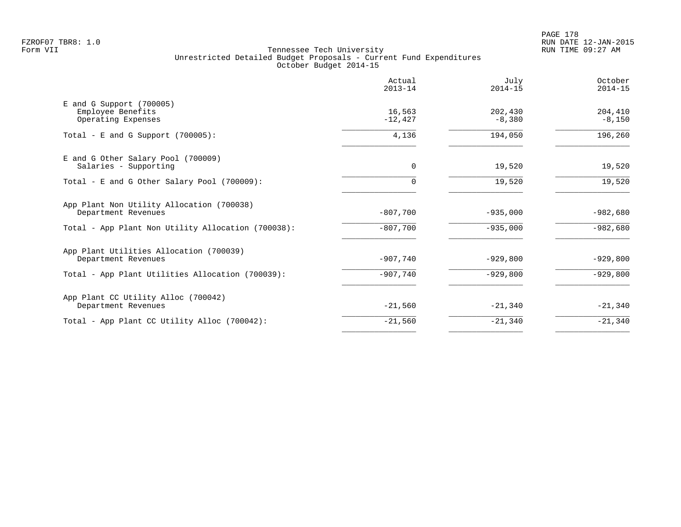PAGE 178 FZROF07 TBR8: 1.0 RUN DATE 12-JAN-2015

|                                                                     | Actual<br>$2013 - 14$ | July<br>$2014 - 15$ | October<br>$2014 - 15$ |
|---------------------------------------------------------------------|-----------------------|---------------------|------------------------|
| E and G Support (700005)<br>Employee Benefits<br>Operating Expenses | 16,563<br>$-12,427$   | 202,430<br>$-8,380$ | 204,410<br>$-8,150$    |
| Total - E and G Support $(700005)$ :                                | 4,136                 | 194,050             | 196,260                |
| E and G Other Salary Pool (700009)<br>Salaries - Supporting         | 0                     | 19,520              | 19,520                 |
| Total - E and G Other Salary Pool (700009):                         | 0                     | 19,520              | 19,520                 |
| App Plant Non Utility Allocation (700038)<br>Department Revenues    | $-807,700$            | $-935,000$          | $-982,680$             |
| Total - App Plant Non Utility Allocation (700038):                  | $-807,700$            | $-935,000$          | $-982,680$             |
| App Plant Utilities Allocation (700039)<br>Department Revenues      | $-907,740$            | $-929,800$          | $-929,800$             |
| Total - App Plant Utilities Allocation (700039):                    | $-907,740$            | $-929,800$          | $-929,800$             |
| App Plant CC Utility Alloc (700042)<br>Department Revenues          | $-21,560$             | $-21,340$           | $-21,340$              |
| Total - App Plant CC Utility Alloc (700042):                        | $-21,560$             | $-21,340$           | $-21,340$              |
|                                                                     |                       |                     |                        |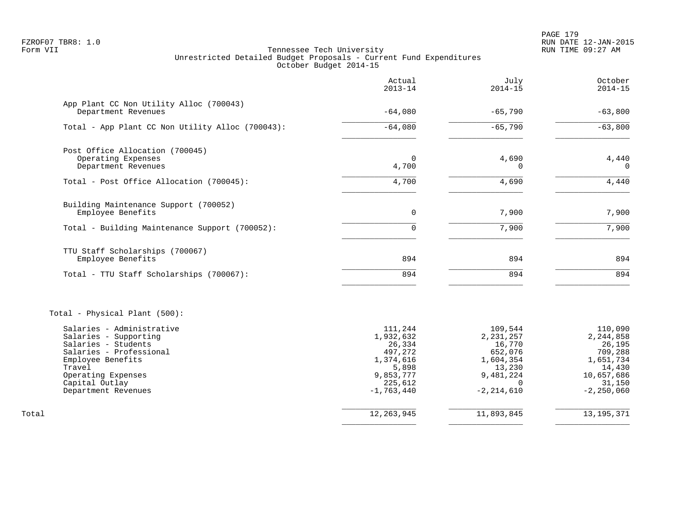PAGE 179 FZROF07 TBR8: 1.0 RUN DATE 12-JAN-2015

|                                                                                                                                                                                                    | Actual<br>$2013 - 14$                                                                                   | July<br>$2014 - 15$                                                                                           | October<br>$2014 - 15$                                                                                       |
|----------------------------------------------------------------------------------------------------------------------------------------------------------------------------------------------------|---------------------------------------------------------------------------------------------------------|---------------------------------------------------------------------------------------------------------------|--------------------------------------------------------------------------------------------------------------|
| App Plant CC Non Utility Alloc (700043)<br>Department Revenues                                                                                                                                     | $-64,080$                                                                                               | $-65,790$                                                                                                     | $-63,800$                                                                                                    |
| Total - App Plant CC Non Utility Alloc (700043):                                                                                                                                                   | $-64,080$                                                                                               | $-65,790$                                                                                                     | $-63,800$                                                                                                    |
| Post Office Allocation (700045)<br>Operating Expenses<br>Department Revenues                                                                                                                       | $\Omega$<br>4,700                                                                                       | 4,690<br>$\Omega$                                                                                             | 4,440<br>$\Omega$                                                                                            |
| Total - Post Office Allocation (700045):                                                                                                                                                           | 4,700                                                                                                   | 4,690                                                                                                         | 4,440                                                                                                        |
| Building Maintenance Support (700052)<br>Employee Benefits                                                                                                                                         | $\overline{0}$                                                                                          | 7,900                                                                                                         | 7,900                                                                                                        |
| Total - Building Maintenance Support (700052):                                                                                                                                                     | $\Omega$                                                                                                | 7,900                                                                                                         | 7,900                                                                                                        |
| TTU Staff Scholarships (700067)<br>Employee Benefits                                                                                                                                               | 894                                                                                                     | 894                                                                                                           | 894                                                                                                          |
| Total - TTU Staff Scholarships (700067):                                                                                                                                                           | 894                                                                                                     | 894                                                                                                           | 894                                                                                                          |
| Total - Physical Plant (500):                                                                                                                                                                      |                                                                                                         |                                                                                                               |                                                                                                              |
| Salaries - Administrative<br>Salaries - Supporting<br>Salaries - Students<br>Salaries - Professional<br>Employee Benefits<br>Travel<br>Operating Expenses<br>Capital Outlay<br>Department Revenues | 111,244<br>1,932,632<br>26,334<br>497,272<br>1,374,616<br>5,898<br>9,853,777<br>225,612<br>$-1,763,440$ | 109,544<br>2, 231, 257<br>16,770<br>652,076<br>1,604,354<br>13,230<br>9,481,224<br>$\Omega$<br>$-2, 214, 610$ | 110,090<br>2, 244, 858<br>26,195<br>709,288<br>1,651,734<br>14,430<br>10,657,686<br>31,150<br>$-2, 250, 060$ |
| Total                                                                                                                                                                                              | 12, 263, 945                                                                                            | 11,893,845                                                                                                    | 13, 195, 371                                                                                                 |
|                                                                                                                                                                                                    |                                                                                                         |                                                                                                               |                                                                                                              |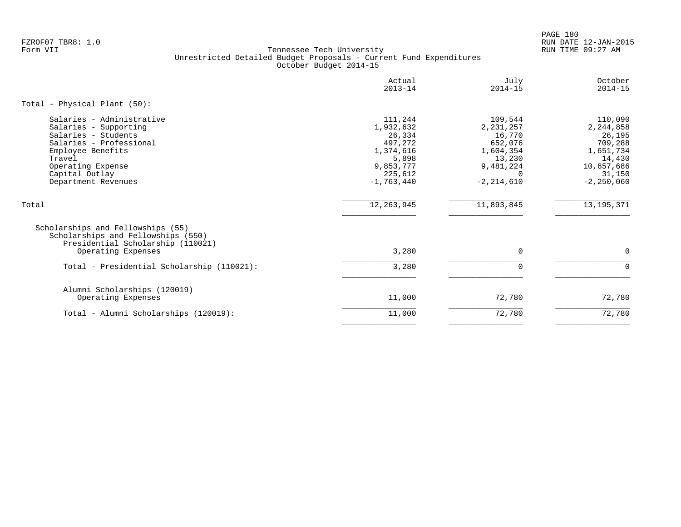PAGE 180 FZROF07 TBR8: 1.0 RUN DATE 12-JAN-2015

|                                                                                                                                                                                                   | Actual<br>$2013 - 14$                                                                                   | July<br>$2014 - 15$                                                                                           | October<br>$2014 - 15$                                                                                     |
|---------------------------------------------------------------------------------------------------------------------------------------------------------------------------------------------------|---------------------------------------------------------------------------------------------------------|---------------------------------------------------------------------------------------------------------------|------------------------------------------------------------------------------------------------------------|
| Total - Physical Plant $(50)$ :                                                                                                                                                                   |                                                                                                         |                                                                                                               |                                                                                                            |
| Salaries - Administrative<br>Salaries - Supporting<br>Salaries - Students<br>Salaries - Professional<br>Employee Benefits<br>Travel<br>Operating Expense<br>Capital Outlay<br>Department Revenues | 111,244<br>1,932,632<br>26,334<br>497,272<br>1,374,616<br>5,898<br>9,853,777<br>225,612<br>$-1,763,440$ | 109,544<br>2, 231, 257<br>16,770<br>652,076<br>1,604,354<br>13,230<br>9,481,224<br>$\Omega$<br>$-2, 214, 610$ | 110,090<br>2,244,858<br>26,195<br>709,288<br>1,651,734<br>14,430<br>10,657,686<br>31,150<br>$-2, 250, 060$ |
| Total                                                                                                                                                                                             | 12, 263, 945                                                                                            | 11,893,845                                                                                                    | 13, 195, 371                                                                                               |
| Scholarships and Fellowships (55)<br>Scholarships and Fellowships (550)<br>Presidential Scholarship (110021)                                                                                      |                                                                                                         |                                                                                                               |                                                                                                            |
| Operating Expenses                                                                                                                                                                                | 3,280                                                                                                   | $\mathbf 0$                                                                                                   | $\Omega$                                                                                                   |
| Total - Presidential Scholarship (110021):                                                                                                                                                        | 3,280                                                                                                   | $\Omega$                                                                                                      | $\Omega$                                                                                                   |
| Alumni Scholarships (120019)<br>Operating Expenses                                                                                                                                                | 11,000                                                                                                  | 72,780                                                                                                        | 72,780                                                                                                     |
| Total - Alumni Scholarships (120019):                                                                                                                                                             | 11,000                                                                                                  | 72,780                                                                                                        | 72,780                                                                                                     |
|                                                                                                                                                                                                   |                                                                                                         |                                                                                                               |                                                                                                            |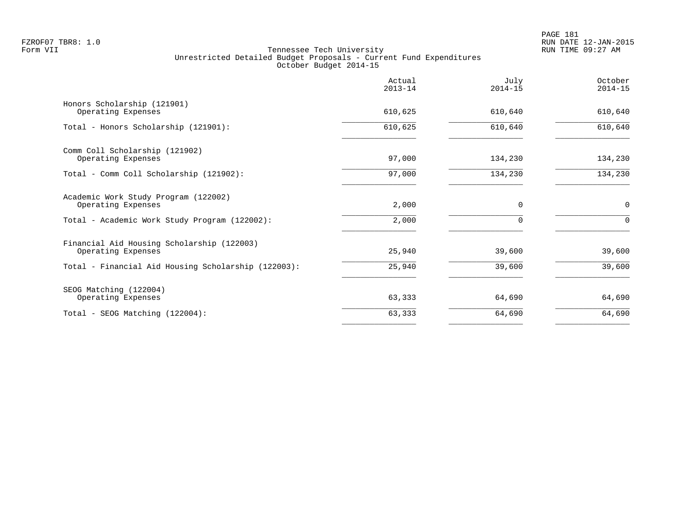|                                                                  | Actual<br>$2013 - 14$ | July<br>$2014 - 15$ | October<br>$2014 - 15$ |
|------------------------------------------------------------------|-----------------------|---------------------|------------------------|
| Honors Scholarship (121901)<br>Operating Expenses                | 610,625               | 610,640             | 610,640                |
| Total - Honors Scholarship (121901):                             | 610,625               | 610,640             | 610,640                |
| Comm Coll Scholarship (121902)<br>Operating Expenses             | 97,000                | 134,230             | 134,230                |
| Total - Comm Coll Scholarship (121902):                          | 97,000                | 134,230             | 134,230                |
| Academic Work Study Program (122002)<br>Operating Expenses       | 2,000                 | $\Omega$            | 0                      |
| Total - Academic Work Study Program (122002):                    | 2,000                 | 0                   | $\Omega$               |
| Financial Aid Housing Scholarship (122003)<br>Operating Expenses | 25,940                | 39,600              | 39,600                 |
| Total - Financial Aid Housing Scholarship (122003):              | 25,940                | 39,600              | 39,600                 |
| SEOG Matching (122004)<br>Operating Expenses                     | 63,333                | 64,690              | 64,690                 |
| Total - SEOG Matching (122004):                                  | 63,333                | 64,690              | 64,690                 |
|                                                                  |                       |                     |                        |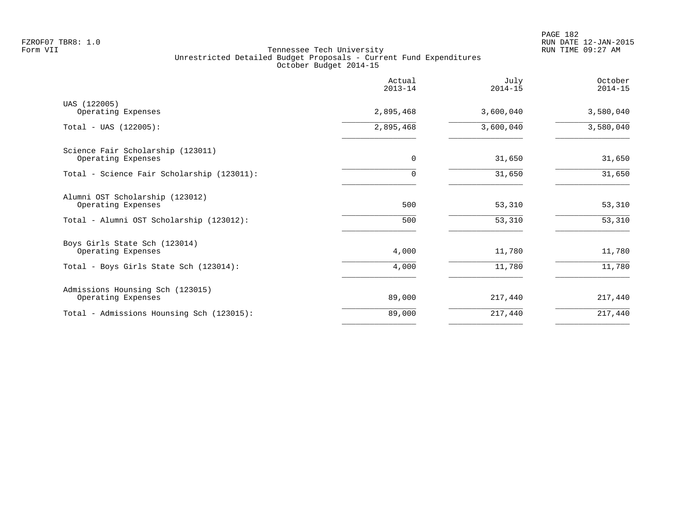|                                                         | Actual<br>$2013 - 14$ | July<br>$2014 - 15$ | October<br>$2014 - 15$ |
|---------------------------------------------------------|-----------------------|---------------------|------------------------|
| UAS (122005)<br>Operating Expenses                      | 2,895,468             | 3,600,040           | 3,580,040              |
| $Total - UAS (122005):$                                 | 2,895,468             | 3,600,040           | 3,580,040              |
| Science Fair Scholarship (123011)<br>Operating Expenses | $\mathbf 0$           | 31,650              | 31,650                 |
| Total - Science Fair Scholarship (123011):              |                       | 31,650              | 31,650                 |
| Alumni OST Scholarship (123012)<br>Operating Expenses   | 500                   | 53,310              | 53,310                 |
| Total - Alumni OST Scholarship (123012):                | 500                   | 53,310              | 53,310                 |
| Boys Girls State Sch (123014)<br>Operating Expenses     | 4,000                 | 11,780              | 11,780                 |
| Total - Boys Girls State Sch (123014):                  | 4,000                 | 11,780              | 11,780                 |
| Admissions Hounsing Sch (123015)<br>Operating Expenses  | 89,000                | 217,440             | 217,440                |
| Total - Admissions Hounsing Sch (123015):               | 89,000                | 217,440             | 217,440                |
|                                                         |                       |                     |                        |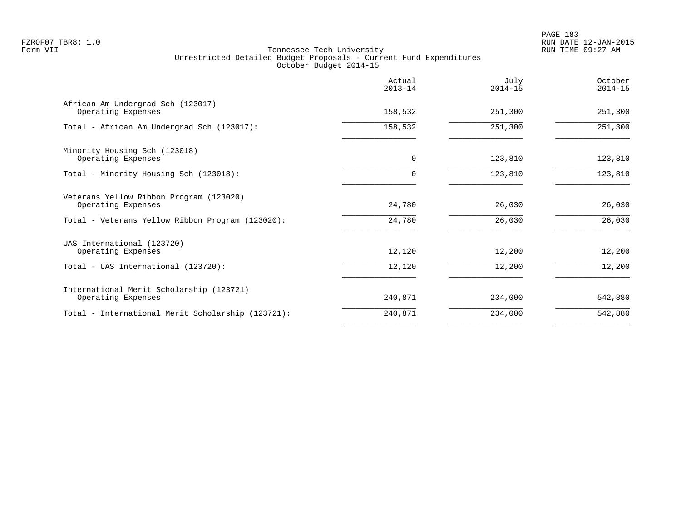|                                                                | Actual<br>$2013 - 14$ | July<br>$2014 - 15$ | October<br>$2014 - 15$ |
|----------------------------------------------------------------|-----------------------|---------------------|------------------------|
| African Am Undergrad Sch (123017)<br>Operating Expenses        | 158,532               | 251,300             | 251,300                |
| Total - African Am Undergrad Sch (123017):                     | 158,532               | 251,300             | 251,300                |
| Minority Housing Sch (123018)<br>Operating Expenses            | $\mathbf 0$           | 123,810             | 123,810                |
| Total - Minority Housing Sch (123018):                         |                       | 123,810             | 123,810                |
| Veterans Yellow Ribbon Program (123020)<br>Operating Expenses  | 24,780                | 26,030              | 26,030                 |
| Total - Veterans Yellow Ribbon Program (123020):               | 24,780                | 26,030              | 26,030                 |
| UAS International (123720)<br>Operating Expenses               | 12,120                | 12,200              | 12,200                 |
| Total - UAS International (123720):                            | 12,120                | 12,200              | 12,200                 |
| International Merit Scholarship (123721)<br>Operating Expenses | 240,871               | 234,000             | 542,880                |
| Total - International Merit Scholarship (123721):              | 240,871               | 234,000             | 542,880                |
|                                                                |                       |                     |                        |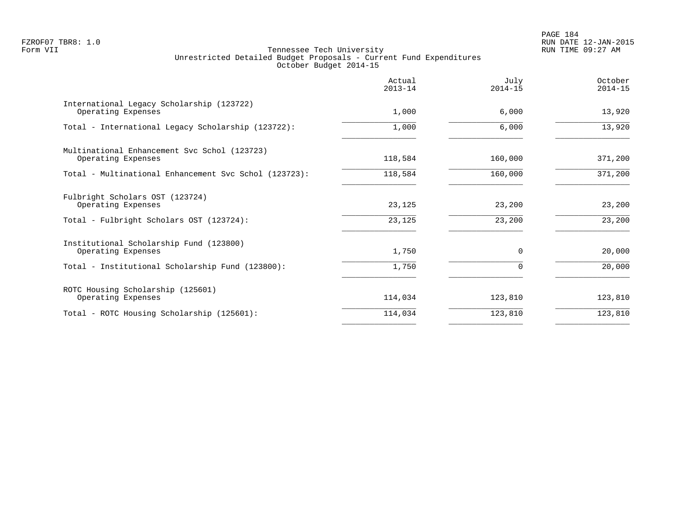PAGE 184 FZROF07 TBR8: 1.0 RUN DATE 12-JAN-2015

|                                                                    | Actual<br>$2013 - 14$ | July<br>$2014 - 15$ | October<br>$2014 - 15$ |
|--------------------------------------------------------------------|-----------------------|---------------------|------------------------|
| International Legacy Scholarship (123722)<br>Operating Expenses    | 1,000                 | 6,000               | 13,920                 |
| Total - International Legacy Scholarship (123722):                 | 1,000                 | 6,000               | 13,920                 |
| Multinational Enhancement Svc Schol (123723)<br>Operating Expenses | 118,584               | 160,000             | 371,200                |
| Total - Multinational Enhancement Svc Schol (123723):              | 118,584               | 160,000             | 371,200                |
| Fulbright Scholars OST (123724)<br>Operating Expenses              | 23,125                | 23,200              | 23,200                 |
| Total - Fulbright Scholars OST (123724):                           | 23,125                | 23,200              | 23,200                 |
| Institutional Scholarship Fund (123800)<br>Operating Expenses      | 1,750                 | $\Omega$            | 20,000                 |
| Total - Institutional Scholarship Fund (123800):                   | 1,750                 | $\Omega$            | 20,000                 |
| ROTC Housing Scholarship (125601)<br>Operating Expenses            | 114,034               | 123,810             | 123,810                |
| Total - ROTC Housing Scholarship (125601):                         | 114,034               | 123,810             | 123,810                |
|                                                                    |                       |                     |                        |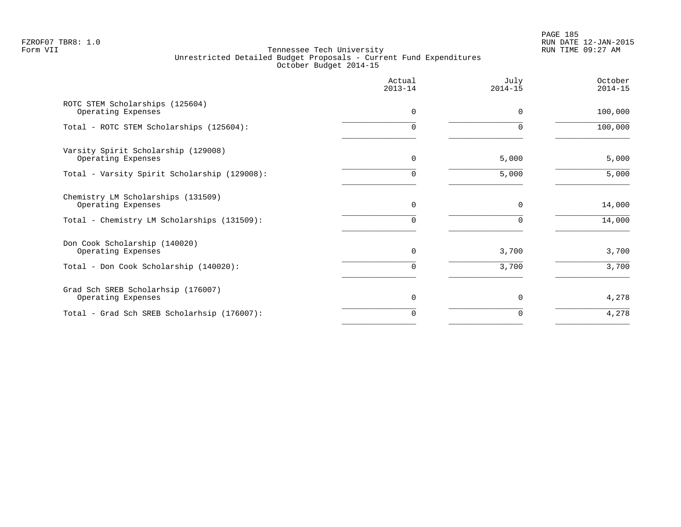PAGE 185 FZROF07 TBR8: 1.0 RUN DATE 12-JAN-2015

|                                                           | Actual<br>$2013 - 14$ | July<br>$2014 - 15$ | October<br>$2014 - 15$ |
|-----------------------------------------------------------|-----------------------|---------------------|------------------------|
| ROTC STEM Scholarships (125604)<br>Operating Expenses     | 0                     | $\Omega$            | 100,000                |
| Total - ROTC STEM Scholarships (125604):                  | 0                     | $\Omega$            | 100,000                |
| Varsity Spirit Scholarship (129008)<br>Operating Expenses | $\Omega$              | 5,000               | 5,000                  |
| Total - Varsity Spirit Scholarship (129008):              | 0                     | 5,000               | 5,000                  |
| Chemistry LM Scholarships (131509)<br>Operating Expenses  | $\Omega$              | $\Omega$            | 14,000                 |
| Total - Chemistry LM Scholarships (131509):               | 0                     | 0                   | 14,000                 |
| Don Cook Scholarship (140020)<br>Operating Expenses       | 0                     | 3,700               | 3,700                  |
| Total - Don Cook Scholarship (140020):                    | 0                     | 3,700               | 3,700                  |
| Grad Sch SREB Scholarhsip (176007)<br>Operating Expenses  | $\Omega$              | $\Omega$            | 4,278                  |
| Total - Grad Sch SREB Scholarhsip (176007):               | 0                     | $\Omega$            | 4,278                  |
|                                                           |                       |                     |                        |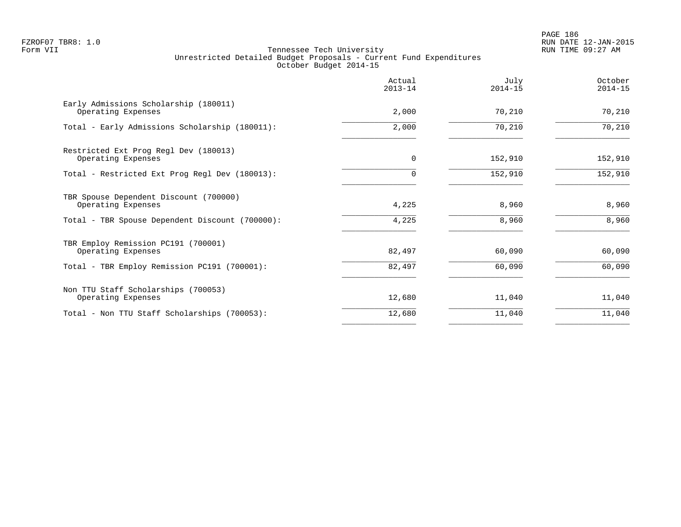PAGE 186 FZROF07 TBR8: 1.0 RUN DATE 12-JAN-2015

|                                                              | Actual<br>$2013 - 14$ | July<br>$2014 - 15$ | October<br>$2014 - 15$ |
|--------------------------------------------------------------|-----------------------|---------------------|------------------------|
| Early Admissions Scholarship (180011)<br>Operating Expenses  | 2,000                 | 70,210              | 70,210                 |
| Total - Early Admissions Scholarship (180011):               | 2,000                 | 70,210              | 70,210                 |
| Restricted Ext Prog Regl Dev (180013)<br>Operating Expenses  | $\mathbf 0$           | 152,910             | 152,910                |
| Total - Restricted Ext Prog Regl Dev (180013):               | $\Omega$              | 152,910             | 152,910                |
| TBR Spouse Dependent Discount (700000)<br>Operating Expenses | 4,225                 | 8,960               | 8,960                  |
| Total - TBR Spouse Dependent Discount (700000):              | 4,225                 | 8,960               | 8,960                  |
| TBR Employ Remission PC191 (700001)<br>Operating Expenses    | 82,497                | 60,090              | 60,090                 |
| Total - TBR Employ Remission PC191 (700001):                 | 82,497                | 60,090              | 60,090                 |
| Non TTU Staff Scholarships (700053)<br>Operating Expenses    | 12,680                | 11,040              | 11,040                 |
| Total - Non TTU Staff Scholarships (700053):                 | 12,680                | 11,040              | 11,040                 |
|                                                              |                       |                     |                        |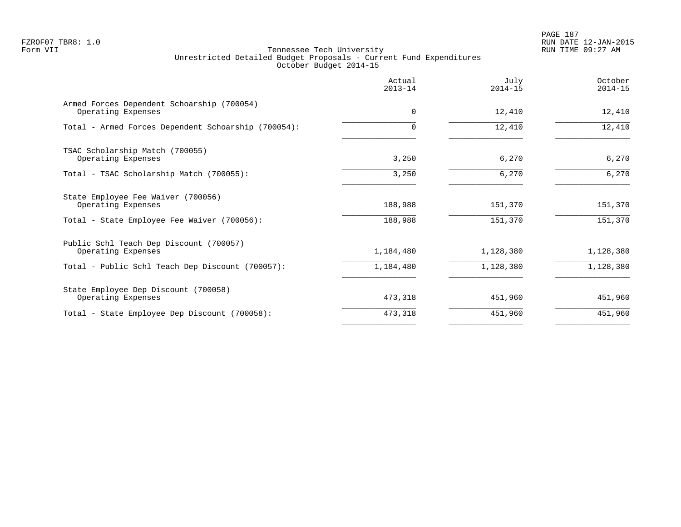PAGE 187 FZROF07 TBR8: 1.0 RUN DATE 12-JAN-2015

|                                                                  | Actual<br>$2013 - 14$ | July<br>$2014 - 15$ | October<br>$2014 - 15$ |
|------------------------------------------------------------------|-----------------------|---------------------|------------------------|
| Armed Forces Dependent Schoarship (700054)<br>Operating Expenses | $\Omega$              | 12,410              | 12,410                 |
| Total - Armed Forces Dependent Schoarship (700054):              | $\Omega$              | 12,410              | 12,410                 |
| TSAC Scholarship Match (700055)<br>Operating Expenses            | 3,250                 | 6,270               | 6,270                  |
| Total - TSAC Scholarship Match (700055):                         | 3,250                 | 6,270               | 6,270                  |
| State Employee Fee Waiver (700056)<br>Operating Expenses         | 188,988               | 151,370             | 151,370                |
| Total - State Employee Fee Waiver (700056):                      | 188,988               | 151,370             | 151,370                |
| Public Schl Teach Dep Discount (700057)<br>Operating Expenses    | 1,184,480             | 1,128,380           | 1,128,380              |
| Total - Public Schl Teach Dep Discount (700057):                 | 1,184,480             | 1,128,380           | 1,128,380              |
| State Employee Dep Discount (700058)<br>Operating Expenses       | 473,318               | 451,960             | 451,960                |
| Total - State Employee Dep Discount (700058):                    | 473,318               | 451,960             | 451,960                |
|                                                                  |                       |                     |                        |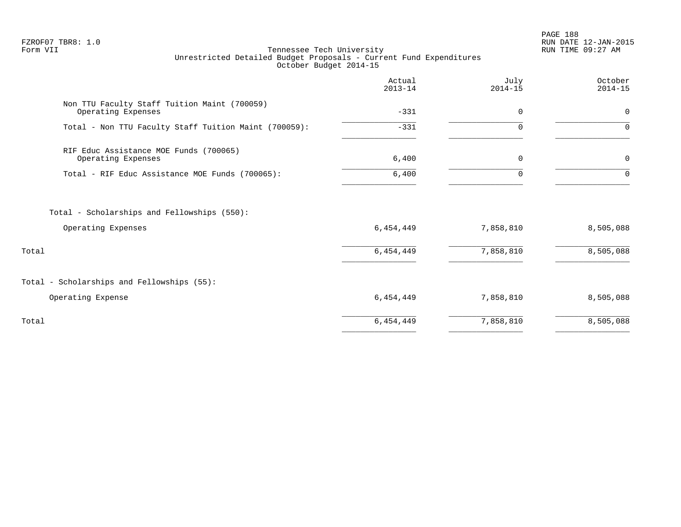PAGE 188 FZROF07 TBR8: 1.0 RUN DATE 12-JAN-2015

|                                                                    | Actual<br>$2013 - 14$ | July<br>$2014 - 15$ | October<br>$2014 - 15$ |
|--------------------------------------------------------------------|-----------------------|---------------------|------------------------|
| Non TTU Faculty Staff Tuition Maint (700059)<br>Operating Expenses | $-331$                | $\mathbf 0$         | $\mathbf 0$            |
| Total - Non TTU Faculty Staff Tuition Maint (700059):              | $-331$                | 0                   | $\Omega$               |
| RIF Educ Assistance MOE Funds (700065)<br>Operating Expenses       | 6,400                 | 0                   | 0                      |
| Total - RIF Educ Assistance MOE Funds (700065):                    | 6,400                 | $\Omega$            | $\Omega$               |
| Total - Scholarships and Fellowships (550):<br>Operating Expenses  | 6,454,449             | 7,858,810           | 8,505,088              |
| Total                                                              | 6,454,449             | 7,858,810           | 8,505,088              |
| Total - Scholarships and Fellowships (55):                         |                       |                     |                        |
| Operating Expense                                                  | 6,454,449             | 7,858,810           | 8,505,088              |
| Total                                                              | 6,454,449             | 7,858,810           | 8,505,088              |
|                                                                    |                       |                     |                        |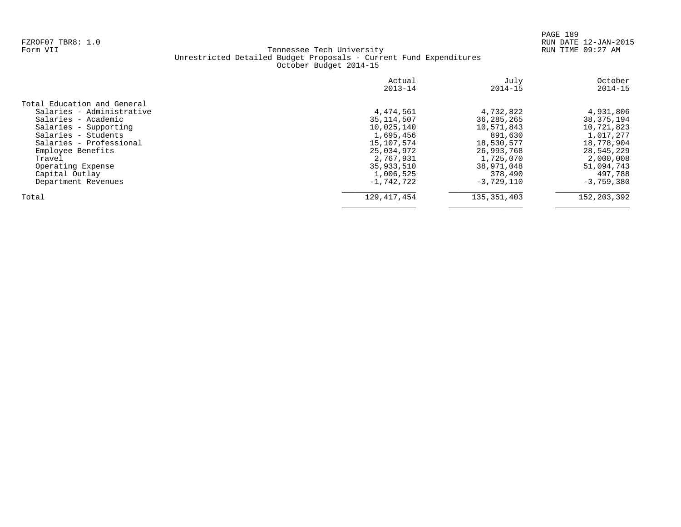|                             | Actual<br>$2013 - 14$ | July<br>$2014 - 15$ | October<br>$2014 - 15$ |
|-----------------------------|-----------------------|---------------------|------------------------|
| Total Education and General |                       |                     |                        |
| Salaries - Administrative   | 4,474,561             | 4,732,822           | 4,931,806              |
| Salaries - Academic         | 35, 114, 507          | 36, 285, 265        | 38, 375, 194           |
| Salaries - Supporting       | 10,025,140            | 10,571,843          | 10,721,823             |
| Salaries - Students         | 1,695,456             | 891,630             | 1,017,277              |
| Salaries - Professional     | 15,107,574            | 18,530,577          | 18,778,904             |
| Employee Benefits           | 25,034,972            | 26,993,768          | 28,545,229             |
| Travel                      | 2,767,931             | 1,725,070           | 2,000,008              |
| Operating Expense           | 35,933,510            | 38,971,048          | 51,094,743             |
| Capital Outlay              | 1,006,525             | 378,490             | 497,788                |
| Department Revenues         | $-1,742,722$          | $-3,729,110$        | $-3,759,380$           |
| Total                       | 129, 417, 454         | 135, 351, 403       | 152, 203, 392          |
|                             |                       |                     |                        |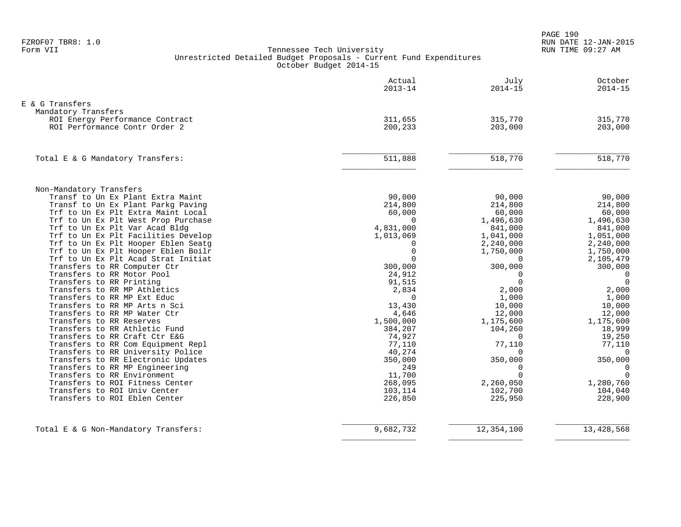PAGE 190 FZROF07 TBR8: 1.0 RUN DATE 12-JAN-2015

|                                                        | Actual<br>$2013 - 14$ | July<br>$2014 - 15$  | October<br>$2014 - 15$     |
|--------------------------------------------------------|-----------------------|----------------------|----------------------------|
| E & G Transfers                                        |                       |                      |                            |
| Mandatory Transfers                                    |                       |                      |                            |
| ROI Energy Performance Contract                        | 311,655               | 315,770              | 315,770                    |
| ROI Performance Contr Order 2                          | 200,233               | 203,000              | 203,000                    |
| Total E & G Mandatory Transfers:                       | 511,888               | 518,770              | 518,770                    |
|                                                        |                       |                      |                            |
| Non-Mandatory Transfers                                |                       |                      |                            |
| Transf to Un Ex Plant Extra Maint                      | 90,000                | 90,000               | 90,000                     |
| Transf to Un Ex Plant Parkg Paving                     | 214,800               | 214,800              | 214,800                    |
| Trf to Un Ex Plt Extra Maint Local                     | 60,000                | 60,000               | 60,000                     |
| Trf to Un Ex Plt West Prop Purchase                    | $\Omega$              | 1,496,630            | 1,496,630                  |
| Trf to Un Ex Plt Var Acad Bldg                         | 4,831,000             | 841,000              | 841,000                    |
| Trf to Un Ex Plt Facilities Develop                    | 1,013,069             | 1,041,000            | 1,051,000                  |
| Trf to Un Ex Plt Hooper Eblen Seatq                    | $\Omega$              | 2,240,000            | 2,240,000                  |
| Trf to Un Ex Plt Hooper Eblen Boilr                    | $\mathbf 0$           | 1,750,000            | 1,750,000                  |
| Trf to Un Ex Plt Acad Strat Initiat                    | $\Omega$              | $\Omega$             | 2,105,479                  |
| Transfers to RR Computer Ctr                           | 300,000               | 300,000              | 300,000                    |
| Transfers to RR Motor Pool<br>Transfers to RR Printing | 24,912                | $\Omega$<br>$\Omega$ | $\overline{0}$<br>$\Omega$ |
| Transfers to RR MP Athletics                           | 91,515<br>2,834       | 2,000                | 2,000                      |
| Transfers to RR MP Ext Educ                            | $\Omega$              | 1,000                | 1,000                      |
| Transfers to RR MP Arts n Sci                          | 13,430                | 10,000               | 10,000                     |
| Transfers to RR MP Water Ctr                           | 4,646                 | 12,000               | 12,000                     |
| Transfers to RR Reserves                               | 1,500,000             | 1,175,600            | 1,175,600                  |
| Transfers to RR Athletic Fund                          | 384,207               | 104,260              | 18,999                     |
| Transfers to RR Craft Ctr E&G                          | 74,927                | $\Omega$             | 19,250                     |
| Transfers to RR Com Equipment Repl                     | 77,110                | 77,110               | 77,110                     |
| Transfers to RR University Police                      | 40,274                | $\Omega$             | $\overline{0}$             |
| Transfers to RR Electronic Updates                     | 350,000               | 350,000              | 350,000                    |
| Transfers to RR MP Engineering                         | 249                   | $\Omega$             | $\Omega$                   |
| Transfers to RR Environment                            | 11,700                | $\Omega$             | $\Omega$                   |
| Transfers to ROI Fitness Center                        | 268,095               | 2,260,050            | 1,280,760                  |
| Transfers to ROI Univ Center                           | 103,114               | 102,700              | 104,040                    |
| Transfers to ROI Eblen Center                          | 226,850               | 225,950              | 228,900                    |
| Total E & G Non-Mandatory Transfers:                   | 9,682,732             | 12,354,100           | 13, 428, 568               |
|                                                        |                       |                      |                            |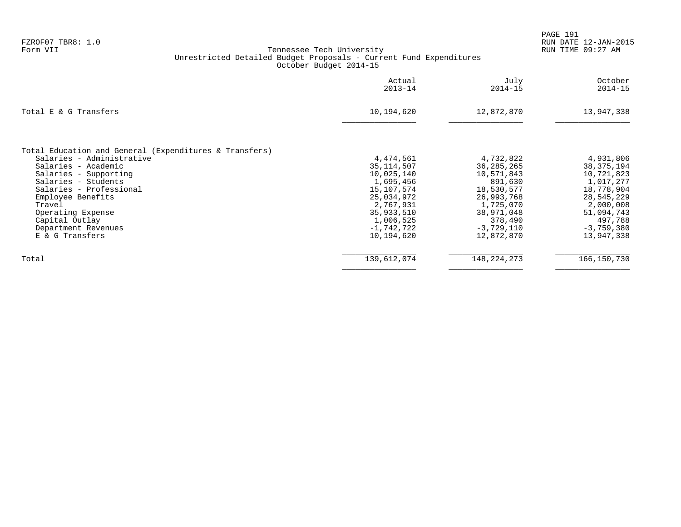|                                                                                                                                                                                                                                                                                                       | Actual<br>$2013 - 14$                                                                                                                                | July<br>$2014 - 15$                                                                                                                                | October<br>$2014 - 15$                                                                                                                               |
|-------------------------------------------------------------------------------------------------------------------------------------------------------------------------------------------------------------------------------------------------------------------------------------------------------|------------------------------------------------------------------------------------------------------------------------------------------------------|----------------------------------------------------------------------------------------------------------------------------------------------------|------------------------------------------------------------------------------------------------------------------------------------------------------|
| Total E & G Transfers                                                                                                                                                                                                                                                                                 | 10,194,620                                                                                                                                           | 12,872,870                                                                                                                                         | 13,947,338                                                                                                                                           |
| Total Education and General (Expenditures & Transfers)<br>Salaries - Administrative<br>Salaries - Academic<br>Salaries - Supporting<br>Salaries - Students<br>Salaries - Professional<br>Employee Benefits<br>Travel<br>Operating Expense<br>Capital Outlay<br>Department Revenues<br>E & G Transfers | 4,474,561<br>35, 114, 507<br>10,025,140<br>1,695,456<br>15,107,574<br>25,034,972<br>2,767,931<br>35,933,510<br>1,006,525<br>-1,742,722<br>10,194,620 | 4,732,822<br>36, 285, 265<br>10,571,843<br>891,630<br>18,530,577<br>26,993,768<br>1,725,070<br>38,971,048<br>378,490<br>$-3,729,110$<br>12,872,870 | 4,931,806<br>38, 375, 194<br>10,721,823<br>1,017,277<br>18,778,904<br>28,545,229<br>2,000,008<br>51,094,743<br>497,788<br>$-3,759,380$<br>13,947,338 |
| Total                                                                                                                                                                                                                                                                                                 | 139,612,074                                                                                                                                          | 148, 224, 273                                                                                                                                      | 166, 150, 730                                                                                                                                        |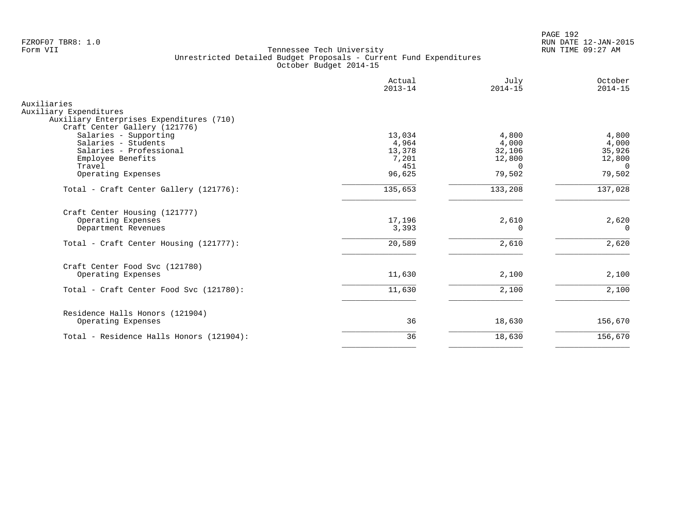PAGE 192 FZROF07 TBR8: 1.0 RUN DATE 12-JAN-2015

|                                                                    | Actual<br>$2013 - 14$ | July<br>$2014 - 15$ | October<br>$2014 - 15$ |
|--------------------------------------------------------------------|-----------------------|---------------------|------------------------|
| Auxiliaries                                                        |                       |                     |                        |
| Auxiliary Expenditures<br>Auxiliary Enterprises Expenditures (710) |                       |                     |                        |
| Craft Center Gallery (121776)                                      |                       |                     |                        |
| Salaries - Supporting                                              | 13,034                | 4,800               | 4,800                  |
| Salaries - Students                                                | 4,964                 | 4,000               | 4,000                  |
| Salaries - Professional                                            | 13,378                | 32,106              | 35,926                 |
| Employee Benefits                                                  | 7,201                 | 12,800              | 12,800                 |
| Travel                                                             | 451                   | $\Omega$            | $\Omega$               |
| Operating Expenses                                                 | 96,625                | 79,502              | 79,502                 |
| Total - Craft Center Gallery (121776):                             | 135,653               | 133,208             | 137,028                |
| Craft Center Housing (121777)                                      |                       |                     |                        |
| Operating Expenses                                                 | 17,196                | 2,610               | 2,620                  |
| Department Revenues                                                | 3,393                 | 0                   | $\Omega$               |
| Total - Craft Center Housing (121777):                             | 20,589                | 2,610               | 2,620                  |
| Craft Center Food Svc (121780)                                     |                       |                     |                        |
| Operating Expenses                                                 | 11,630                | 2,100               | 2,100                  |
| Total - Craft Center Food Svc (121780):                            | 11,630                | 2,100               | 2,100                  |
| Residence Halls Honors (121904)                                    |                       |                     |                        |
| Operating Expenses                                                 | 36                    | 18,630              | 156,670                |
| Total - Residence Halls Honors (121904):                           | 36                    | 18,630              | 156,670                |
|                                                                    |                       |                     |                        |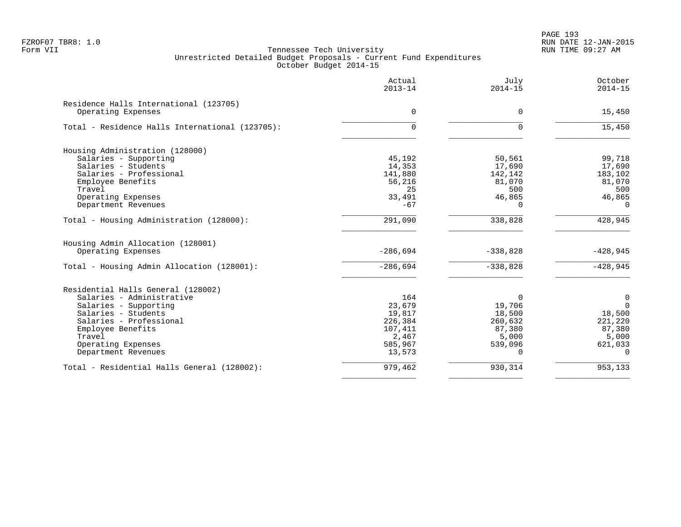PAGE 193 FZROF07 TBR8: 1.0 RUN DATE 12-JAN-2015

|                                                 | Actual<br>$2013 - 14$ | July<br>$2014 - 15$ | October<br>$2014 - 15$ |
|-------------------------------------------------|-----------------------|---------------------|------------------------|
| Residence Halls International (123705)          |                       |                     |                        |
| Operating Expenses                              | $\Omega$              | $\Omega$            | 15,450                 |
| Total - Residence Halls International (123705): | 0                     | $\Omega$            | 15,450                 |
| Housing Administration (128000)                 |                       |                     |                        |
| Salaries - Supporting                           | 45,192                | 50,561              | 99,718                 |
| Salaries - Students                             | 14,353                | 17,690              | 17,690                 |
| Salaries - Professional                         | 141,880               | 142,142             | 183,102                |
| Employee Benefits                               | 56,216                | 81,070              | 81,070                 |
| Travel                                          | 25                    | 500                 | 500                    |
| Operating Expenses                              | 33,491                | 46,865              | 46,865                 |
| Department Revenues                             | $-67$                 | $\Omega$            | $\Omega$               |
| Total - Housing Administration (128000):        | 291,090               | 338,828             | 428,945                |
| Housing Admin Allocation (128001)               |                       |                     |                        |
| Operating Expenses                              | $-286,694$            | $-338,828$          | $-428,945$             |
| Total - Housing Admin Allocation (128001):      | $-286,694$            | $-338,828$          | $-428,945$             |
| Residential Halls General (128002)              |                       |                     |                        |
| Salaries - Administrative                       | 164                   | $\Omega$            | $\mathbf 0$            |
| Salaries - Supporting                           | 23,679                | 19,706              | $\Omega$               |
| Salaries - Students                             | 19,817                | 18,500              | 18,500                 |
| Salaries - Professional                         | 226,384               | 260,632             | 221,220                |
| Employee Benefits                               | 107,411               | 87,380              | 87,380                 |
| Travel                                          | 2,467                 | 5,000               | 5,000                  |
| Operating Expenses                              | 585,967               | 539,096             | 621,033                |
| Department Revenues                             | 13,573                | $\Omega$            | $\Omega$               |
| Total - Residential Halls General (128002):     | 979,462               | 930,314             | 953,133                |
|                                                 |                       |                     |                        |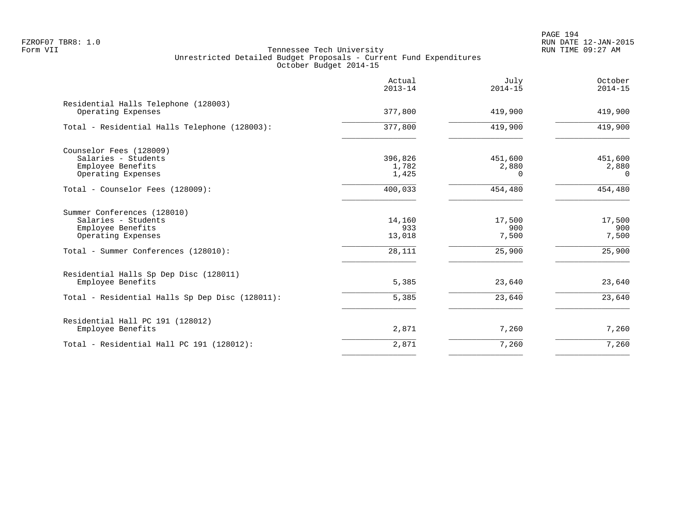PAGE 194 FZROF07 TBR8: 1.0 RUN DATE 12-JAN-2015

|                                                                                               | Actual<br>$2013 - 14$     | July<br>$2014 - 15$          | October<br>$2014 - 15$       |
|-----------------------------------------------------------------------------------------------|---------------------------|------------------------------|------------------------------|
| Residential Halls Telephone (128003)<br>Operating Expenses                                    | 377,800                   | 419,900                      | 419,900                      |
| Total - Residential Halls Telephone (128003):                                                 | 377,800                   | 419,900                      | 419,900                      |
| Counselor Fees (128009)<br>Salaries - Students<br>Employee Benefits<br>Operating Expenses     | 396,826<br>1,782<br>1,425 | 451,600<br>2,880<br>$\Omega$ | 451,600<br>2,880<br>$\Omega$ |
| Total - Counselor Fees (128009):                                                              | 400,033                   | 454,480                      | 454,480                      |
| Summer Conferences (128010)<br>Salaries - Students<br>Employee Benefits<br>Operating Expenses | 14,160<br>933<br>13,018   | 17,500<br>900<br>7,500       | 17,500<br>900<br>7,500       |
| Total - Summer Conferences (128010):                                                          | 28,111                    | 25,900                       | 25,900                       |
| Residential Halls Sp Dep Disc (128011)<br>Employee Benefits                                   | 5,385                     | 23,640                       | 23,640                       |
| Total - Residential Halls Sp Dep Disc (128011):                                               | 5,385                     | 23,640                       | 23,640                       |
| Residential Hall PC 191 (128012)<br>Employee Benefits                                         | 2,871                     | 7,260                        | 7,260                        |
| Total - Residential Hall PC 191 (128012):                                                     | 2,871                     | 7,260                        | 7,260                        |
|                                                                                               |                           |                              |                              |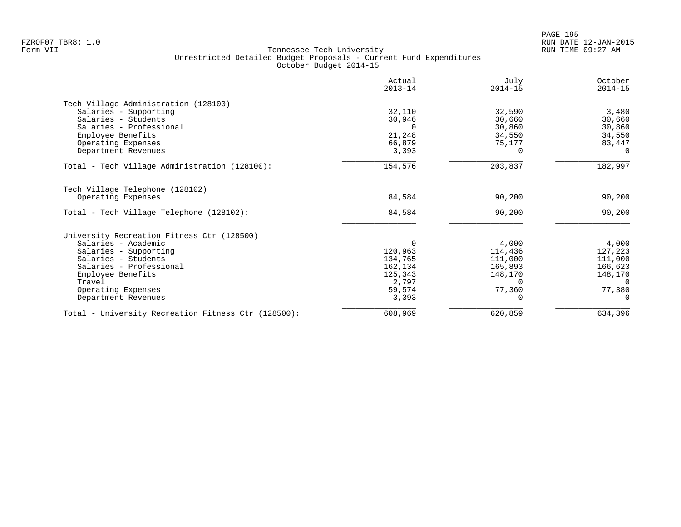|                                                     | Actual<br>$2013 - 14$ | July<br>$2014 - 15$ | October<br>$2014 - 15$ |
|-----------------------------------------------------|-----------------------|---------------------|------------------------|
| Tech Village Administration (128100)                |                       |                     |                        |
| Salaries - Supporting                               | 32,110                | 32,590              | 3,480                  |
| Salaries - Students                                 | 30,946                | 30,660              | 30,660                 |
| Salaries - Professional                             | $\Omega$              | 30,860              | 30,860                 |
| Employee Benefits                                   | 21,248                | 34,550              | 34,550                 |
| Operating Expenses                                  | 66,879                | 75,177              | 83,447                 |
| Department Revenues                                 | 3,393                 |                     |                        |
| Total - Tech Village Administration (128100):       | 154,576               | 203,837             | 182,997                |
| Tech Village Telephone (128102)                     |                       |                     |                        |
| Operating Expenses                                  | 84,584                | 90,200              | 90,200                 |
|                                                     |                       |                     |                        |
| Total - Tech Village Telephone (128102):            | 84,584                | 90,200              | 90,200                 |
| University Recreation Fitness Ctr (128500)          |                       |                     |                        |
| Salaries - Academic                                 | $\Omega$              | 4,000               | 4,000                  |
| Salaries - Supporting                               | 120,963               | 114,436             | 127,223                |
| Salaries - Students                                 | 134,765               | 111,000             | 111,000                |
| Salaries - Professional                             | 162,134               | 165,893             | 166,623                |
| Employee Benefits                                   | 125,343               | 148,170             | 148,170                |
| Travel                                              | 2,797                 | <sup>n</sup>        | $\Omega$               |
| Operating Expenses                                  | 59,574                | 77,360              | 77,380                 |
| Department Revenues                                 | 3,393                 |                     | $\Omega$               |
| Total - University Recreation Fitness Ctr (128500): | 608,969               | 620,859             | 634,396                |
|                                                     |                       |                     |                        |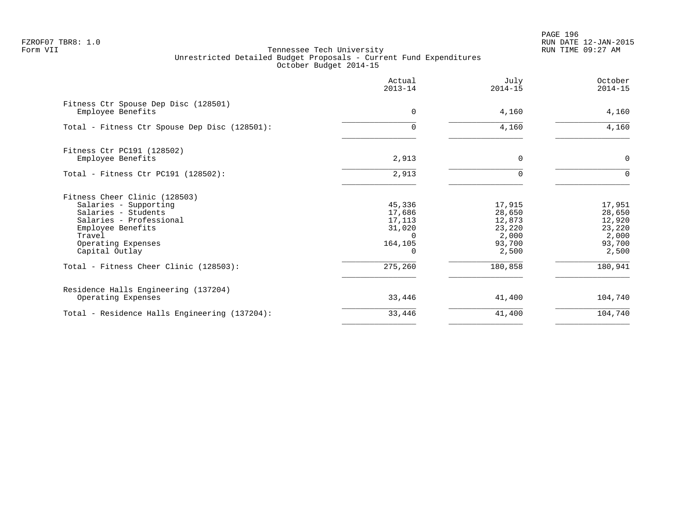PAGE 196 FZROF07 TBR8: 1.0 RUN DATE 12-JAN-2015

|                                                                                                                                                                                 | Actual<br>$2013 - 14$                                     | July<br>$2014 - 15$                                              | October<br>$2014 - 15$                                           |
|---------------------------------------------------------------------------------------------------------------------------------------------------------------------------------|-----------------------------------------------------------|------------------------------------------------------------------|------------------------------------------------------------------|
| Fitness Ctr Spouse Dep Disc (128501)<br>Employee Benefits                                                                                                                       | $\Omega$                                                  | 4,160                                                            | 4,160                                                            |
| Total - Fitness Ctr Spouse Dep Disc (128501):                                                                                                                                   | $\Omega$                                                  | 4,160                                                            | 4,160                                                            |
| Fitness Ctr PC191 (128502)<br>Employee Benefits                                                                                                                                 | 2,913                                                     | $\Omega$                                                         | $\mathbf 0$                                                      |
| Total - Fitness Ctr PC191 (128502):                                                                                                                                             | 2,913                                                     |                                                                  | $\Omega$                                                         |
| Fitness Cheer Clinic (128503)<br>Salaries - Supporting<br>Salaries - Students<br>Salaries - Professional<br>Employee Benefits<br>Travel<br>Operating Expenses<br>Capital Outlay | 45,336<br>17,686<br>17,113<br>31,020<br>$\cap$<br>164,105 | 17,915<br>28,650<br>12,873<br>23,220<br>2,000<br>93,700<br>2,500 | 17,951<br>28,650<br>12,920<br>23,220<br>2,000<br>93,700<br>2,500 |
| Total - Fitness Cheer Clinic (128503):                                                                                                                                          | 275,260                                                   | 180,858                                                          | 180,941                                                          |
| Residence Halls Engineering (137204)<br>Operating Expenses                                                                                                                      | 33,446                                                    | 41,400                                                           | 104,740                                                          |
| Total - Residence Halls Engineering (137204):                                                                                                                                   | 33,446                                                    | 41,400                                                           | 104,740                                                          |
|                                                                                                                                                                                 |                                                           |                                                                  |                                                                  |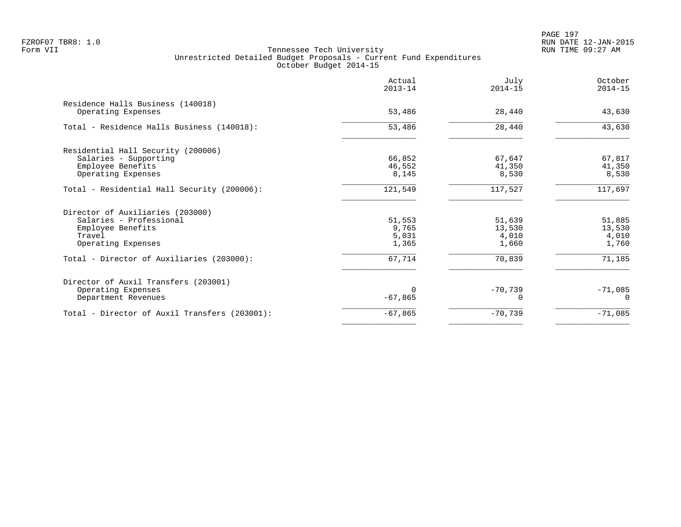|                                                         | Actual<br>$2013 - 14$ | July<br>$2014 - 15$ | October<br>$2014 - 15$ |
|---------------------------------------------------------|-----------------------|---------------------|------------------------|
| Residence Halls Business (140018)<br>Operating Expenses | 53,486                | 28,440              | 43,630                 |
| Total - Residence Halls Business (140018):              | 53,486                | 28,440              | 43,630                 |
| Residential Hall Security (200006)                      |                       |                     |                        |
| Salaries - Supporting                                   | 66,852                | 67,647              | 67,817                 |
| Employee Benefits                                       | 46,552                | 41,350              | 41,350                 |
| Operating Expenses                                      | 8,145                 | 8,530               | 8,530                  |
| Total - Residential Hall Security (200006):             | 121,549               | 117,527             | 117,697                |
| Director of Auxiliaries (203000)                        |                       |                     |                        |
| Salaries - Professional                                 | 51,553                | 51,639              | 51,885                 |
| Employee Benefits                                       | 9,765                 | 13,530              | 13,530                 |
| Travel                                                  | 5,031                 | 4,010               | 4,010                  |
| Operating Expenses                                      | 1,365                 | 1,660               | 1,760                  |
| Total - Director of Auxiliaries (203000):               | 67,714                | 70,839              | 71,185                 |
| Director of Auxil Transfers (203001)                    |                       |                     |                        |
| Operating Expenses                                      |                       | $-70,739$           | $-71,085$              |
| Department Revenues                                     | $-67,865$             |                     | $\Omega$               |
| Total - Director of Auxil Transfers (203001):           | $-67,865$             | $-70,739$           | $-71,085$              |
|                                                         |                       |                     |                        |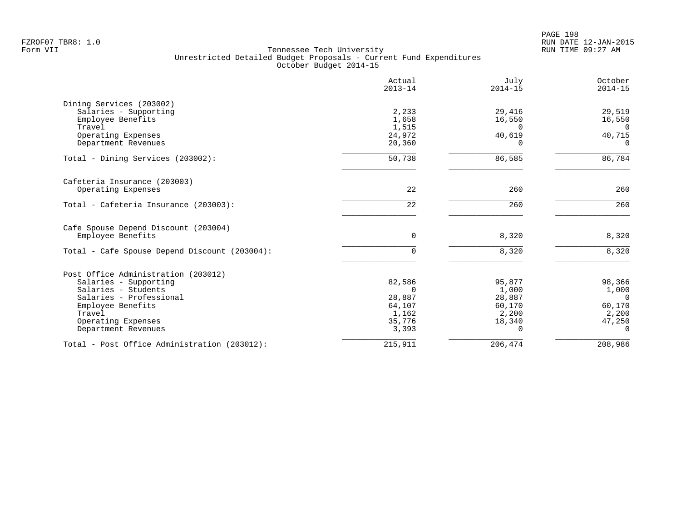PAGE 198 FZROF07 TBR8: 1.0 RUN DATE 12-JAN-2015

|                                               | Actual<br>$2013 - 14$ | July<br>$2014 - 15$ | October<br>$2014 - 15$ |
|-----------------------------------------------|-----------------------|---------------------|------------------------|
| Dining Services (203002)                      |                       |                     |                        |
| Salaries - Supporting                         | 2,233                 | 29,416              | 29,519                 |
| Employee Benefits                             | 1,658                 | 16,550              | 16,550                 |
| Travel                                        | 1,515                 | $\Omega$            | $\Omega$               |
| Operating Expenses<br>Department Revenues     | 24,972<br>20,360      | 40,619<br>$\Omega$  | 40,715<br>$\Omega$     |
|                                               |                       |                     |                        |
| Total - Dining Services (203002):             | 50,738                | 86,585              | 86,784                 |
| Cafeteria Insurance (203003)                  |                       |                     |                        |
| Operating Expenses                            | 22                    | 260                 | 260                    |
| Total - Cafeteria Insurance (203003):         | 22                    | 260                 | 260                    |
| Cafe Spouse Depend Discount (203004)          |                       |                     |                        |
| Employee Benefits                             | $\overline{0}$        | 8,320               | 8,320                  |
| Total - Cafe Spouse Depend Discount (203004): | $\Omega$              | 8,320               | 8,320                  |
| Post Office Administration (203012)           |                       |                     |                        |
| Salaries - Supporting                         | 82,586                | 95,877              | 98,366                 |
| Salaries - Students                           | $\cap$                | 1,000               | 1,000                  |
| Salaries - Professional                       | 28,887                | 28,887              | $\Omega$               |
| Employee Benefits                             | 64,107                | 60,170              | 60,170                 |
| Travel                                        | 1,162                 | 2,200               | 2,200                  |
| Operating Expenses                            | 35,776                | 18,340              | 47,250                 |
| Department Revenues                           | 3,393                 | 0                   | $\Omega$               |
| Total - Post Office Administration (203012):  | 215,911               | 206,474             | 208,986                |
|                                               |                       |                     |                        |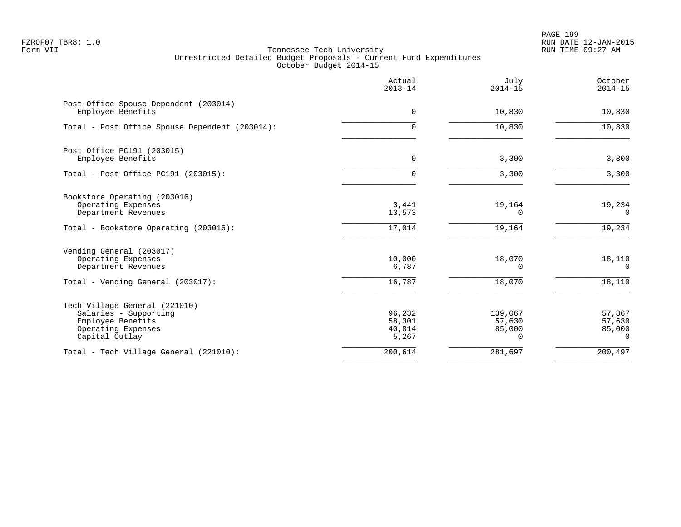PAGE 199 FZROF07 TBR8: 1.0 RUN DATE 12-JAN-2015

|                                                                                                                     | Actual<br>$2013 - 14$               | July<br>$2014 - 15$              | October<br>$2014 - 15$                    |
|---------------------------------------------------------------------------------------------------------------------|-------------------------------------|----------------------------------|-------------------------------------------|
| Post Office Spouse Dependent (203014)<br>Employee Benefits                                                          | $\Omega$                            | 10,830                           | 10,830                                    |
| Total - Post Office Spouse Dependent (203014):                                                                      | $\Omega$                            | 10,830                           | 10,830                                    |
| Post Office PC191 (203015)<br>Employee Benefits                                                                     | $\mathbf 0$                         | 3,300                            | 3,300                                     |
| Total - Post Office PC191 (203015):                                                                                 | $\Omega$                            | 3,300                            | 3,300                                     |
| Bookstore Operating (203016)<br>Operating Expenses<br>Department Revenues                                           | 3,441<br>13,573                     | 19,164<br>0                      | 19,234<br>0                               |
| Total - Bookstore Operating (203016):                                                                               | 17,014                              | 19,164                           | 19,234                                    |
| Vending General (203017)<br>Operating Expenses<br>Department Revenues                                               | 10,000<br>6,787                     | 18,070<br>0                      | 18,110<br>$\overline{0}$                  |
| Total - Vending General (203017):                                                                                   | 16,787                              | 18,070                           | 18,110                                    |
| Tech Village General (221010)<br>Salaries - Supporting<br>Employee Benefits<br>Operating Expenses<br>Capital Outlay | 96,232<br>58,301<br>40,814<br>5,267 | 139,067<br>57,630<br>85,000<br>0 | 57,867<br>57,630<br>85,000<br>$\mathbf 0$ |
| Total - Tech Village General (221010):                                                                              | 200,614                             | 281,697                          | 200,497                                   |
|                                                                                                                     |                                     |                                  |                                           |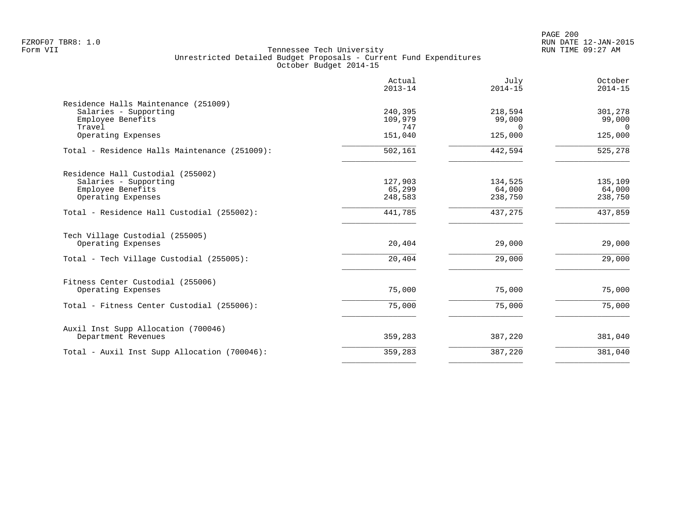PAGE 200 FZROF07 TBR8: 1.0 RUN DATE 12-JAN-2015

|                                               | Actual<br>$2013 - 14$ | July<br>$2014 - 15$ | October<br>$2014 - 15$ |
|-----------------------------------------------|-----------------------|---------------------|------------------------|
| Residence Halls Maintenance (251009)          |                       |                     |                        |
| Salaries - Supporting                         | 240,395               | 218,594             | 301,278                |
| Employee Benefits                             | 109,979               | 99,000              | 99,000                 |
| Travel                                        | 747                   | $\Omega$            | $\Omega$               |
| Operating Expenses                            | 151,040               | 125,000             | 125,000                |
| Total - Residence Halls Maintenance (251009): | 502,161               | 442,594             | 525,278                |
| Residence Hall Custodial (255002)             |                       |                     |                        |
| Salaries - Supporting                         | 127,903               | 134,525             | 135,109                |
| Employee Benefits                             | 65,299                | 64,000              | 64,000                 |
| Operating Expenses                            | 248,583               | 238,750             | 238,750                |
| Total - Residence Hall Custodial (255002):    | 441,785               | 437,275             | 437,859                |
| Tech Village Custodial (255005)               |                       |                     |                        |
| Operating Expenses                            | 20,404                | 29,000              | 29,000                 |
| Total - Tech Village Custodial (255005):      | 20,404                | 29,000              | 29,000                 |
| Fitness Center Custodial (255006)             |                       |                     |                        |
| Operating Expenses                            | 75,000                | 75,000              | 75,000                 |
| Total - Fitness Center Custodial (255006):    | 75,000                | 75,000              | 75,000                 |
| Auxil Inst Supp Allocation (700046)           |                       |                     |                        |
| Department Revenues                           | 359,283               | 387,220             | 381,040                |
| Total - Auxil Inst Supp Allocation (700046):  | 359,283               | 387,220             | 381,040                |
|                                               |                       |                     |                        |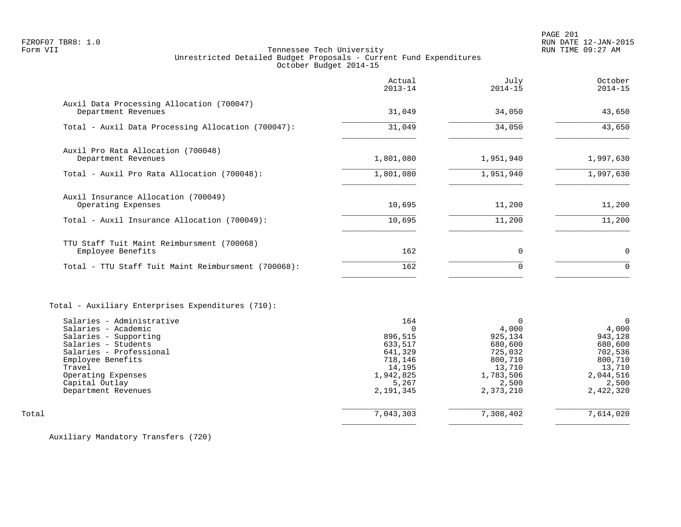| Actual<br>$2013 - 14$                                       | July<br>$2014 - 15$                                           | October<br>$2014 - 15$                                        |
|-------------------------------------------------------------|---------------------------------------------------------------|---------------------------------------------------------------|
| 31,049                                                      | 34,050                                                        | 43,650                                                        |
| 31,049                                                      | 34,050                                                        | 43,650                                                        |
|                                                             |                                                               | 1,997,630                                                     |
| 1,801,080                                                   | 1,951,940                                                     | 1,997,630                                                     |
|                                                             |                                                               | 11,200                                                        |
| 10,695                                                      | 11,200                                                        | 11,200                                                        |
| 162                                                         | $\Omega$                                                      | $\mathbf 0$                                                   |
| 162                                                         | $\Omega$                                                      | $\Omega$                                                      |
| 164<br>$\Omega$<br>896,515<br>633,517<br>641,329<br>718,146 | $\Omega$<br>4,000<br>925,134<br>680,600<br>725,032<br>800,710 | $\Omega$<br>4,000<br>943,128<br>680,600<br>702,536<br>800,710 |
|                                                             | 1,801,080<br>10,695                                           | 1,951,940<br>11,200                                           |

Total 7,043,303 7,308,402 7,614,020  $\overline{\phantom{a}}$  , and the contract of the contract of the contract of the contract of the contract of the contract of the contract of the contract of the contract of the contract of the contract of the contract of the contrac

Auxiliary Mandatory Transfers (720)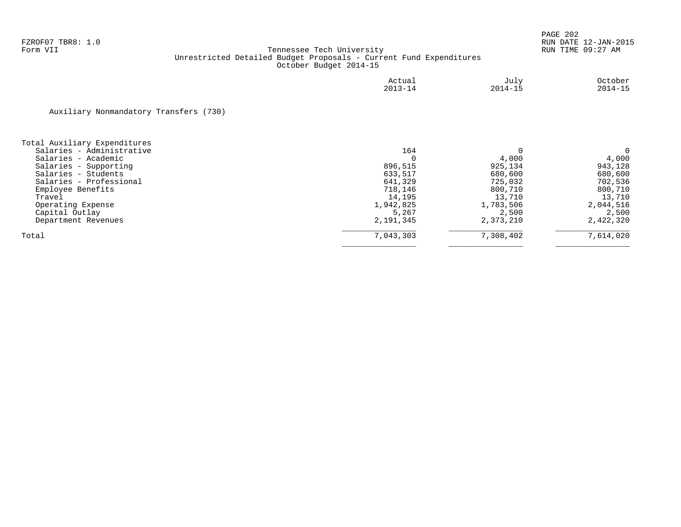|                                              | Actual<br>$2013 - 14$ | July<br>$2014 - 15$ | October<br>$2014 - 15$ |
|----------------------------------------------|-----------------------|---------------------|------------------------|
| Auxiliary Nonmandatory Transfers (730)       |                       |                     |                        |
| Total Auxiliary Expenditures                 |                       |                     |                        |
| Salaries - Administrative                    | 164                   |                     |                        |
| Salaries - Academic                          |                       | 4,000<br>925,134    | 4,000<br>943,128       |
| Salaries - Supporting<br>Salaries - Students | 896,515<br>633,517    | 680,600             | 680,600                |
| Salaries - Professional                      | 641,329               | 725,032             | 702,536                |
| Employee Benefits                            | 718,146               | 800,710             | 800,710                |
| Travel                                       | 14,195                | 13,710              | 13,710                 |
| Operating Expense                            | 1,942,825             | 1,783,506           | 2,044,516              |
| Capital Outlay                               | 5,267                 | 2,500               | 2,500                  |
| Department Revenues                          | 2,191,345             | 2,373,210           | 2,422,320              |
| Total                                        | 7,043,303             | 7,308,402           | 7,614,020              |
|                                              |                       |                     |                        |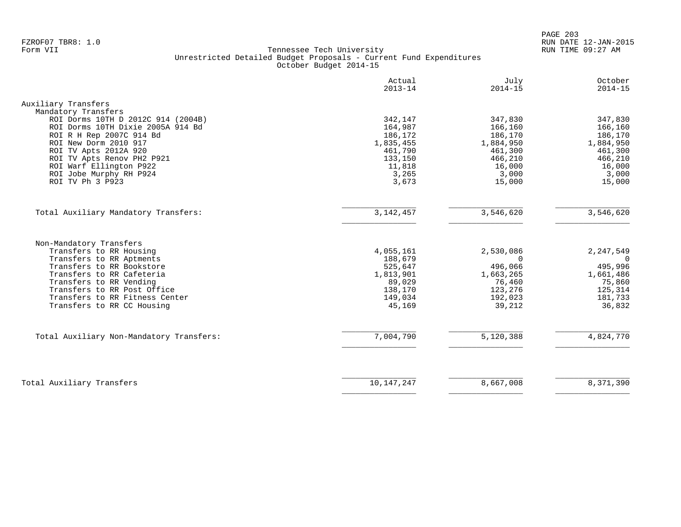PAGE 203 FZROF07 TBR8: 1.0 RUN DATE 12-JAN-2015

|                                                                                                                                                                                                                                                                                      | Actual<br>$2013 - 14$                                                                        | July<br>$2014 - 15$                                                                           | October<br>$2014 - 15$                                                                        |
|--------------------------------------------------------------------------------------------------------------------------------------------------------------------------------------------------------------------------------------------------------------------------------------|----------------------------------------------------------------------------------------------|-----------------------------------------------------------------------------------------------|-----------------------------------------------------------------------------------------------|
| Auxiliary Transfers                                                                                                                                                                                                                                                                  |                                                                                              |                                                                                               |                                                                                               |
| Mandatory Transfers<br>ROI Dorms 10TH D 2012C 914 (2004B)<br>ROI Dorms 10TH Dixie 2005A 914 Bd<br>ROI R H Rep 2007C 914 Bd<br>ROI New Dorm 2010 917<br>ROI TV Apts 2012A 920<br>ROI TV Apts Renov PH2 P921<br>ROI Warf Ellington P922<br>ROI Jobe Murphy RH P924<br>ROI TV Ph 3 P923 | 342,147<br>164,987<br>186,172<br>1,835,455<br>461,790<br>133,150<br>11,818<br>3,265<br>3,673 | 347,830<br>166,160<br>186,170<br>1,884,950<br>461,300<br>466,210<br>16,000<br>3,000<br>15,000 | 347,830<br>166,160<br>186,170<br>1,884,950<br>461,300<br>466,210<br>16,000<br>3,000<br>15,000 |
| Total Auxiliary Mandatory Transfers:                                                                                                                                                                                                                                                 | 3, 142, 457                                                                                  | 3,546,620                                                                                     | 3,546,620                                                                                     |
| Non-Mandatory Transfers<br>Transfers to RR Housing<br>Transfers to RR Aptments<br>Transfers to RR Bookstore<br>Transfers to RR Cafeteria<br>Transfers to RR Vending<br>Transfers to RR Post Office<br>Transfers to RR Fitness Center<br>Transfers to RR CC Housing                   | 4,055,161<br>188,679<br>525,647<br>1,813,901<br>89,029<br>138,170<br>149,034<br>45,169       | 2,530,086<br>$\Omega$<br>496,066<br>1,663,265<br>76,460<br>123,276<br>192,023<br>39,212       | 2, 247, 549<br>495,996<br>1,661,486<br>75,860<br>125,314<br>181,733<br>36,832                 |
| Total Auxiliary Non-Mandatory Transfers:                                                                                                                                                                                                                                             | 7,004,790                                                                                    | 5,120,388                                                                                     | 4,824,770                                                                                     |
| Total Auxiliary Transfers                                                                                                                                                                                                                                                            | 10,147,247                                                                                   | 8,667,008                                                                                     | 8,371,390                                                                                     |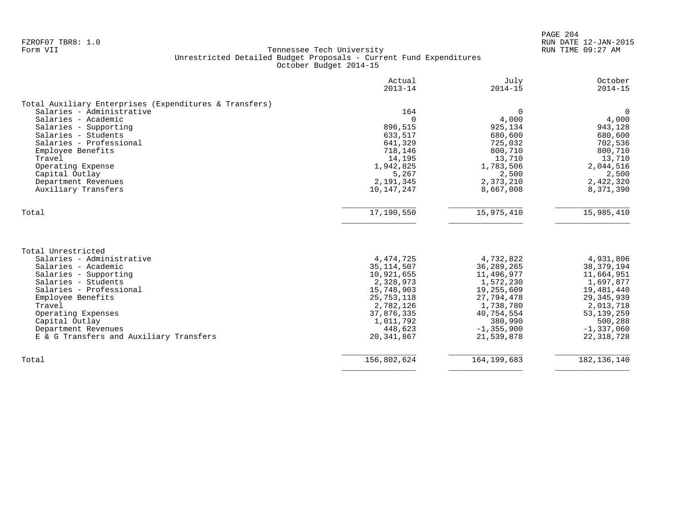PAGE 204 FZROF07 TBR8: 1.0 RUN DATE 12-JAN-2015

| $\Omega$<br>4,000<br>925,134<br>680,600<br>725,032<br>800,710<br>13,710<br>1,783,506 | $\Omega$<br>4,000<br>943,128 |
|--------------------------------------------------------------------------------------|------------------------------|
|                                                                                      |                              |
|                                                                                      |                              |
|                                                                                      |                              |
|                                                                                      |                              |
|                                                                                      | 680,600                      |
|                                                                                      | 702,536                      |
|                                                                                      | 800,710                      |
|                                                                                      | 13,710                       |
|                                                                                      | 2,044,516                    |
| 2,500                                                                                | 2,500                        |
| 2,373,210                                                                            | 2,422,320                    |
| 8,667,008                                                                            | 8,371,390                    |
| 15,975,410                                                                           | 15,985,410                   |
|                                                                                      |                              |
|                                                                                      |                              |
| 4,732,822                                                                            | 4,931,806                    |
| 36, 289, 265                                                                         | 38, 379, 194                 |
| 11,496,977                                                                           | 11,664,951                   |
| 1,572,230                                                                            | 1,697,877                    |
| 19,255,609                                                                           | 19,481,440                   |
| 27,794,478                                                                           | 29, 345, 939                 |
| 1,738,780                                                                            | 2,013,718                    |
|                                                                                      | 53, 139, 259                 |
| 40,754,554                                                                           | 500,288                      |
| 380,990                                                                              | $-1,337,060$                 |
| $-1, 355, 900$                                                                       | 22, 318, 728                 |
| 21,539,878                                                                           |                              |
|                                                                                      | 164, 199, 683                |